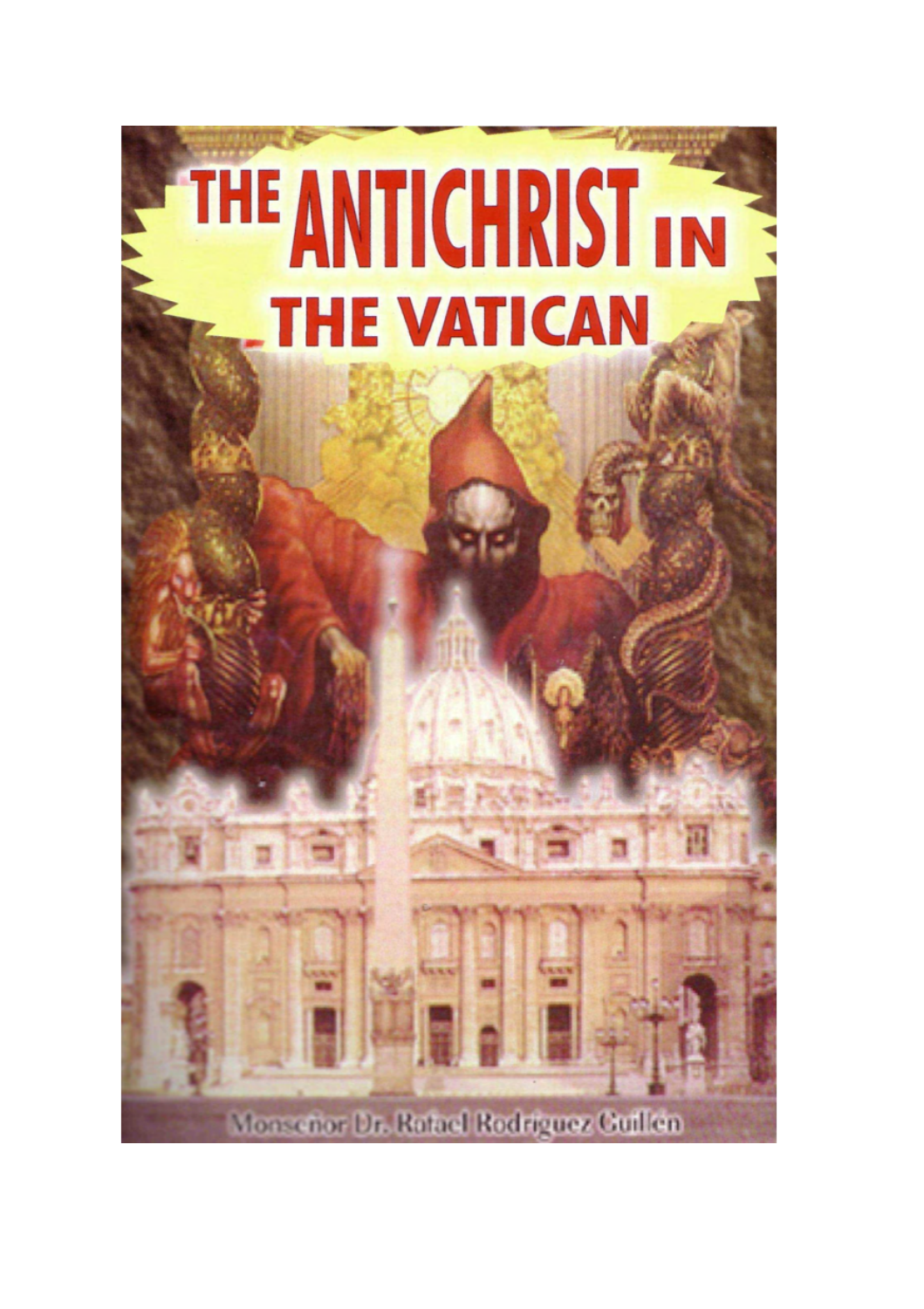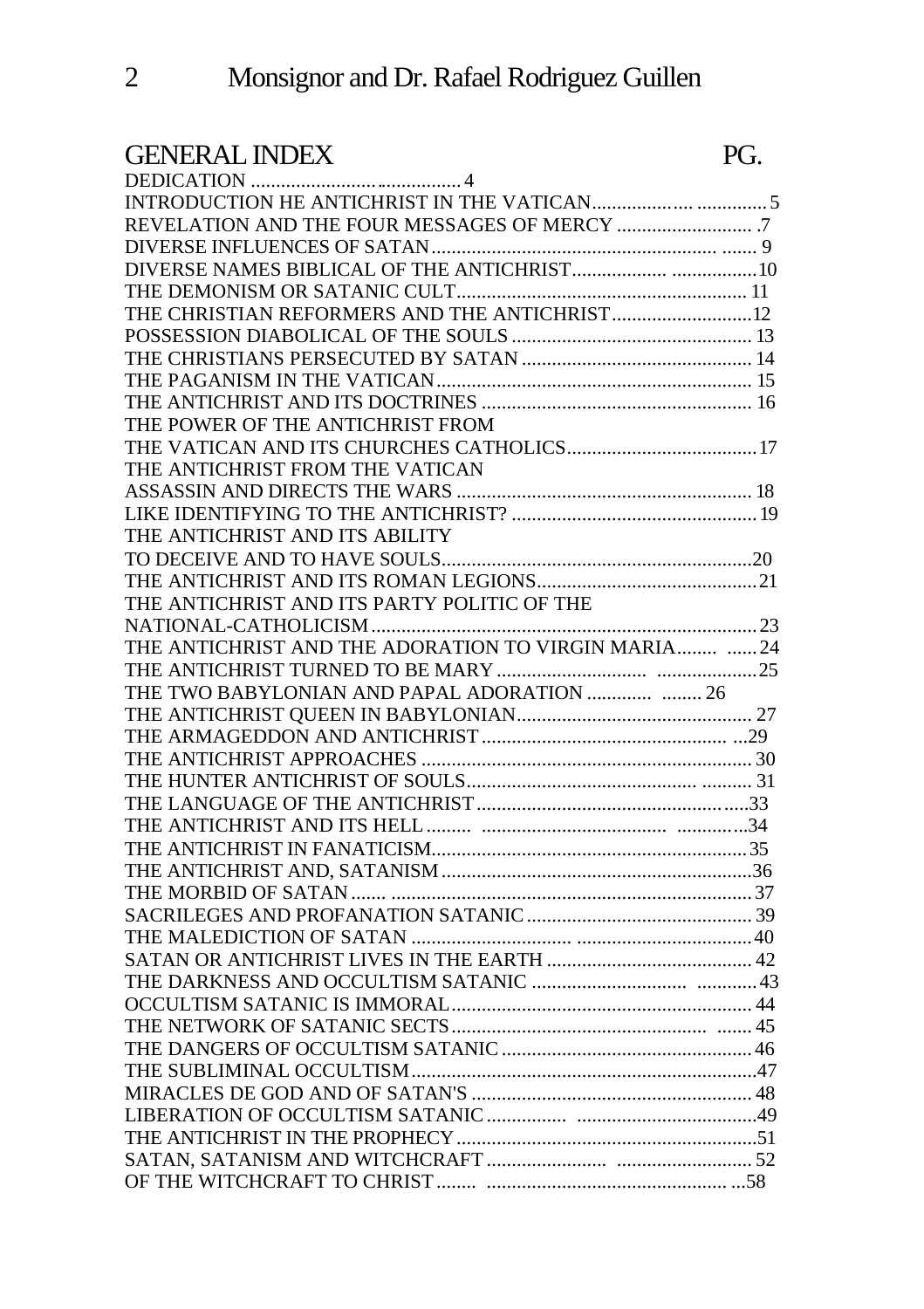# GENERAL INDEX PG.

| THE CHRISTIAN REFORMERS AND THE ANTICHRIST 12        |  |
|------------------------------------------------------|--|
|                                                      |  |
|                                                      |  |
|                                                      |  |
|                                                      |  |
| THE POWER OF THE ANTICHRIST FROM                     |  |
|                                                      |  |
| THE ANTICHRIST FROM THE VATICAN                      |  |
|                                                      |  |
|                                                      |  |
| THE ANTICHRIST AND ITS ABILITY                       |  |
|                                                      |  |
|                                                      |  |
| THE ANTICHRIST AND ITS PARTY POLITIC OF THE          |  |
|                                                      |  |
| THE ANTICHRIST AND THE ADORATION TO VIRGIN MARIA  24 |  |
|                                                      |  |
|                                                      |  |
|                                                      |  |
|                                                      |  |
|                                                      |  |
|                                                      |  |
|                                                      |  |
|                                                      |  |
|                                                      |  |
|                                                      |  |
|                                                      |  |
|                                                      |  |
|                                                      |  |
|                                                      |  |
|                                                      |  |
|                                                      |  |
|                                                      |  |
|                                                      |  |
|                                                      |  |
|                                                      |  |
|                                                      |  |
|                                                      |  |
|                                                      |  |
|                                                      |  |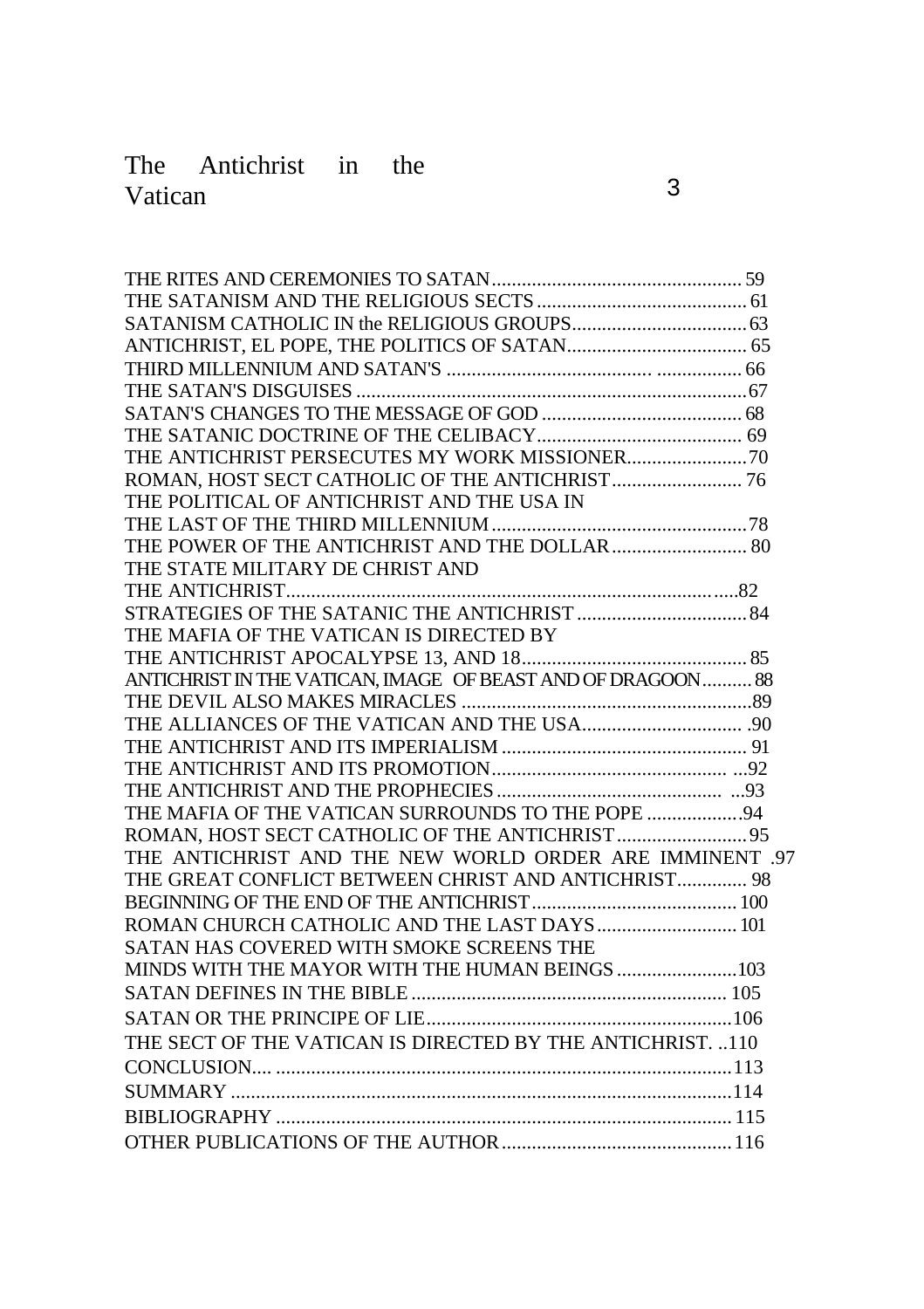# The Antichrist in the Vatican 3

| THE POLITICAL OF ANTICHRIST AND THE USA IN                  |  |
|-------------------------------------------------------------|--|
|                                                             |  |
|                                                             |  |
| THE STATE MILITARY DE CHRIST AND                            |  |
|                                                             |  |
|                                                             |  |
| THE MAFIA OF THE VATICAN IS DIRECTED BY                     |  |
|                                                             |  |
| ANTICHRIST IN THE VATICAN, IMAGE OF BEAST AND OF DRAGOON 88 |  |
|                                                             |  |
|                                                             |  |
|                                                             |  |
|                                                             |  |
|                                                             |  |
| THE MAFIA OF THE VATICAN SURROUNDS TO THE POPE 94           |  |
|                                                             |  |
| THE ANTICHRIST AND THE NEW WORLD ORDER ARE IMMINENT .97     |  |
| THE GREAT CONFLICT BETWEEN CHRIST AND ANTICHRIST 98         |  |
|                                                             |  |
|                                                             |  |
| SATAN HAS COVERED WITH SMOKE SCREENS THE                    |  |
|                                                             |  |
|                                                             |  |
|                                                             |  |
| THE SECT OF THE VATICAN IS DIRECTED BY THE ANTICHRIST. 110  |  |
|                                                             |  |
|                                                             |  |
|                                                             |  |
|                                                             |  |
|                                                             |  |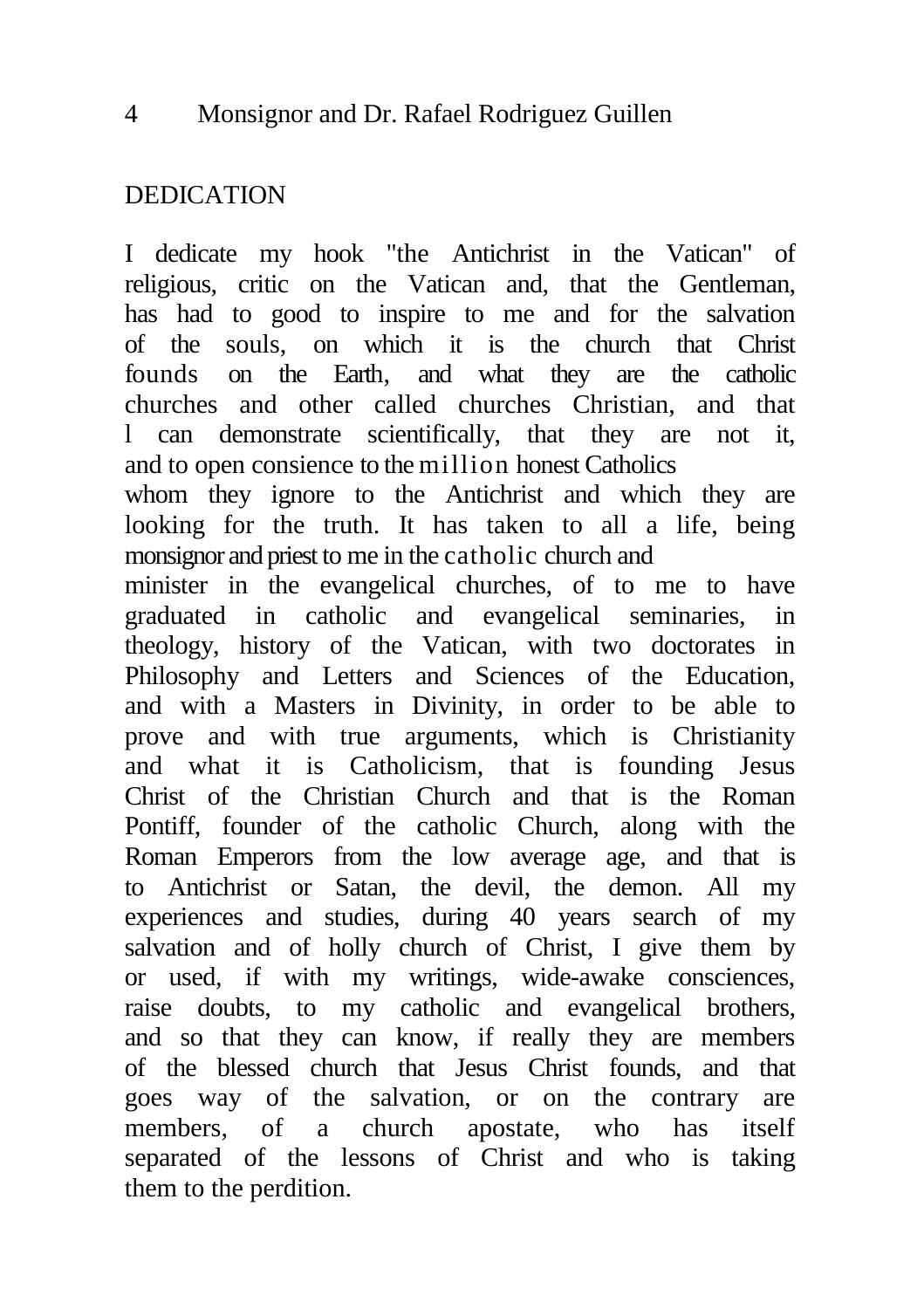# DEDICATION

I dedicate my hook "the Antichrist in the Vatican" of religious, critic on the Vatican and, that the Gentleman, has had to good to inspire to me and for the salvation of the souls, on which it is the church that Christ founds on the Earth, and what they are the catholic churches and other called churches Christian, and that l can demonstrate scientifically, that they are not it, and to open consience to the million honest Catholics whom they ignore to the Antichrist and which they are looking for the truth. It has taken to all a life, being monsignor and priest to me in the catholic church and minister in the evangelical churches, of to me to have graduated in catholic and evangelical seminaries, in theology, history of the Vatican, with two doctorates in Philosophy and Letters and Sciences of the Education, and with a Masters in Divinity, in order to be able to prove and with true arguments, which is Christianity and what it is Catholicism, that is founding Jesus Christ of the Christian Church and that is the Roman Pontiff, founder of the catholic Church, along with the Roman Emperors from the low average age, and that is to Antichrist or Satan, the devil, the demon. All my experiences and studies, during 40 years search of my salvation and of holly church of Christ, I give them by or used, if with my writings, wide-awake consciences, raise doubts, to my catholic and evangelical brothers, and so that they can know, if really they are members of the blessed church that Jesus Christ founds, and that goes way of the salvation, or on the contrary are members, of a church apostate, who has itself separated of the lessons of Christ and who is taking them to the perdition.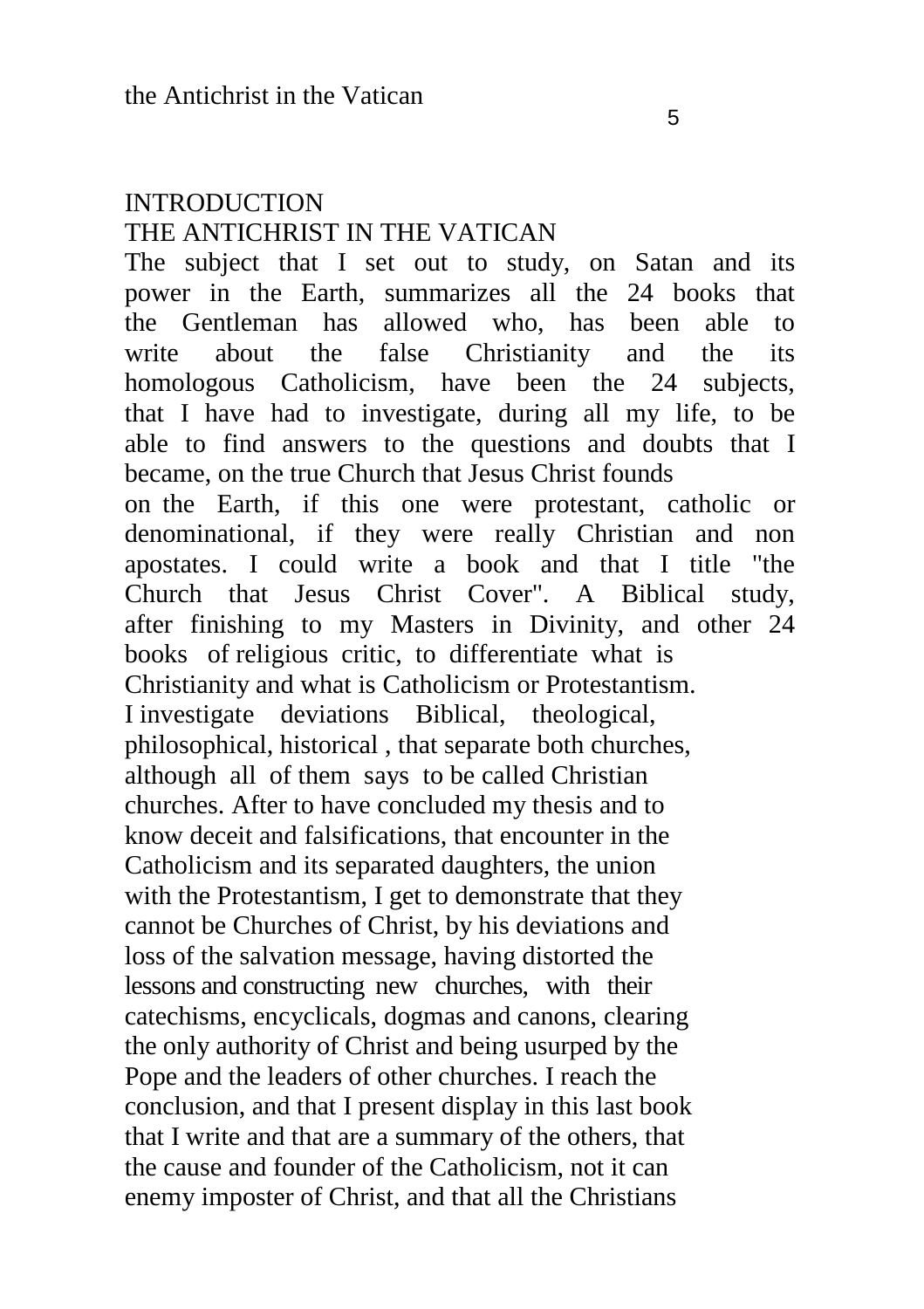#### **INTRODUCTION** THE ANTICHRIST IN THE VATICAN

The subject that I set out to study, on Satan and its power in the Earth, summarizes all the 24 books that the Gentleman has allowed who, has been able to write about the false Christianity and the its homologous Catholicism, have been the 24 subjects, that I have had to investigate, during all my life, to be able to find answers to the questions and doubts that I became, on the true Church that Jesus Christ founds on the Earth, if this one were protestant, catholic or denominational, if they were really Christian and non apostates. I could write a book and that I title "the Church that Jesus Christ Cover". A Biblical study, after finishing to my Masters in Divinity, and other 24 books of religious critic, to differentiate what is Christianity and what is Catholicism or Protestantism. I investigate deviations Biblical, theological, philosophical, historical , that separate both churches, although all of them says to be called Christian churches. After to have concluded my thesis and to know deceit and falsifications, that encounter in the Catholicism and its separated daughters, the union with the Protestantism, I get to demonstrate that they cannot be Churches of Christ, by his deviations and loss of the salvation message, having distorted the lessons and constructing new churches, with their catechisms, encyclicals, dogmas and canons, clearing the only authority of Christ and being usurped by the Pope and the leaders of other churches. I reach the conclusion, and that I present display in this last book that I write and that are a summary of the others, that the cause and founder of the Catholicism, not it can enemy imposter of Christ, and that all the Christians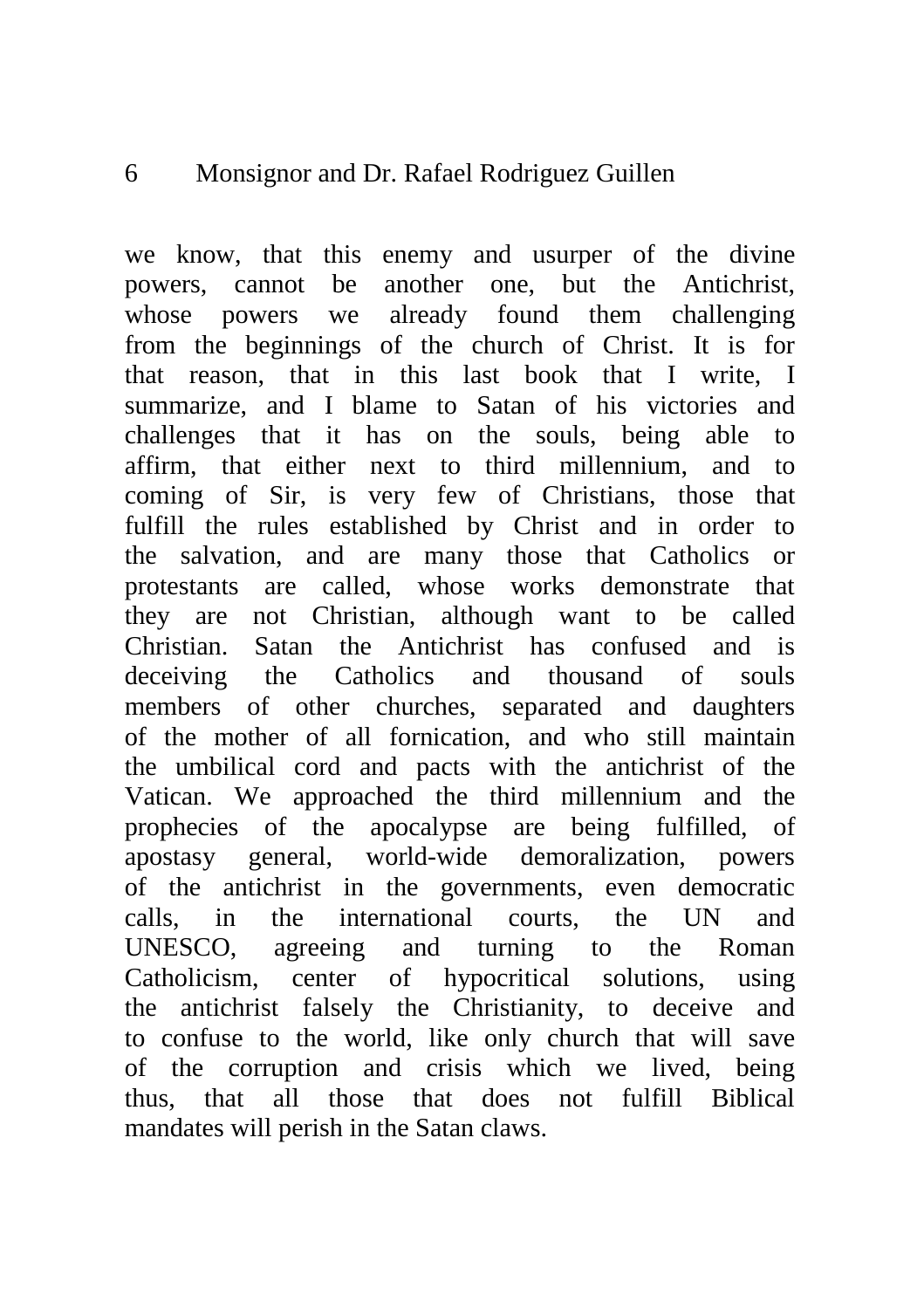we know, that this enemy and usurper of the divine powers, cannot be another one, but the Antichrist, whose powers we already found them challenging from the beginnings of the church of Christ. It is for that reason, that in this last book that I write, I summarize, and I blame to Satan of his victories and challenges that it has on the souls, being able to affirm, that either next to third millennium, and to coming of Sir, is very few of Christians, those that fulfill the rules established by Christ and in order to the salvation, and are many those that Catholics or protestants are called, whose works demonstrate that they are not Christian, although want to be called Christian. Satan the Antichrist has confused and is deceiving the Catholics and thousand of souls members of other churches, separated and daughters of the mother of all fornication, and who still maintain the umbilical cord and pacts with the antichrist of the Vatican. We approached the third millennium and the prophecies of the apocalypse are being fulfilled, of apostasy general, world-wide demoralization, powers of the antichrist in the governments, even democratic calls, in the international courts, the UN and UNESCO, agreeing and turning to the Roman Catholicism, center of hypocritical solutions, using the antichrist falsely the Christianity, to deceive and to confuse to the world, like only church that will save of the corruption and crisis which we lived, being thus, that all those that does not fulfill Biblical mandates will perish in the Satan claws.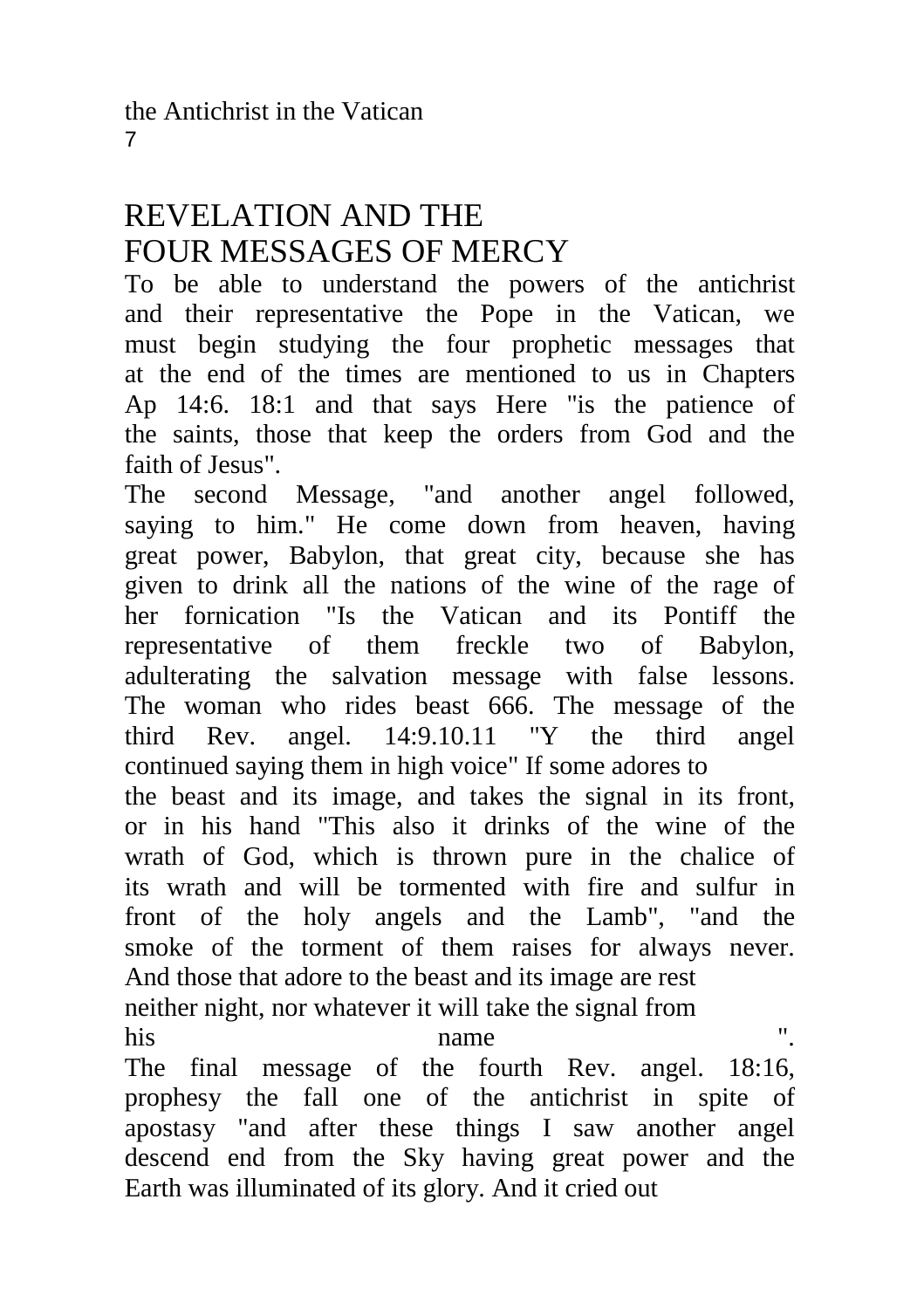# REVELATION AND THE FOUR MESSAGES OF MERCY

To be able to understand the powers of the antichrist and their representative the Pope in the Vatican, we must begin studying the four prophetic messages that at the end of the times are mentioned to us in Chapters Ap 14:6. 18:1 and that says Here "is the patience of the saints, those that keep the orders from God and the faith of Jesus".

The second Message, "and another angel followed, saying to him." He come down from heaven, having great power, Babylon, that great city, because she has given to drink all the nations of the wine of the rage of her fornication "Is the Vatican and its Pontiff the representative of them freckle two of Babylon, adulterating the salvation message with false lessons. The woman who rides beast 666. The message of the third Rev. angel. 14:9.10.11 "Y the third angel continued saying them in high voice" If some adores to the beast and its image, and takes the signal in its front, or in his hand "This also it drinks of the wine of the wrath of God, which is thrown pure in the chalice of its wrath and will be tormented with fire and sulfur in front of the holy angels and the Lamb", "and the smoke of the torment of them raises for always never. And those that adore to the beast and its image are rest neither night, nor whatever it will take the signal from his name ". The final message of the fourth Rev. angel. 18:16,

prophesy the fall one of the antichrist in spite of apostasy "and after these things I saw another angel descend end from the Sky having great power and the Earth was illuminated of its glory. And it cried out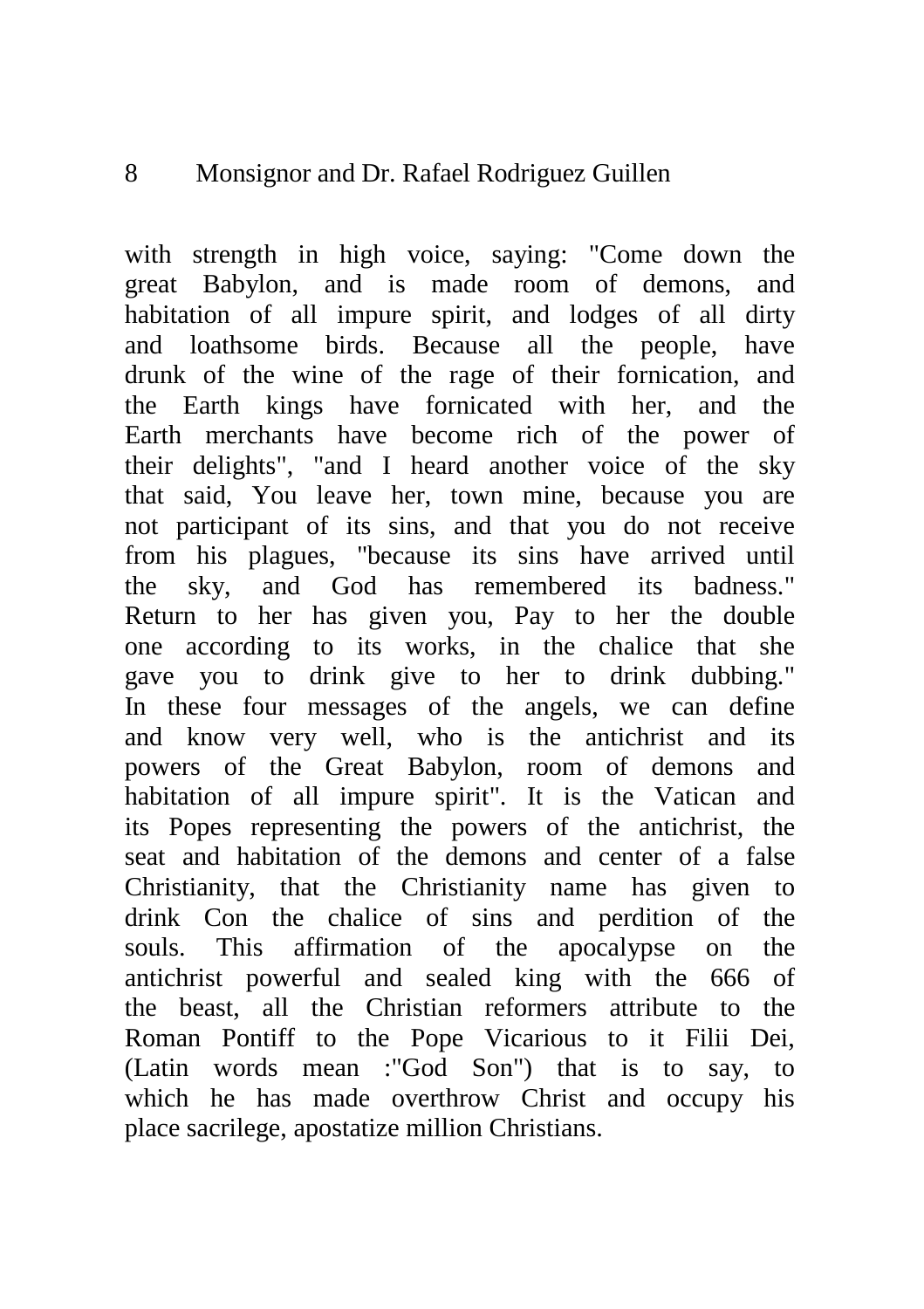with strength in high voice, saying: "Come down the great Babylon, and is made room of demons, and habitation of all impure spirit, and lodges of all dirty and loathsome birds. Because all the people, have drunk of the wine of the rage of their fornication, and the Earth kings have fornicated with her, and the Earth merchants have become rich of the power of their delights", "and I heard another voice of the sky that said, You leave her, town mine, because you are not participant of its sins, and that you do not receive from his plagues, "because its sins have arrived until the sky, and God has remembered its badness." Return to her has given you, Pay to her the double one according to its works, in the chalice that she gave you to drink give to her to drink dubbing." In these four messages of the angels, we can define and know very well, who is the antichrist and its powers of the Great Babylon, room of demons and habitation of all impure spirit". It is the Vatican and its Popes representing the powers of the antichrist, the seat and habitation of the demons and center of a false Christianity, that the Christianity name has given to drink Con the chalice of sins and perdition of the souls. This affirmation of the apocalypse on the antichrist powerful and sealed king with the 666 of the beast, all the Christian reformers attribute to the Roman Pontiff to the Pope Vicarious to it Filii Dei, (Latin words mean :"God Son") that is to say, to which he has made overthrow Christ and occupy his place sacrilege, apostatize million Christians.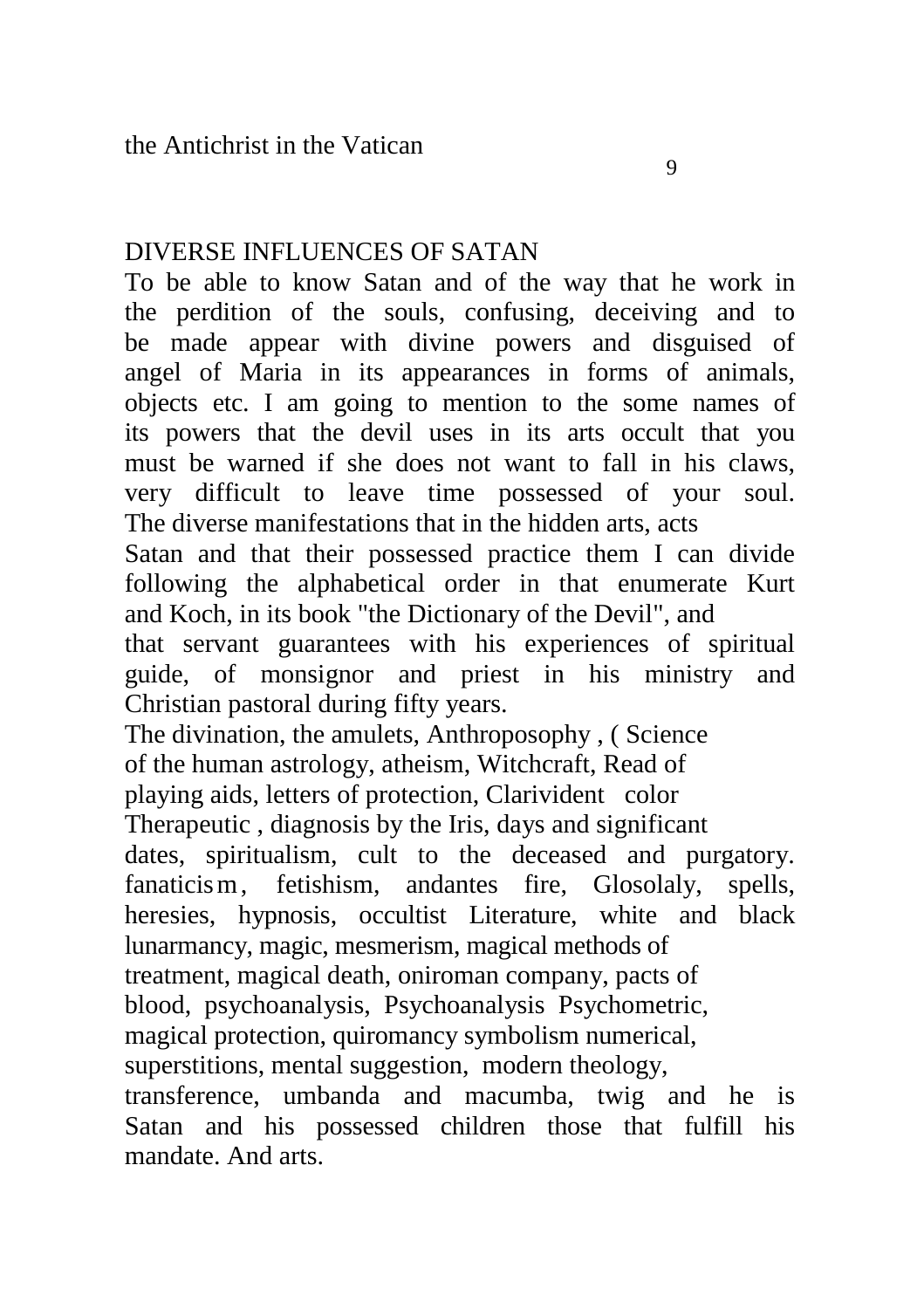#### DIVERSE INFLUENCES OF SATAN

To be able to know Satan and of the way that he work in the perdition of the souls, confusing, deceiving and to be made appear with divine powers and disguised of angel of Maria in its appearances in forms of animals, objects etc. I am going to mention to the some names of its powers that the devil uses in its arts occult that you must be warned if she does not want to fall in his claws, very difficult to leave time possessed of your soul. The diverse manifestations that in the hidden arts, acts Satan and that their possessed practice them I can divide following the alphabetical order in that enumerate Kurt and Koch, in its book "the Dictionary of the Devil", and that servant guarantees with his experiences of spiritual guide, of monsignor and priest in his ministry and Christian pastoral during fifty years. The divination, the amulets, Anthroposophy , ( Science

of the human astrology, atheism, Witchcraft, Read of playing aids, letters of protection, Clarivident color Therapeutic , diagnosis by the Iris, days and significant dates, spiritualism, cult to the deceased and purgatory. fanaticism, fetishism, andantes fire, Glosolaly, spells, heresies, hypnosis, occultist Literature, white and black lunarmancy, magic, mesmerism, magical methods of treatment, magical death, oniroman company, pacts of blood, psychoanalysis, Psychoanalysis Psychometric, magical protection, quiromancy symbolism numerical, superstitions, mental suggestion, modern theology, transference, umbanda and macumba, twig and he is Satan and his possessed children those that fulfill his mandate. And arts.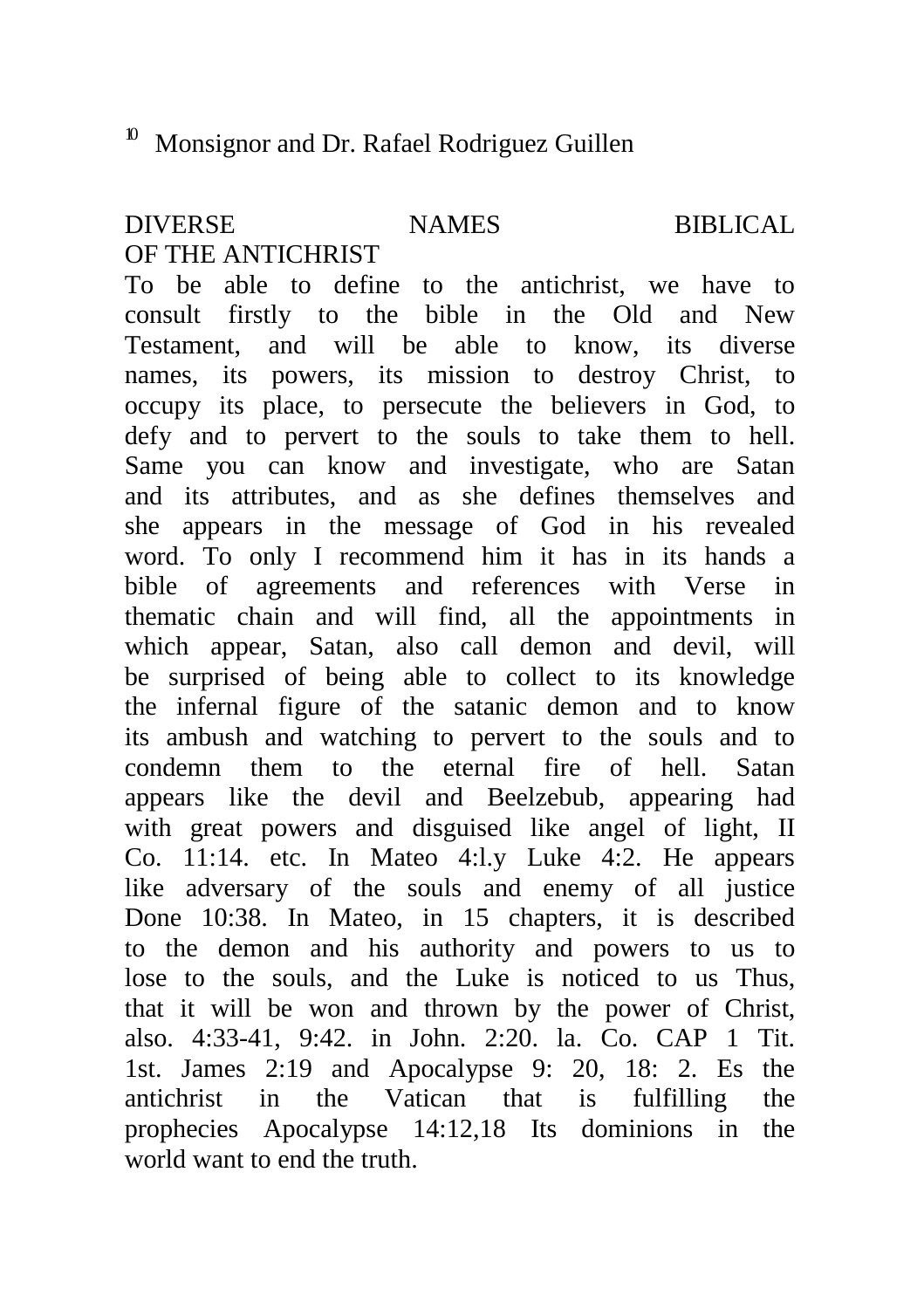#### DIVERSE NAMES BIBLICAL OF THE ANTICHRIST

To be able to define to the antichrist, we have to consult firstly to the bible in the Old and New Testament, and will be able to know, its diverse names, its powers, its mission to destroy Christ, to occupy its place, to persecute the believers in God, to defy and to pervert to the souls to take them to hell. Same you can know and investigate, who are Satan and its attributes, and as she defines themselves and she appears in the message of God in his revealed word. To only I recommend him it has in its hands a bible of agreements and references with Verse in thematic chain and will find, all the appointments in which appear, Satan, also call demon and devil, will be surprised of being able to collect to its knowledge the infernal figure of the satanic demon and to know its ambush and watching to pervert to the souls and to condemn them to the eternal fire of hell. Satan appears like the devil and Beelzebub, appearing had with great powers and disguised like angel of light, II Co. 11:14. etc. In Mateo 4:l.y Luke 4:2. He appears like adversary of the souls and enemy of all justice Done 10:38. In Mateo, in 15 chapters, it is described to the demon and his authority and powers to us to lose to the souls, and the Luke is noticed to us Thus, that it will be won and thrown by the power of Christ, also. 4:33-41, 9:42. in John. 2:20. la. Co. CAP 1 Tit. 1st. James 2:19 and Apocalypse 9: 20, 18: 2. Es the antichrist in the Vatican that is fulfilling the prophecies Apocalypse 14:12,18 Its dominions in the world want to end the truth.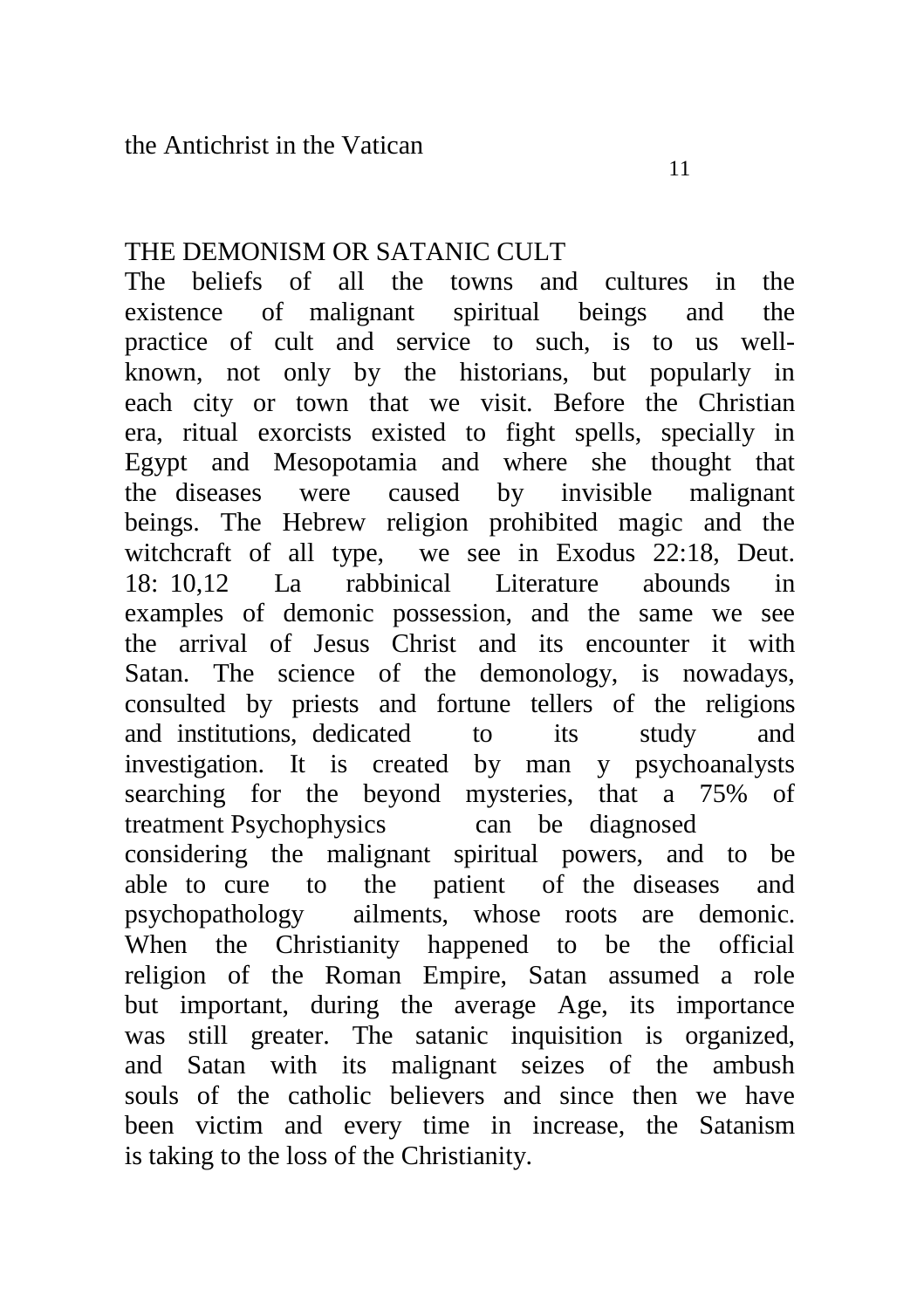# THE DEMONISM OR SATANIC CULT

The beliefs of all the towns and cultures in the existence of malignant spiritual beings and the practice of cult and service to such, is to us wellknown, not only by the historians, but popularly in each city or town that we visit. Before the Christian era, ritual exorcists existed to fight spells, specially in Egypt and Mesopotamia and where she thought that the diseases were caused by invisible malignant beings. The Hebrew religion prohibited magic and the witchcraft of all type, we see in Exodus 22:18, Deut.<br>18:10.12 La rabbinical Literature abounds in 18: 10,12 La rabbinical Literature abounds examples of demonic possession, and the same we see the arrival of Jesus Christ and its encounter it with Satan. The science of the demonology, is nowadays, consulted by priests and fortune tellers of the religions and institutions, dedicated to its study and investigation. It is created by man y psychoanalysts searching for the beyond mysteries, that a 75% of treatment Psychophysics can be diagnosed considering the malignant spiritual powers, and to be able to cure to the patient of the diseases and psychopathology ailments, whose roots are demonic. When the Christianity happened to be the official religion of the Roman Empire, Satan assumed a role but important, during the average Age, its importance was still greater. The satanic inquisition is organized, and Satan with its malignant seizes of the ambush souls of the catholic believers and since then we have been victim and every time in increase, the Satanism is taking to the loss of the Christianity.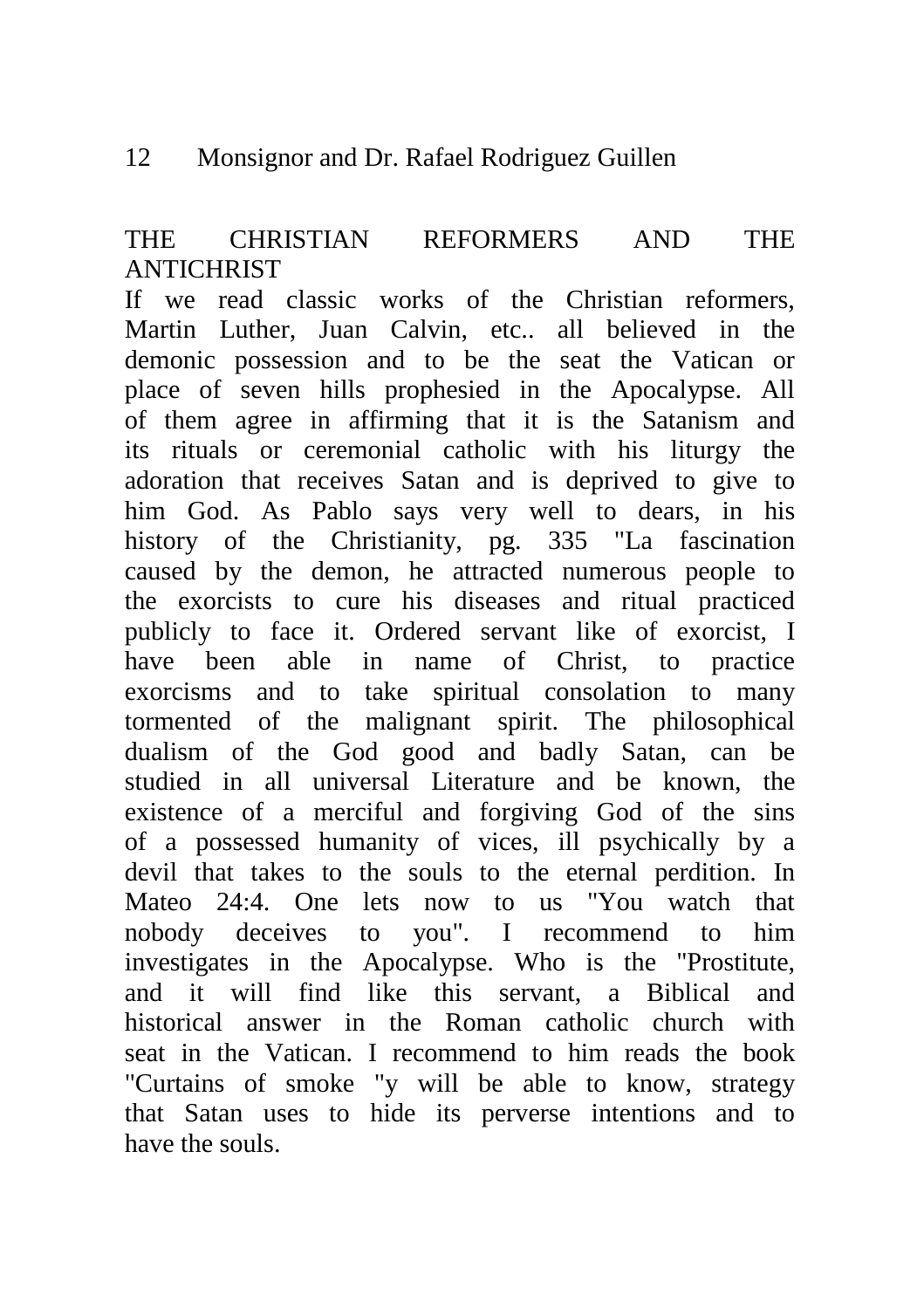# THE CHRISTIAN REFORMERS AND THE **ANTICHRIST**

If we read classic works of the Christian reformers, Martin Luther, Juan Calvin, etc.. all believed in the demonic possession and to be the seat the Vatican or place of seven hills prophesied in the Apocalypse. All of them agree in affirming that it is the Satanism and its rituals or ceremonial catholic with his liturgy the adoration that receives Satan and is deprived to give to him God. As Pablo says very well to dears, in his history of the Christianity, pg. 335 "La fascination caused by the demon, he attracted numerous people to the exorcists to cure his diseases and ritual practiced publicly to face it. Ordered servant like of exorcist, I have been able in name of Christ, to practice exorcisms and to take spiritual consolation to many tormented of the malignant spirit. The philosophical dualism of the God good and badly Satan, can be studied in all universal Literature and be known, the existence of a merciful and forgiving God of the sins of a possessed humanity of vices, ill psychically by a devil that takes to the souls to the eternal perdition. In Mateo 24:4. One lets now to us "You watch that nobody deceives to you". I recommend to him investigates in the Apocalypse. Who is the "Prostitute, and it will find like this servant, a Biblical and historical answer in the Roman catholic church with seat in the Vatican. I recommend to him reads the book "Curtains of smoke "y will be able to know, strategy that Satan uses to hide its perverse intentions and to have the souls.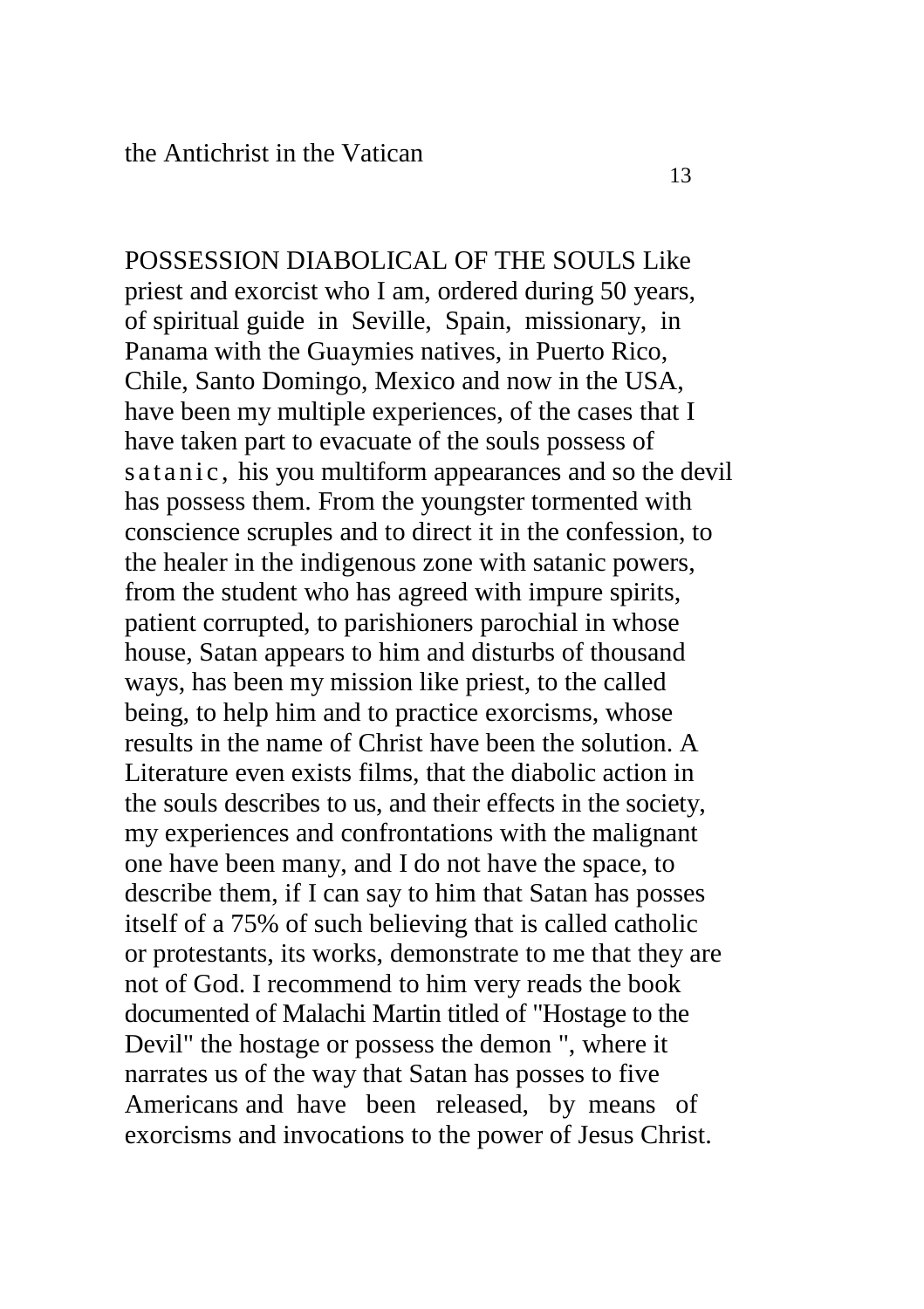POSSESSION DIABOLICAL OF THE SOULS Like priest and exorcist who I am, ordered during 50 years, of spiritual guide in Seville, Spain, missionary, in Panama with the Guaymies natives, in Puerto Rico, Chile, Santo Domingo, Mexico and now in the USA, have been my multiple experiences, of the cases that I have taken part to evacuate of the souls possess of s a t a n i c, his you multiform appearances and so the devil has possess them. From the youngster tormented with conscience scruples and to direct it in the confession, to the healer in the indigenous zone with satanic powers, from the student who has agreed with impure spirits, patient corrupted, to parishioners parochial in whose house, Satan appears to him and disturbs of thousand ways, has been my mission like priest, to the called being, to help him and to practice exorcisms, whose results in the name of Christ have been the solution. A Literature even exists films, that the diabolic action in the souls describes to us, and their effects in the society, my experiences and confrontations with the malignant one have been many, and I do not have the space, to describe them, if I can say to him that Satan has posses itself of a 75% of such believing that is called catholic or protestants, its works, demonstrate to me that they are not of God. I recommend to him very reads the book documented of Malachi Martin titled of "Hostage to the Devil" the hostage or possess the demon ", where it narrates us of the way that Satan has posses to five Americans and have been released, by means of exorcisms and invocations to the power of Jesus Christ.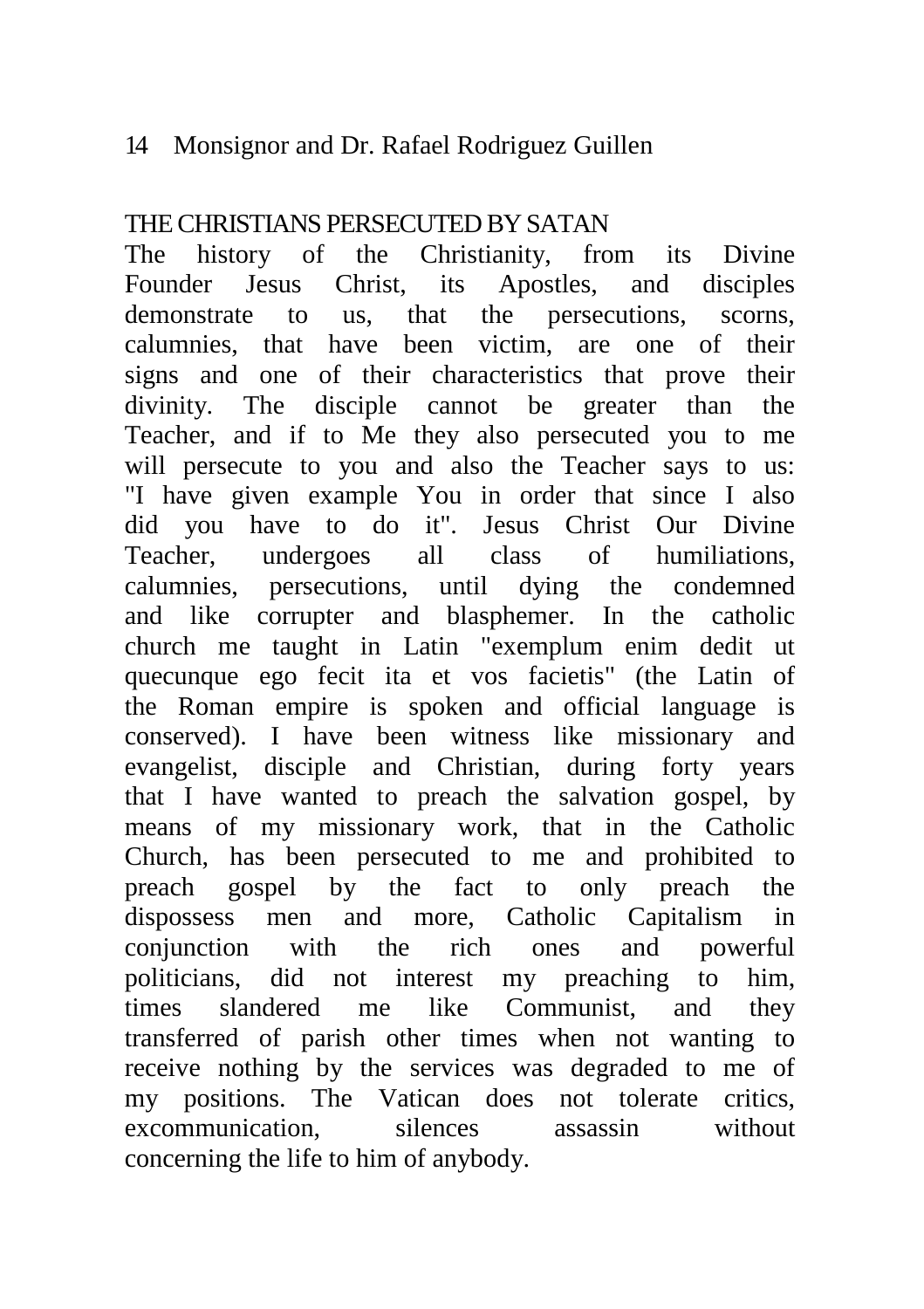# THE CHRISTIANS PERSECUTED BY SATAN

The history of the Christianity, from its Divine Founder Jesus Christ, its Apostles, and disciples demonstrate to us, that the persecutions, scorns, calumnies, that have been victim, are one of their signs and one of their characteristics that prove their divinity. The disciple cannot be greater than the Teacher, and if to Me they also persecuted you to me will persecute to you and also the Teacher says to us: "I have given example You in order that since I also did you have to do it". Jesus Christ Our Divine Teacher, undergoes all class of humiliations, calumnies, persecutions, until dying the condemned and like corrupter and blasphemer. In the catholic church me taught in Latin "exemplum enim dedit ut quecunque ego fecit ita et vos facietis" (the Latin of the Roman empire is spoken and official language is conserved). I have been witness like missionary and evangelist, disciple and Christian, during forty years that I have wanted to preach the salvation gospel, by means of my missionary work, that in the Catholic Church, has been persecuted to me and prohibited to preach gospel by the fact to only preach the dispossess men and more, Catholic Capitalism in conjunction with the rich ones and powerful politicians, did not interest my preaching to him, times slandered me like Communist, and they transferred of parish other times when not wanting to receive nothing by the services was degraded to me of my positions. The Vatican does not tolerate critics, excommunication, silences assassin without concerning the life to him of anybody.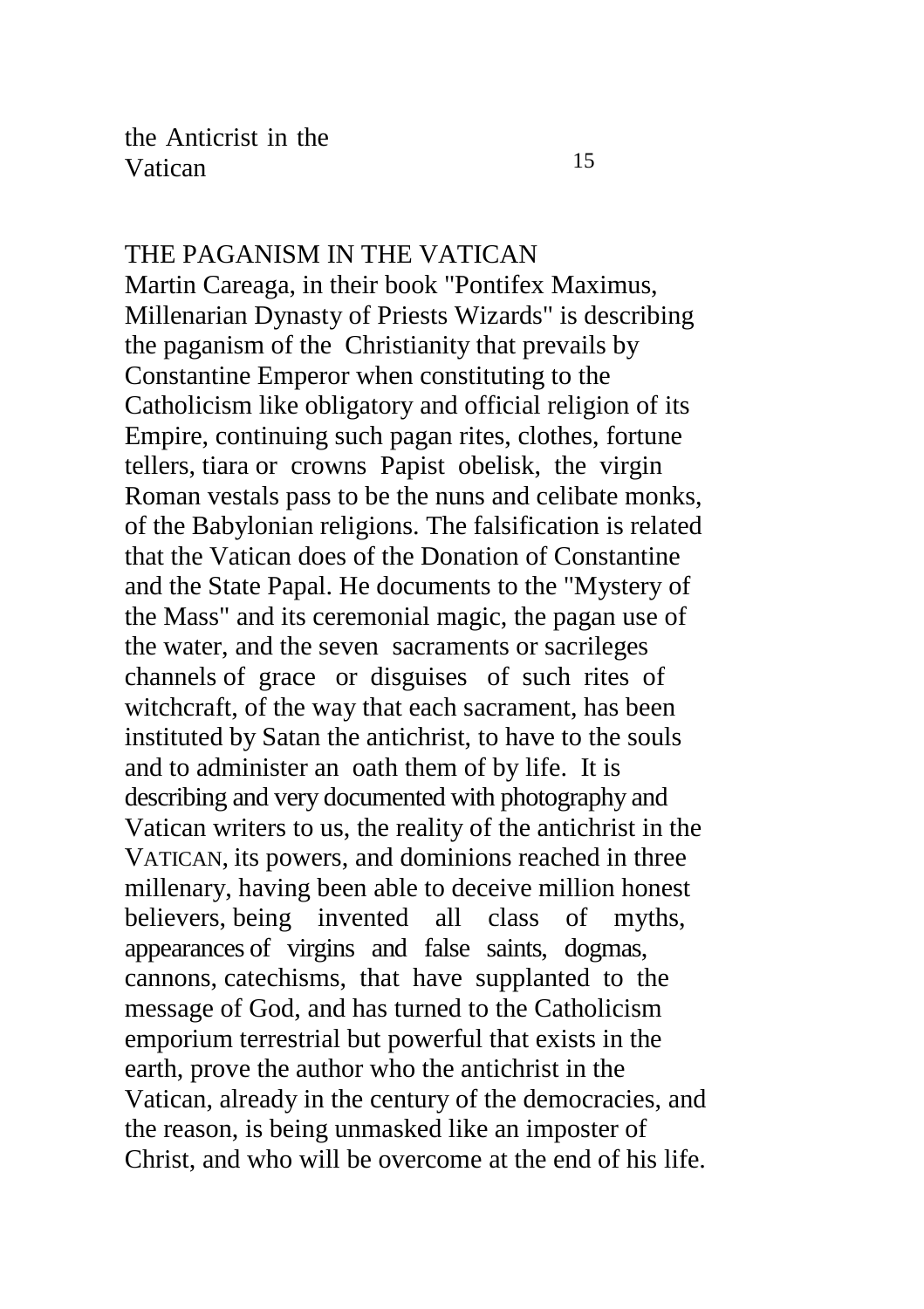THE PAGANISM IN THE VATICAN Martin Careaga, in their book "Pontifex Maximus, Millenarian Dynasty of Priests Wizards" is describing the paganism of the Christianity that prevails by Constantine Emperor when constituting to the Catholicism like obligatory and official religion of its Empire, continuing such pagan rites, clothes, fortune tellers, tiara or crowns Papist obelisk, the virgin Roman vestals pass to be the nuns and celibate monks, of the Babylonian religions. The falsification is related that the Vatican does of the Donation of Constantine and the State Papal. He documents to the "Mystery of the Mass" and its ceremonial magic, the pagan use of the water, and the seven sacraments or sacrileges channels of grace or disguises of such rites of witchcraft, of the way that each sacrament, has been instituted by Satan the antichrist, to have to the souls and to administer an oath them of by life. It is describing and very documented with photography and Vatican writers to us, the reality of the antichrist in the VATICAN, its powers, and dominions reached in three millenary, having been able to deceive million honest believers, being invented all class of myths, appearances of virgins and false saints, dogmas, cannons, catechisms, that have supplanted to the message of God, and has turned to the Catholicism emporium terrestrial but powerful that exists in the earth, prove the author who the antichrist in the Vatican, already in the century of the democracies, and the reason, is being unmasked like an imposter of Christ, and who will be overcome at the end of his life.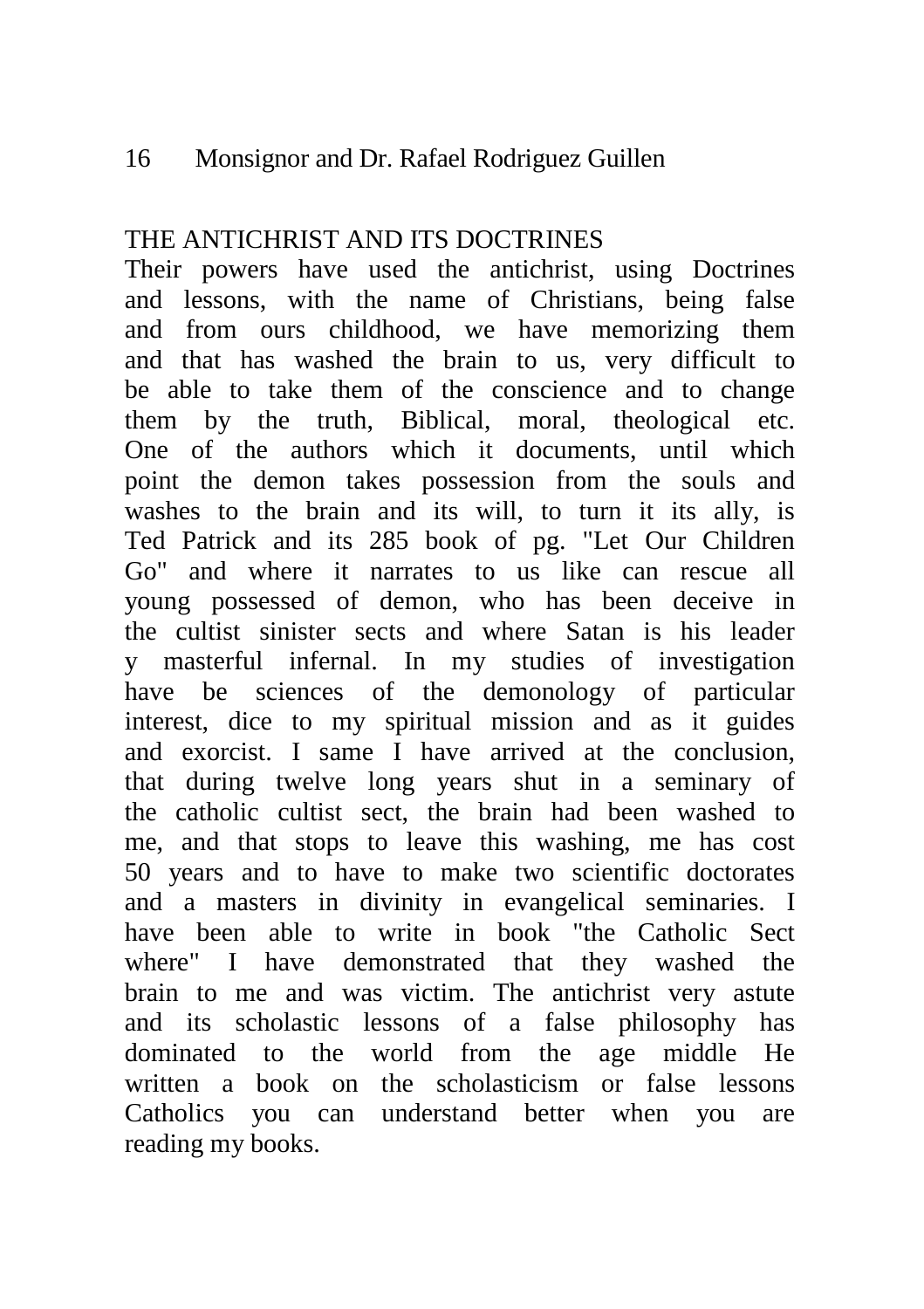# THE ANTICHRIST AND ITS DOCTRINES

Their powers have used the antichrist, using Doctrines and lessons, with the name of Christians, being false and from ours childhood, we have memorizing them and that has washed the brain to us, very difficult to be able to take them of the conscience and to change them by the truth, Biblical, moral, theological etc. One of the authors which it documents, until which point the demon takes possession from the souls and washes to the brain and its will, to turn it its ally, is Ted Patrick and its 285 book of pg. "Let Our Children Go" and where it narrates to us like can rescue all young possessed of demon, who has been deceive in the cultist sinister sects and where Satan is his leader y masterful infernal. In my studies of investigation have be sciences of the demonology of particular interest, dice to my spiritual mission and as it guides and exorcist. I same I have arrived at the conclusion, that during twelve long years shut in a seminary of the catholic cultist sect, the brain had been washed to me, and that stops to leave this washing, me has cost 50 years and to have to make two scientific doctorates and a masters in divinity in evangelical seminaries. I have been able to write in book "the Catholic Sect where" I have demonstrated that they washed the brain to me and was victim. The antichrist very astute and its scholastic lessons of a false philosophy has dominated to the world from the age middle He written a book on the scholasticism or false lessons Catholics you can understand better when you are reading my books.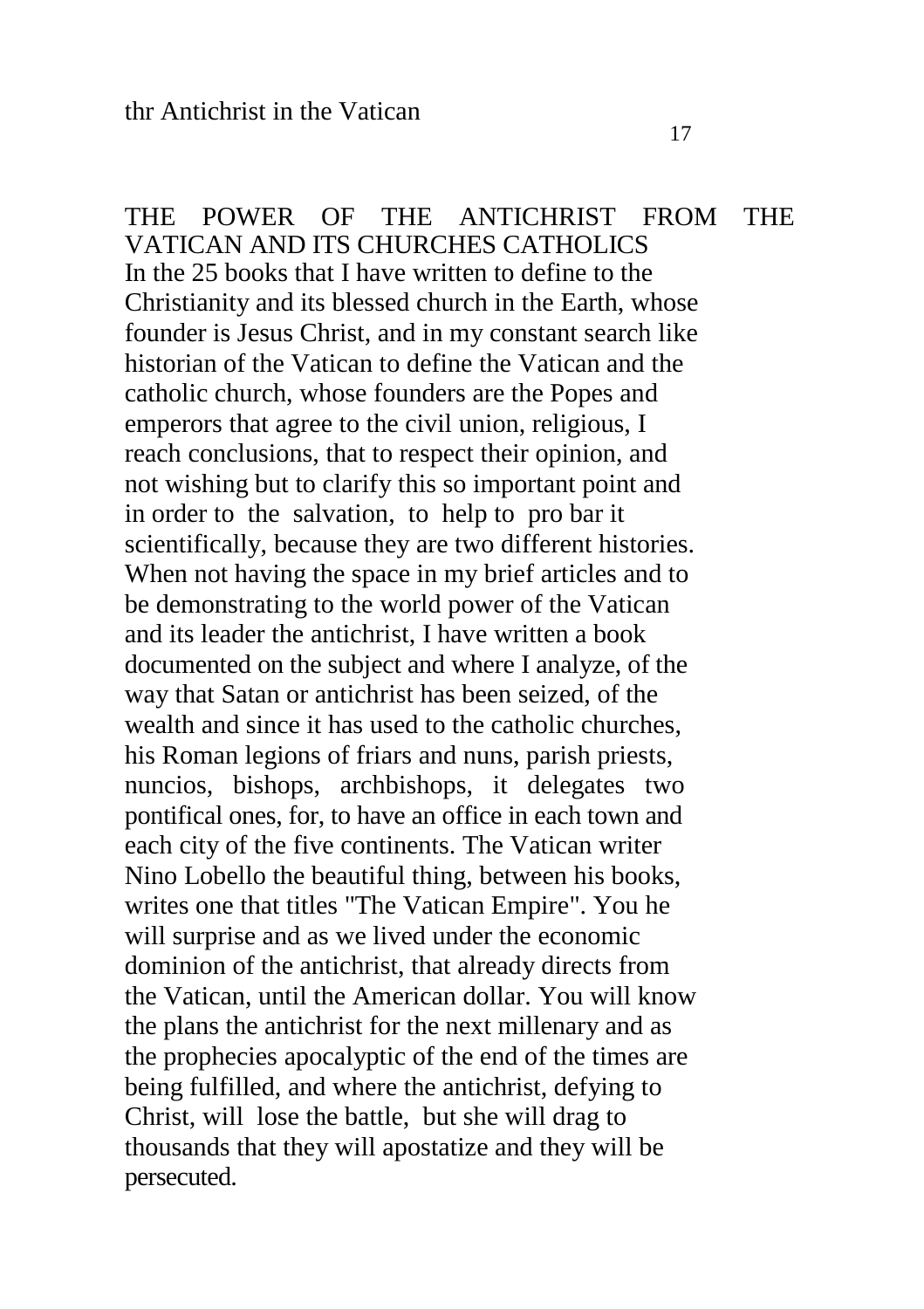THE POWER OF THE ANTICHRIST FROM THE VATICAN AND ITS CHURCHES CATHOLICS In the 25 books that I have written to define to the Christianity and its blessed church in the Earth, whose founder is Jesus Christ, and in my constant search like historian of the Vatican to define the Vatican and the catholic church, whose founders are the Popes and emperors that agree to the civil union, religious, I reach conclusions, that to respect their opinion, and not wishing but to clarify this so important point and in order to the salvation, to help to pro bar it scientifically, because they are two different histories. When not having the space in my brief articles and to be demonstrating to the world power of the Vatican and its leader the antichrist, I have written a book documented on the subject and where I analyze, of the way that Satan or antichrist has been seized, of the wealth and since it has used to the catholic churches, his Roman legions of friars and nuns, parish priests, nuncios, bishops, archbishops, it delegates two pontifical ones, for, to have an office in each town and each city of the five continents. The Vatican writer Nino Lobello the beautiful thing, between his books, writes one that titles "The Vatican Empire". You he will surprise and as we lived under the economic dominion of the antichrist, that already directs from the Vatican, until the American dollar. You will know the plans the antichrist for the next millenary and as the prophecies apocalyptic of the end of the times are being fulfilled, and where the antichrist, defying to Christ, will lose the battle, but she will drag to thousands that they will apostatize and they will be persecuted.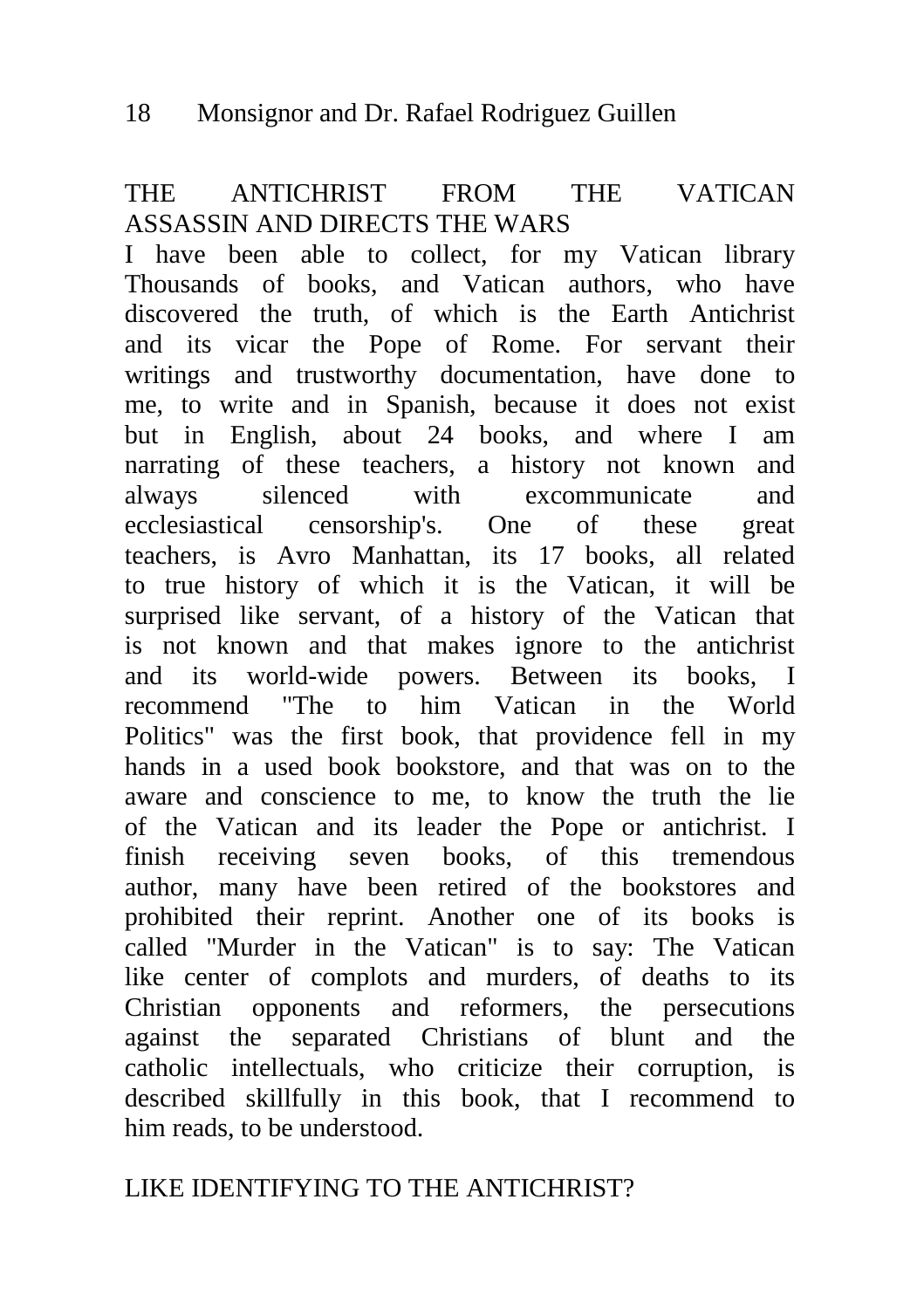## THE ANTICHRIST FROM THE VATICAN ASSASSIN AND DIRECTS THE WARS

I have been able to collect, for my Vatican library Thousands of books, and Vatican authors, who have discovered the truth, of which is the Earth Antichrist and its vicar the Pope of Rome. For servant their writings and trustworthy documentation, have done to me, to write and in Spanish, because it does not exist but in English, about 24 books, and where I am narrating of these teachers, a history not known and always silenced with excommunicate and ecclesiastical censorship's. One of these great teachers, is Avro Manhattan, its 17 books, all related to true history of which it is the Vatican, it will be surprised like servant, of a history of the Vatican that is not known and that makes ignore to the antichrist and its world-wide powers. Between its books, I recommend "The to him Vatican in the World Politics" was the first book, that providence fell in my hands in a used book bookstore, and that was on to the aware and conscience to me, to know the truth the lie of the Vatican and its leader the Pope or antichrist. I finish receiving seven books, of this tremendous author, many have been retired of the bookstores and prohibited their reprint. Another one of its books is called "Murder in the Vatican" is to say: The Vatican like center of complots and murders, of deaths to its Christian opponents and reformers, the persecutions against the separated Christians of blunt and the catholic intellectuals, who criticize their corruption, is described skillfully in this book, that I recommend to him reads, to be understood.

# LIKE IDENTIFYING TO THE ANTICHRIST?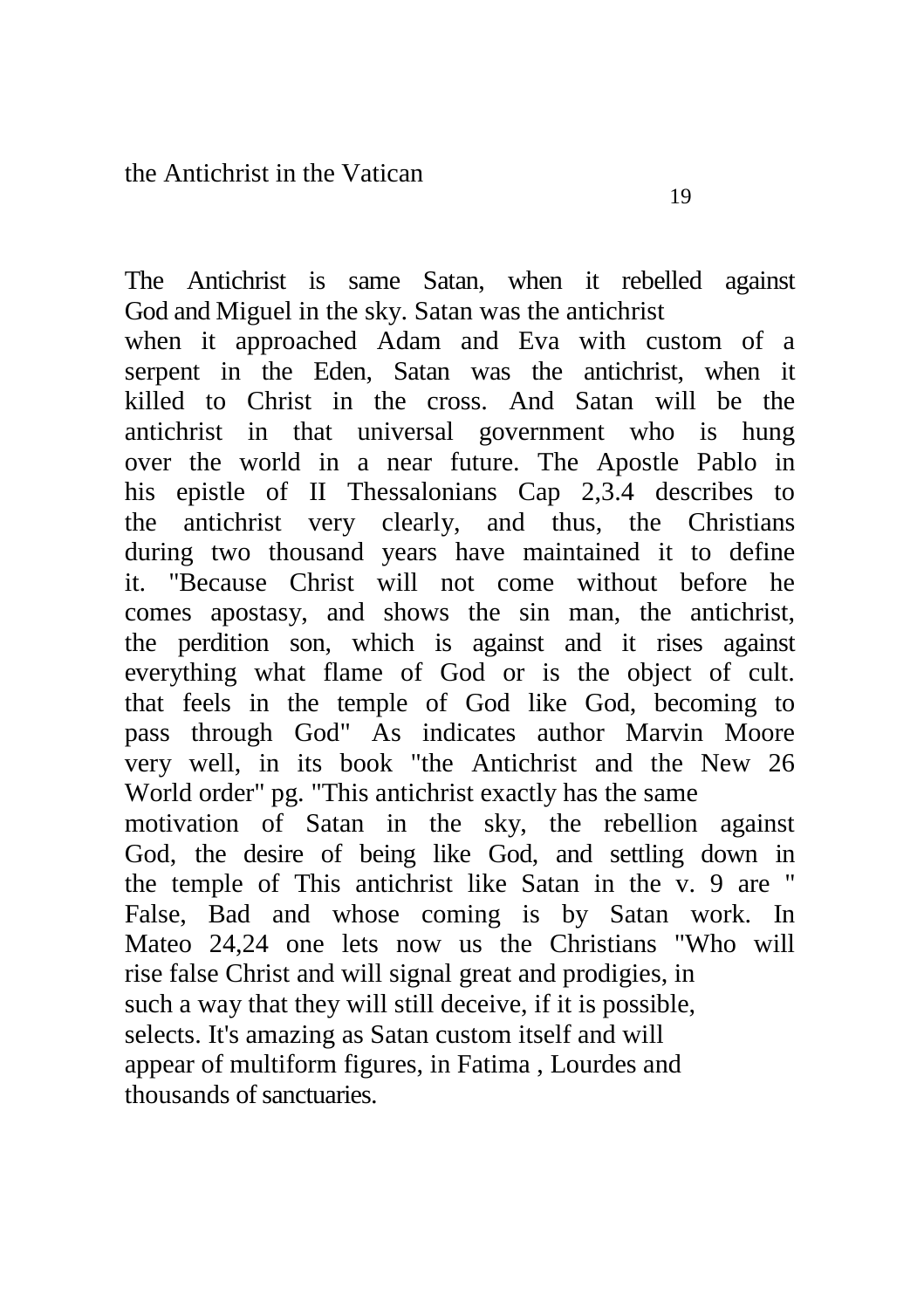The Antichrist is same Satan, when it rebelled against God and Miguel in the sky. Satan was the antichrist when it approached Adam and Eva with custom of a serpent in the Eden, Satan was the antichrist, when it killed to Christ in the cross. And Satan will be the antichrist in that universal government who is hung

over the world in a near future. The Apostle Pablo in his epistle of II Thessalonians Cap 2,3.4 describes to the antichrist very clearly, and thus, the Christians during two thousand years have maintained it to define it. "Because Christ will not come without before he comes apostasy, and shows the sin man, the antichrist, the perdition son, which is against and it rises against everything what flame of God or is the object of cult. that feels in the temple of God like God, becoming to pass through God" As indicates author Marvin Moore very well, in its book "the Antichrist and the New 26 World order" pg. "This antichrist exactly has the same motivation of Satan in the sky, the rebellion against God, the desire of being like God, and settling down in the temple of This antichrist like Satan in the v. 9 are " False, Bad and whose coming is by Satan work. In Mateo 24,24 one lets now us the Christians "Who will rise false Christ and will signal great and prodigies, in

such a way that they will still deceive, if it is possible, selects. It's amazing as Satan custom itself and will

appear of multiform figures, in Fatima , Lourdes and thousands of sanctuaries.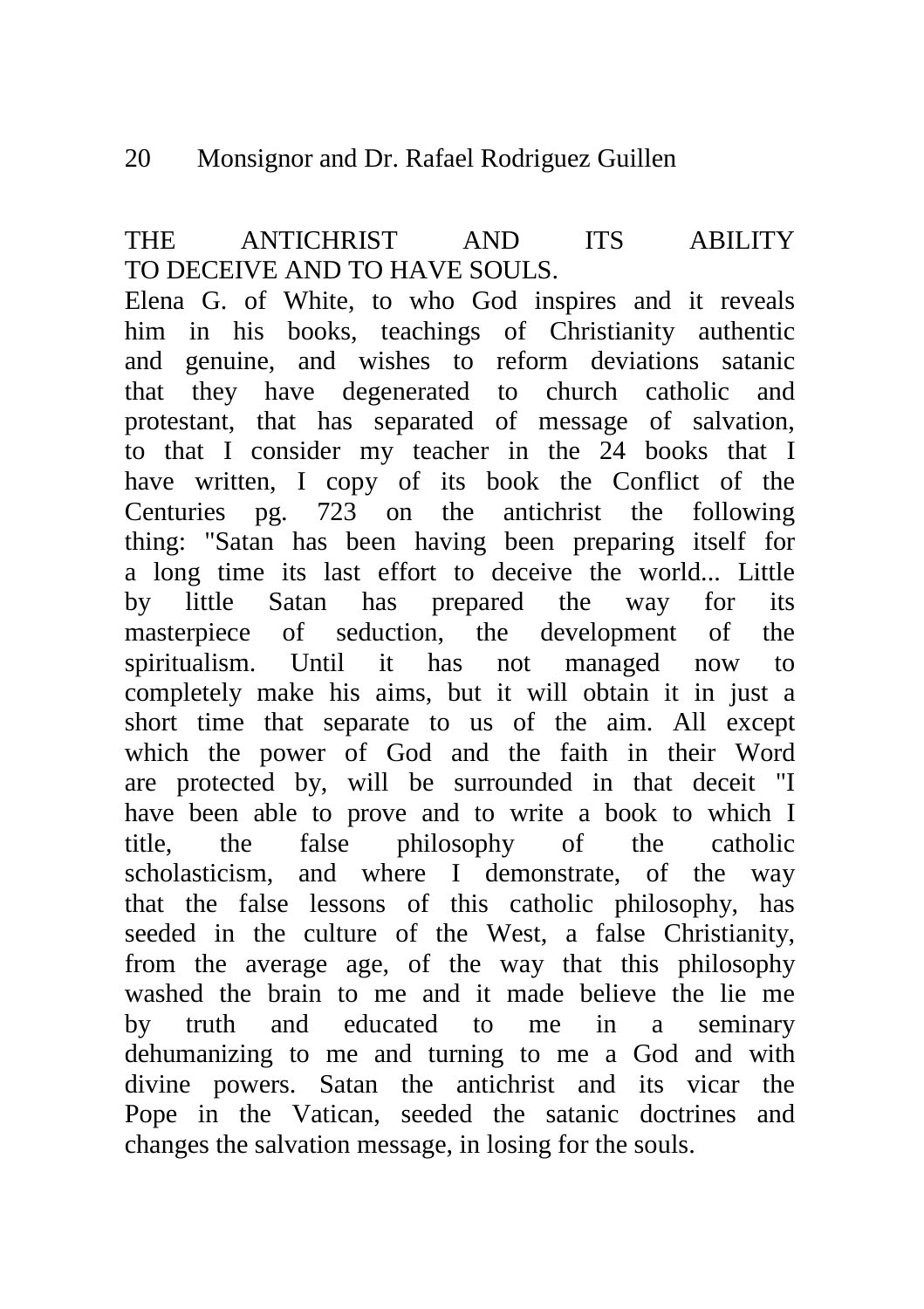# THE ANTICHRIST AND ITS ABILITY TO DECEIVE AND TO HAVE SOULS.

Elena G. of White, to who God inspires and it reveals him in his books, teachings of Christianity authentic and genuine, and wishes to reform deviations satanic that they have degenerated to church catholic and protestant, that has separated of message of salvation, to that I consider my teacher in the 24 books that I have written, I copy of its book the Conflict of the Centuries pg. 723 on the antichrist the following thing: "Satan has been having been preparing itself for a long time its last effort to deceive the world... Little by little Satan has prepared the way for its masterpiece of seduction, the development of the spiritualism. Until it has not managed now to completely make his aims, but it will obtain it in just a short time that separate to us of the aim. All except which the power of God and the faith in their Word are protected by, will be surrounded in that deceit "I have been able to prove and to write a book to which I title, the false philosophy of the catholic scholasticism, and where I demonstrate, of the way that the false lessons of this catholic philosophy, has seeded in the culture of the West, a false Christianity, from the average age, of the way that this philosophy washed the brain to me and it made believe the lie me by truth and educated to me in a seminary dehumanizing to me and turning to me a God and with divine powers. Satan the antichrist and its vicar the Pope in the Vatican, seeded the satanic doctrines and changes the salvation message, in losing for the souls.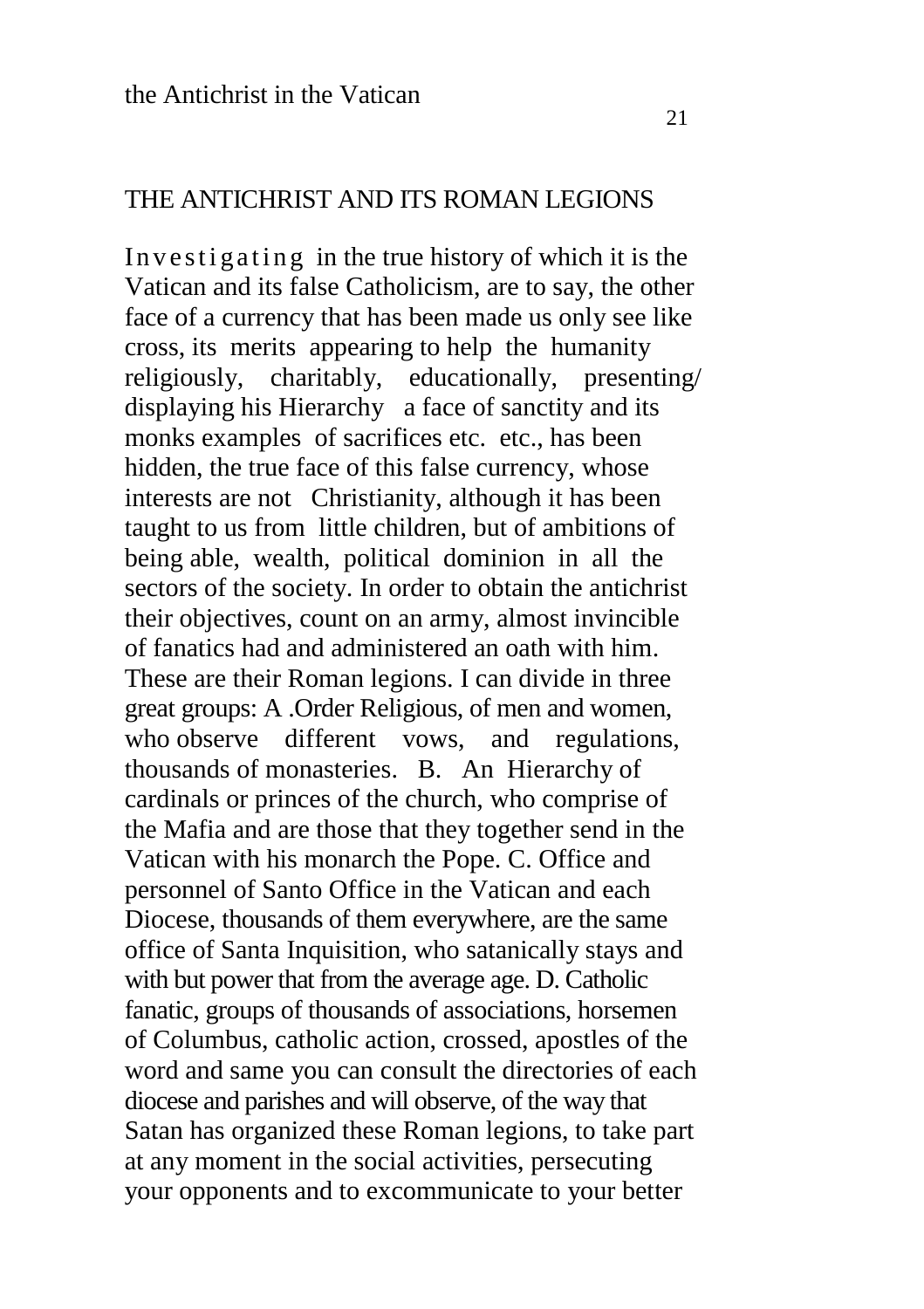#### THE ANTICHRIST AND ITS ROMAN LEGIONS

In ve stigating in the true history of which it is the Vatican and its false Catholicism, are to say, the other face of a currency that has been made us only see like cross, its merits appearing to help the humanity religiously, charitably, educationally, presenting/ displaying his Hierarchy a face of sanctity and its monks examples of sacrifices etc. etc., has been hidden, the true face of this false currency, whose interests are not Christianity, although it has been taught to us from little children, but of ambitions of being able, wealth, political dominion in all the sectors of the society. In order to obtain the antichrist their objectives, count on an army, almost invincible of fanatics had and administered an oath with him. These are their Roman legions. I can divide in three great groups: A .Order Religious, of men and women, who observe different vows, and regulations, thousands of monasteries. B. An Hierarchy of cardinals or princes of the church, who comprise of the Mafia and are those that they together send in the Vatican with his monarch the Pope. C. Office and personnel of Santo Office in the Vatican and each Diocese, thousands of them everywhere, are the same office of Santa Inquisition, who satanically stays and with but power that from the average age. D. Catholic fanatic, groups of thousands of associations, horsemen of Columbus, catholic action, crossed, apostles of the word and same you can consult the directories of each diocese and parishes and will observe, of the way that Satan has organized these Roman legions, to take part at any moment in the social activities, persecuting your opponents and to excommunicate to your better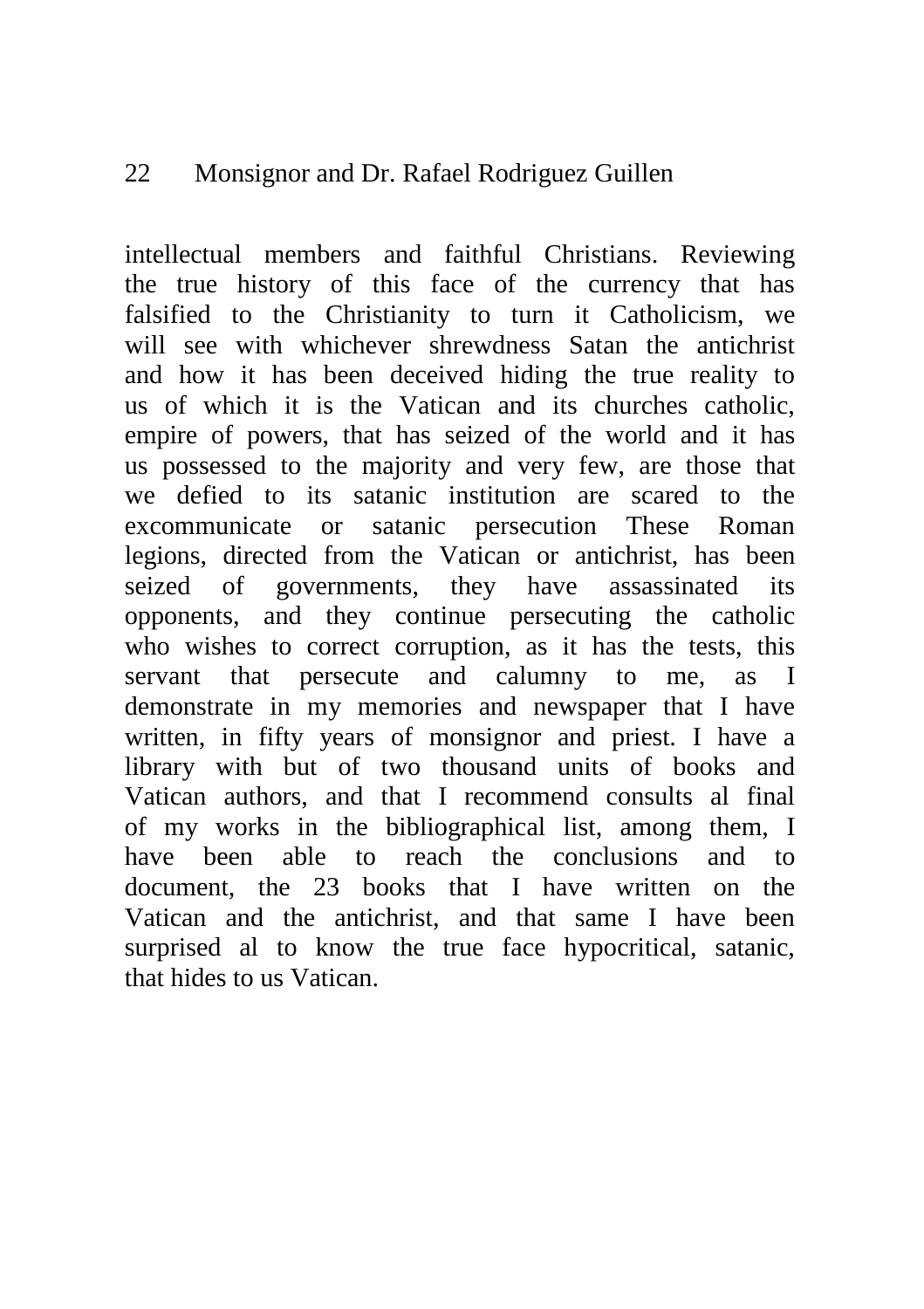intellectual members and faithful Christians. Reviewing the true history of this face of the currency that has falsified to the Christianity to turn it Catholicism, we will see with whichever shrewdness Satan the antichrist and how it has been deceived hiding the true reality to us of which it is the Vatican and its churches catholic, empire of powers, that has seized of the world and it has us possessed to the majority and very few, are those that we defied to its satanic institution are scared to the excommunicate or satanic persecution These Roman legions, directed from the Vatican or antichrist, has been seized of governments, they have assassinated its opponents, and they continue persecuting the catholic who wishes to correct corruption, as it has the tests, this servant that persecute and calumny to me, as I demonstrate in my memories and newspaper that I have written, in fifty years of monsignor and priest. I have a library with but of two thousand units of books and Vatican authors, and that I recommend consults al final of my works in the bibliographical list, among them, I have been able to reach the conclusions and to document, the 23 books that I have written on the Vatican and the antichrist, and that same I have been surprised al to know the true face hypocritical, satanic, that hides to us Vatican.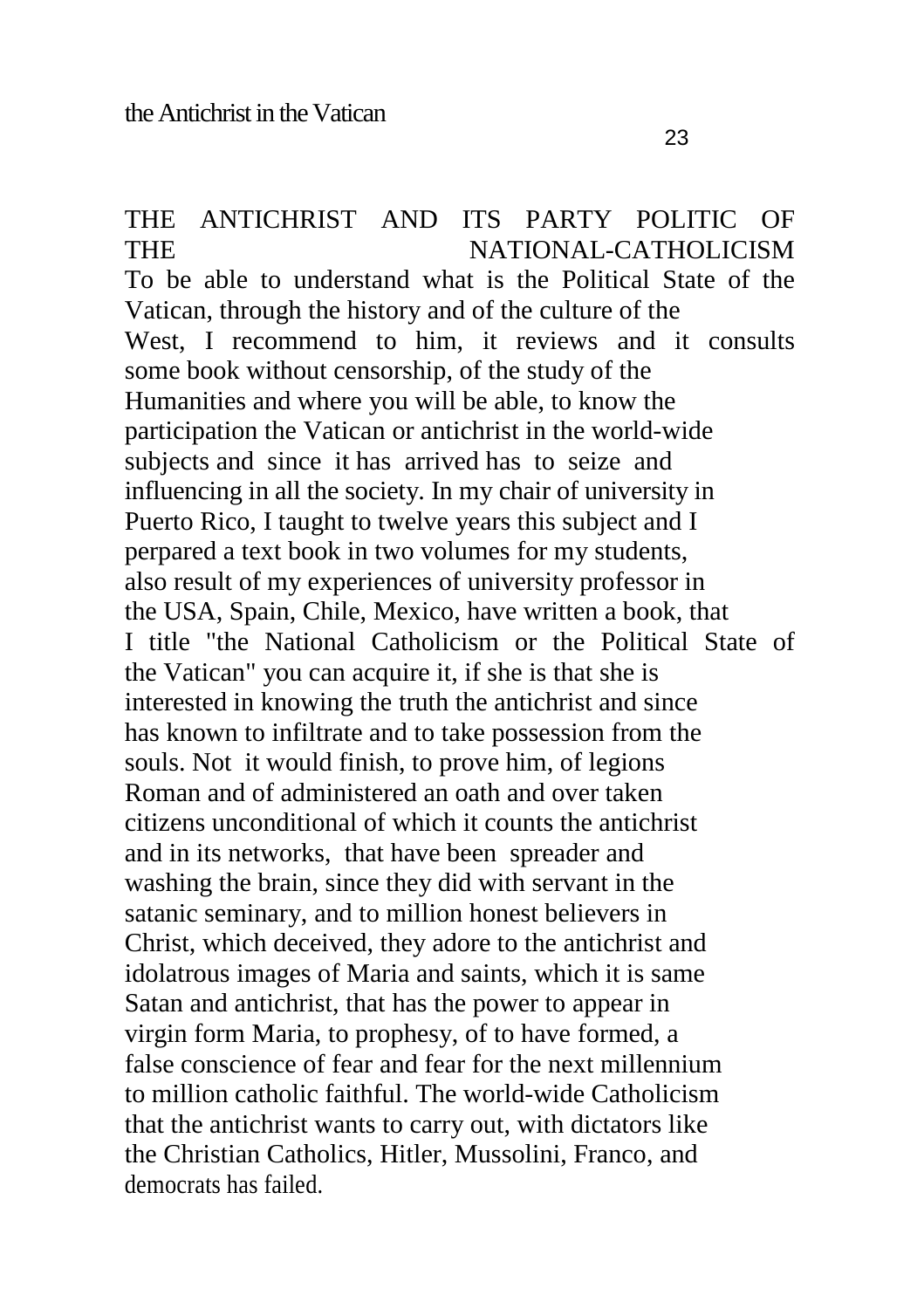#### THE ANTICHRIST AND ITS PARTY POLITIC OF THE NATIONAL-CATHOLICISM

To be able to understand what is the Political State of the Vatican, through the history and of the culture of the West. I recommend to him, it reviews and it consults some book without censorship, of the study of the Humanities and where you will be able, to know the participation the Vatican or antichrist in the world-wide subjects and since it has arrived has to seize and influencing in all the society. In my chair of university in Puerto Rico, I taught to twelve years this subject and I perpared a text book in two volumes for my students, also result of my experiences of university professor in the USA, Spain, Chile, Mexico, have written a book, that I title "the National Catholicism or the Political State of the Vatican" you can acquire it, if she is that she is interested in knowing the truth the antichrist and since has known to infiltrate and to take possession from the souls. Not it would finish, to prove him, of legions Roman and of administered an oath and over taken citizens unconditional of which it counts the antichrist and in its networks, that have been spreader and washing the brain, since they did with servant in the satanic seminary, and to million honest believers in Christ, which deceived, they adore to the antichrist and idolatrous images of Maria and saints, which it is same Satan and antichrist, that has the power to appear in virgin form Maria, to prophesy, of to have formed, a false conscience of fear and fear for the next millennium to million catholic faithful. The world-wide Catholicism that the antichrist wants to carry out, with dictators like the Christian Catholics, Hitler, Mussolini, Franco, and democrats has failed.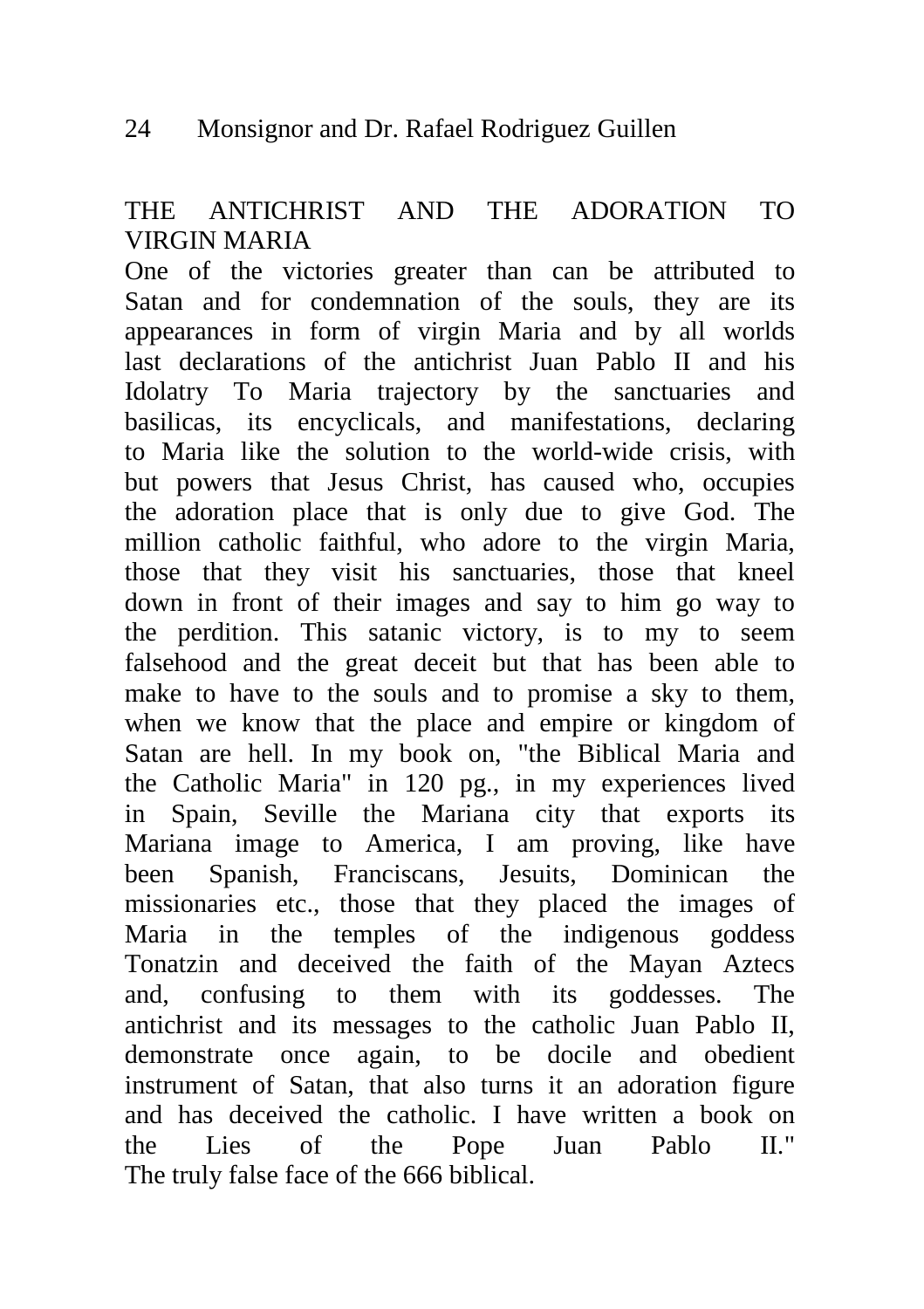# THE ANTICHRIST AND THE ADORATION TO VIRGIN MARIA

One of the victories greater than can be attributed to Satan and for condemnation of the souls, they are its appearances in form of virgin Maria and by all worlds last declarations of the antichrist Juan Pablo II and his Idolatry To Maria trajectory by the sanctuaries and basilicas, its encyclicals, and manifestations, declaring to Maria like the solution to the world-wide crisis, with but powers that Jesus Christ, has caused who, occupies the adoration place that is only due to give God. The million catholic faithful, who adore to the virgin Maria, those that they visit his sanctuaries, those that kneel down in front of their images and say to him go way to the perdition. This satanic victory, is to my to seem falsehood and the great deceit but that has been able to make to have to the souls and to promise a sky to them, when we know that the place and empire or kingdom of Satan are hell. In my book on, "the Biblical Maria and the Catholic Maria" in 120 pg., in my experiences lived in Spain, Seville the Mariana city that exports its Mariana image to America, I am proving, like have been Spanish, Franciscans, Jesuits, Dominican the missionaries etc., those that they placed the images of Maria in the temples of the indigenous goddess Tonatzin and deceived the faith of the Mayan Aztecs and, confusing to them with its goddesses. The antichrist and its messages to the catholic Juan Pablo II, demonstrate once again, to be docile and obedient instrument of Satan, that also turns it an adoration figure and has deceived the catholic. I have written a book on the Lies of the Pope Juan Pablo II." The truly false face of the 666 biblical.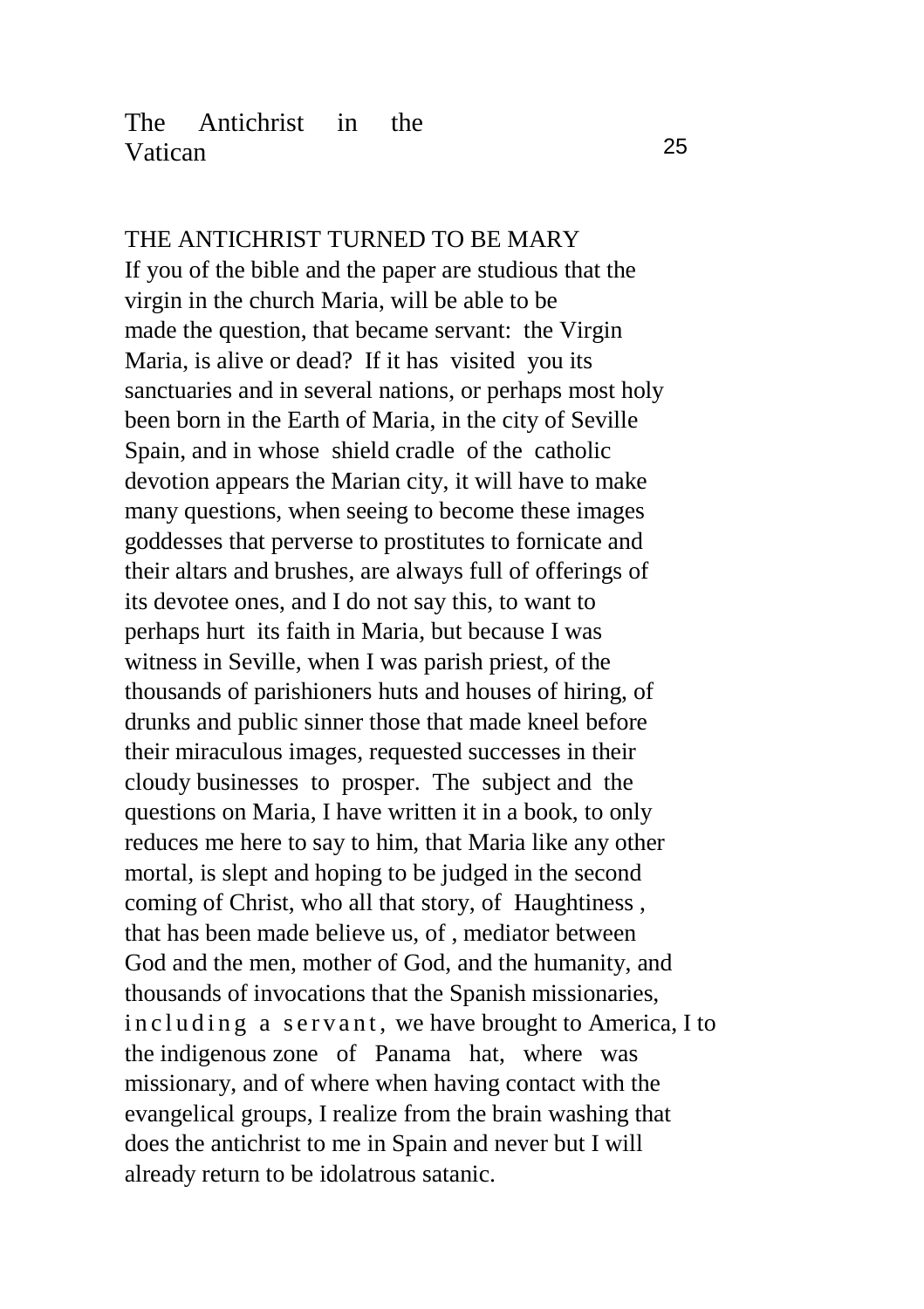## The Antichrist in the Vatican 25

THE ANTICHRIST TURNED TO BE MARY If you of the bible and the paper are studious that the virgin in the church Maria, will be able to be made the question, that became servant: the Virgin Maria, is alive or dead? If it has visited you its sanctuaries and in several nations, or perhaps most holy been born in the Earth of Maria, in the city of Seville Spain, and in whose shield cradle of the catholic devotion appears the Marian city, it will have to make many questions, when seeing to become these images goddesses that perverse to prostitutes to fornicate and their altars and brushes, are always full of offerings of its devotee ones, and I do not say this, to want to perhaps hurt its faith in Maria, but because I was witness in Seville, when I was parish priest, of the thousands of parishioners huts and houses of hiring, of drunks and public sinner those that made kneel before their miraculous images, requested successes in their cloudy businesses to prosper. The subject and the questions on Maria, I have written it in a book, to only reduces me here to say to him, that Maria like any other mortal, is slept and hoping to be judged in the second coming of Christ, who all that story, of Haughtiness , that has been made believe us, of , mediator between God and the men, mother of God, and the humanity, and thousands of invocations that the Spanish missionaries, in cluding a servant, we have brought to America, I to the indigenous zone of Panama hat, where was missionary, and of where when having contact with the evangelical groups, I realize from the brain washing that does the antichrist to me in Spain and never but I will already return to be idolatrous satanic.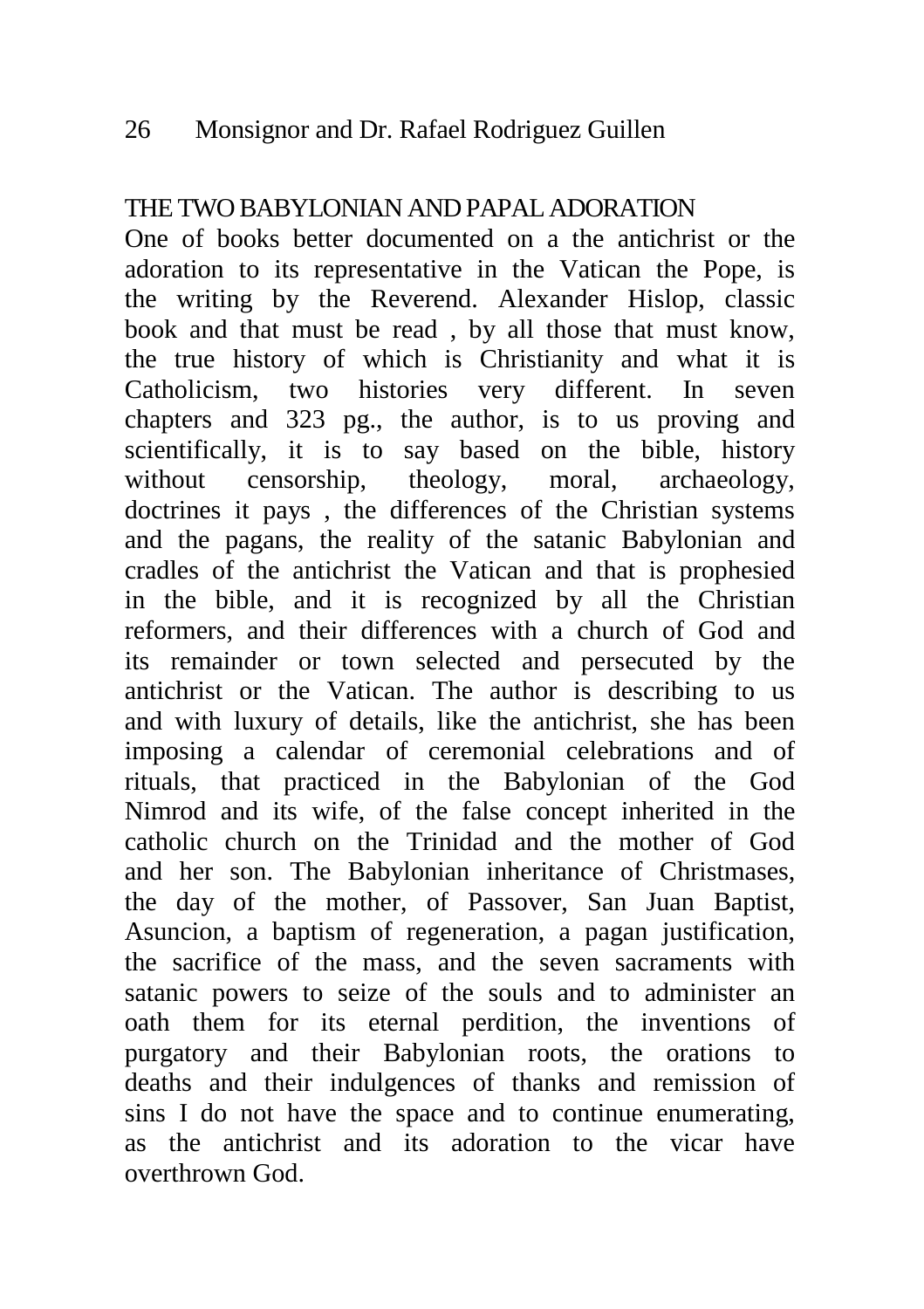# THE TWO BABYLONIAN AND PAPAL ADORATION

One of books better documented on a the antichrist or the adoration to its representative in the Vatican the Pope, is the writing by the Reverend. Alexander Hislop, classic book and that must be read , by all those that must know, the true history of which is Christianity and what it is Catholicism, two histories very different. In seven chapters and 323 pg., the author, is to us proving and scientifically, it is to say based on the bible, history without censorship, theology, moral, archaeology, doctrines it pays , the differences of the Christian systems and the pagans, the reality of the satanic Babylonian and cradles of the antichrist the Vatican and that is prophesied in the bible, and it is recognized by all the Christian reformers, and their differences with a church of God and its remainder or town selected and persecuted by the antichrist or the Vatican. The author is describing to us and with luxury of details, like the antichrist, she has been imposing a calendar of ceremonial celebrations and of rituals, that practiced in the Babylonian of the God Nimrod and its wife, of the false concept inherited in the catholic church on the Trinidad and the mother of God and her son. The Babylonian inheritance of Christmases, the day of the mother, of Passover, San Juan Baptist, Asuncion, a baptism of regeneration, a pagan justification, the sacrifice of the mass, and the seven sacraments with satanic powers to seize of the souls and to administer an oath them for its eternal perdition, the inventions of purgatory and their Babylonian roots, the orations to deaths and their indulgences of thanks and remission of sins I do not have the space and to continue enumerating, as the antichrist and its adoration to the vicar have overthrown God.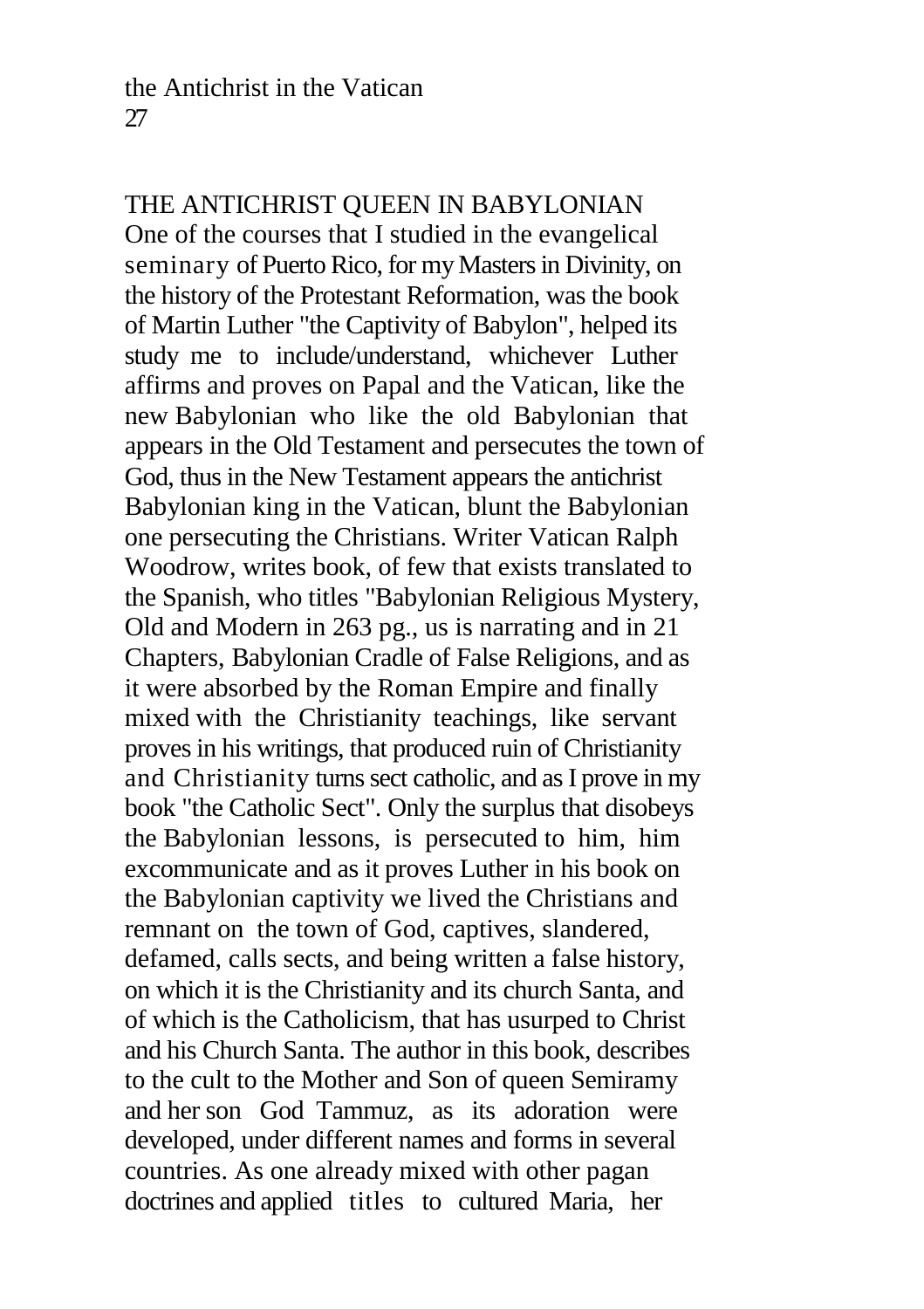#### THE ANTICHRIST QUEEN IN BABYLONIAN

One of the courses that I studied in the evangelical seminary of Puerto Rico, for my Masters in Divinity, on the history of the Protestant Reformation, was the book of Martin Luther "the Captivity of Babylon", helped its study me to include/understand, whichever Luther affirms and proves on Papal and the Vatican, like the new Babylonian who like the old Babylonian that appears in the Old Testament and persecutes the town of God, thus in the New Testament appears the antichrist Babylonian king in the Vatican, blunt the Babylonian one persecuting the Christians. Writer Vatican Ralph Woodrow, writes book, of few that exists translated to the Spanish, who titles "Babylonian Religious Mystery, Old and Modern in 263 pg., us is narrating and in 21 Chapters, Babylonian Cradle of False Religions, and as it were absorbed by the Roman Empire and finally mixed with the Christianity teachings, like servant proves in his writings, that produced ruin of Christianity and Christianity turns sect catholic, and as I prove in my book "the Catholic Sect". Only the surplus that disobeys the Babylonian lessons, is persecuted to him, him excommunicate and as it proves Luther in his book on the Babylonian captivity we lived the Christians and remnant on the town of God, captives, slandered, defamed, calls sects, and being written a false history, on which it is the Christianity and its church Santa, and of which is the Catholicism, that has usurped to Christ and his Church Santa. The author in this book, describes to the cult to the Mother and Son of queen Semiramy and her son God Tammuz, as its adoration were developed, under different names and forms in several countries. As one already mixed with other pagan doctrines and applied titles to cultured Maria, her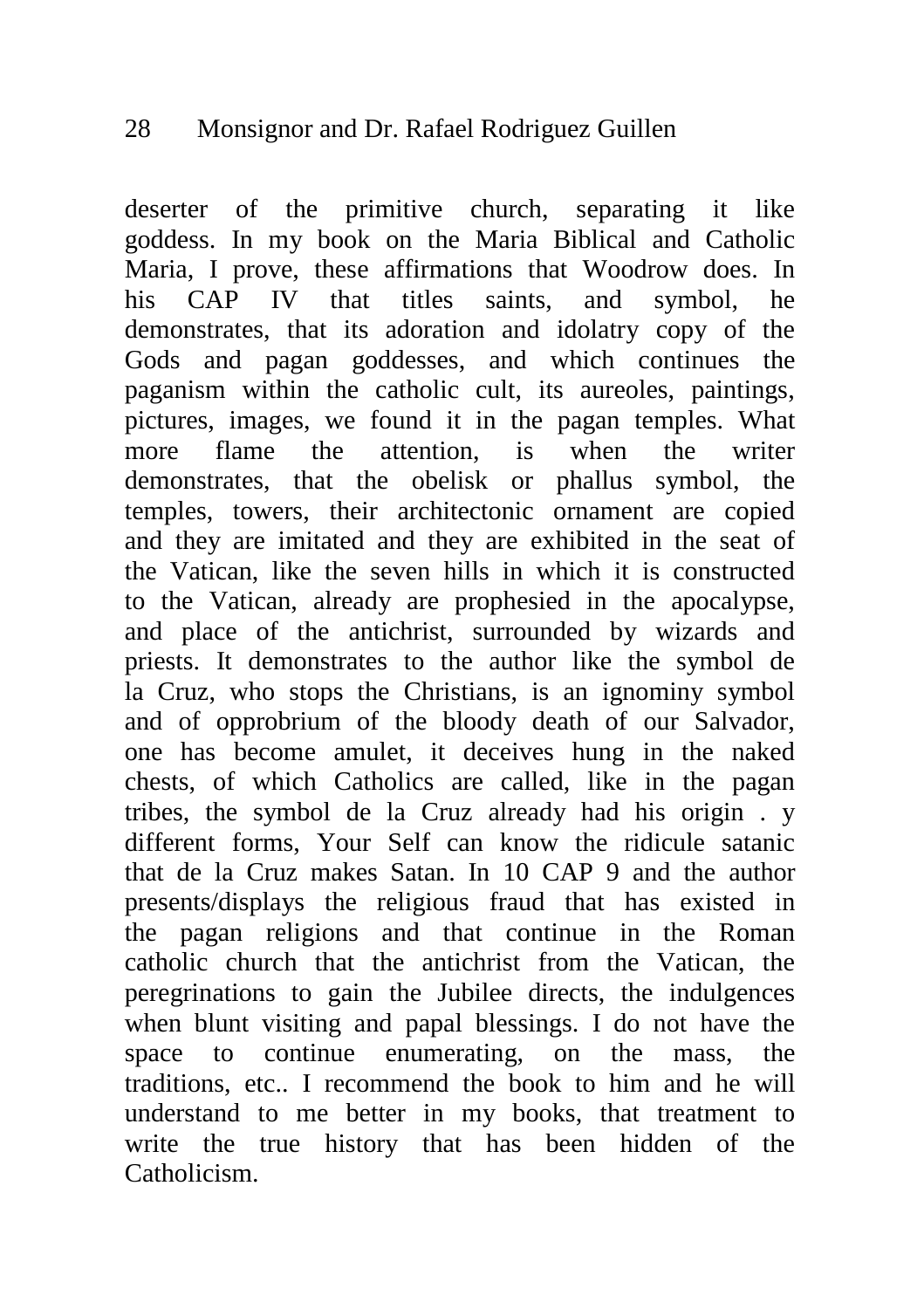deserter of the primitive church, separating it like goddess. In my book on the Maria Biblical and Catholic Maria, I prove, these affirmations that Woodrow does. In his CAP IV that titles saints, and symbol, he demonstrates, that its adoration and idolatry copy of the Gods and pagan goddesses, and which continues the paganism within the catholic cult, its aureoles, paintings, pictures, images, we found it in the pagan temples. What more flame the attention, is when the writer demonstrates, that the obelisk or phallus symbol, the temples, towers, their architectonic ornament are copied and they are imitated and they are exhibited in the seat of the Vatican, like the seven hills in which it is constructed to the Vatican, already are prophesied in the apocalypse, and place of the antichrist, surrounded by wizards and priests. It demonstrates to the author like the symbol de la Cruz, who stops the Christians, is an ignominy symbol and of opprobrium of the bloody death of our Salvador, one has become amulet, it deceives hung in the naked chests, of which Catholics are called, like in the pagan tribes, the symbol de la Cruz already had his origin . y different forms, Your Self can know the ridicule satanic that de la Cruz makes Satan. In 10 CAP 9 and the author presents/displays the religious fraud that has existed in the pagan religions and that continue in the Roman catholic church that the antichrist from the Vatican, the peregrinations to gain the Jubilee directs, the indulgences when blunt visiting and papal blessings. I do not have the space to continue enumerating, on the mass, the traditions, etc.. I recommend the book to him and he will understand to me better in my books, that treatment to write the true history that has been hidden of the Catholicism.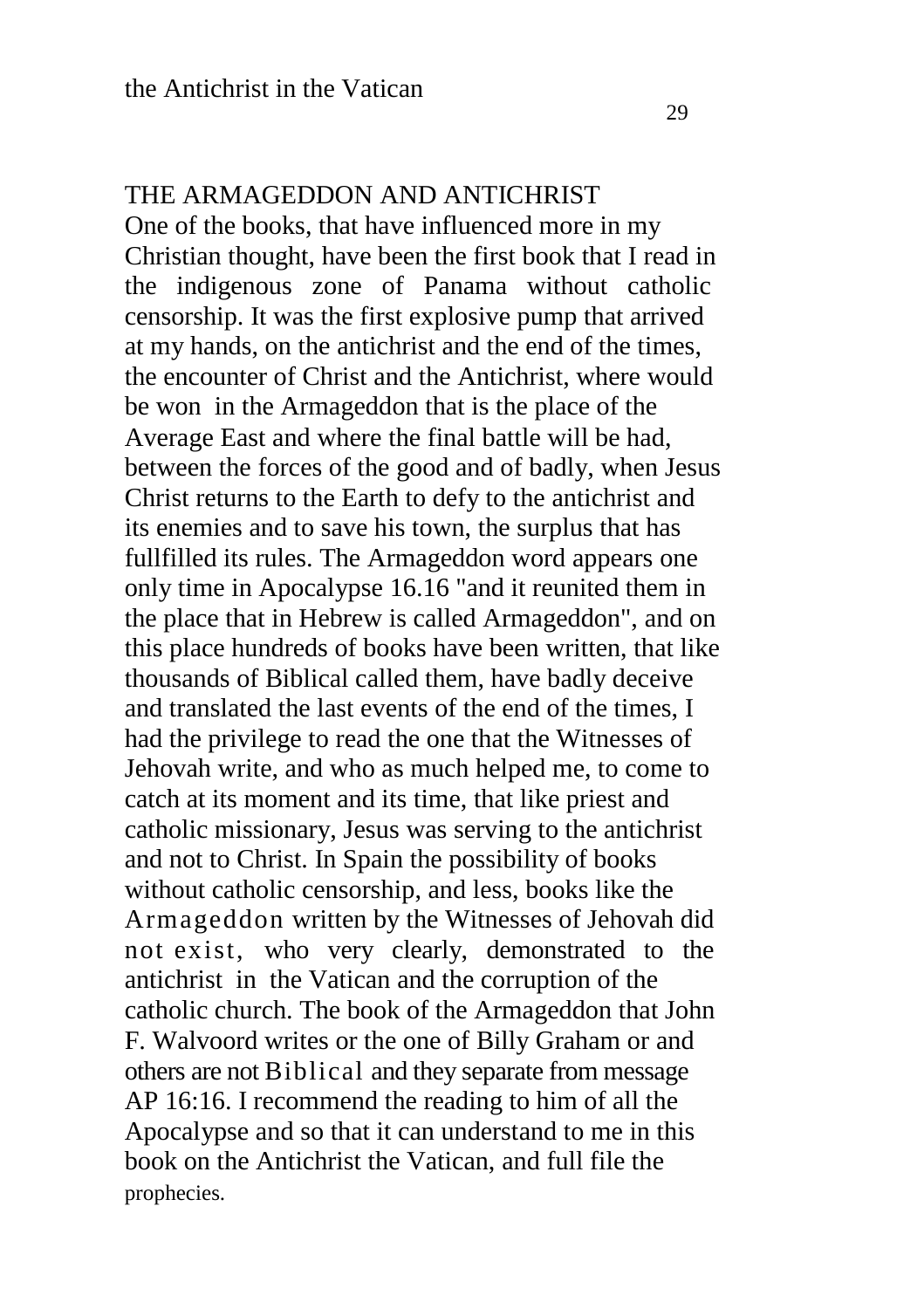#### THE ARMAGEDDON AND ANTICHRIST

One of the books, that have influenced more in my Christian thought, have been the first book that I read in the indigenous zone of Panama without catholic censorship. It was the first explosive pump that arrived at my hands, on the antichrist and the end of the times, the encounter of Christ and the Antichrist, where would be won in the Armageddon that is the place of the Average East and where the final battle will be had, between the forces of the good and of badly, when Jesus Christ returns to the Earth to defy to the antichrist and its enemies and to save his town, the surplus that has fullfilled its rules. The Armageddon word appears one only time in Apocalypse 16.16 "and it reunited them in the place that in Hebrew is called Armageddon", and on this place hundreds of books have been written, that like thousands of Biblical called them, have badly deceive and translated the last events of the end of the times, I had the privilege to read the one that the Witnesses of Jehovah write, and who as much helped me, to come to catch at its moment and its time, that like priest and catholic missionary, Jesus was serving to the antichrist and not to Christ. In Spain the possibility of books without catholic censorship, and less, books like the Armageddon written by the Witnesses of Jehovah did not exist, who very clearly, demonstrated to the antichrist in the Vatican and the corruption of the catholic church. The book of the Armageddon that John F. Walvoord writes or the one of Billy Graham or and others are not Biblical and they separate from message AP 16:16. I recommend the reading to him of all the Apocalypse and so that it can understand to me in this book on the Antichrist the Vatican, and full file the prophecies.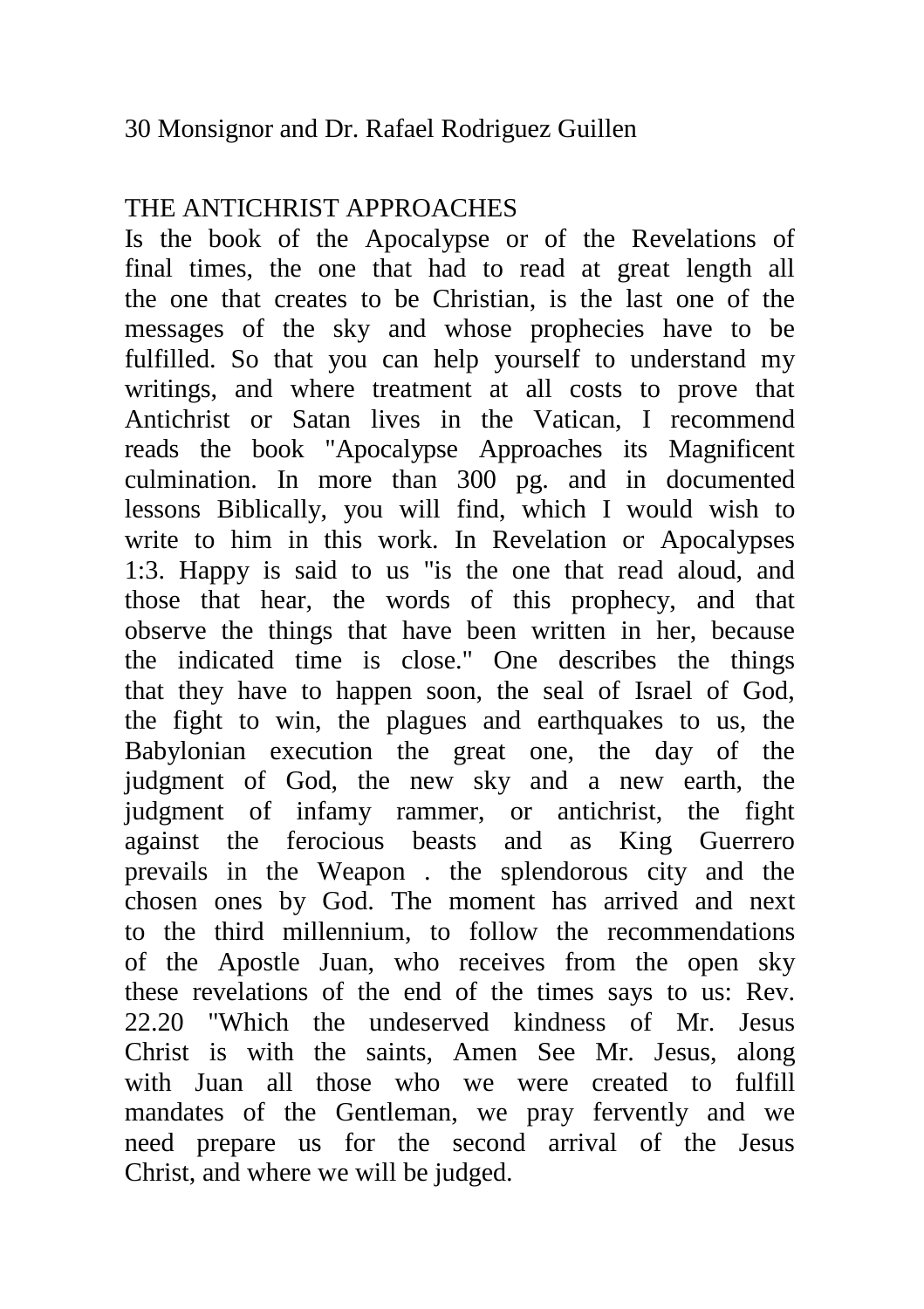# THE ANTICHRIST APPROACHES

Is the book of the Apocalypse or of the Revelations of final times, the one that had to read at great length all the one that creates to be Christian, is the last one of the messages of the sky and whose prophecies have to be fulfilled. So that you can help yourself to understand my writings, and where treatment at all costs to prove that Antichrist or Satan lives in the Vatican, I recommend reads the book "Apocalypse Approaches its Magnificent culmination. In more than 300 pg. and in documented lessons Biblically, you will find, which I would wish to write to him in this work. In Revelation or Apocalypses 1:3. Happy is said to us "is the one that read aloud, and those that hear, the words of this prophecy, and that observe the things that have been written in her, because the indicated time is close." One describes the things that they have to happen soon, the seal of Israel of God, the fight to win, the plagues and earthquakes to us, the Babylonian execution the great one, the day of the judgment of God, the new sky and a new earth, the judgment of infamy rammer, or antichrist, the fight against the ferocious beasts and as King Guerrero prevails in the Weapon . the splendorous city and the chosen ones by God. The moment has arrived and next to the third millennium, to follow the recommendations of the Apostle Juan, who receives from the open sky these revelations of the end of the times says to us: Rev. 22.20 "Which the undeserved kindness of Mr. Jesus Christ is with the saints, Amen See Mr. Jesus, along with Juan all those who we were created to fulfill mandates of the Gentleman, we pray fervently and we need prepare us for the second arrival of the Jesus Christ, and where we will be judged.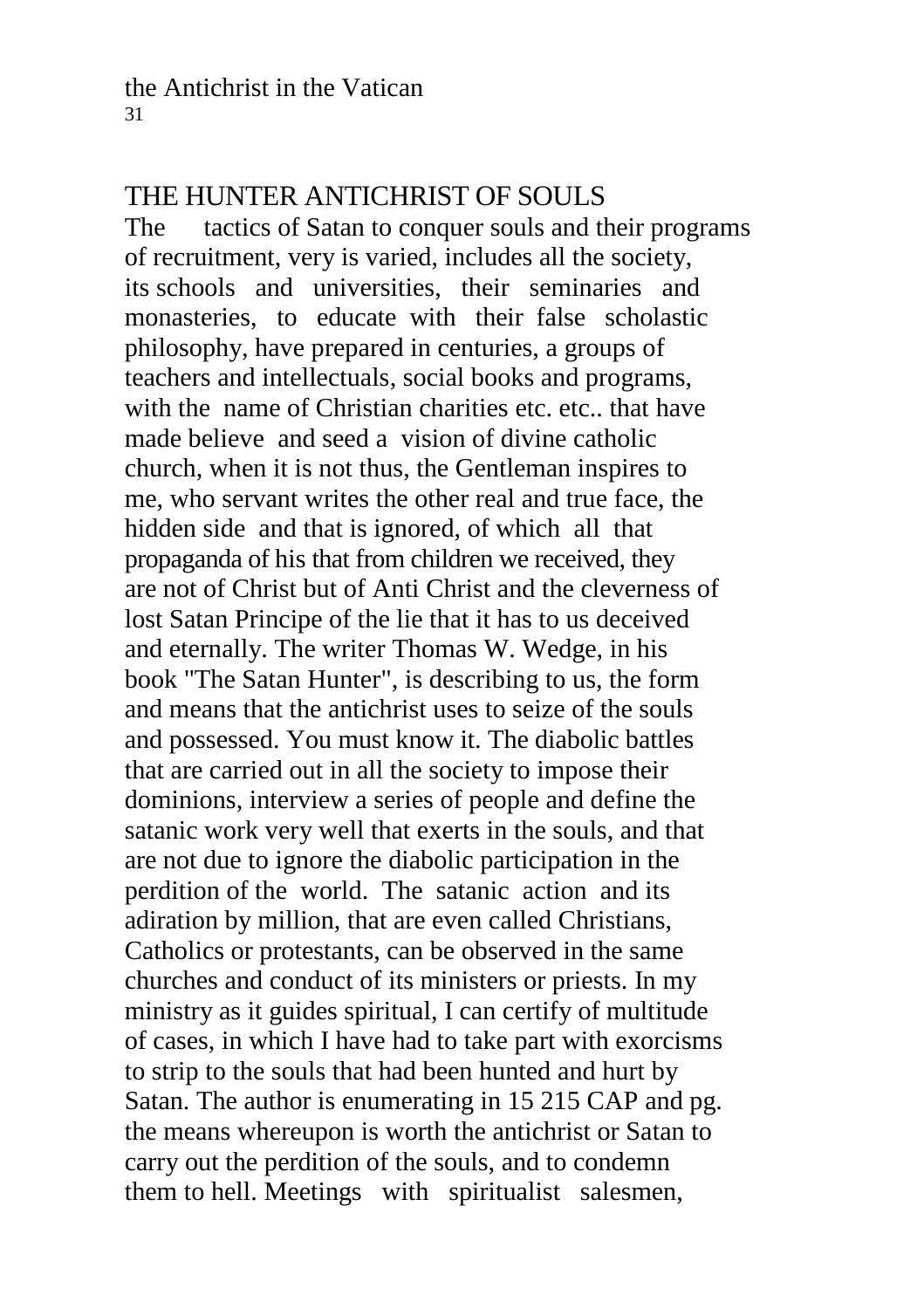# THE HUNTER ANTICHRIST OF SOULS

The tactics of Satan to conquer souls and their programs of recruitment, very is varied, includes all the society, its schools and universities, their seminaries and monasteries, to educate with their false scholastic philosophy, have prepared in centuries, a groups of teachers and intellectuals, social books and programs, with the name of Christian charities etc. etc., that have made believe and seed a vision of divine catholic church, when it is not thus, the Gentleman inspires to me, who servant writes the other real and true face, the hidden side and that is ignored, of which all that propaganda of his that from children we received, they are not of Christ but of Anti Christ and the cleverness of lost Satan Principe of the lie that it has to us deceived and eternally. The writer Thomas W. Wedge, in his book "The Satan Hunter", is describing to us, the form and means that the antichrist uses to seize of the souls and possessed. You must know it. The diabolic battles that are carried out in all the society to impose their dominions, interview a series of people and define the satanic work very well that exerts in the souls, and that are not due to ignore the diabolic participation in the perdition of the world. The satanic action and its adiration by million, that are even called Christians, Catholics or protestants, can be observed in the same churches and conduct of its ministers or priests. In my ministry as it guides spiritual, I can certify of multitude of cases, in which I have had to take part with exorcisms to strip to the souls that had been hunted and hurt by Satan. The author is enumerating in 15 215 CAP and pg. the means whereupon is worth the antichrist or Satan to carry out the perdition of the souls, and to condemn them to hell. Meetings with spiritualist salesmen,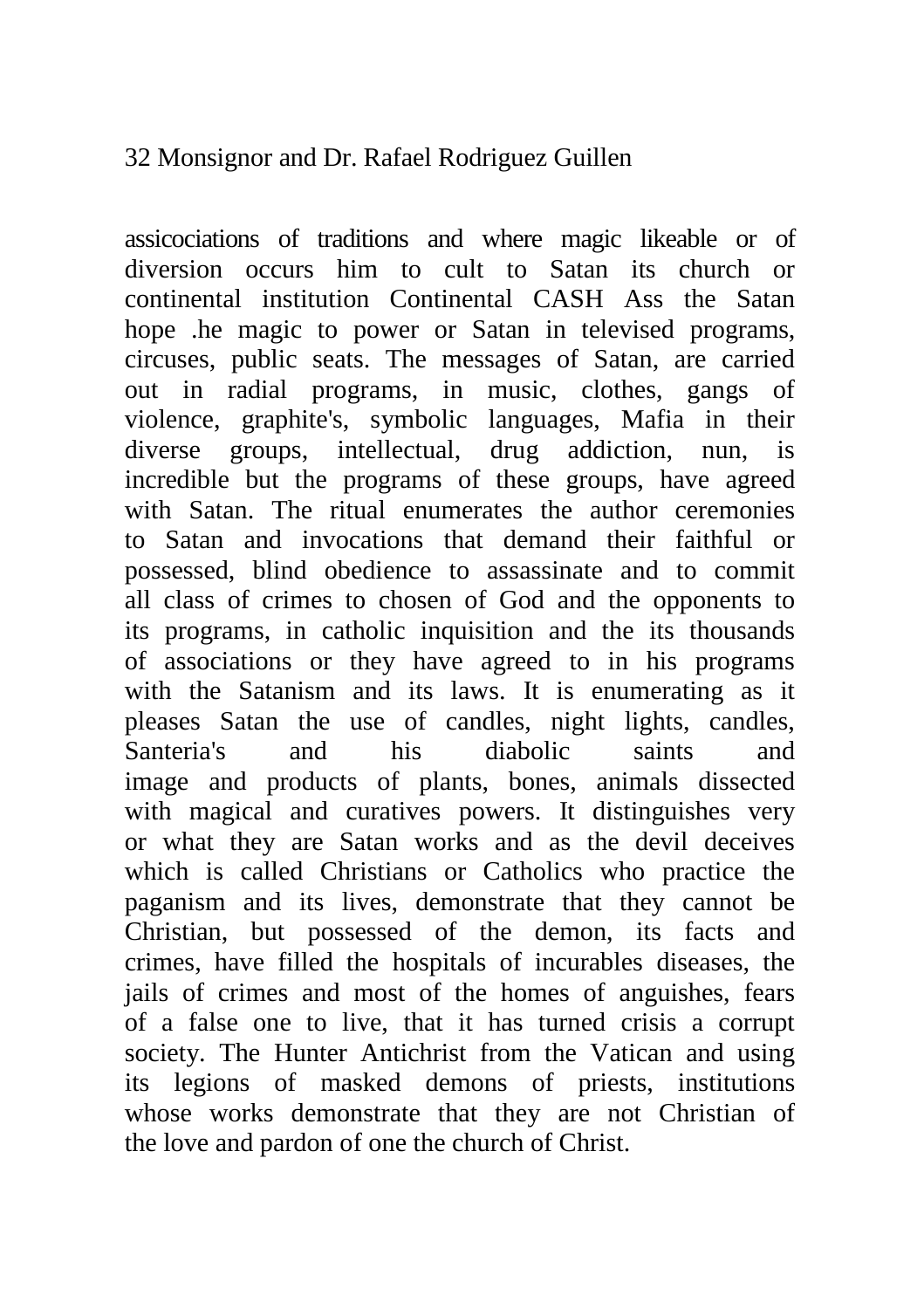assicociations of traditions and where magic likeable or of diversion occurs him to cult to Satan its church or continental institution Continental CASH Ass the Satan hope .he magic to power or Satan in televised programs, circuses, public seats. The messages of Satan, are carried out in radial programs, in music, clothes, gangs of violence, graphite's, symbolic languages, Mafia in their diverse groups, intellectual, drug addiction, nun, is incredible but the programs of these groups, have agreed with Satan. The ritual enumerates the author ceremonies to Satan and invocations that demand their faithful or possessed, blind obedience to assassinate and to commit all class of crimes to chosen of God and the opponents to its programs, in catholic inquisition and the its thousands of associations or they have agreed to in his programs with the Satanism and its laws. It is enumerating as it pleases Satan the use of candles, night lights, candles, Santeria's and his diabolic saints and image and products of plants, bones, animals dissected with magical and curatives powers. It distinguishes very or what they are Satan works and as the devil deceives which is called Christians or Catholics who practice the paganism and its lives, demonstrate that they cannot be Christian, but possessed of the demon, its facts and crimes, have filled the hospitals of incurables diseases, the jails of crimes and most of the homes of anguishes, fears of a false one to live, that it has turned crisis a corrupt society. The Hunter Antichrist from the Vatican and using its legions of masked demons of priests, institutions whose works demonstrate that they are not Christian of the love and pardon of one the church of Christ.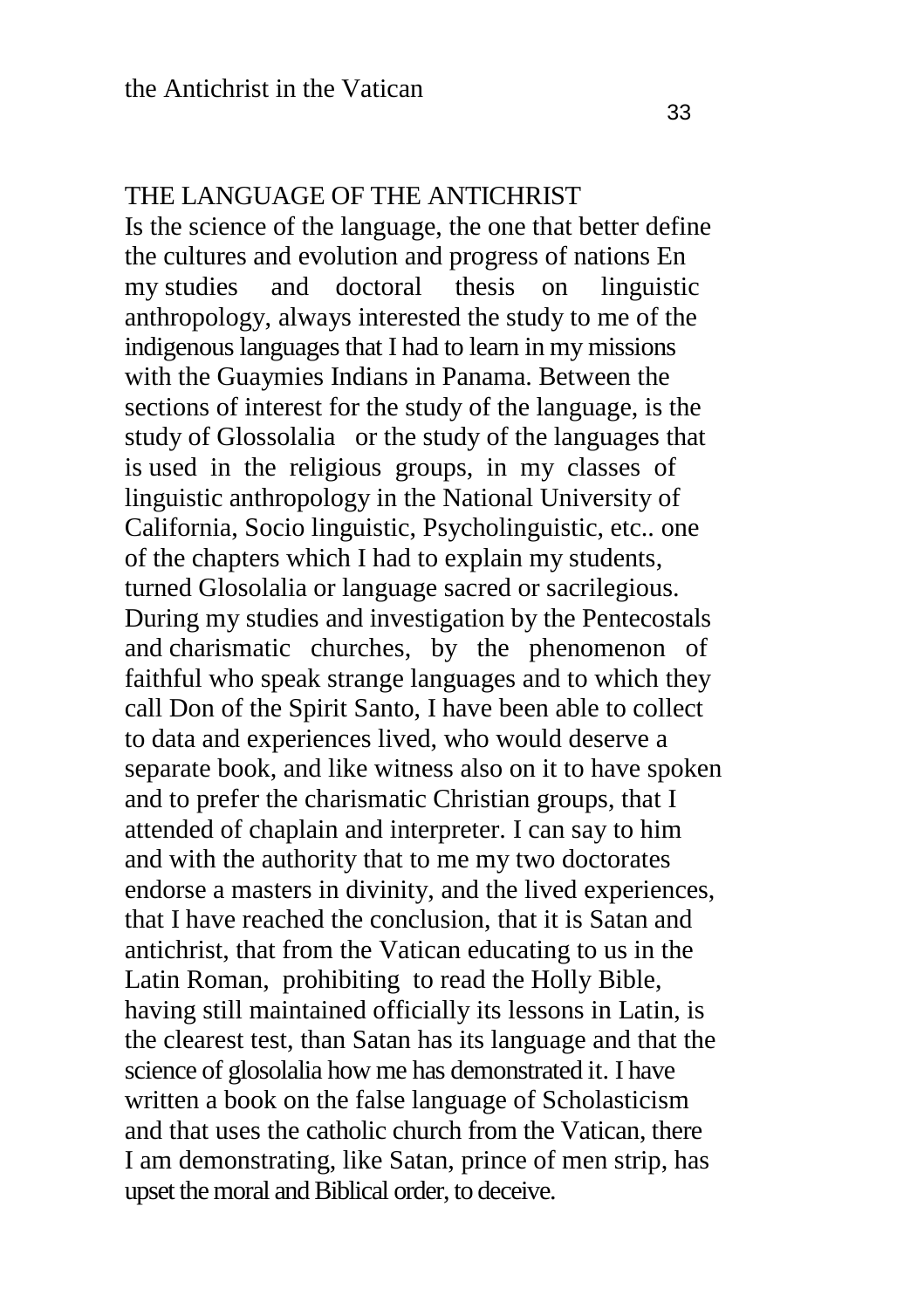#### THE LANGUAGE OF THE ANTICHRIST

Is the science of the language, the one that better define the cultures and evolution and progress of nations En my studies and doctoral thesis on linguistic anthropology, always interested the study to me of the indigenous languages that I had to learn in my missions with the Guaymies Indians in Panama. Between the sections of interest for the study of the language, is the study of Glossolalia or the study of the languages that is used in the religious groups, in my classes of linguistic anthropology in the National University of California, Socio linguistic, Psycholinguistic, etc.. one of the chapters which I had to explain my students, turned Glosolalia or language sacred or sacrilegious. During my studies and investigation by the Pentecostals and charismatic churches, by the phenomenon of faithful who speak strange languages and to which they call Don of the Spirit Santo, I have been able to collect to data and experiences lived, who would deserve a separate book, and like witness also on it to have spoken and to prefer the charismatic Christian groups, that I attended of chaplain and interpreter. I can say to him and with the authority that to me my two doctorates endorse a masters in divinity, and the lived experiences, that I have reached the conclusion, that it is Satan and antichrist, that from the Vatican educating to us in the Latin Roman, prohibiting to read the Holly Bible, having still maintained officially its lessons in Latin, is the clearest test, than Satan has its language and that the science of glosolalia how me has demonstrated it. I have written a book on the false language of Scholasticism and that uses the catholic church from the Vatican, there I am demonstrating, like Satan, prince of men strip, has upset the moral and Biblical order, to deceive.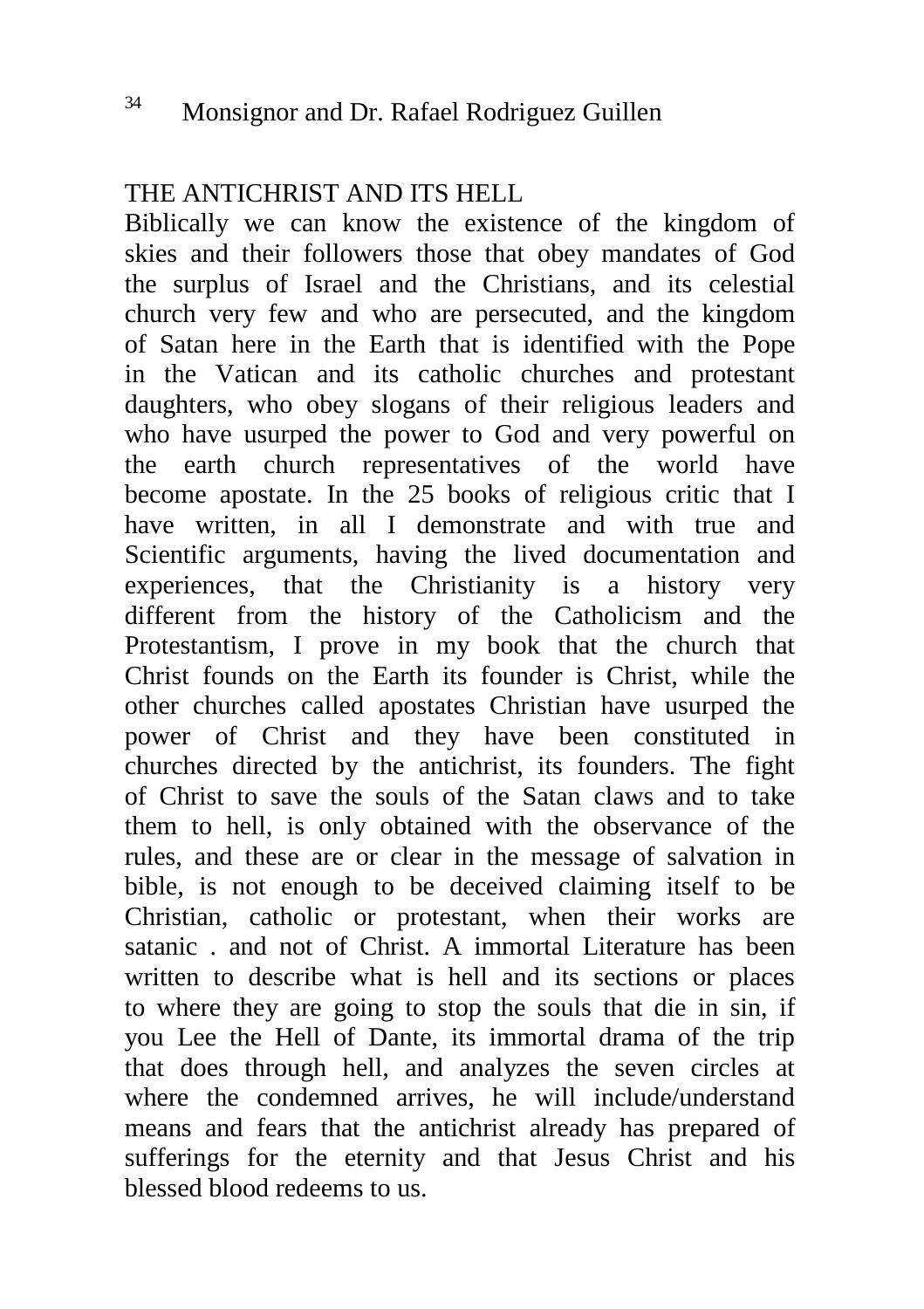#### THE ANTICHRIST AND ITS HELL

Biblically we can know the existence of the kingdom of skies and their followers those that obey mandates of God the surplus of Israel and the Christians, and its celestial church very few and who are persecuted, and the kingdom of Satan here in the Earth that is identified with the Pope in the Vatican and its catholic churches and protestant daughters, who obey slogans of their religious leaders and who have usurped the power to God and very powerful on the earth church representatives of the world have become apostate. In the 25 books of religious critic that I have written, in all I demonstrate and with true and Scientific arguments, having the lived documentation and experiences, that the Christianity is a history very different from the history of the Catholicism and the Protestantism, I prove in my book that the church that Christ founds on the Earth its founder is Christ, while the other churches called apostates Christian have usurped the power of Christ and they have been constituted in churches directed by the antichrist, its founders. The fight of Christ to save the souls of the Satan claws and to take them to hell, is only obtained with the observance of the rules, and these are or clear in the message of salvation in bible, is not enough to be deceived claiming itself to be Christian, catholic or protestant, when their works are satanic . and not of Christ. A immortal Literature has been written to describe what is hell and its sections or places to where they are going to stop the souls that die in sin, if you Lee the Hell of Dante, its immortal drama of the trip that does through hell, and analyzes the seven circles at where the condemned arrives, he will include/understand means and fears that the antichrist already has prepared of sufferings for the eternity and that Jesus Christ and his blessed blood redeems to us.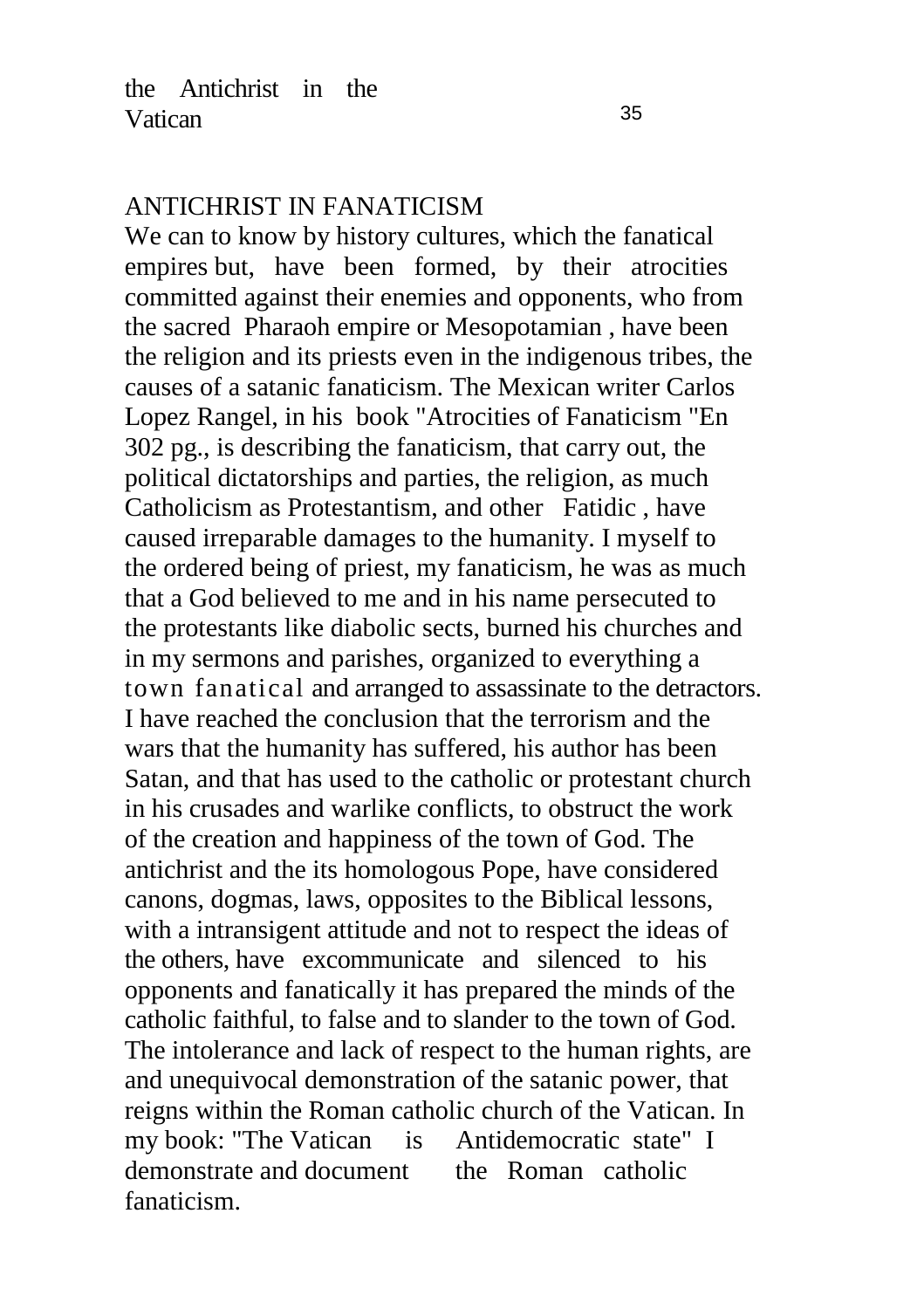#### ANTICHRIST IN FANATICISM

We can to know by history cultures, which the fanatical empires but, have been formed, by their atrocities committed against their enemies and opponents, who from the sacred Pharaoh empire or Mesopotamian , have been the religion and its priests even in the indigenous tribes, the causes of a satanic fanaticism. The Mexican writer Carlos Lopez Rangel, in his book "Atrocities of Fanaticism "En 302 pg., is describing the fanaticism, that carry out, the political dictatorships and parties, the religion, as much Catholicism as Protestantism, and other Fatidic , have caused irreparable damages to the humanity. I myself to the ordered being of priest, my fanaticism, he was as much that a God believed to me and in his name persecuted to the protestants like diabolic sects, burned his churches and in my sermons and parishes, organized to everything a town fanatical and arranged to assassinate to the detractors. I have reached the conclusion that the terrorism and the wars that the humanity has suffered, his author has been Satan, and that has used to the catholic or protestant church in his crusades and warlike conflicts, to obstruct the work of the creation and happiness of the town of God. The antichrist and the its homologous Pope, have considered canons, dogmas, laws, opposites to the Biblical lessons, with a intransigent attitude and not to respect the ideas of the others, have excommunicate and silenced to his opponents and fanatically it has prepared the minds of the catholic faithful, to false and to slander to the town of God. The intolerance and lack of respect to the human rights, are and unequivocal demonstration of the satanic power, that reigns within the Roman catholic church of the Vatican. In my book: "The Vatican is Antidemocratic state" I demonstrate and document the Roman catholic fanaticism.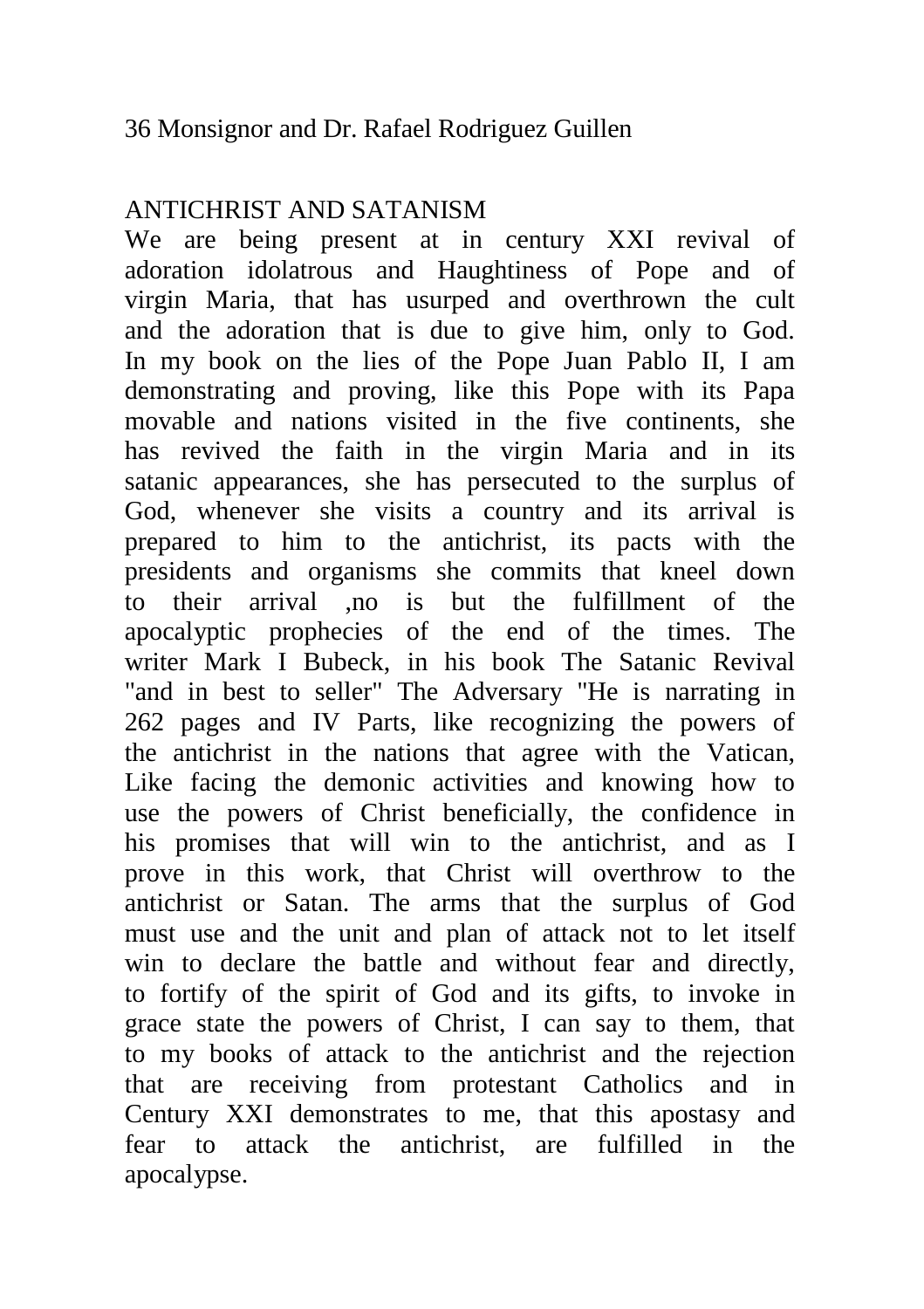# ANTICHRIST AND SATANISM

We are being present at in century XXI revival of adoration idolatrous and Haughtiness of Pope and of virgin Maria, that has usurped and overthrown the cult and the adoration that is due to give him, only to God. In my book on the lies of the Pope Juan Pablo II, I am demonstrating and proving, like this Pope with its Papa movable and nations visited in the five continents, she has revived the faith in the virgin Maria and in its satanic appearances, she has persecuted to the surplus of God, whenever she visits a country and its arrival is prepared to him to the antichrist, its pacts with the presidents and organisms she commits that kneel down to their arrival ,no is but the fulfillment of the apocalyptic prophecies of the end of the times. The writer Mark I Bubeck, in his book The Satanic Revival "and in best to seller" The Adversary "He is narrating in 262 pages and IV Parts, like recognizing the powers of the antichrist in the nations that agree with the Vatican, Like facing the demonic activities and knowing how to use the powers of Christ beneficially, the confidence in his promises that will win to the antichrist, and as I prove in this work, that Christ will overthrow to the antichrist or Satan. The arms that the surplus of God must use and the unit and plan of attack not to let itself win to declare the battle and without fear and directly, to fortify of the spirit of God and its gifts, to invoke in grace state the powers of Christ, I can say to them, that to my books of attack to the antichrist and the rejection that are receiving from protestant Catholics and in Century XXI demonstrates to me, that this apostasy and fear to attack the antichrist, are fulfilled in the apocalypse.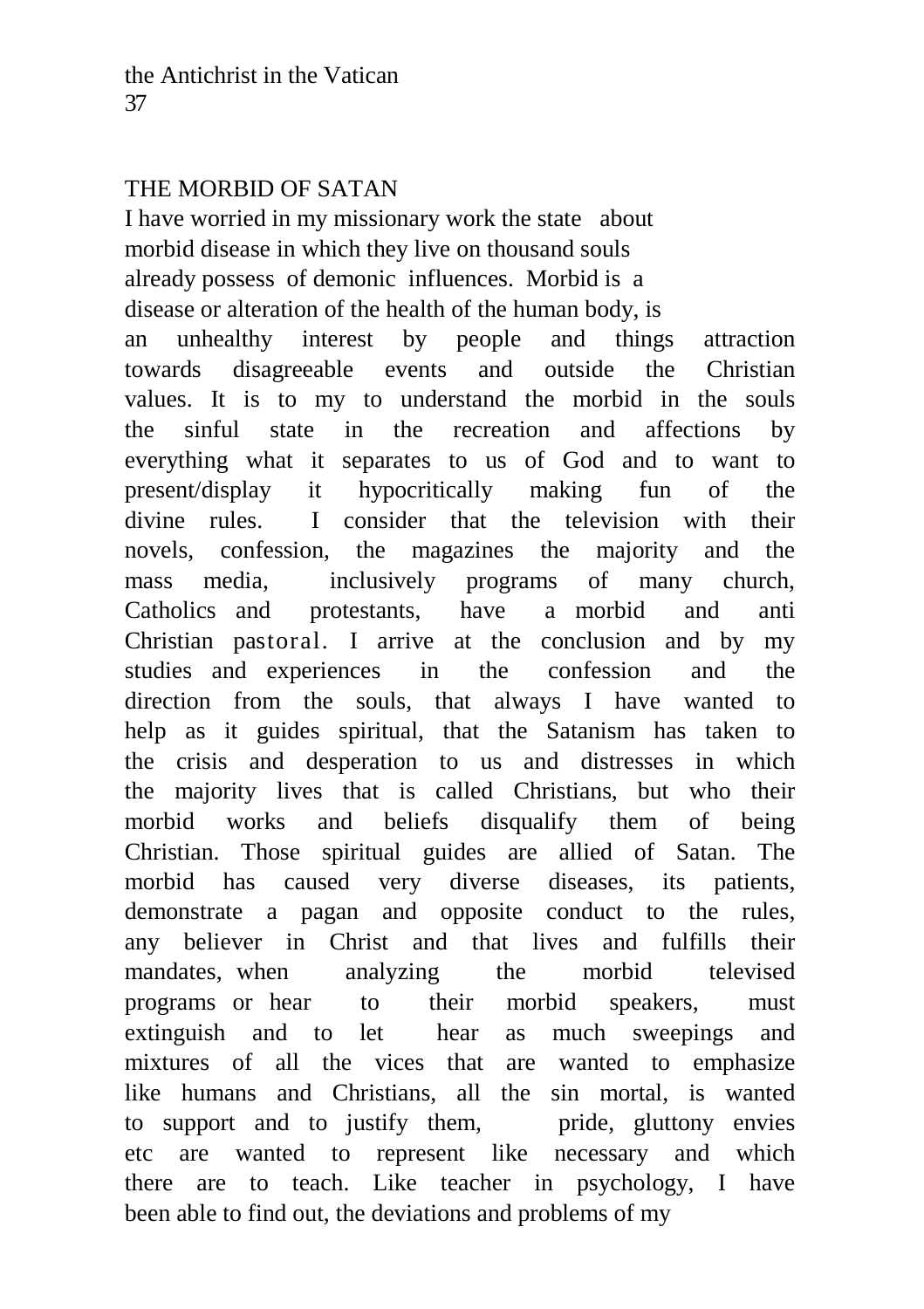#### THE MORBID OF SATAN

I have worried in my missionary work the state about morbid disease in which they live on thousand souls already possess of demonic influences. Morbid is a disease or alteration of the health of the human body, is an unhealthy interest by people and things attraction towards disagreeable events and outside the Christian values. It is to my to understand the morbid in the souls the sinful state in the recreation and affections by everything what it separates to us of God and to want to present/display it hypocritically making fun of the divine rules. I consider that the television with their novels, confession, the magazines the majority and the mass media, inclusively programs of many church, Catholics and protestants, have a morbid and anti Christian pastoral. I arrive at the conclusion and by my studies and experiences in the confession and the direction from the souls, that always I have wanted to help as it guides spiritual, that the Satanism has taken to the crisis and desperation to us and distresses in which the majority lives that is called Christians, but who their morbid works and beliefs disqualify them of being Christian. Those spiritual guides are allied of Satan. The morbid has caused very diverse diseases, its patients, demonstrate a pagan and opposite conduct to the rules, any believer in Christ and that lives and fulfills their mandates, when analyzing the morbid televised programs or hear to their morbid speakers, must extinguish and to let hear as much sweepings and mixtures of all the vices that are wanted to emphasize like humans and Christians, all the sin mortal, is wanted to support and to justify them, pride, gluttony envies etc are wanted to represent like necessary and which there are to teach. Like teacher in psychology, I have been able to find out, the deviations and problems of my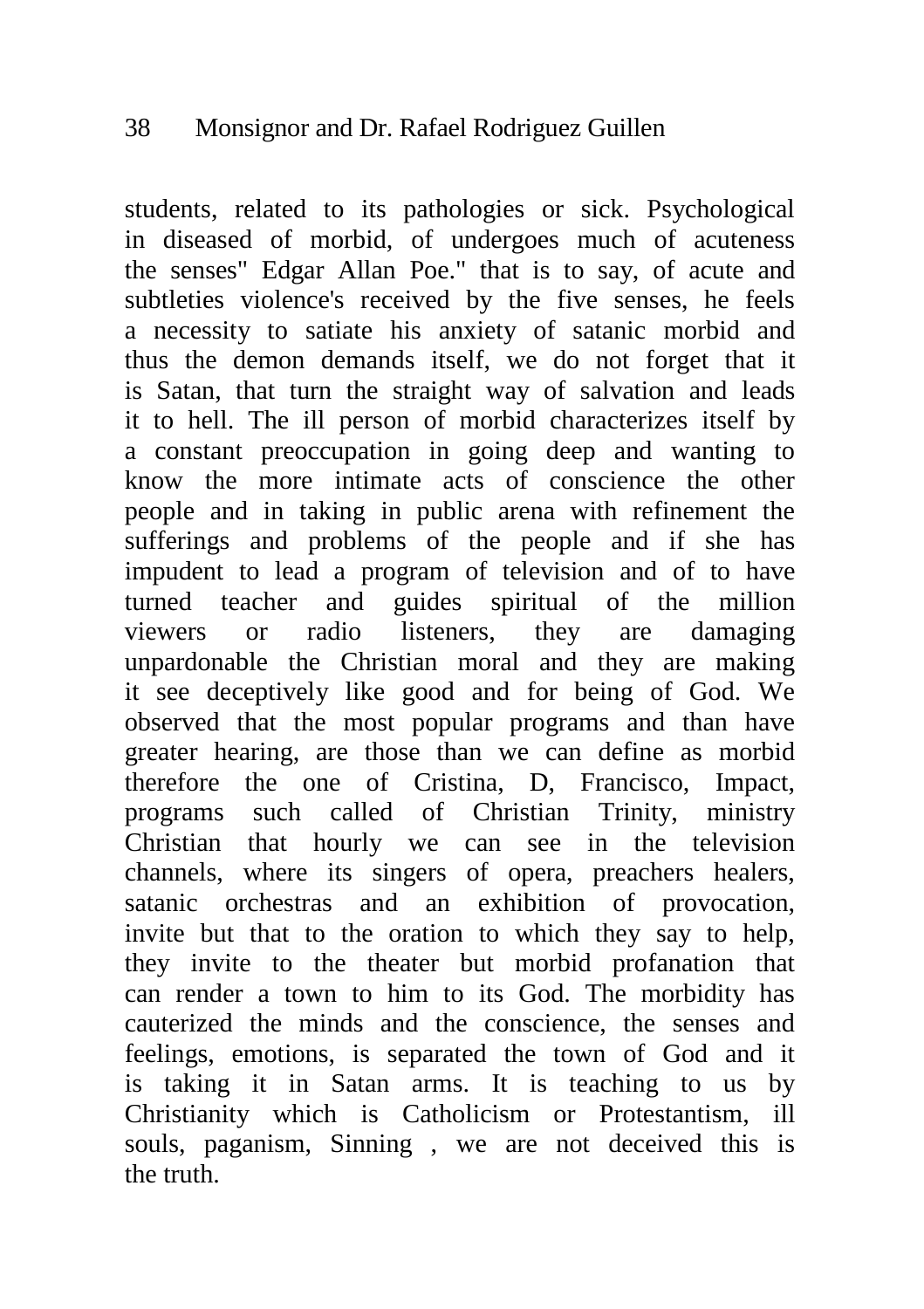students, related to its pathologies or sick. Psychological in diseased of morbid, of undergoes much of acuteness the senses" Edgar Allan Poe." that is to say, of acute and subtleties violence's received by the five senses, he feels a necessity to satiate his anxiety of satanic morbid and thus the demon demands itself, we do not forget that it is Satan, that turn the straight way of salvation and leads it to hell. The ill person of morbid characterizes itself by a constant preoccupation in going deep and wanting to know the more intimate acts of conscience the other people and in taking in public arena with refinement the sufferings and problems of the people and if she has impudent to lead a program of television and of to have turned teacher and guides spiritual of the million viewers or radio listeners, they are damaging unpardonable the Christian moral and they are making it see deceptively like good and for being of God. We observed that the most popular programs and than have greater hearing, are those than we can define as morbid therefore the one of Cristina, D, Francisco, Impact, programs such called of Christian Trinity, ministry Christian that hourly we can see in the television channels, where its singers of opera, preachers healers, satanic orchestras and an exhibition of provocation, invite but that to the oration to which they say to help, they invite to the theater but morbid profanation that can render a town to him to its God. The morbidity has cauterized the minds and the conscience, the senses and feelings, emotions, is separated the town of God and it is taking it in Satan arms. It is teaching to us by Christianity which is Catholicism or Protestantism, ill souls, paganism, Sinning , we are not deceived this is the truth.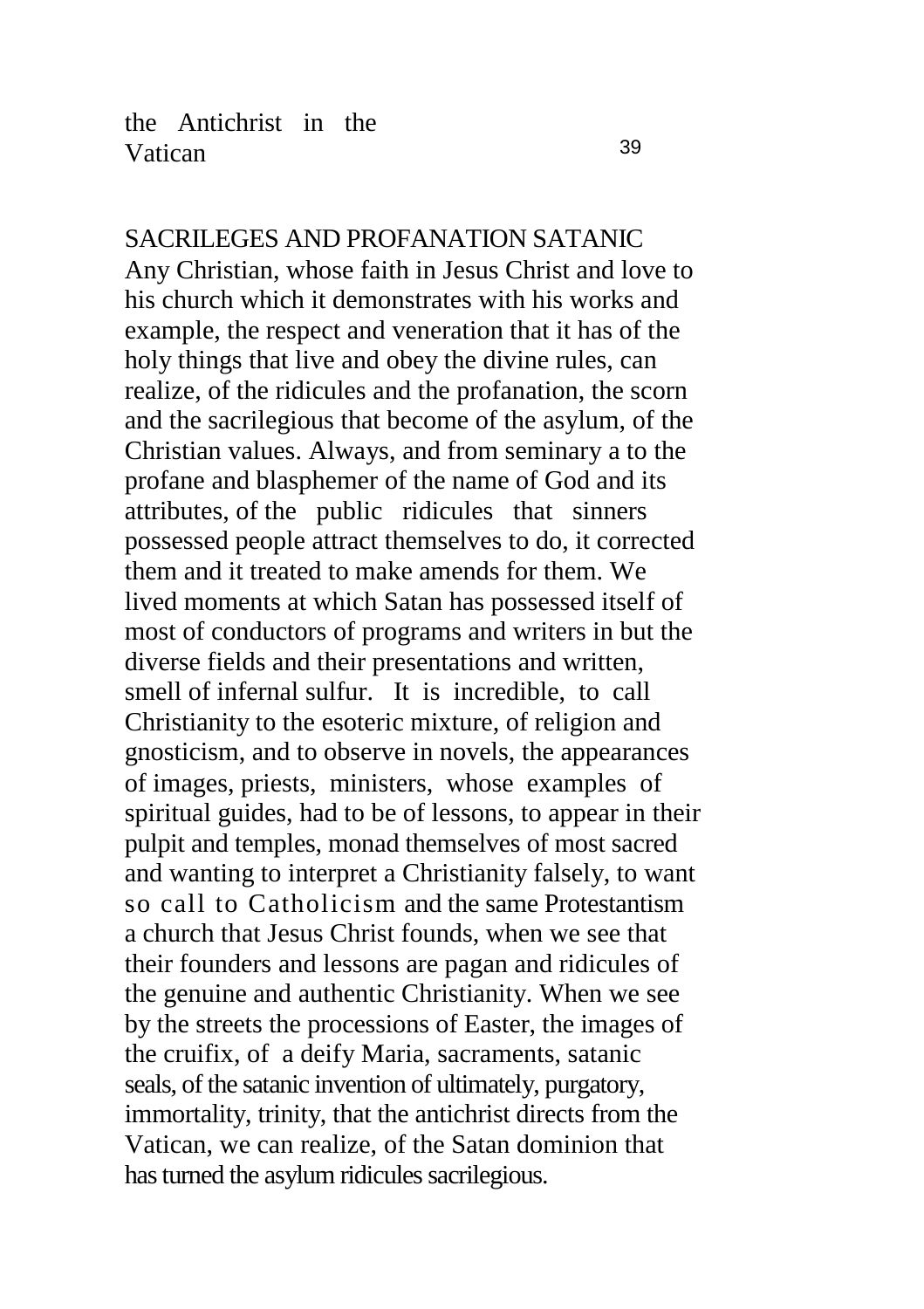SACRILEGES AND PROFANATION SATANIC Any Christian, whose faith in Jesus Christ and love to his church which it demonstrates with his works and example, the respect and veneration that it has of the holy things that live and obey the divine rules, can realize, of the ridicules and the profanation, the scorn and the sacrilegious that become of the asylum, of the Christian values. Always, and from seminary a to the profane and blasphemer of the name of God and its attributes, of the public ridicules that sinners possessed people attract themselves to do, it corrected them and it treated to make amends for them. We lived moments at which Satan has possessed itself of most of conductors of programs and writers in but the diverse fields and their presentations and written, smell of infernal sulfur. It is incredible, to call Christianity to the esoteric mixture, of religion and gnosticism, and to observe in novels, the appearances of images, priests, ministers, whose examples of spiritual guides, had to be of lessons, to appear in their pulpit and temples, monad themselves of most sacred and wanting to interpret a Christianity falsely, to want so call to Catholicism and the same Protestantism a church that Jesus Christ founds, when we see that their founders and lessons are pagan and ridicules of the genuine and authentic Christianity. When we see by the streets the processions of Easter, the images of the cruifix, of a deify Maria, sacraments, satanic seals, of the satanic invention of ultimately, purgatory, immortality, trinity, that the antichrist directs from the Vatican, we can realize, of the Satan dominion that has turned the asylum ridicules sacrilegious.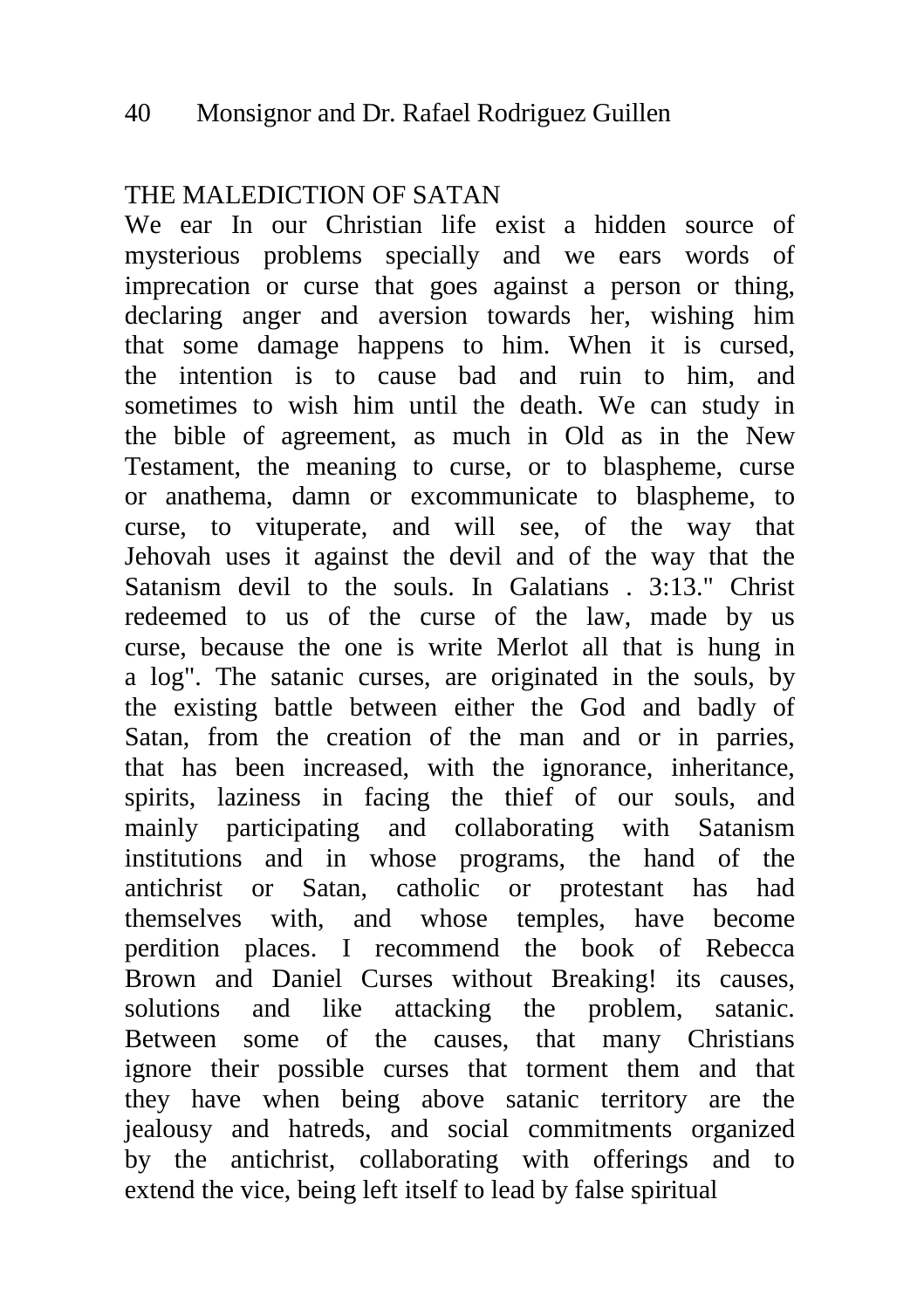# THE MALEDICTION OF SATAN

We ear In our Christian life exist a hidden source of mysterious problems specially and we ears words of imprecation or curse that goes against a person or thing, declaring anger and aversion towards her, wishing him that some damage happens to him. When it is cursed, the intention is to cause bad and ruin to him, and sometimes to wish him until the death. We can study in the bible of agreement, as much in Old as in the New Testament, the meaning to curse, or to blaspheme, curse or anathema, damn or excommunicate to blaspheme, to curse, to vituperate, and will see, of the way that Jehovah uses it against the devil and of the way that the Satanism devil to the souls. In Galatians . 3:13." Christ redeemed to us of the curse of the law, made by us curse, because the one is write Merlot all that is hung in a log". The satanic curses, are originated in the souls, by the existing battle between either the God and badly of Satan, from the creation of the man and or in parries, that has been increased, with the ignorance, inheritance, spirits, laziness in facing the thief of our souls, and mainly participating and collaborating with Satanism institutions and in whose programs, the hand of the antichrist or Satan, catholic or protestant has had themselves with, and whose temples, have become perdition places. I recommend the book of Rebecca Brown and Daniel Curses without Breaking! its causes, solutions and like attacking the problem, satanic. Between some of the causes, that many Christians ignore their possible curses that torment them and that they have when being above satanic territory are the jealousy and hatreds, and social commitments organized by the antichrist, collaborating with offerings and to extend the vice, being left itself to lead by false spiritual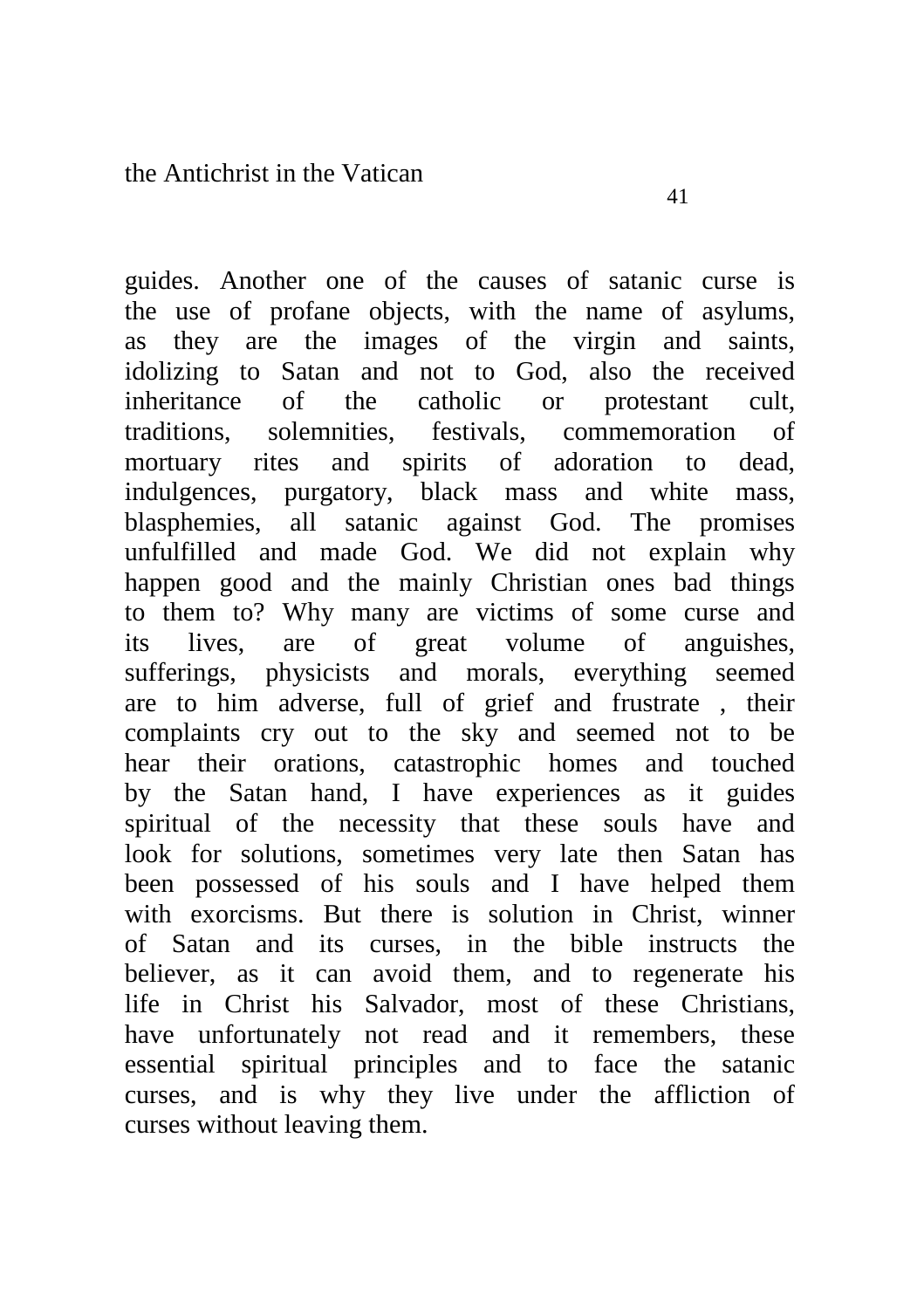guides. Another one of the causes of satanic curse is the use of profane objects, with the name of asylums, as they are the images of the virgin and saints, idolizing to Satan and not to God, also the received

inheritance of the catholic or protestant cult, traditions, solemnities, festivals, commemoration of mortuary rites and spirits of adoration to dead, indulgences, purgatory, black mass and white mass, blasphemies, all satanic against God. The promises unfulfilled and made God. We did not explain why happen good and the mainly Christian ones bad things to them to? Why many are victims of some curse and its lives, are of great volume of anguishes, sufferings, physicists and morals, everything seemed are to him adverse, full of grief and frustrate , their complaints cry out to the sky and seemed not to be hear their orations, catastrophic homes and touched by the Satan hand, I have experiences as it guides spiritual of the necessity that these souls have and look for solutions, sometimes very late then Satan has been possessed of his souls and I have helped them with exorcisms. But there is solution in Christ, winner of Satan and its curses, in the bible instructs the believer, as it can avoid them, and to regenerate his life in Christ his Salvador, most of these Christians, have unfortunately not read and it remembers, these essential spiritual principles and to face the satanic curses, and is why they live under the affliction of curses without leaving them.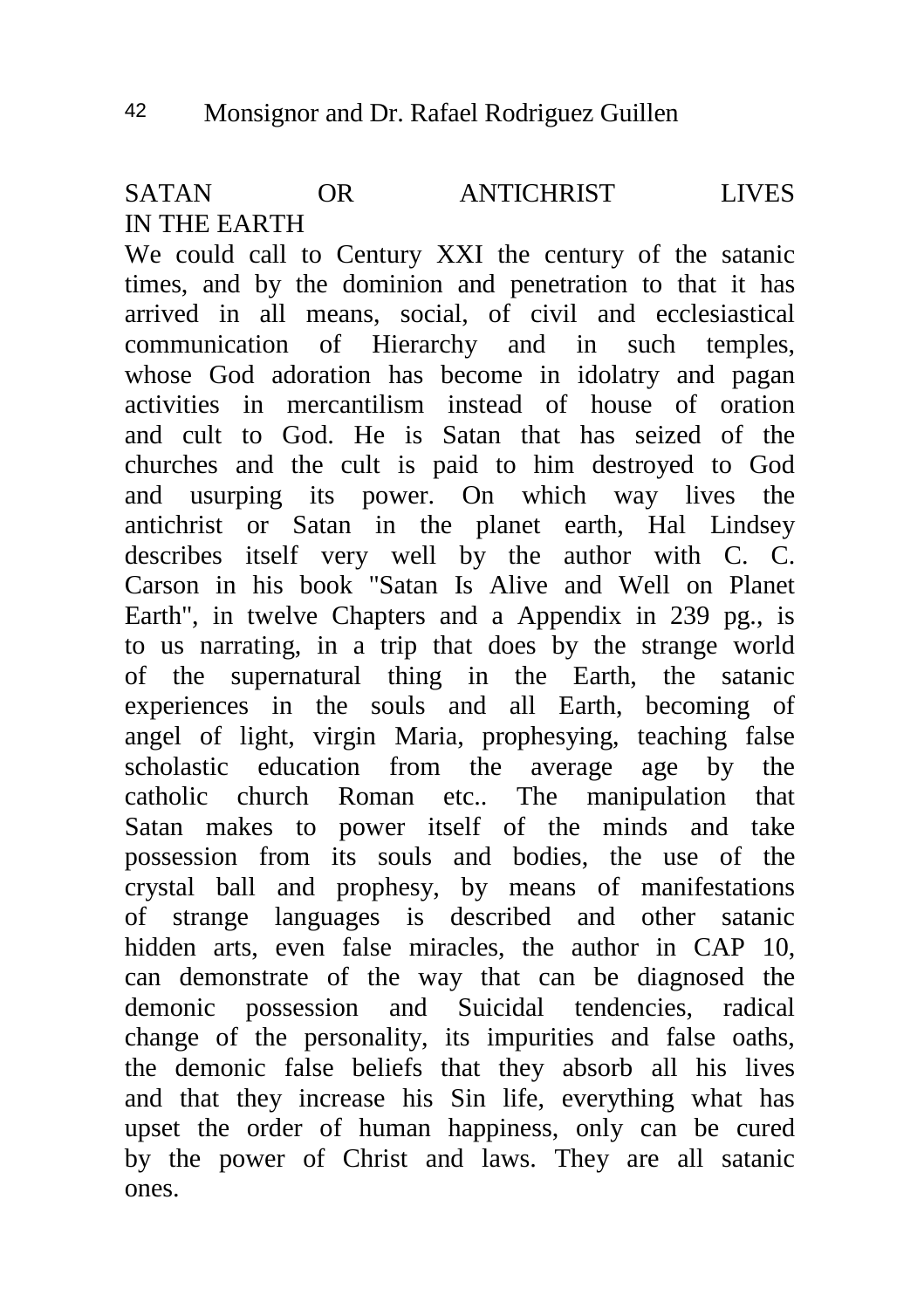SATAN OR ANTICHRIST LIVES IN THE EARTH

We could call to Century XXI the century of the satanic times, and by the dominion and penetration to that it has arrived in all means, social, of civil and ecclesiastical communication of Hierarchy and in such temples, whose God adoration has become in idolatry and pagan activities in mercantilism instead of house of oration and cult to God. He is Satan that has seized of the churches and the cult is paid to him destroyed to God and usurping its power. On which way lives the antichrist or Satan in the planet earth, Hal Lindsey describes itself very well by the author with C. C. Carson in his book "Satan Is Alive and Well on Planet Earth", in twelve Chapters and a Appendix in 239 pg., is to us narrating, in a trip that does by the strange world of the supernatural thing in the Earth, the satanic experiences in the souls and all Earth, becoming of angel of light, virgin Maria, prophesying, teaching false scholastic education from the average age by the catholic church Roman etc.. The manipulation that Satan makes to power itself of the minds and take possession from its souls and bodies, the use of the crystal ball and prophesy, by means of manifestations of strange languages is described and other satanic hidden arts, even false miracles, the author in CAP 10, can demonstrate of the way that can be diagnosed the demonic possession and Suicidal tendencies, radical change of the personality, its impurities and false oaths, the demonic false beliefs that they absorb all his lives and that they increase his Sin life, everything what has upset the order of human happiness, only can be cured by the power of Christ and laws. They are all satanic ones.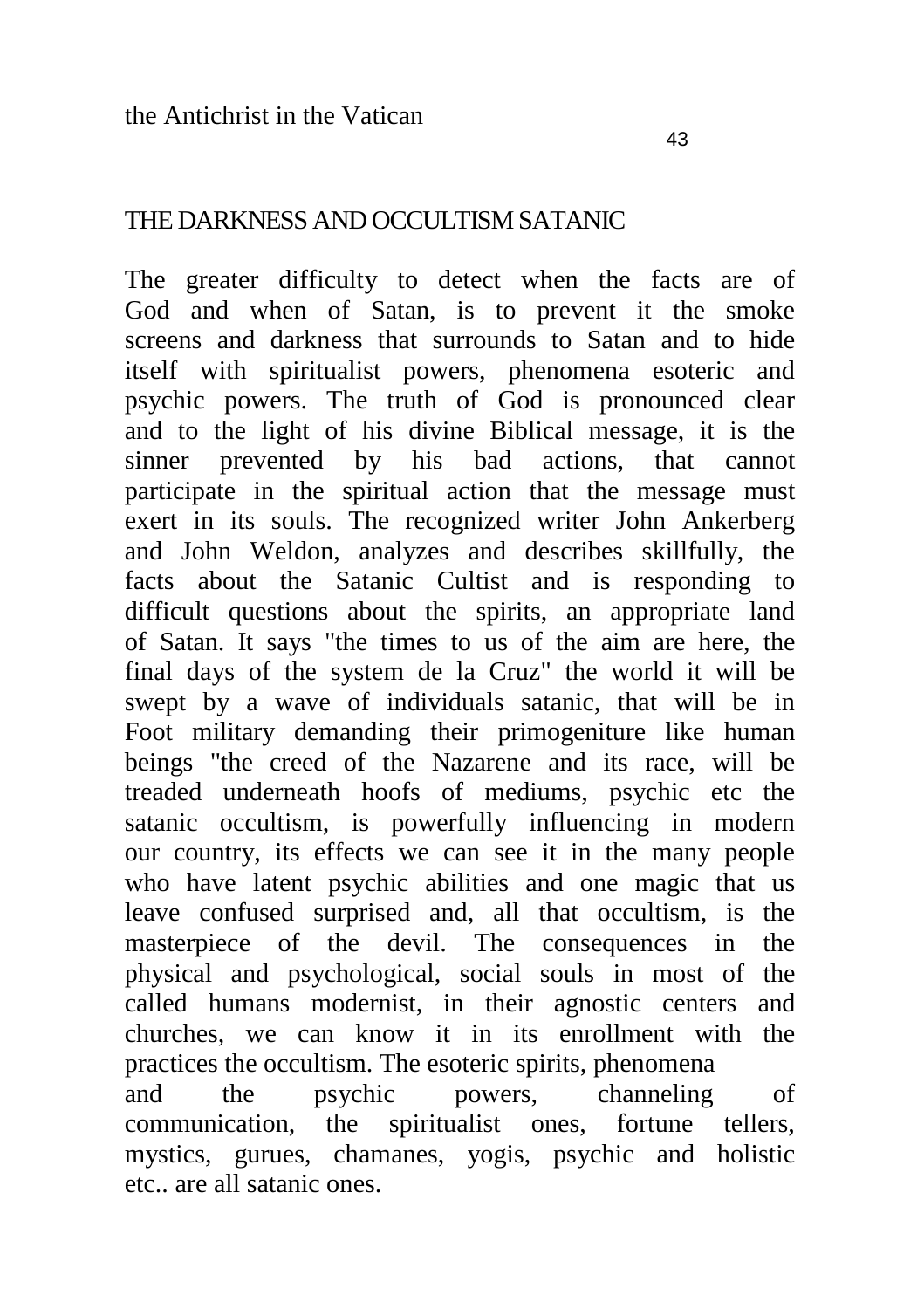## THE DARKNESS AND OCCULTISM SATANIC

The greater difficulty to detect when the facts are of God and when of Satan, is to prevent it the smoke screens and darkness that surrounds to Satan and to hide itself with spiritualist powers, phenomena esoteric and psychic powers. The truth of God is pronounced clear and to the light of his divine Biblical message, it is the sinner prevented by his bad actions, that cannot participate in the spiritual action that the message must exert in its souls. The recognized writer John Ankerberg and John Weldon, analyzes and describes skillfully, the facts about the Satanic Cultist and is responding to difficult questions about the spirits, an appropriate land of Satan. It says "the times to us of the aim are here, the final days of the system de la Cruz" the world it will be swept by a wave of individuals satanic, that will be in Foot military demanding their primogeniture like human beings "the creed of the Nazarene and its race, will be treaded underneath hoofs of mediums, psychic etc the satanic occultism, is powerfully influencing in modern our country, its effects we can see it in the many people who have latent psychic abilities and one magic that us leave confused surprised and, all that occultism, is the masterpiece of the devil. The consequences in the physical and psychological, social souls in most of the called humans modernist, in their agnostic centers and churches, we can know it in its enrollment with the practices the occultism. The esoteric spirits, phenomena and the psychic powers, channeling of communication, the spiritualist ones, fortune tellers, mystics, gurues, chamanes, yogis, psychic and holistic etc.. are all satanic ones.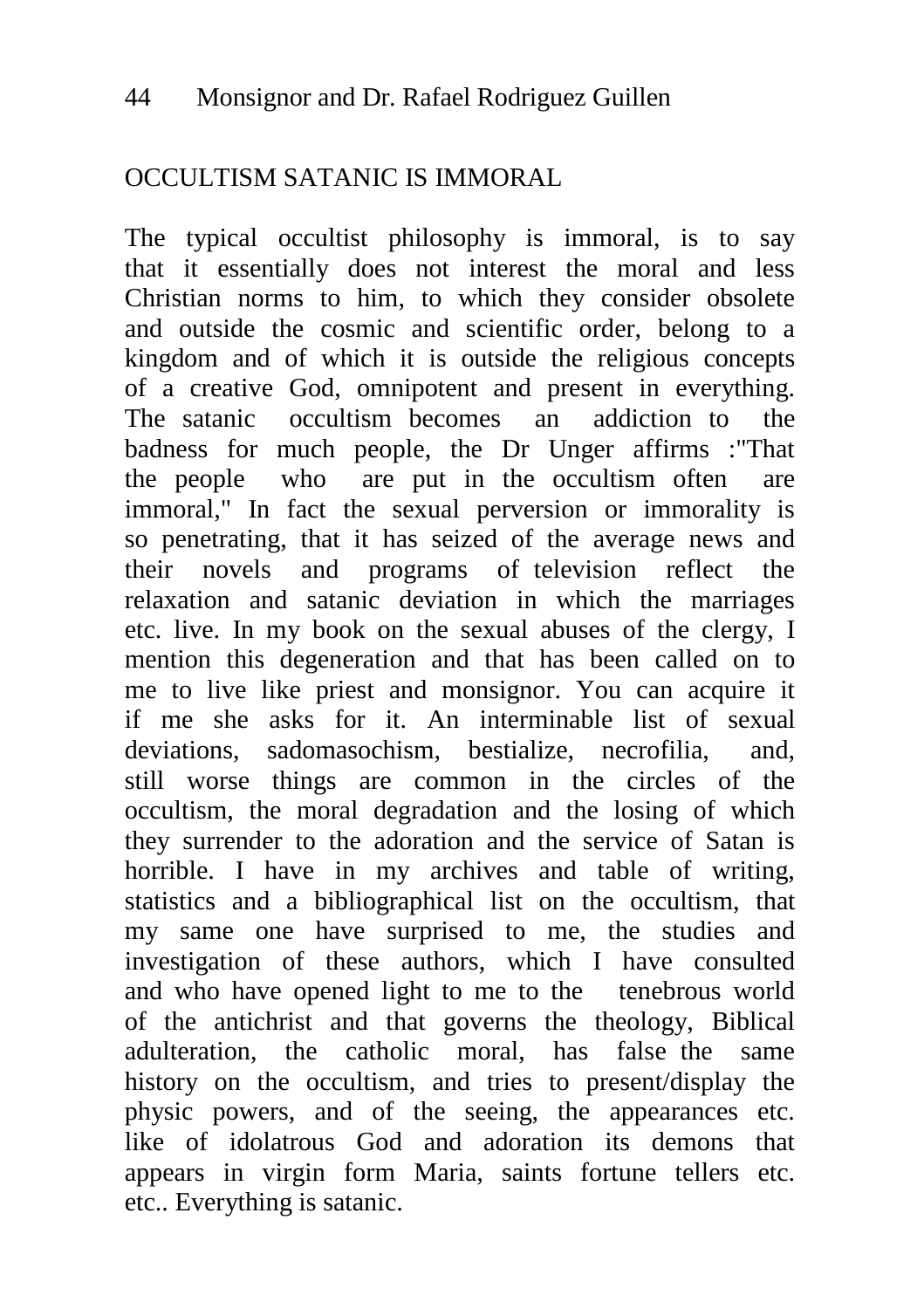## OCCULTISM SATANIC IS IMMORAL

The typical occultist philosophy is immoral, is to say that it essentially does not interest the moral and less Christian norms to him, to which they consider obsolete and outside the cosmic and scientific order, belong to a kingdom and of which it is outside the religious concepts of a creative God, omnipotent and present in everything. The satanic occultism becomes an addiction to the badness for much people, the Dr Unger affirms :"That the people who are put in the occultism often are immoral," In fact the sexual perversion or immorality is so penetrating, that it has seized of the average news and their novels and programs of television reflect the relaxation and satanic deviation in which the marriages etc. live. In my book on the sexual abuses of the clergy, I mention this degeneration and that has been called on to me to live like priest and monsignor. You can acquire it if me she asks for it. An interminable list of sexual deviations, sadomasochism, bestialize, necrofilia, and, still worse things are common in the circles of the occultism, the moral degradation and the losing of which they surrender to the adoration and the service of Satan is horrible. I have in my archives and table of writing, statistics and a bibliographical list on the occultism, that my same one have surprised to me, the studies and investigation of these authors, which I have consulted and who have opened light to me to the tenebrous world of the antichrist and that governs the theology, Biblical adulteration, the catholic moral, has false the same history on the occultism, and tries to present/display the physic powers, and of the seeing, the appearances etc. like of idolatrous God and adoration its demons that appears in virgin form Maria, saints fortune tellers etc. etc.. Everything is satanic.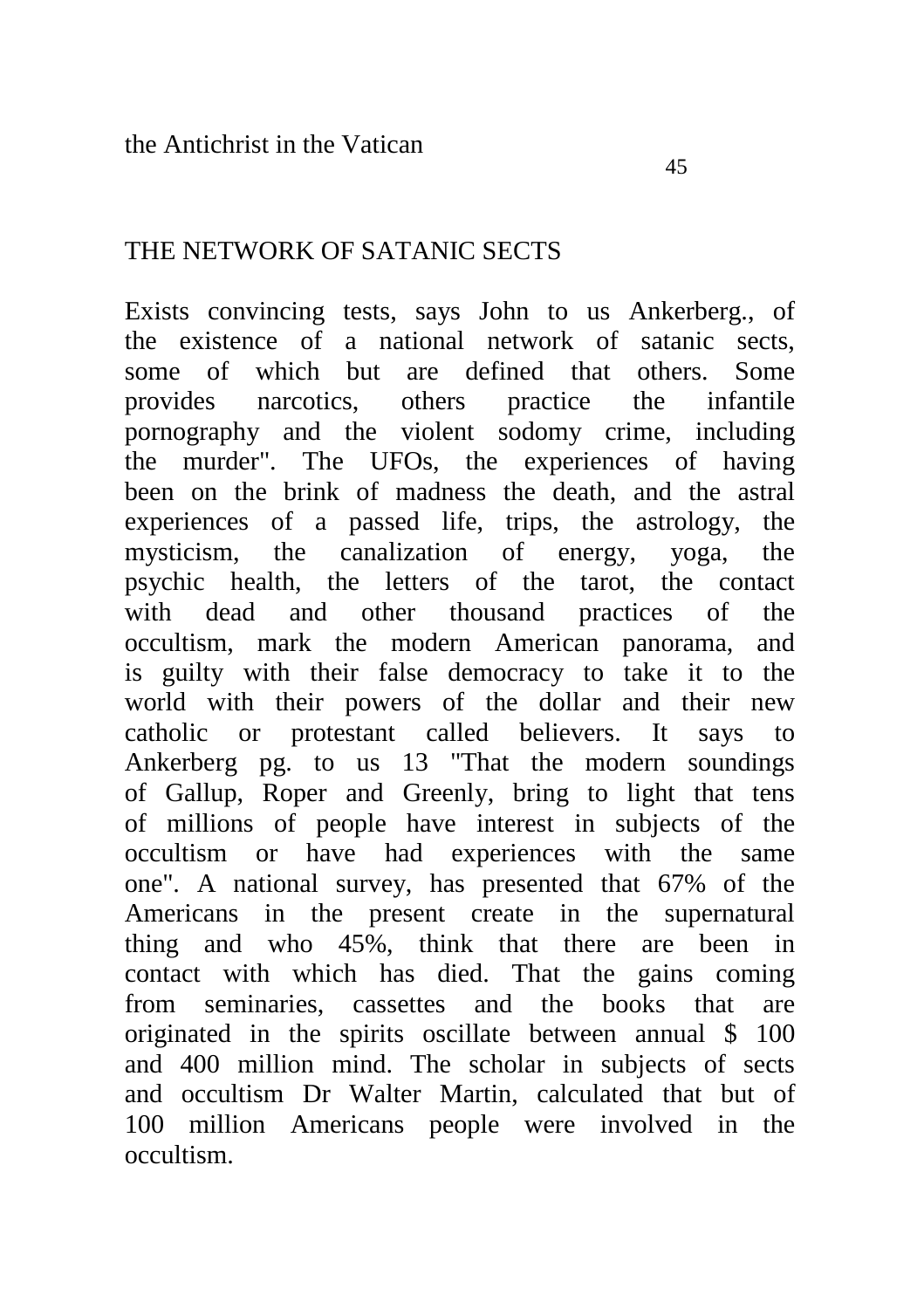### THE NETWORK OF SATANIC SECTS

Exists convincing tests, says John to us Ankerberg., of the existence of a national network of satanic sects,<br>some of which but are defined that others. Some some of which but are defined that provides narcotics, others practice the infantile pornography and the violent sodomy crime, including the murder". The UFOs, the experiences of having been on the brink of madness the death, and the astral experiences of a passed life, trips, the astrology, the mysticism, the canalization of energy, yoga, the psychic health, the letters of the tarot, the contact with dead and other thousand practices of the occultism, mark the modern American panorama, and is guilty with their false democracy to take it to the world with their powers of the dollar and their new catholic or protestant called believers. It says to Ankerberg pg. to us 13 "That the modern soundings of Gallup, Roper and Greenly, bring to light that tens of millions of people have interest in subjects of the occultism or have had experiences with the same one". A national survey, has presented that 67% of the Americans in the present create in the supernatural thing and who 45%, think that there are been in contact with which has died. That the gains coming from seminaries, cassettes and the books that are originated in the spirits oscillate between annual \$ 100 and 400 million mind. The scholar in subjects of sects and occultism Dr Walter Martin, calculated that but of 100 million Americans people were involved in the occultism.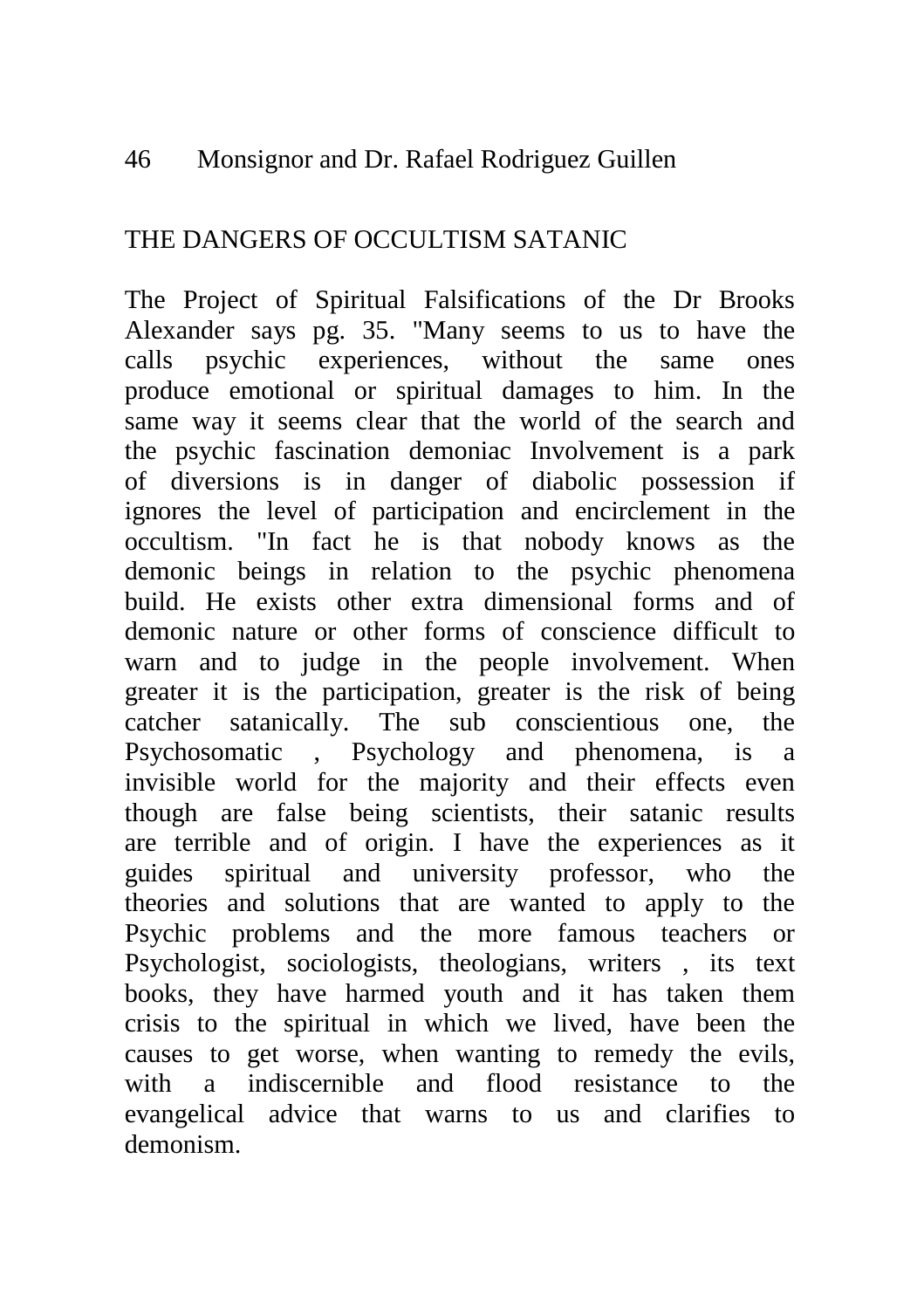## 46 Monsignor and Dr. Rafael Rodriguez Guillen

## THE DANGERS OF OCCULTISM SATANIC

The Project of Spiritual Falsifications of the Dr Brooks Alexander says pg. 35. "Many seems to us to have the calls psychic experiences, without the same ones produce emotional or spiritual damages to him. In the same way it seems clear that the world of the search and the psychic fascination demoniac Involvement is a park of diversions is in danger of diabolic possession if ignores the level of participation and encirclement in the occultism. "In fact he is that nobody knows as the demonic beings in relation to the psychic phenomena build. He exists other extra dimensional forms and of demonic nature or other forms of conscience difficult to warn and to judge in the people involvement. When greater it is the participation, greater is the risk of being catcher satanically. The sub conscientious one, the Psychosomatic , Psychology and phenomena, is a invisible world for the majority and their effects even though are false being scientists, their satanic results are terrible and of origin. I have the experiences as it guides spiritual and university professor, who the theories and solutions that are wanted to apply to the Psychic problems and the more famous teachers or Psychologist, sociologists, theologians, writers , its text books, they have harmed youth and it has taken them crisis to the spiritual in which we lived, have been the causes to get worse, when wanting to remedy the evils, with a indiscernible and flood resistance to the evangelical advice that warns to us and clarifies to demonism.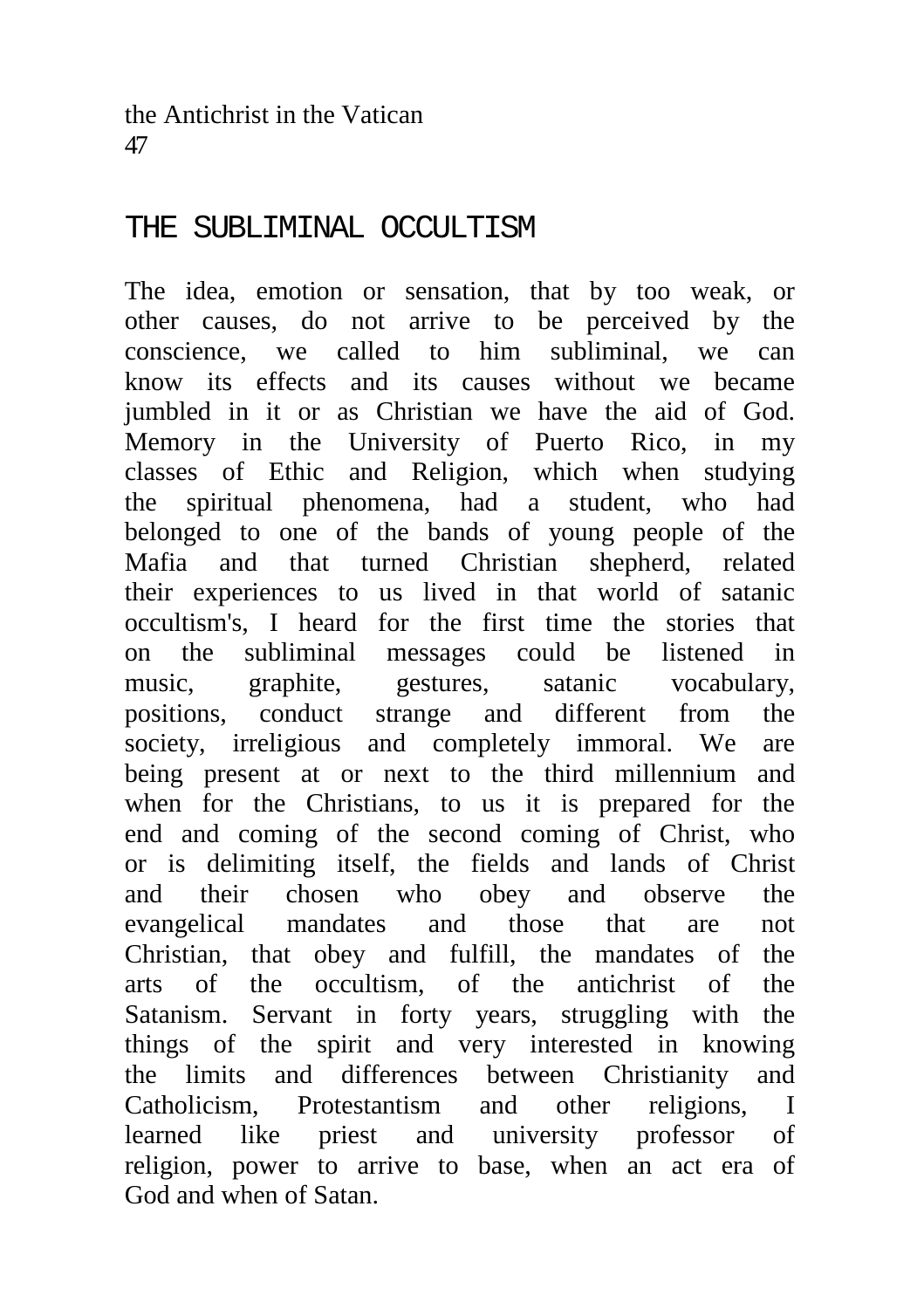# THE SUBLIMINAL OCCULTISM

The idea, emotion or sensation, that by too weak, or other causes, do not arrive to be perceived by the conscience, we called to him subliminal, we can know its effects and its causes without we became jumbled in it or as Christian we have the aid of God. Memory in the University of Puerto Rico, in my classes of Ethic and Religion, which when studying the spiritual phenomena, had a student, who had belonged to one of the bands of young people of the Mafia and that turned Christian shepherd, related their experiences to us lived in that world of satanic occultism's, I heard for the first time the stories that on the subliminal messages could be listened in music, graphite, gestures, satanic vocabulary, positions, conduct strange and different from the society, irreligious and completely immoral. We are being present at or next to the third millennium and when for the Christians, to us it is prepared for the end and coming of the second coming of Christ, who or is delimiting itself, the fields and lands of Christ and their chosen who obey and observe the<br>evangelical mandates and those that are not evangelical mandates and those that are not Christian, that obey and fulfill, the mandates of the arts of the occultism, of the antichrist of the Satanism. Servant in forty years, struggling with the things of the spirit and very interested in knowing the limits and differences between Christianity and Catholicism, Protestantism and other religions, I learned like priest and university professor of religion, power to arrive to base, when an act era of God and when of Satan.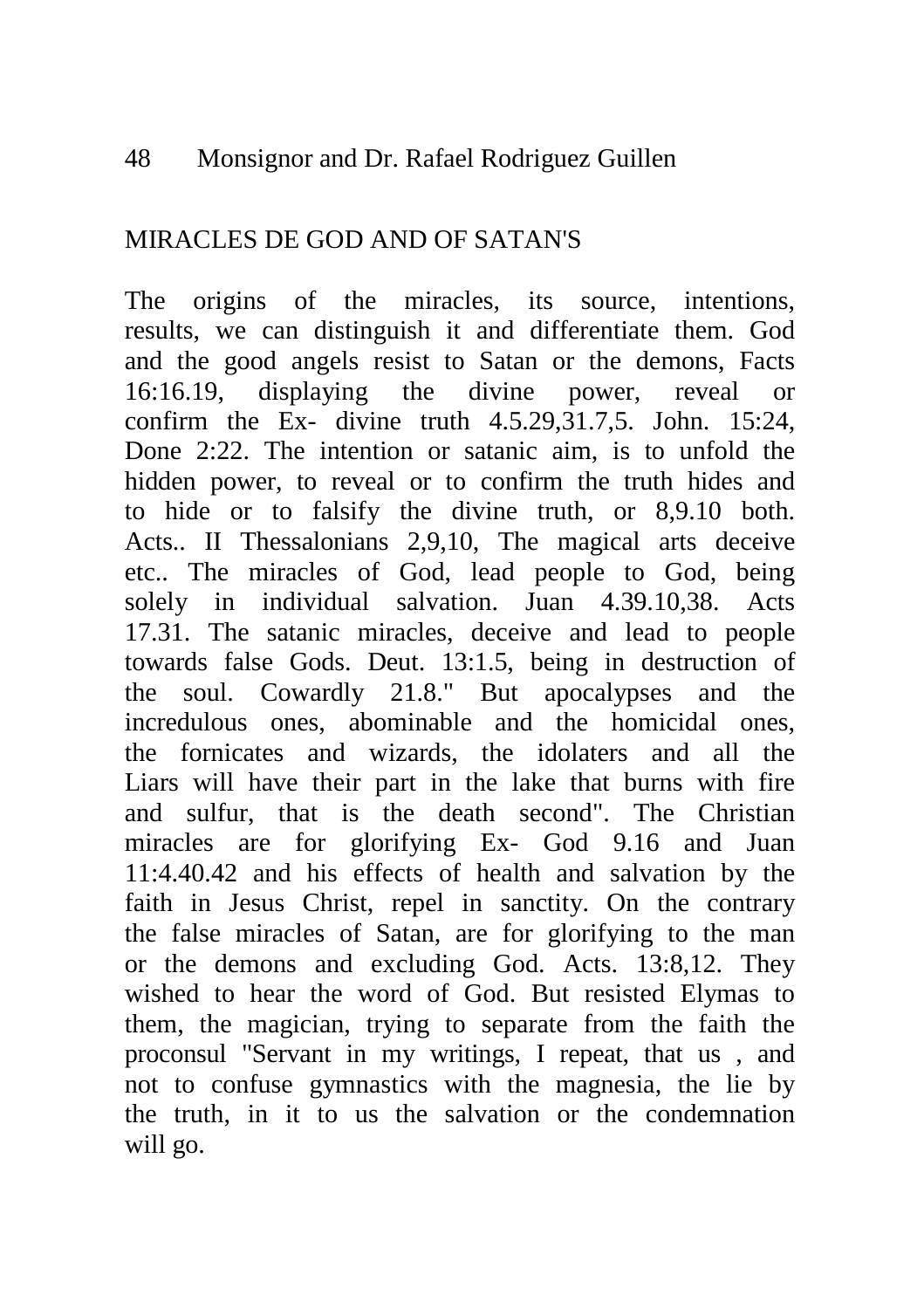#### 48 Monsignor and Dr. Rafael Rodriguez Guillen

## MIRACLES DE GOD AND OF SATAN'S

The origins of the miracles, its source, intentions, results, we can distinguish it and differentiate them. God and the good angels resist to Satan or the demons, Facts 16:16.19, displaying the divine power, reveal or confirm the Ex- divine truth 4.5.29,31.7,5. John. 15:24, Done 2:22. The intention or satanic aim, is to unfold the hidden power, to reveal or to confirm the truth hides and to hide or to falsify the divine truth, or 8,9.10 both. Acts.. II Thessalonians 2,9,10, The magical arts deceive etc.. The miracles of God, lead people to God, being solely in individual salvation. Juan 4.39.10,38. Acts 17.31. The satanic miracles, deceive and lead to people towards false Gods. Deut. 13:1.5, being in destruction of the soul. Cowardly 21.8." But apocalypses and the incredulous ones, abominable and the homicidal ones, the fornicates and wizards, the idolaters and all the Liars will have their part in the lake that burns with fire and sulfur, that is the death second". The Christian miracles are for glorifying Ex- God 9.16 and Juan 11:4.40.42 and his effects of health and salvation by the faith in Jesus Christ, repel in sanctity. On the contrary the false miracles of Satan, are for glorifying to the man or the demons and excluding God. Acts. 13:8,12. They wished to hear the word of God. But resisted Elymas to them, the magician, trying to separate from the faith the proconsul "Servant in my writings, I repeat, that us , and not to confuse gymnastics with the magnesia, the lie by the truth, in it to us the salvation or the condemnation will go.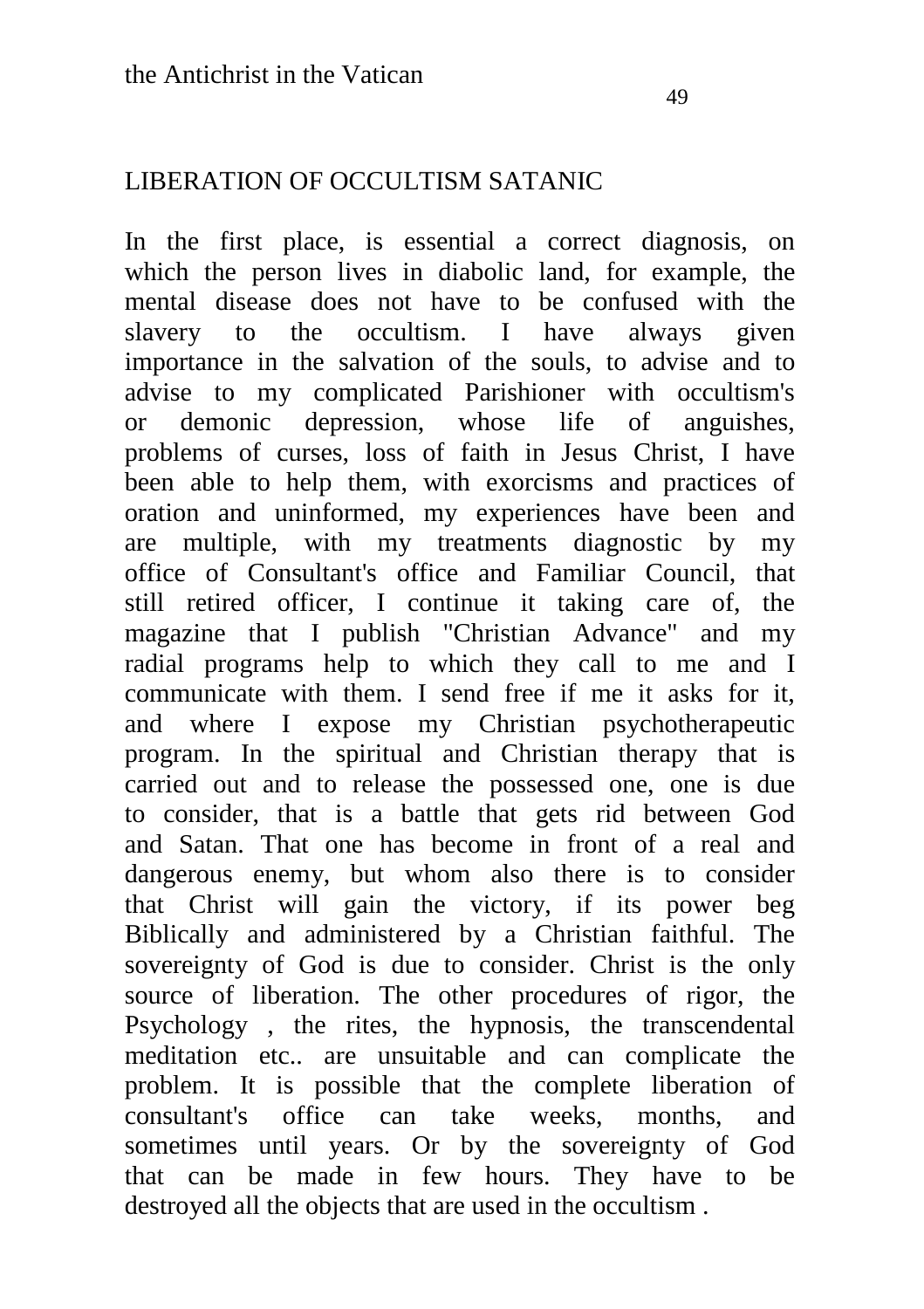## LIBERATION OF OCCULTISM SATANIC

In the first place, is essential a correct diagnosis, on which the person lives in diabolic land, for example, the mental disease does not have to be confused with the slavery to the occultism. I have always given importance in the salvation of the souls, to advise and to advise to my complicated Parishioner with occultism's or demonic depression, whose life of anguishes, problems of curses, loss of faith in Jesus Christ, I have been able to help them, with exorcisms and practices of oration and uninformed, my experiences have been and are multiple, with my treatments diagnostic by my office of Consultant's office and Familiar Council, that still retired officer, I continue it taking care of, the magazine that I publish "Christian Advance" and my radial programs help to which they call to me and I communicate with them. I send free if me it asks for it, and where I expose my Christian psychotherapeutic program. In the spiritual and Christian therapy that is carried out and to release the possessed one, one is due to consider, that is a battle that gets rid between God and Satan. That one has become in front of a real and dangerous enemy, but whom also there is to consider that Christ will gain the victory, if its power beg Biblically and administered by a Christian faithful. The sovereignty of God is due to consider. Christ is the only source of liberation. The other procedures of rigor, the Psychology , the rites, the hypnosis, the transcendental meditation etc.. are unsuitable and can complicate the problem. It is possible that the complete liberation of consultant's office can take weeks, months, and sometimes until years. Or by the sovereignty of God that can be made in few hours. They have to be destroyed all the objects that are used in the occultism .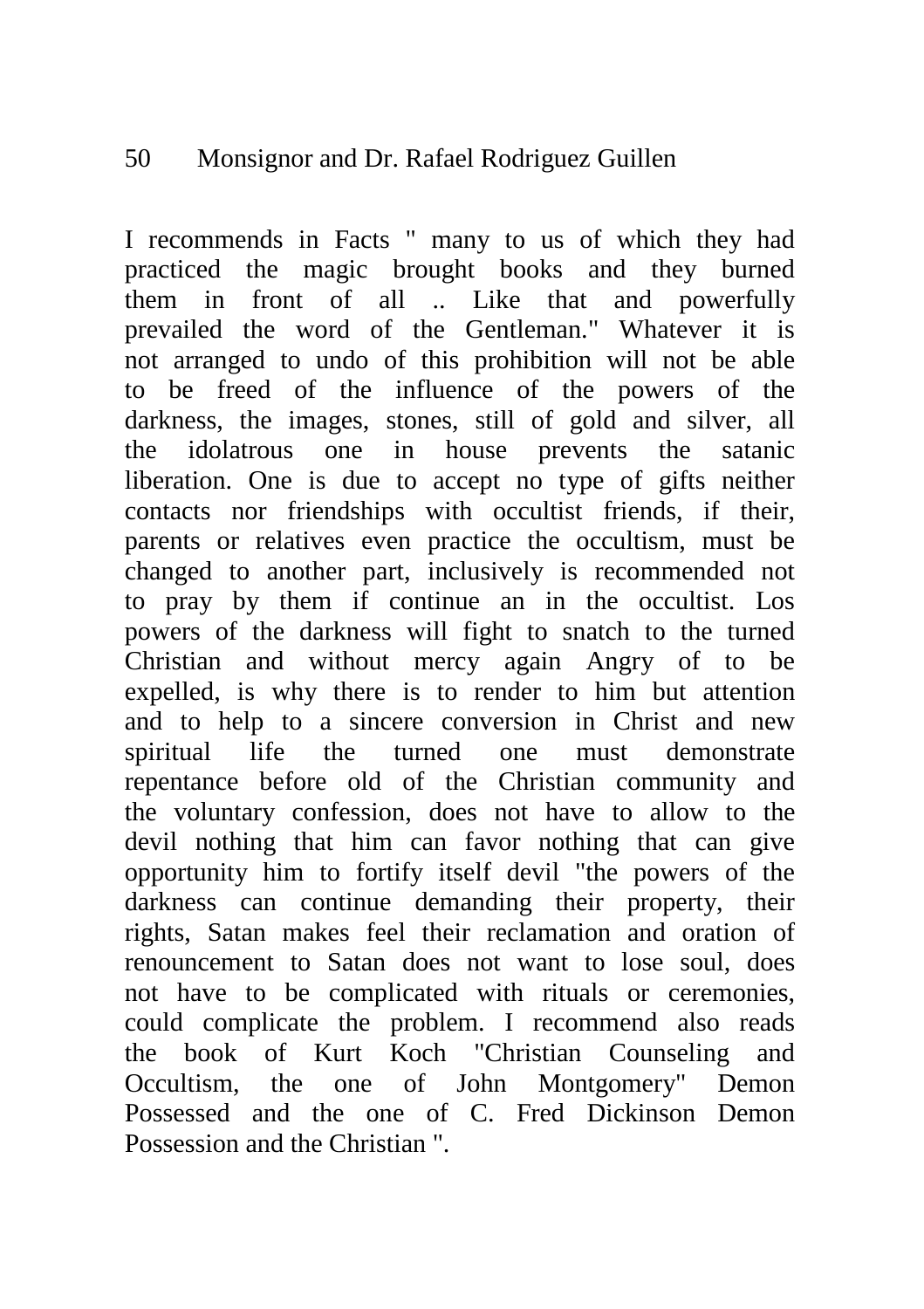#### 50 Monsignor and Dr. Rafael Rodriguez Guillen

I recommends in Facts " many to us of which they had practiced the magic brought books and they burned them in front of all .. Like that and powerfully prevailed the word of the Gentleman." Whatever it is not arranged to undo of this prohibition will not be able to be freed of the influence of the powers of the darkness, the images, stones, still of gold and silver, all the idolatrous one in house prevents the satanic liberation. One is due to accept no type of gifts neither contacts nor friendships with occultist friends, if their, parents or relatives even practice the occultism, must be changed to another part, inclusively is recommended not to pray by them if continue an in the occultist. Los powers of the darkness will fight to snatch to the turned Christian and without mercy again Angry of to be expelled, is why there is to render to him but attention and to help to a sincere conversion in Christ and new spiritual life the turned one must demonstrate repentance before old of the Christian community and the voluntary confession, does not have to allow to the devil nothing that him can favor nothing that can give opportunity him to fortify itself devil "the powers of the darkness can continue demanding their property, their rights, Satan makes feel their reclamation and oration of renouncement to Satan does not want to lose soul, does not have to be complicated with rituals or ceremonies, could complicate the problem. I recommend also reads the book of Kurt Koch "Christian Counseling and Occultism, the one of John Montgomery" Demon Possessed and the one of C. Fred Dickinson Demon Possession and the Christian ".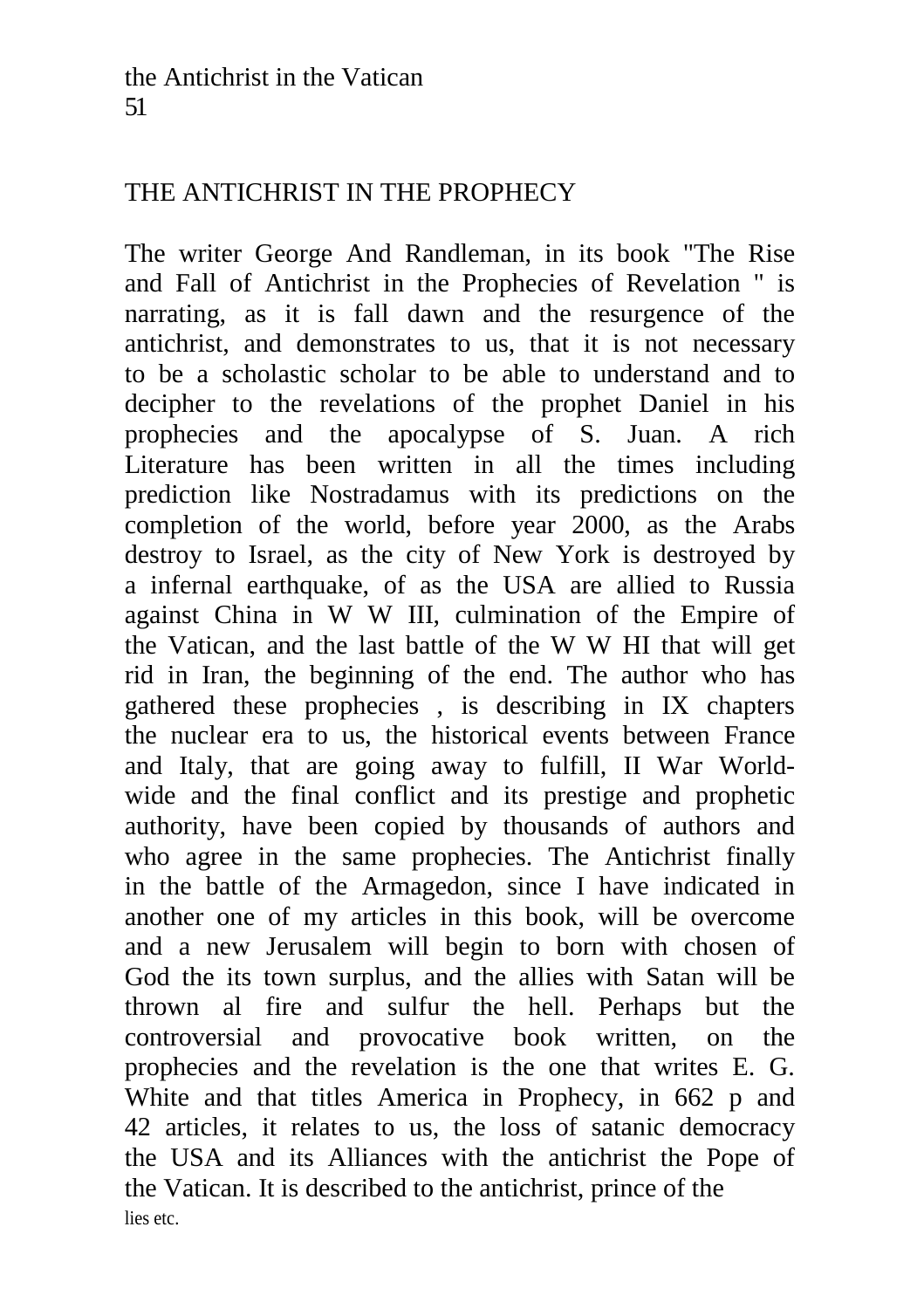# THE ANTICHRIST IN THE PROPHECY

The writer George And Randleman, in its book "The Rise and Fall of Antichrist in the Prophecies of Revelation " is narrating, as it is fall dawn and the resurgence of the antichrist, and demonstrates to us, that it is not necessary to be a scholastic scholar to be able to understand and to decipher to the revelations of the prophet Daniel in his prophecies and the apocalypse of S. Juan. A rich Literature has been written in all the times including prediction like Nostradamus with its predictions on the completion of the world, before year 2000, as the Arabs destroy to Israel, as the city of New York is destroyed by a infernal earthquake, of as the USA are allied to Russia against China in W W III, culmination of the Empire of the Vatican, and the last battle of the W W HI that will get rid in Iran, the beginning of the end. The author who has gathered these prophecies , is describing in IX chapters the nuclear era to us, the historical events between France and Italy, that are going away to fulfill, II War Worldwide and the final conflict and its prestige and prophetic authority, have been copied by thousands of authors and who agree in the same prophecies. The Antichrist finally in the battle of the Armagedon, since I have indicated in another one of my articles in this book, will be overcome and a new Jerusalem will begin to born with chosen of God the its town surplus, and the allies with Satan will be thrown al fire and sulfur the hell. Perhaps but the controversial and provocative book written, on the prophecies and the revelation is the one that writes E. G. White and that titles America in Prophecy, in 662 p and 42 articles, it relates to us, the loss of satanic democracy the USA and its Alliances with the antichrist the Pope of the Vatican. It is described to the antichrist, prince of the lies etc.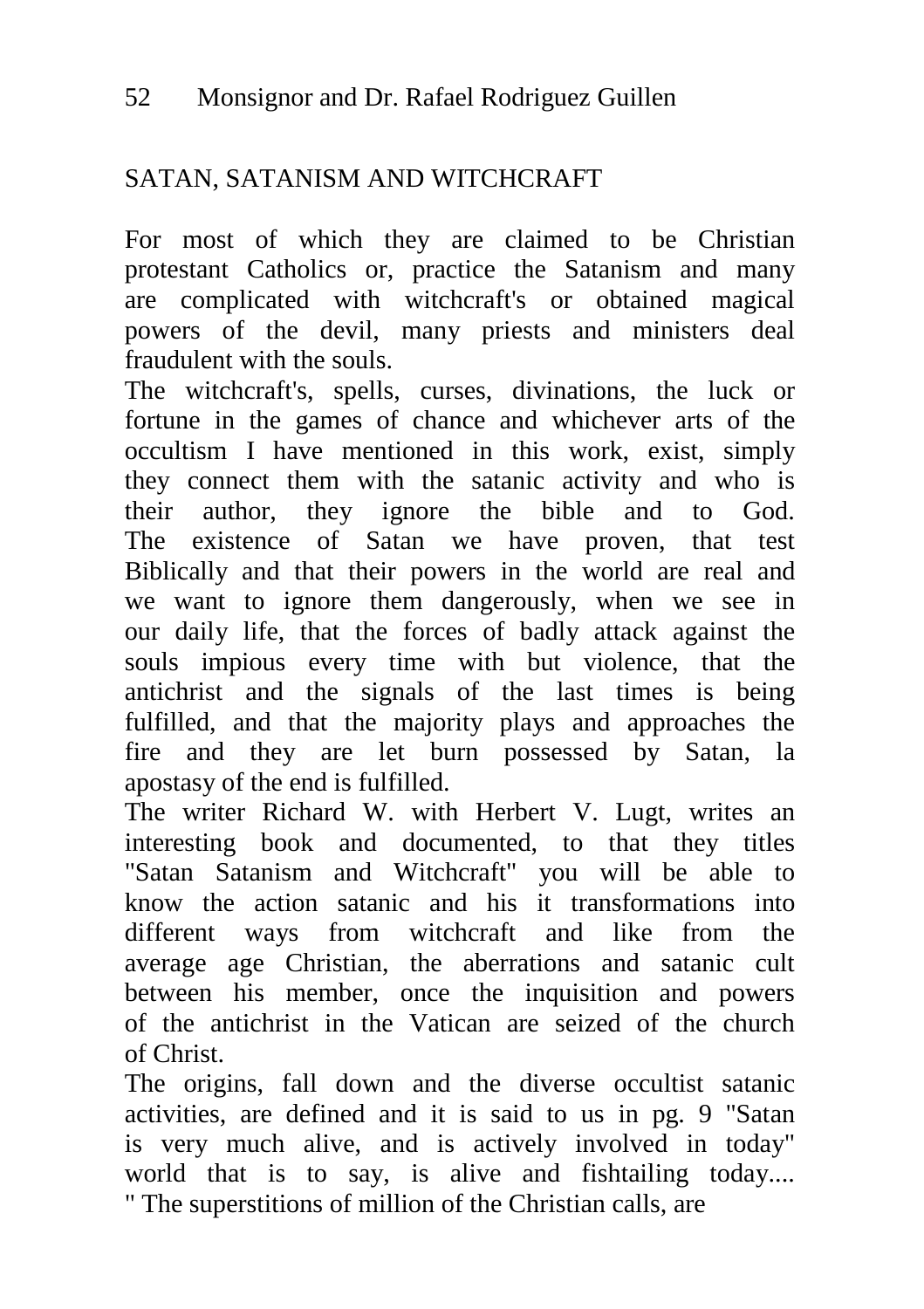# SATAN, SATANISM AND WITCHCRAFT

For most of which they are claimed to be Christian protestant Catholics or, practice the Satanism and many are complicated with witchcraft's or obtained magical powers of the devil, many priests and ministers deal fraudulent with the souls.

The witchcraft's, spells, curses, divinations, the luck or fortune in the games of chance and whichever arts of the occultism I have mentioned in this work, exist, simply they connect them with the satanic activity and who is their author, they ignore the bible and to God. The existence of Satan we have proven, that test Biblically and that their powers in the world are real and we want to ignore them dangerously, when we see in our daily life, that the forces of badly attack against the souls impious every time with but violence, that the antichrist and the signals of the last times is being fulfilled, and that the majority plays and approaches the fire and they are let burn possessed by Satan, la apostasy of the end is fulfilled.

The writer Richard W. with Herbert V. Lugt, writes an interesting book and documented, to that they titles "Satan Satanism and Witchcraft" you will be able to know the action satanic and his it transformations into different ways from witchcraft and like from the average age Christian, the aberrations and satanic cult between his member, once the inquisition and powers of the antichrist in the Vatican are seized of the church of Christ.

The origins, fall down and the diverse occultist satanic activities, are defined and it is said to us in pg. 9 "Satan is very much alive, and is actively involved in today" world that is to say, is alive and fishtailing today.... " The superstitions of million of the Christian calls, are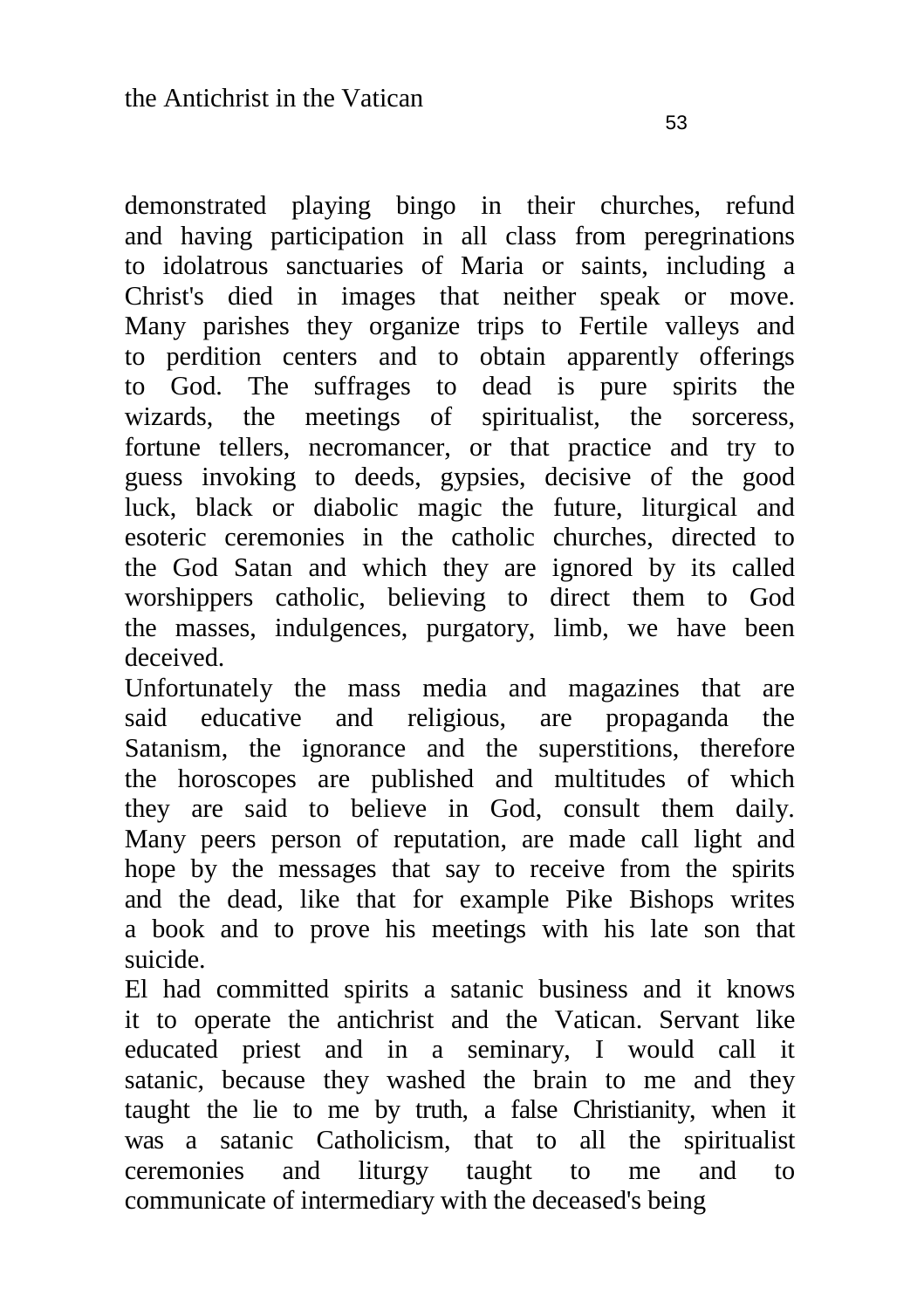demonstrated playing bingo in their churches, refund and having participation in all class from peregrinations to idolatrous sanctuaries of Maria or saints, including a Christ's died in images that neither speak or move. Many parishes they organize trips to Fertile valleys and to perdition centers and to obtain apparently offerings to God. The suffrages to dead is pure spirits the wizards, the meetings of spiritualist, the sorceress, fortune tellers, necromancer, or that practice and try to guess invoking to deeds, gypsies, decisive of the good luck, black or diabolic magic the future, liturgical and esoteric ceremonies in the catholic churches, directed to the God Satan and which they are ignored by its called worshippers catholic, believing to direct them to God the masses, indulgences, purgatory, limb, we have been deceived.

Unfortunately the mass media and magazines that are said educative and religious, are propaganda the Satanism, the ignorance and the superstitions, therefore the horoscopes are published and multitudes of which they are said to believe in God, consult them daily. Many peers person of reputation, are made call light and hope by the messages that say to receive from the spirits and the dead, like that for example Pike Bishops writes a book and to prove his meetings with his late son that suicide.

El had committed spirits a satanic business and it knows it to operate the antichrist and the Vatican. Servant like educated priest and in a seminary, I would call it satanic, because they washed the brain to me and they taught the lie to me by truth, a false Christianity, when it was a satanic Catholicism, that to all the spiritualist ceremonies and liturgy taught to me and to communicate of intermediary with the deceased's being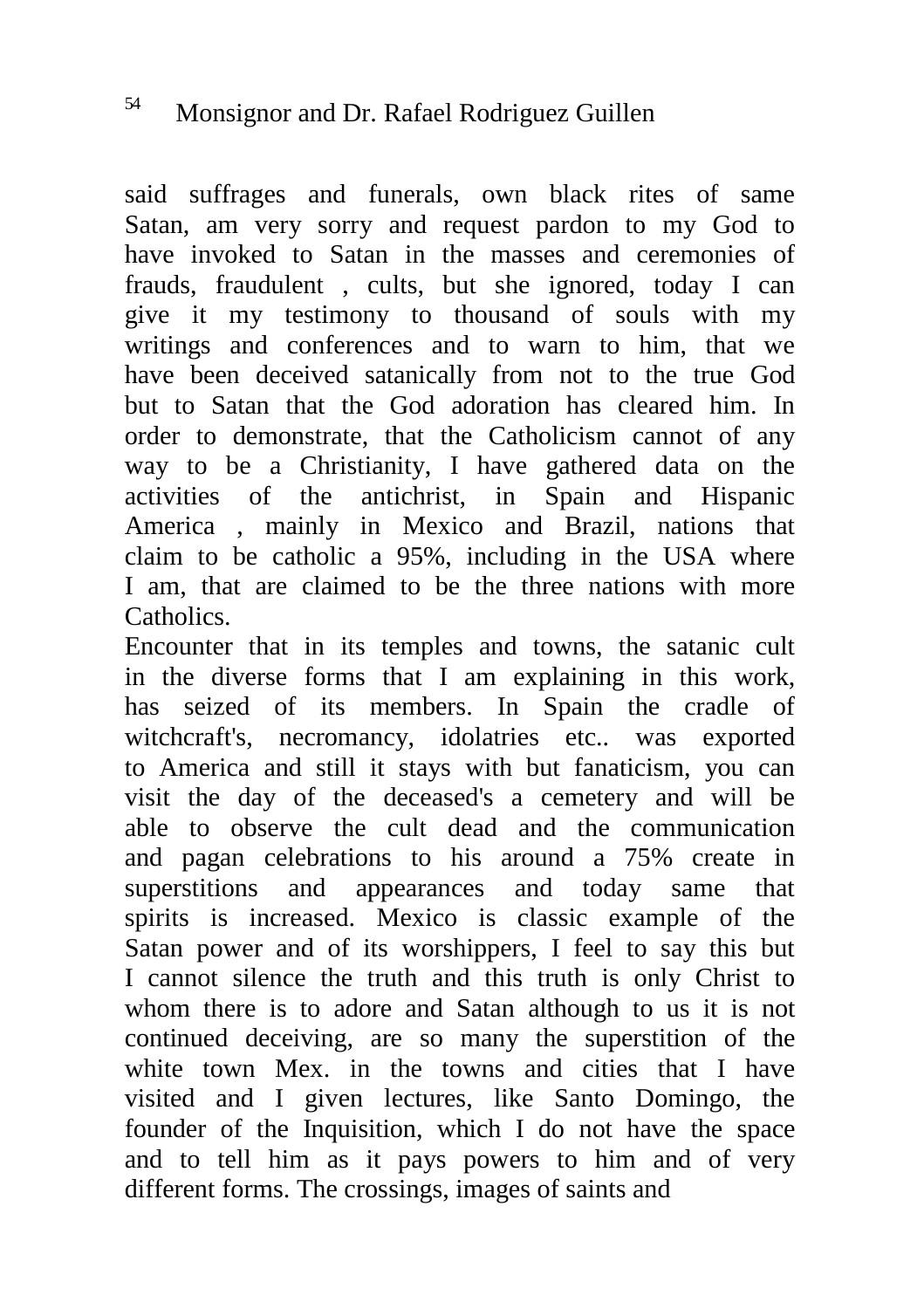said suffrages and funerals, own black rites of same Satan, am very sorry and request pardon to my God to have invoked to Satan in the masses and ceremonies of frauds, fraudulent , cults, but she ignored, today I can give it my testimony to thousand of souls with my writings and conferences and to warn to him, that we have been deceived satanically from not to the true God but to Satan that the God adoration has cleared him. In order to demonstrate, that the Catholicism cannot of any way to be a Christianity, I have gathered data on the activities of the antichrist, in Spain and Hispanic America , mainly in Mexico and Brazil, nations that claim to be catholic a 95%, including in the USA where I am, that are claimed to be the three nations with more Catholics.

Encounter that in its temples and towns, the satanic cult in the diverse forms that I am explaining in this work, has seized of its members. In Spain the cradle of witchcraft's, necromancy, idolatries etc.. was exported to America and still it stays with but fanaticism, you can visit the day of the deceased's a cemetery and will be able to observe the cult dead and the communication and pagan celebrations to his around a 75% create in superstitions and appearances and today same that spirits is increased. Mexico is classic example of the Satan power and of its worshippers, I feel to say this but I cannot silence the truth and this truth is only Christ to whom there is to adore and Satan although to us it is not continued deceiving, are so many the superstition of the white town Mex. in the towns and cities that I have visited and I given lectures, like Santo Domingo, the founder of the Inquisition, which I do not have the space and to tell him as it pays powers to him and of very different forms. The crossings, images of saints and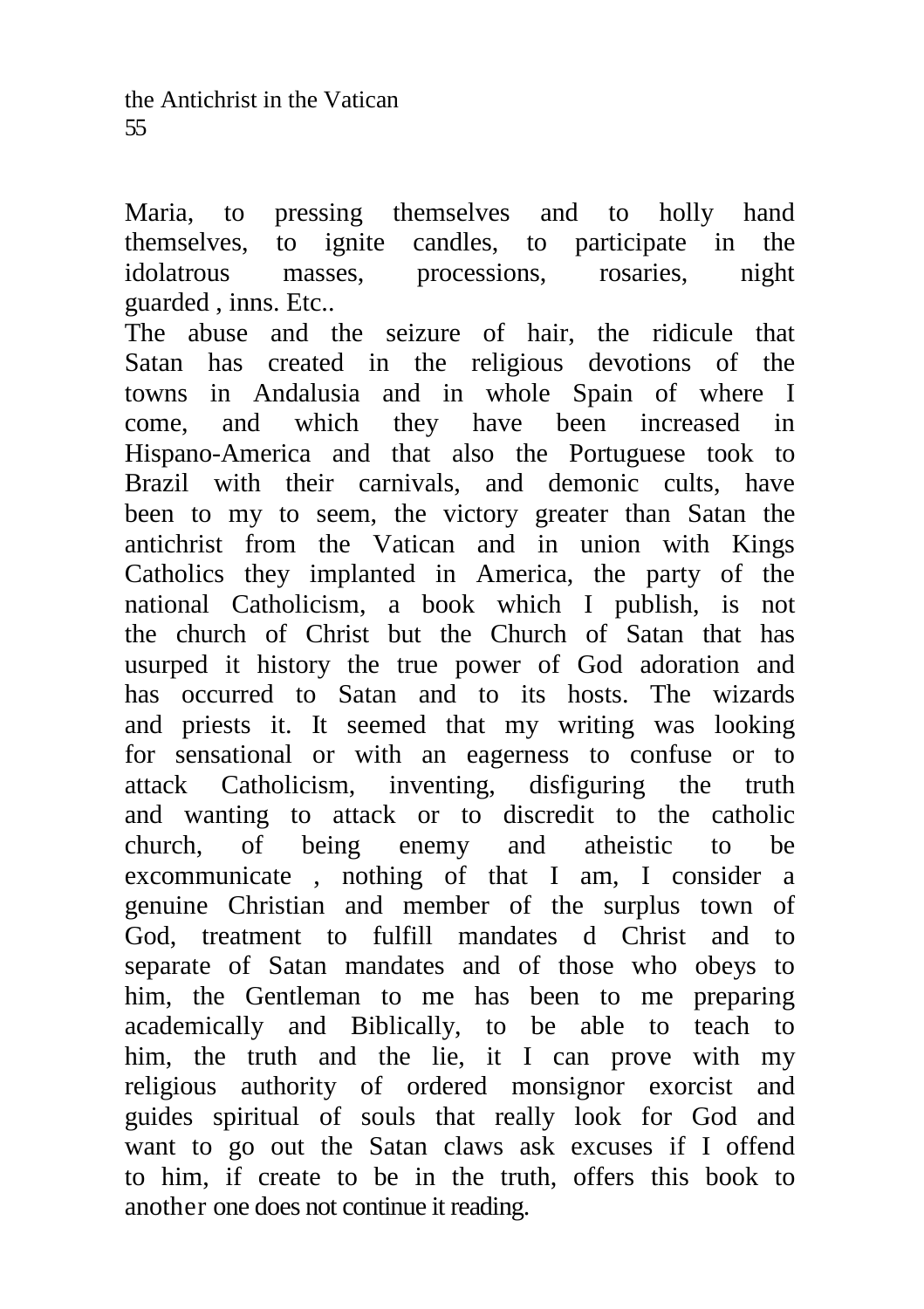Maria, to pressing themselves and to holly hand themselves, to ignite candles, to participate in the idolatrous masses, processions, rosaries, night guarded , inns. Etc..

The abuse and the seizure of hair, the ridicule that Satan has created in the religious devotions of the towns in Andalusia and in whole Spain of where I come, and which they have been increased in Hispano-America and that also the Portuguese took to Brazil with their carnivals, and demonic cults, have been to my to seem, the victory greater than Satan the antichrist from the Vatican and in union with Kings Catholics they implanted in America, the party of the national Catholicism, a book which I publish, is not the church of Christ but the Church of Satan that has usurped it history the true power of God adoration and has occurred to Satan and to its hosts. The wizards and priests it. It seemed that my writing was looking for sensational or with an eagerness to confuse or to attack Catholicism, inventing, disfiguring the truth and wanting to attack or to discredit to the catholic church, of being enemy and atheistic to be excommunicate , nothing of that I am, I consider a genuine Christian and member of the surplus town of God, treatment to fulfill mandates d Christ and to separate of Satan mandates and of those who obeys to him, the Gentleman to me has been to me preparing academically and Biblically, to be able to teach to him, the truth and the lie, it I can prove with my religious authority of ordered monsignor exorcist and guides spiritual of souls that really look for God and want to go out the Satan claws ask excuses if I offend to him, if create to be in the truth, offers this book to another one does not continue it reading.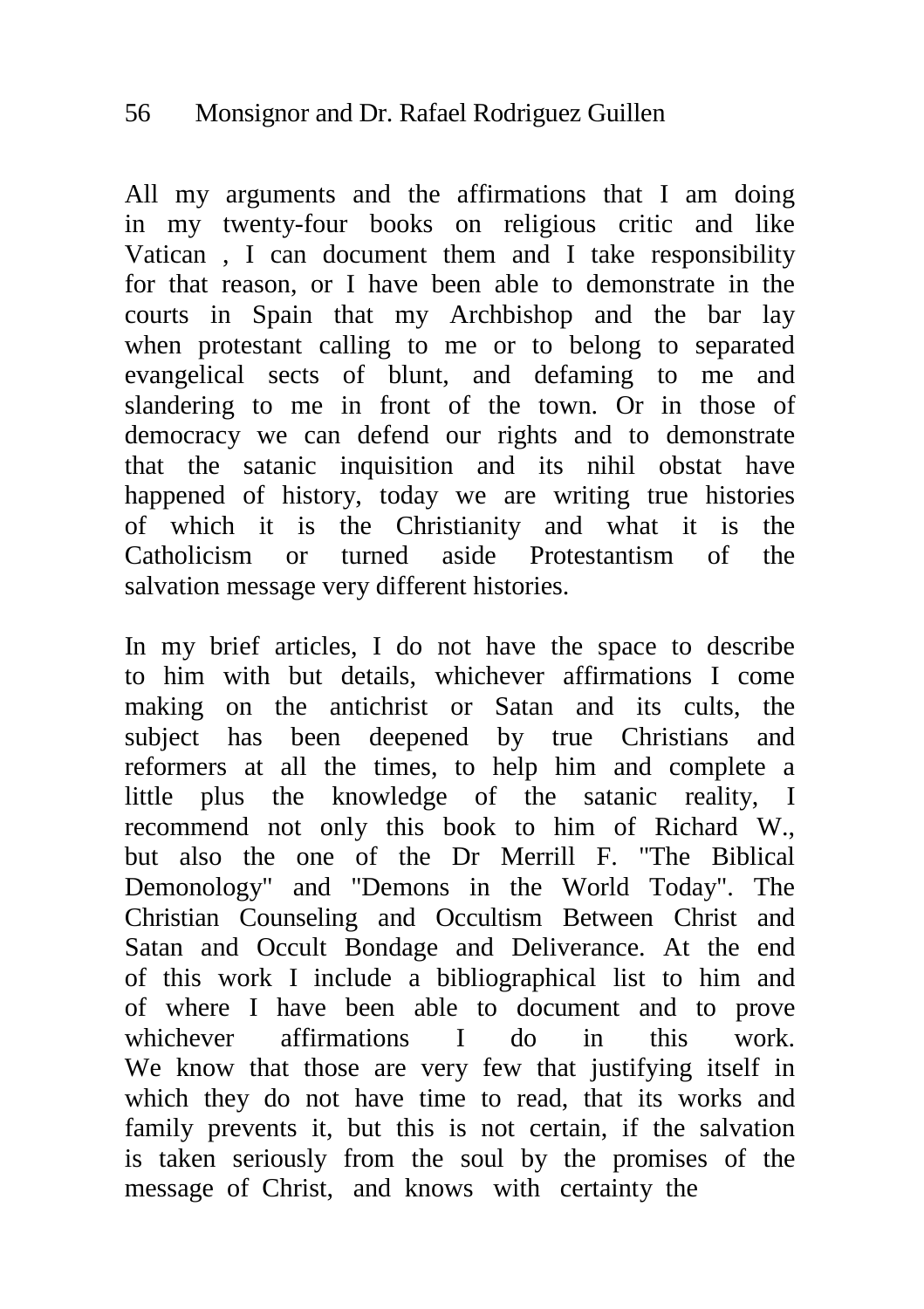# 56 Monsignor and Dr. Rafael Rodriguez Guillen

All my arguments and the affirmations that I am doing in my twenty-four books on religious critic and like Vatican , I can document them and I take responsibility for that reason, or I have been able to demonstrate in the courts in Spain that my Archbishop and the bar lay when protestant calling to me or to belong to separated evangelical sects of blunt, and defaming to me and slandering to me in front of the town. Or in those of democracy we can defend our rights and to demonstrate that the satanic inquisition and its nihil obstat have happened of history, today we are writing true histories of which it is the Christianity and what it is the Catholicism or turned aside Protestantism of the salvation message very different histories.

In my brief articles, I do not have the space to describe to him with but details, whichever affirmations I come making on the antichrist or Satan and its cults, the subject has been deepened by true Christians and reformers at all the times, to help him and complete a little plus the knowledge of the satanic reality, I recommend not only this book to him of Richard W., but also the one of the Dr Merrill F. "The Biblical Demonology" and "Demons in the World Today". The Christian Counseling and Occultism Between Christ and Satan and Occult Bondage and Deliverance. At the end of this work I include a bibliographical list to him and of where I have been able to document and to prove whichever affirmations I do in this work. We know that those are very few that justifying itself in which they do not have time to read, that its works and family prevents it, but this is not certain, if the salvation is taken seriously from the soul by the promises of the message of Christ, and knows with certainty the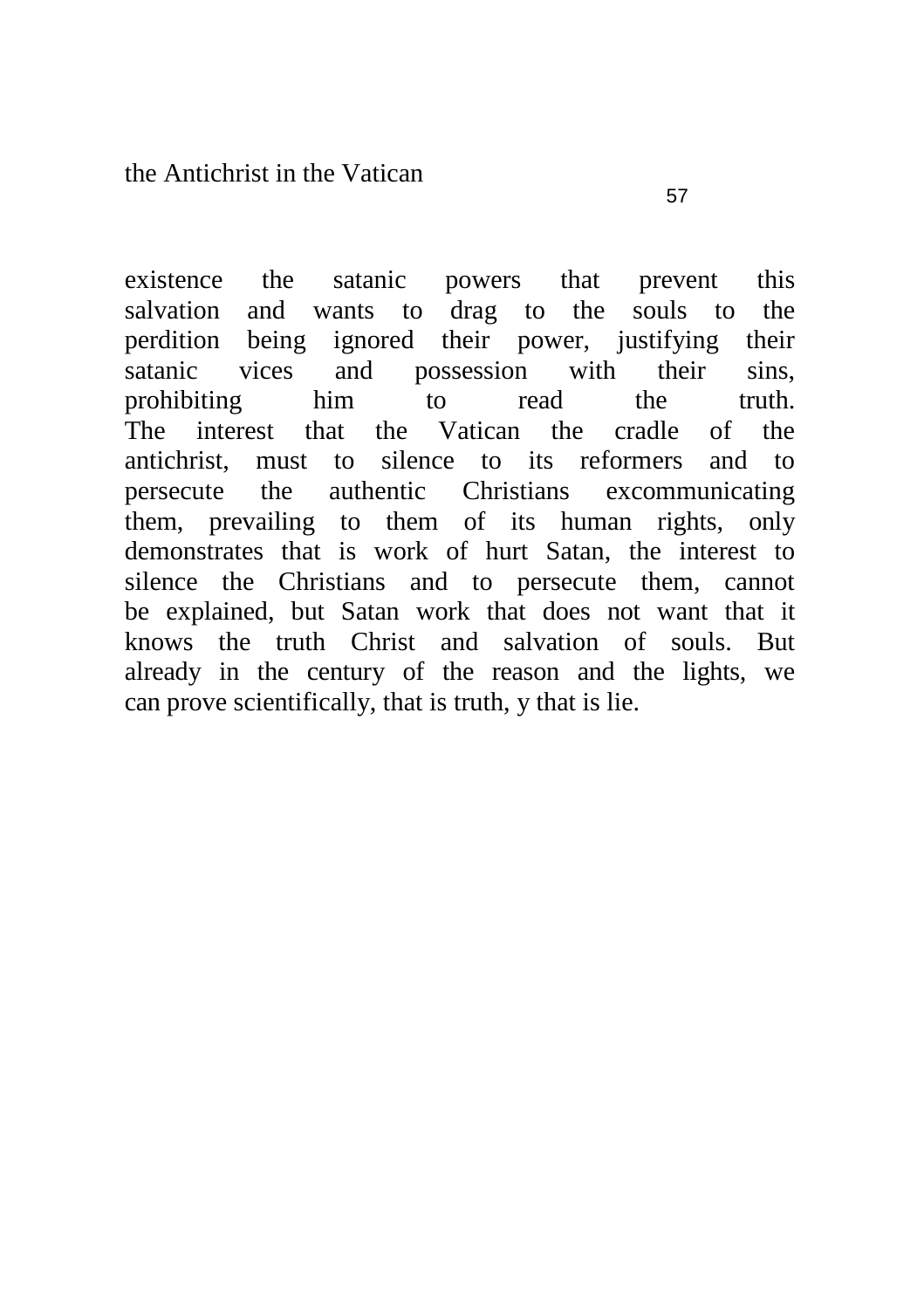existence the satanic powers that prevent this salvation and wants to drag to the souls to the perdition being ignored their power, justifying their satanic vices and possession with their sins, prohibiting him to read the truth. The interest that the Vatican the cradle of the antichrist, must to silence to its reformers and to persecute the authentic Christians excommunicating them, prevailing to them of its human rights, only demonstrates that is work of hurt Satan, the interest to silence the Christians and to persecute them, cannot be explained, but Satan work that does not want that it knows the truth Christ and salvation of souls. But already in the century of the reason and the lights, we can prove scientifically, that is truth, y that is lie.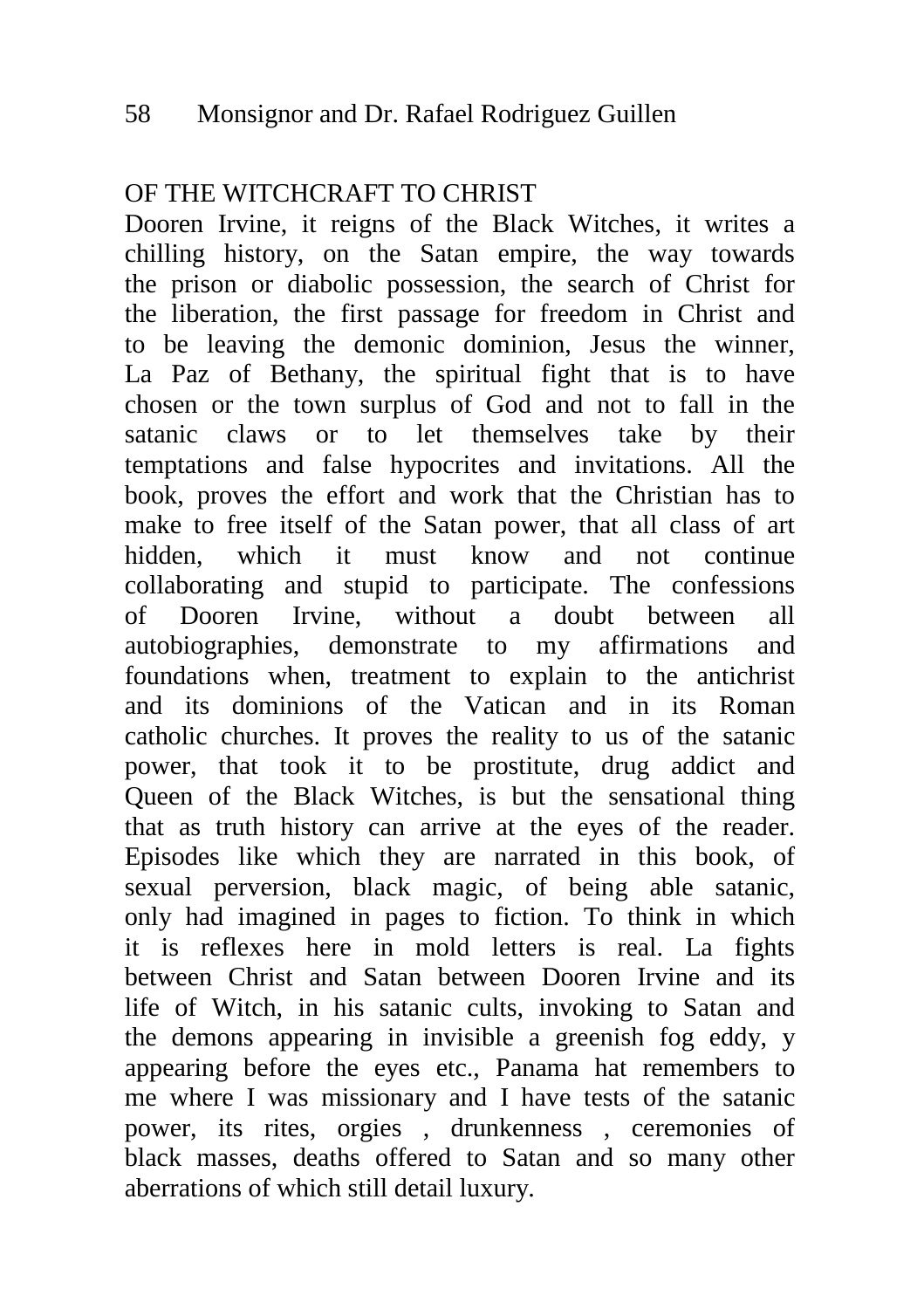### OF THE WITCHCRAFT TO CHRIST

Dooren Irvine, it reigns of the Black Witches, it writes a chilling history, on the Satan empire, the way towards the prison or diabolic possession, the search of Christ for the liberation, the first passage for freedom in Christ and to be leaving the demonic dominion, Jesus the winner, La Paz of Bethany, the spiritual fight that is to have chosen or the town surplus of God and not to fall in the satanic claws or to let themselves take by their temptations and false hypocrites and invitations. All the book, proves the effort and work that the Christian has to make to free itself of the Satan power, that all class of art hidden, which it must know and not continue collaborating and stupid to participate. The confessions of Dooren Irvine, without a doubt between all autobiographies, demonstrate to my affirmations and foundations when, treatment to explain to the antichrist and its dominions of the Vatican and in its Roman catholic churches. It proves the reality to us of the satanic power, that took it to be prostitute, drug addict and Queen of the Black Witches, is but the sensational thing that as truth history can arrive at the eyes of the reader. Episodes like which they are narrated in this book, of sexual perversion, black magic, of being able satanic, only had imagined in pages to fiction. To think in which it is reflexes here in mold letters is real. La fights between Christ and Satan between Dooren Irvine and its life of Witch, in his satanic cults, invoking to Satan and the demons appearing in invisible a greenish fog eddy, y appearing before the eyes etc., Panama hat remembers to me where I was missionary and I have tests of the satanic power, its rites, orgies , drunkenness , ceremonies of black masses, deaths offered to Satan and so many other aberrations of which still detail luxury.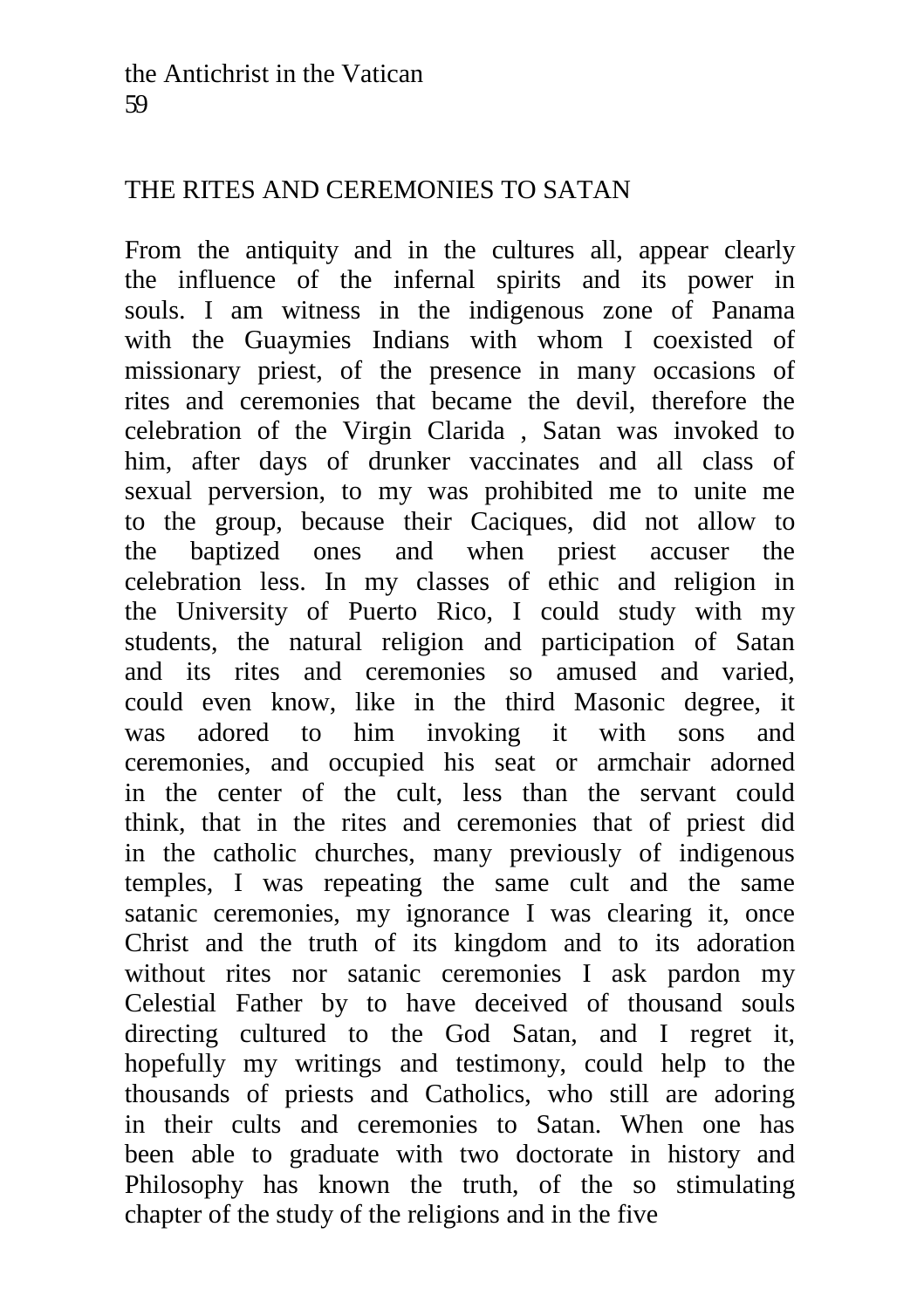# THE RITES AND CEREMONIES TO SATAN

From the antiquity and in the cultures all, appear clearly the influence of the infernal spirits and its power in souls. I am witness in the indigenous zone of Panama with the Guaymies Indians with whom I coexisted of missionary priest, of the presence in many occasions of rites and ceremonies that became the devil, therefore the celebration of the Virgin Clarida , Satan was invoked to him, after days of drunker vaccinates and all class of sexual perversion, to my was prohibited me to unite me to the group, because their Caciques, did not allow to the baptized ones and when priest accuser the celebration less. In my classes of ethic and religion in the University of Puerto Rico, I could study with my students, the natural religion and participation of Satan and its rites and ceremonies so amused and varied, could even know, like in the third Masonic degree, it was adored to him invoking it with sons and ceremonies, and occupied his seat or armchair adorned in the center of the cult, less than the servant could think, that in the rites and ceremonies that of priest did in the catholic churches, many previously of indigenous temples, I was repeating the same cult and the same satanic ceremonies, my ignorance I was clearing it, once Christ and the truth of its kingdom and to its adoration without rites nor satanic ceremonies I ask pardon my Celestial Father by to have deceived of thousand souls directing cultured to the God Satan, and I regret it, hopefully my writings and testimony, could help to the thousands of priests and Catholics, who still are adoring in their cults and ceremonies to Satan. When one has been able to graduate with two doctorate in history and Philosophy has known the truth, of the so stimulating chapter of the study of the religions and in the five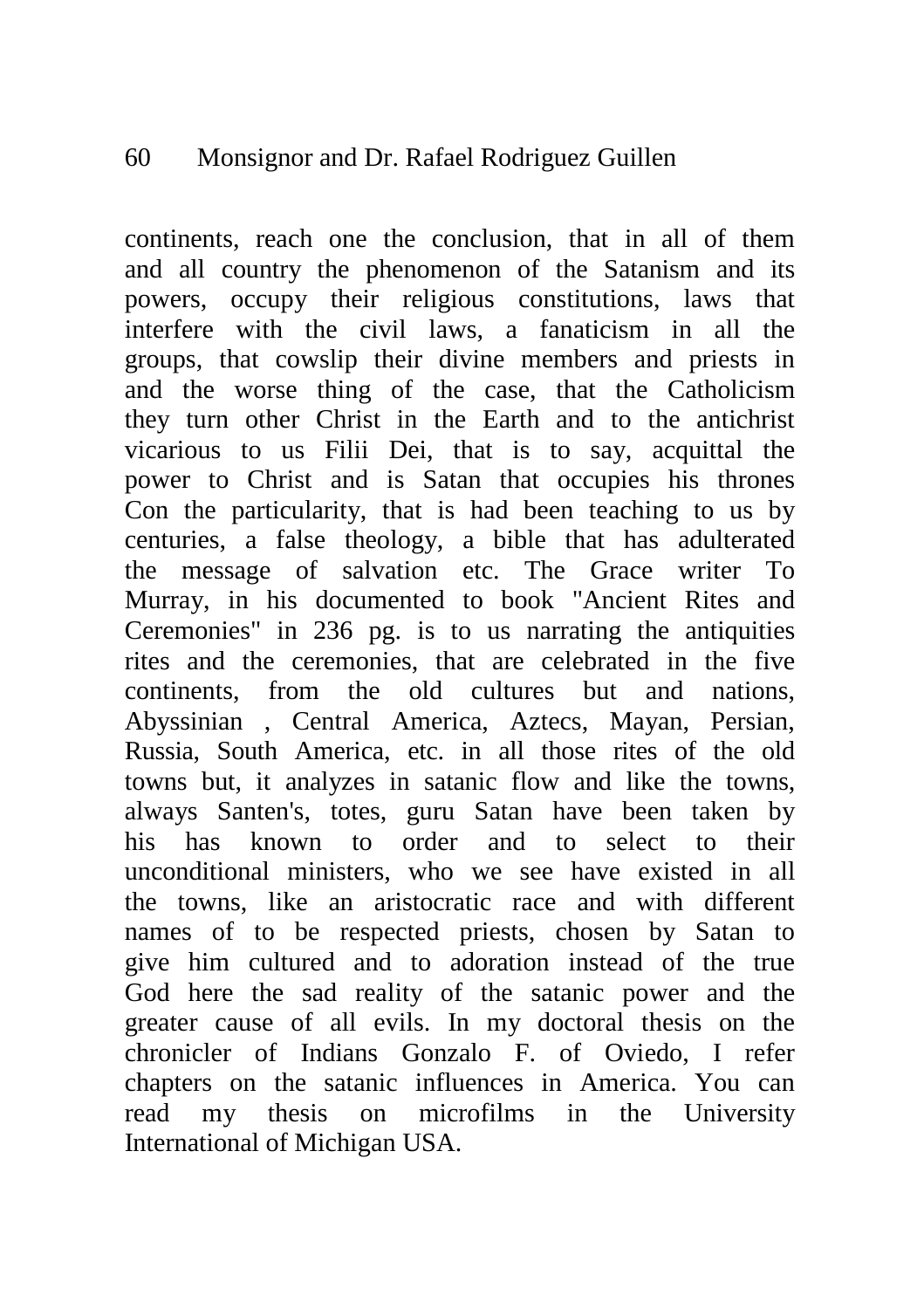#### 60 Monsignor and Dr. Rafael Rodriguez Guillen

continents, reach one the conclusion, that in all of them and all country the phenomenon of the Satanism and its powers, occupy their religious constitutions, laws that interfere with the civil laws, a fanaticism in all the groups, that cowslip their divine members and priests in and the worse thing of the case, that the Catholicism they turn other Christ in the Earth and to the antichrist vicarious to us Filii Dei, that is to say, acquittal the power to Christ and is Satan that occupies his thrones Con the particularity, that is had been teaching to us by centuries, a false theology, a bible that has adulterated the message of salvation etc. The Grace writer To Murray, in his documented to book "Ancient Rites and Ceremonies" in 236 pg. is to us narrating the antiquities rites and the ceremonies, that are celebrated in the five continents, from the old cultures but and nations, Abyssinian , Central America, Aztecs, Mayan, Persian, Russia, South America, etc. in all those rites of the old towns but, it analyzes in satanic flow and like the towns, always Santen's, totes, guru Satan have been taken by his has known to order and to select to their unconditional ministers, who we see have existed in all the towns, like an aristocratic race and with different names of to be respected priests, chosen by Satan to give him cultured and to adoration instead of the true God here the sad reality of the satanic power and the greater cause of all evils. In my doctoral thesis on the chronicler of Indians Gonzalo F. of Oviedo, I refer chapters on the satanic influences in America. You can read my thesis on microfilms in the University International of Michigan USA.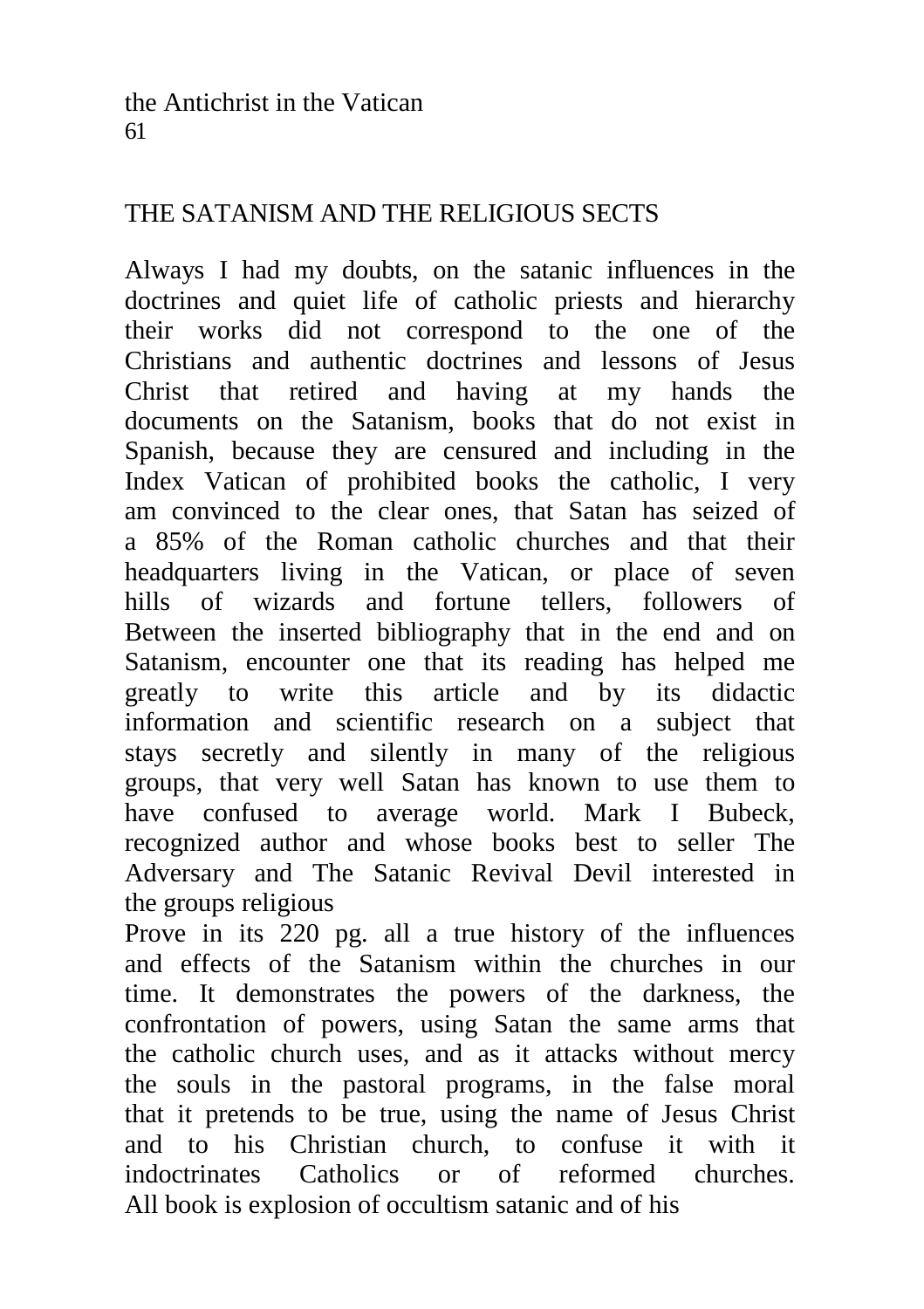# THE SATANISM AND THE RELIGIOUS SECTS

Always I had my doubts, on the satanic influences in the doctrines and quiet life of catholic priests and hierarchy their works did not correspond to the one of the Christians and authentic doctrines and lessons of Jesus Christ that retired and having at my hands the documents on the Satanism, books that do not exist in Spanish, because they are censured and including in the Index Vatican of prohibited books the catholic, I very am convinced to the clear ones, that Satan has seized of a 85% of the Roman catholic churches and that their headquarters living in the Vatican, or place of seven hills of wizards and fortune tellers, followers of Between the inserted bibliography that in the end and on Satanism, encounter one that its reading has helped me greatly to write this article and by its didactic information and scientific research on a subject that stays secretly and silently in many of the religious groups, that very well Satan has known to use them to have confused to average world. Mark I Bubeck, recognized author and whose books best to seller The Adversary and The Satanic Revival Devil interested in the groups religious

Prove in its 220 pg. all a true history of the influences and effects of the Satanism within the churches in our time. It demonstrates the powers of the darkness, the confrontation of powers, using Satan the same arms that the catholic church uses, and as it attacks without mercy the souls in the pastoral programs, in the false moral that it pretends to be true, using the name of Jesus Christ and to his Christian church, to confuse it with it indoctrinates Catholics or of reformed churches. All book is explosion of occultism satanic and of his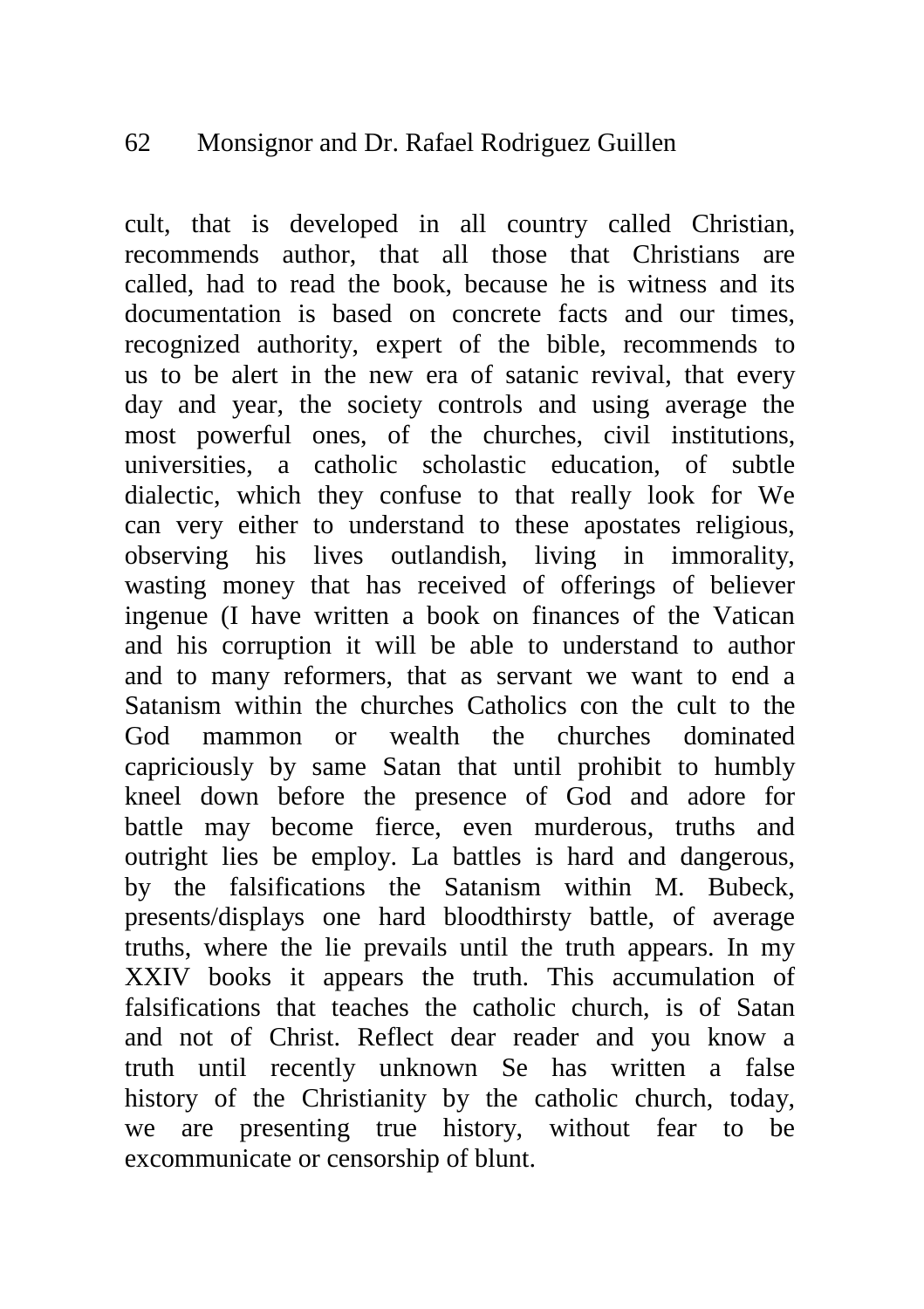### 62 Monsignor and Dr. Rafael Rodriguez Guillen

cult, that is developed in all country called Christian, recommends author, that all those that Christians are called, had to read the book, because he is witness and its documentation is based on concrete facts and our times, recognized authority, expert of the bible, recommends to us to be alert in the new era of satanic revival, that every day and year, the society controls and using average the most powerful ones, of the churches, civil institutions, universities, a catholic scholastic education, of subtle dialectic, which they confuse to that really look for We can very either to understand to these apostates religious, observing his lives outlandish, living in immorality, wasting money that has received of offerings of believer ingenue (I have written a book on finances of the Vatican and his corruption it will be able to understand to author and to many reformers, that as servant we want to end a Satanism within the churches Catholics con the cult to the God mammon or wealth the churches dominated capriciously by same Satan that until prohibit to humbly kneel down before the presence of God and adore for battle may become fierce, even murderous, truths and outright lies be employ. La battles is hard and dangerous, by the falsifications the Satanism within M. Bubeck, presents/displays one hard bloodthirsty battle, of average truths, where the lie prevails until the truth appears. In my XXIV books it appears the truth. This accumulation of falsifications that teaches the catholic church, is of Satan and not of Christ. Reflect dear reader and you know a truth until recently unknown Se has written a false history of the Christianity by the catholic church, today, we are presenting true history, without fear to be excommunicate or censorship of blunt.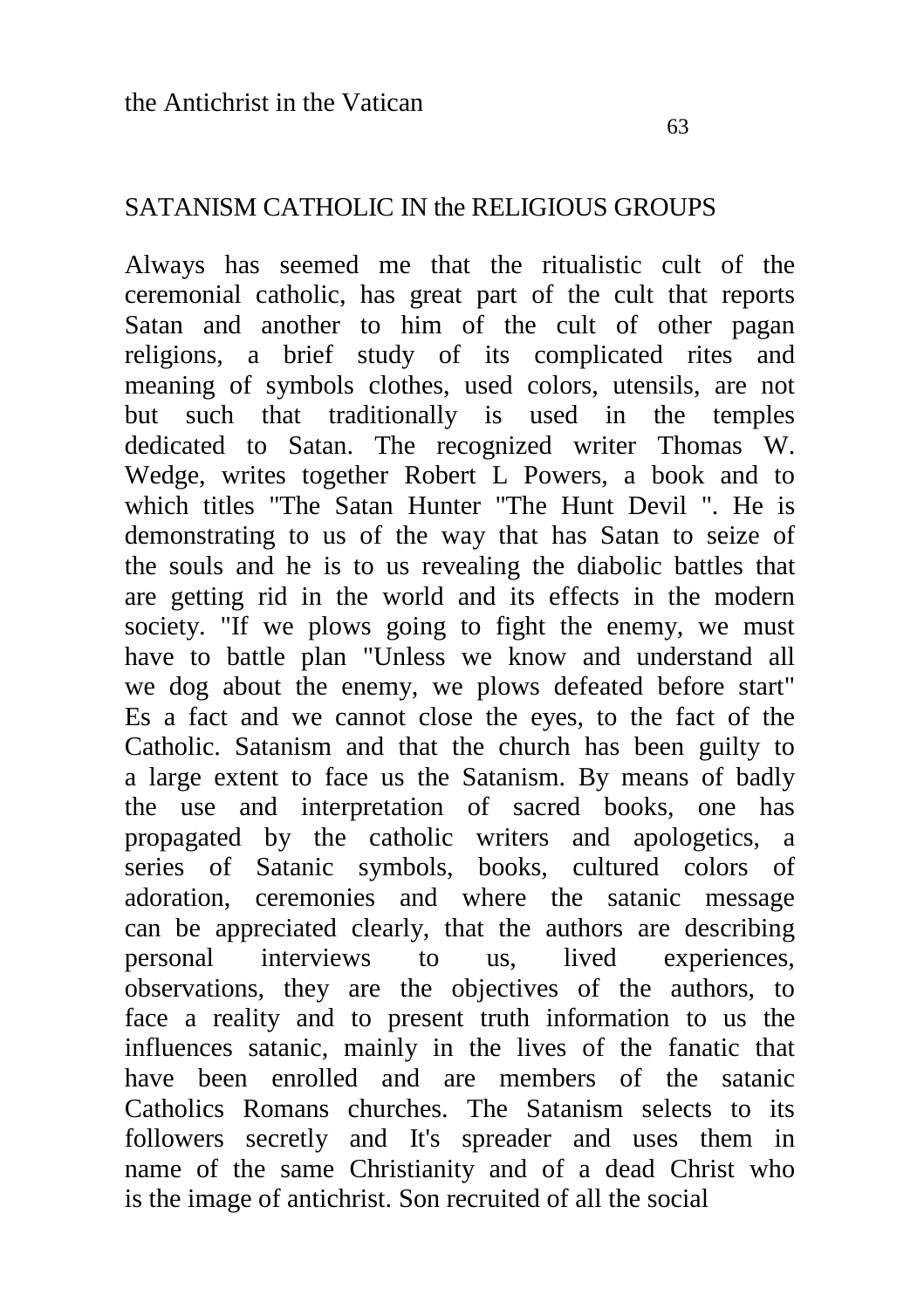### SATANISM CATHOLIC IN the RELIGIOUS GROUPS

Always has seemed me that the ritualistic cult of the ceremonial catholic, has great part of the cult that reports Satan and another to him of the cult of other pagan religions, a brief study of its complicated rites and meaning of symbols clothes, used colors, utensils, are not but such that traditionally is used in the temples dedicated to Satan. The recognized writer Thomas W. Wedge, writes together Robert L Powers, a book and to which titles "The Satan Hunter "The Hunt Devil ". He is demonstrating to us of the way that has Satan to seize of the souls and he is to us revealing the diabolic battles that are getting rid in the world and its effects in the modern society. "If we plows going to fight the enemy, we must have to battle plan "Unless we know and understand all we dog about the enemy, we plows defeated before start" Es a fact and we cannot close the eyes, to the fact of the Catholic. Satanism and that the church has been guilty to a large extent to face us the Satanism. By means of badly the use and interpretation of sacred books, one has propagated by the catholic writers and apologetics, a series of Satanic symbols, books, cultured colors of adoration, ceremonies and where the satanic message can be appreciated clearly, that the authors are describing<br>nersonal interviews to us. lived experiences personal interviews to us, lived experiences, observations, they are the objectives of the authors, to face a reality and to present truth information to us the influences satanic, mainly in the lives of the fanatic that have been enrolled and are members of the satanic Catholics Romans churches. The Satanism selects to its followers secretly and It's spreader and uses them in name of the same Christianity and of a dead Christ who is the image of antichrist. Son recruited of all the social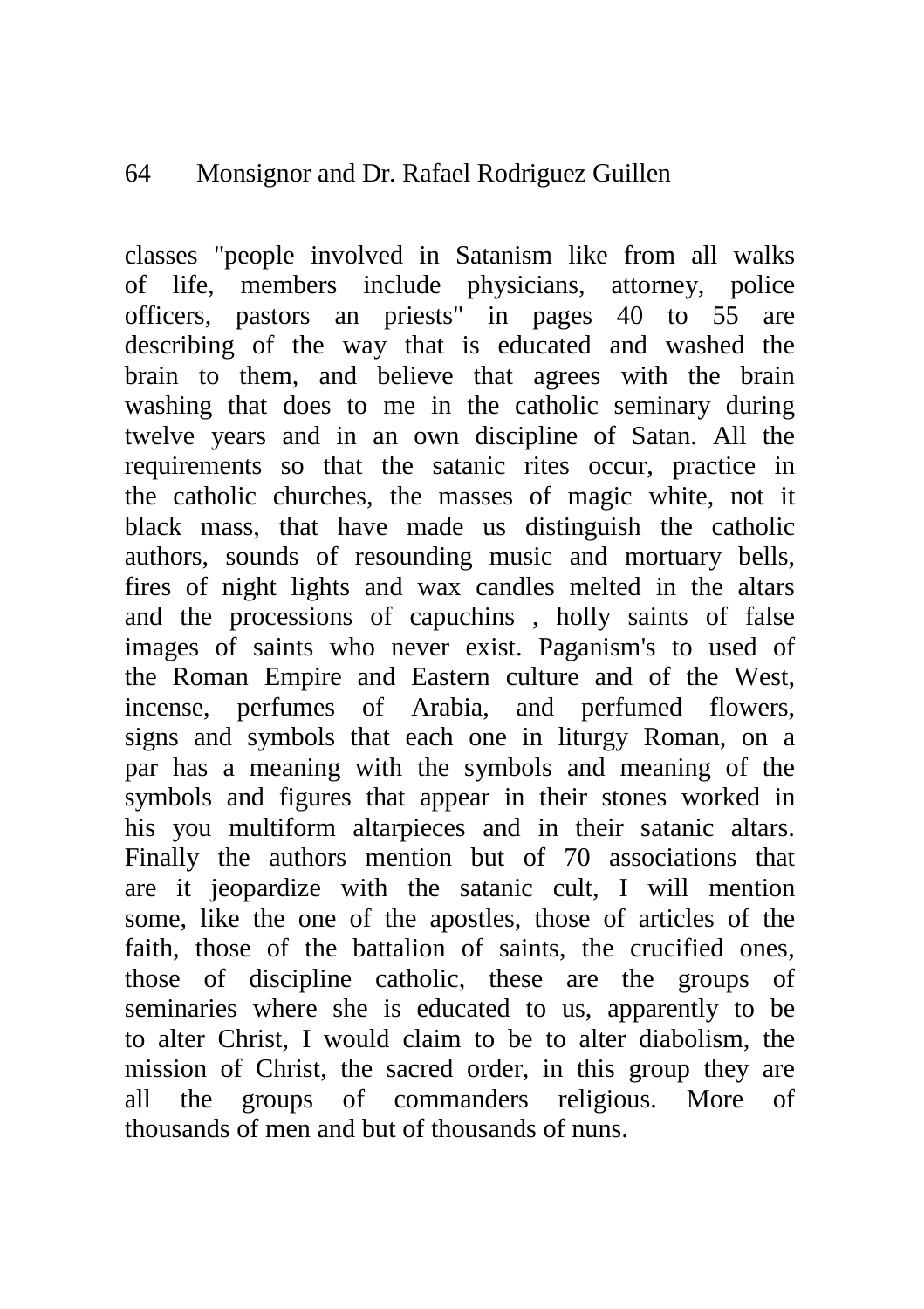#### 64 Monsignor and Dr. Rafael Rodriguez Guillen

classes "people involved in Satanism like from all walks of life, members include physicians, attorney, police officers, pastors an priests" in pages 40 to 55 are describing of the way that is educated and washed the brain to them, and believe that agrees with the brain washing that does to me in the catholic seminary during twelve years and in an own discipline of Satan. All the requirements so that the satanic rites occur, practice in the catholic churches, the masses of magic white, not it black mass, that have made us distinguish the catholic authors, sounds of resounding music and mortuary bells, fires of night lights and wax candles melted in the altars and the processions of capuchins , holly saints of false images of saints who never exist. Paganism's to used of the Roman Empire and Eastern culture and of the West, incense, perfumes of Arabia, and perfumed flowers, signs and symbols that each one in liturgy Roman, on a par has a meaning with the symbols and meaning of the symbols and figures that appear in their stones worked in his you multiform altarpieces and in their satanic altars. Finally the authors mention but of 70 associations that are it jeopardize with the satanic cult, I will mention some, like the one of the apostles, those of articles of the faith, those of the battalion of saints, the crucified ones, those of discipline catholic, these are the groups of seminaries where she is educated to us, apparently to be to alter Christ, I would claim to be to alter diabolism, the mission of Christ, the sacred order, in this group they are all the groups of commanders religious. More of thousands of men and but of thousands of nuns.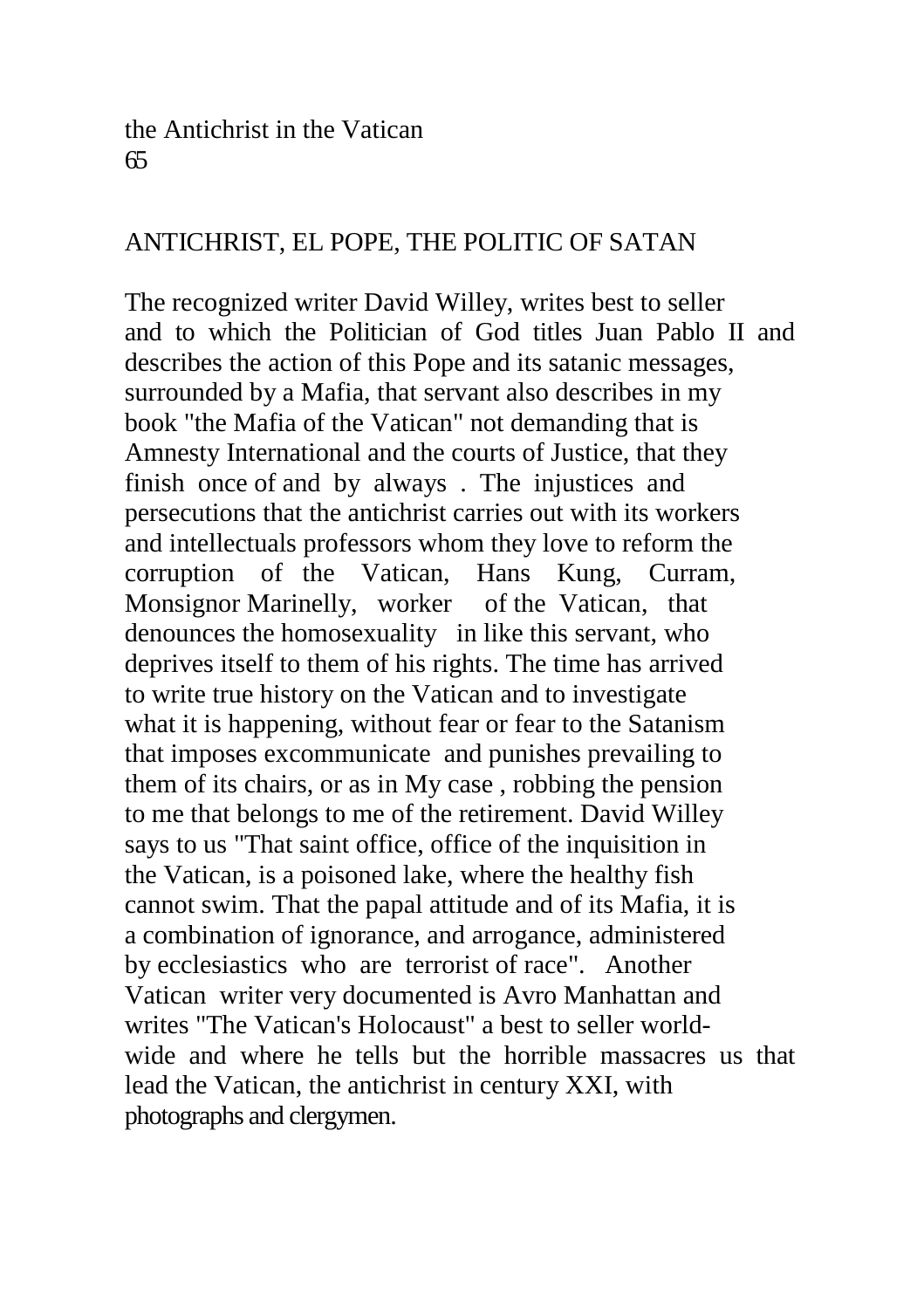#### the Antichrist in the Vatican 65

# ANTICHRIST, EL POPE, THE POLITIC OF SATAN

The recognized writer David Willey, writes best to seller and to which the Politician of God titles Juan Pablo II and describes the action of this Pope and its satanic messages, surrounded by a Mafia, that servant also describes in my book "the Mafia of the Vatican" not demanding that is Amnesty International and the courts of Justice, that they finish once of and by always . The injustices and persecutions that the antichrist carries out with its workers and intellectuals professors whom they love to reform the corruption of the Vatican, Hans Kung, Curram, Monsignor Marinelly, worker of the Vatican, that denounces the homosexuality in like this servant, who deprives itself to them of his rights. The time has arrived to write true history on the Vatican and to investigate what it is happening, without fear or fear to the Satanism that imposes excommunicate and punishes prevailing to them of its chairs, or as in My case , robbing the pension to me that belongs to me of the retirement. David Willey says to us "That saint office, office of the inquisition in the Vatican, is a poisoned lake, where the healthy fish cannot swim. That the papal attitude and of its Mafia, it is a combination of ignorance, and arrogance, administered by ecclesiastics who are terrorist of race". Another Vatican writer very documented is Avro Manhattan and writes "The Vatican's Holocaust" a best to seller worldwide and where he tells but the horrible massacres us that lead the Vatican, the antichrist in century XXI, with photographs and clergymen.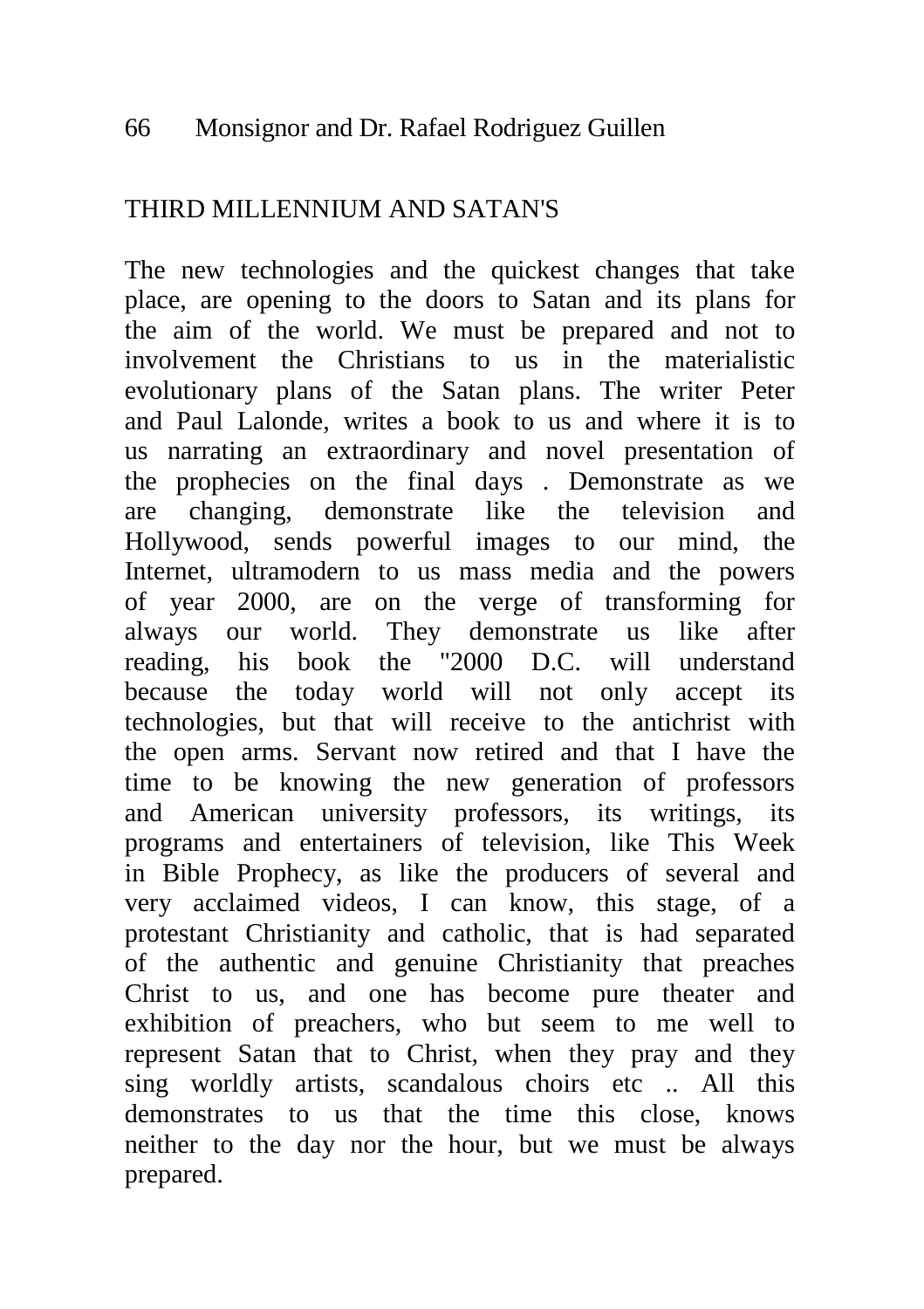# THIRD MILLENNIUM AND SATAN'S

The new technologies and the quickest changes that take place, are opening to the doors to Satan and its plans for the aim of the world. We must be prepared and not to involvement the Christians to us in the materialistic evolutionary plans of the Satan plans. The writer Peter and Paul Lalonde, writes a book to us and where it is to us narrating an extraordinary and novel presentation of the prophecies on the final days . Demonstrate as we are changing, demonstrate like the television and Hollywood, sends powerful images to our mind, the Internet, ultramodern to us mass media and the powers of year 2000, are on the verge of transforming for always our world. They demonstrate us like after reading, his book the "2000 D.C. will understand because the today world will not only accept its technologies, but that will receive to the antichrist with the open arms. Servant now retired and that I have the time to be knowing the new generation of professors and American university professors, its writings, its programs and entertainers of television, like This Week in Bible Prophecy, as like the producers of several and very acclaimed videos, I can know, this stage, of a protestant Christianity and catholic, that is had separated of the authentic and genuine Christianity that preaches Christ to us, and one has become pure theater and exhibition of preachers, who but seem to me well to represent Satan that to Christ, when they pray and they sing worldly artists, scandalous choirs etc .. All this demonstrates to us that the time this close, knows neither to the day nor the hour, but we must be always prepared.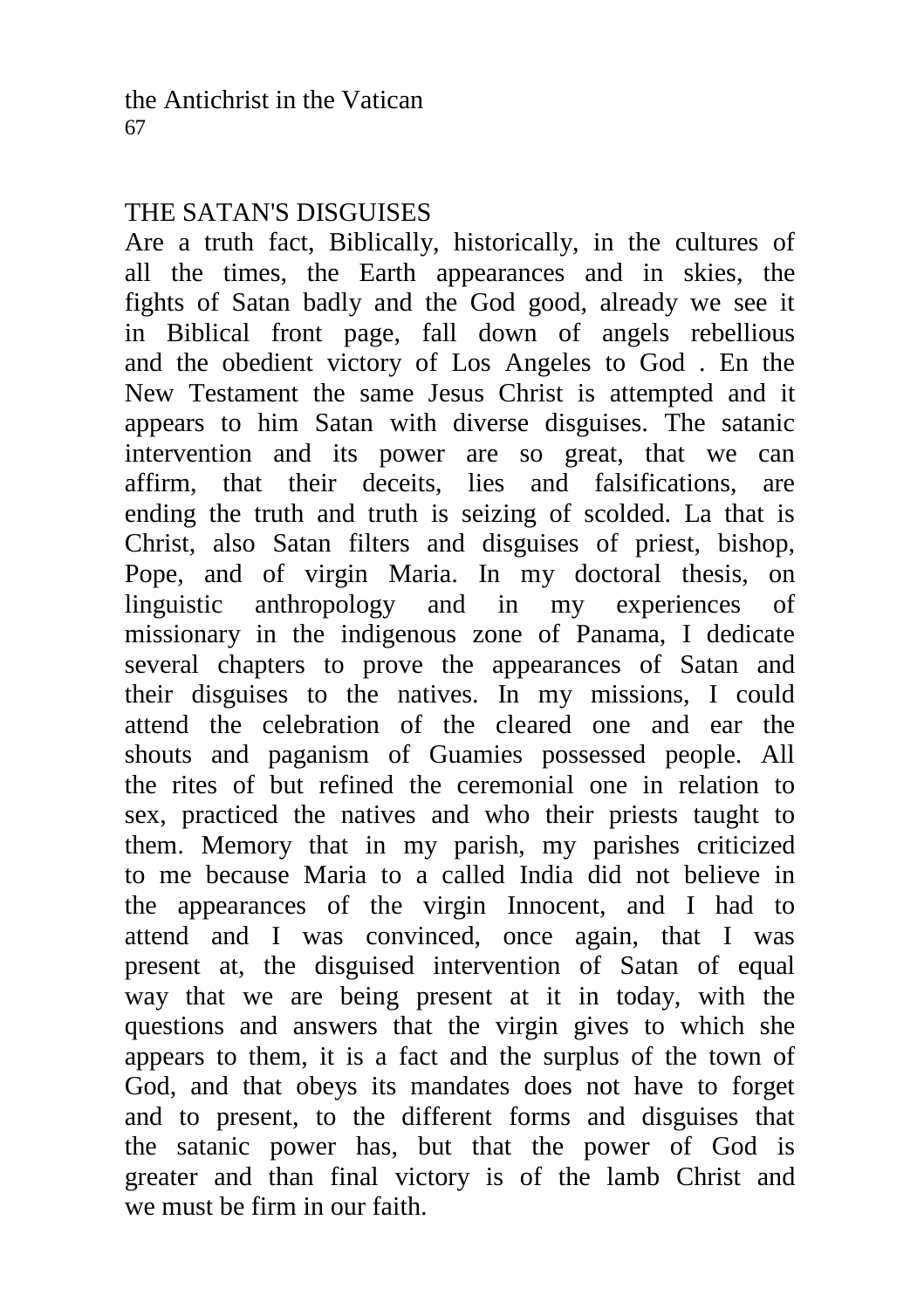# THE SATAN'S DISGUISES

Are a truth fact, Biblically, historically, in the cultures of all the times, the Earth appearances and in skies, the fights of Satan badly and the God good, already we see it in Biblical front page, fall down of angels rebellious and the obedient victory of Los Angeles to God . En the New Testament the same Jesus Christ is attempted and it appears to him Satan with diverse disguises. The satanic intervention and its power are so great, that we can affirm, that their deceits, lies and falsifications, are ending the truth and truth is seizing of scolded. La that is Christ, also Satan filters and disguises of priest, bishop, Pope, and of virgin Maria. In my doctoral thesis, on linguistic anthropology and in my experiences of missionary in the indigenous zone of Panama, I dedicate several chapters to prove the appearances of Satan and their disguises to the natives. In my missions, I could attend the celebration of the cleared one and ear the shouts and paganism of Guamies possessed people. All the rites of but refined the ceremonial one in relation to sex, practiced the natives and who their priests taught to them. Memory that in my parish, my parishes criticized to me because Maria to a called India did not believe in the appearances of the virgin Innocent, and I had to attend and I was convinced, once again, that I was present at, the disguised intervention of Satan of equal way that we are being present at it in today, with the questions and answers that the virgin gives to which she appears to them, it is a fact and the surplus of the town of God, and that obeys its mandates does not have to forget and to present, to the different forms and disguises that the satanic power has, but that the power of God is greater and than final victory is of the lamb Christ and we must be firm in our faith.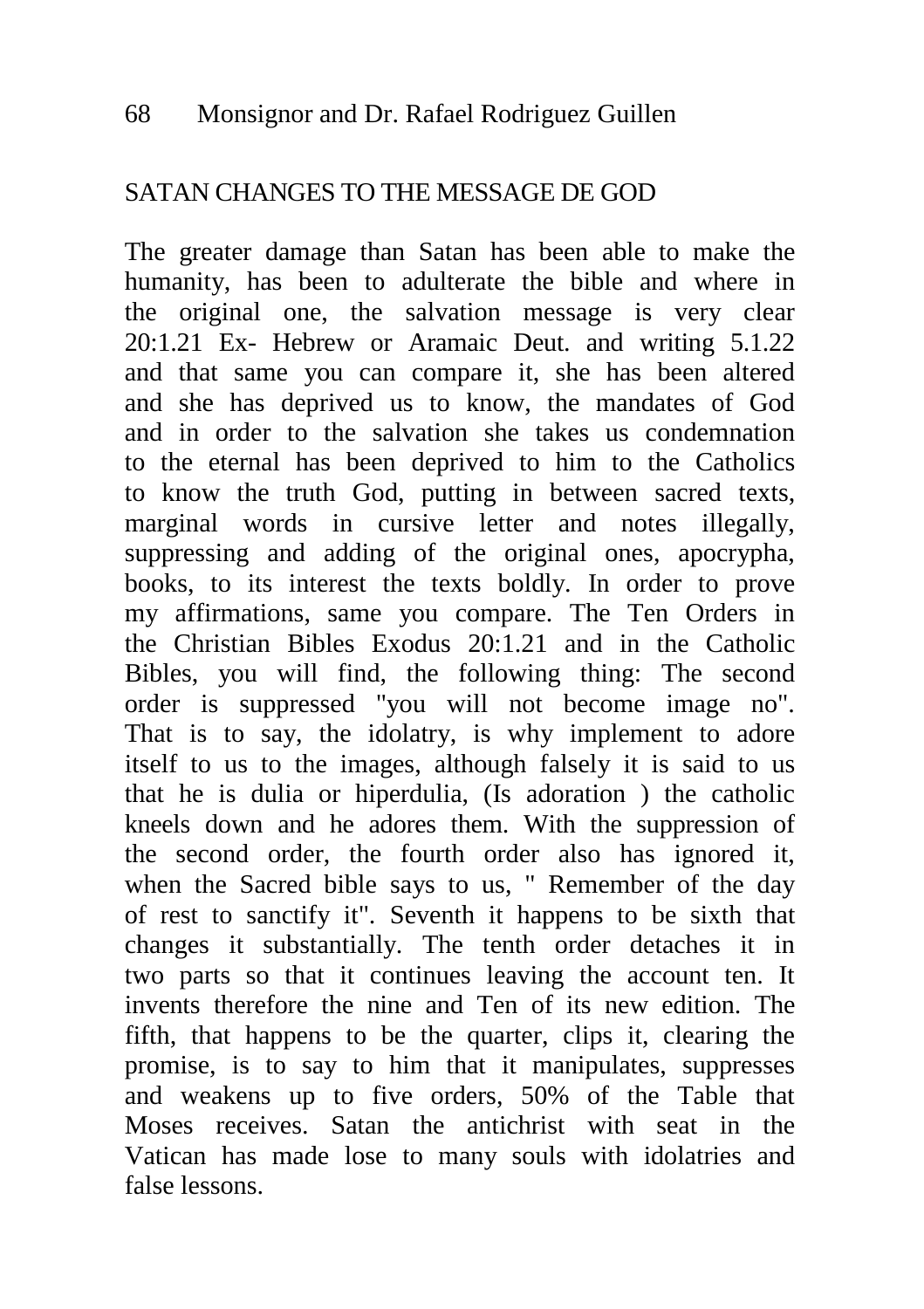## SATAN CHANGES TO THE MESSAGE DE GOD

The greater damage than Satan has been able to make the humanity, has been to adulterate the bible and where in the original one, the salvation message is very clear 20:1.21 Ex- Hebrew or Aramaic Deut. and writing 5.1.22 and that same you can compare it, she has been altered and she has deprived us to know, the mandates of God and in order to the salvation she takes us condemnation to the eternal has been deprived to him to the Catholics to know the truth God, putting in between sacred texts, marginal words in cursive letter and notes illegally, suppressing and adding of the original ones, apocrypha, books, to its interest the texts boldly. In order to prove my affirmations, same you compare. The Ten Orders in the Christian Bibles Exodus 20:1.21 and in the Catholic Bibles, you will find, the following thing: The second order is suppressed "you will not become image no". That is to say, the idolatry, is why implement to adore itself to us to the images, although falsely it is said to us that he is dulia or hiperdulia, (Is adoration ) the catholic kneels down and he adores them. With the suppression of the second order, the fourth order also has ignored it, when the Sacred bible says to us, " Remember of the day of rest to sanctify it". Seventh it happens to be sixth that changes it substantially. The tenth order detaches it in two parts so that it continues leaving the account ten. It invents therefore the nine and Ten of its new edition. The fifth, that happens to be the quarter, clips it, clearing the promise, is to say to him that it manipulates, suppresses and weakens up to five orders, 50% of the Table that Moses receives. Satan the antichrist with seat in the Vatican has made lose to many souls with idolatries and false lessons.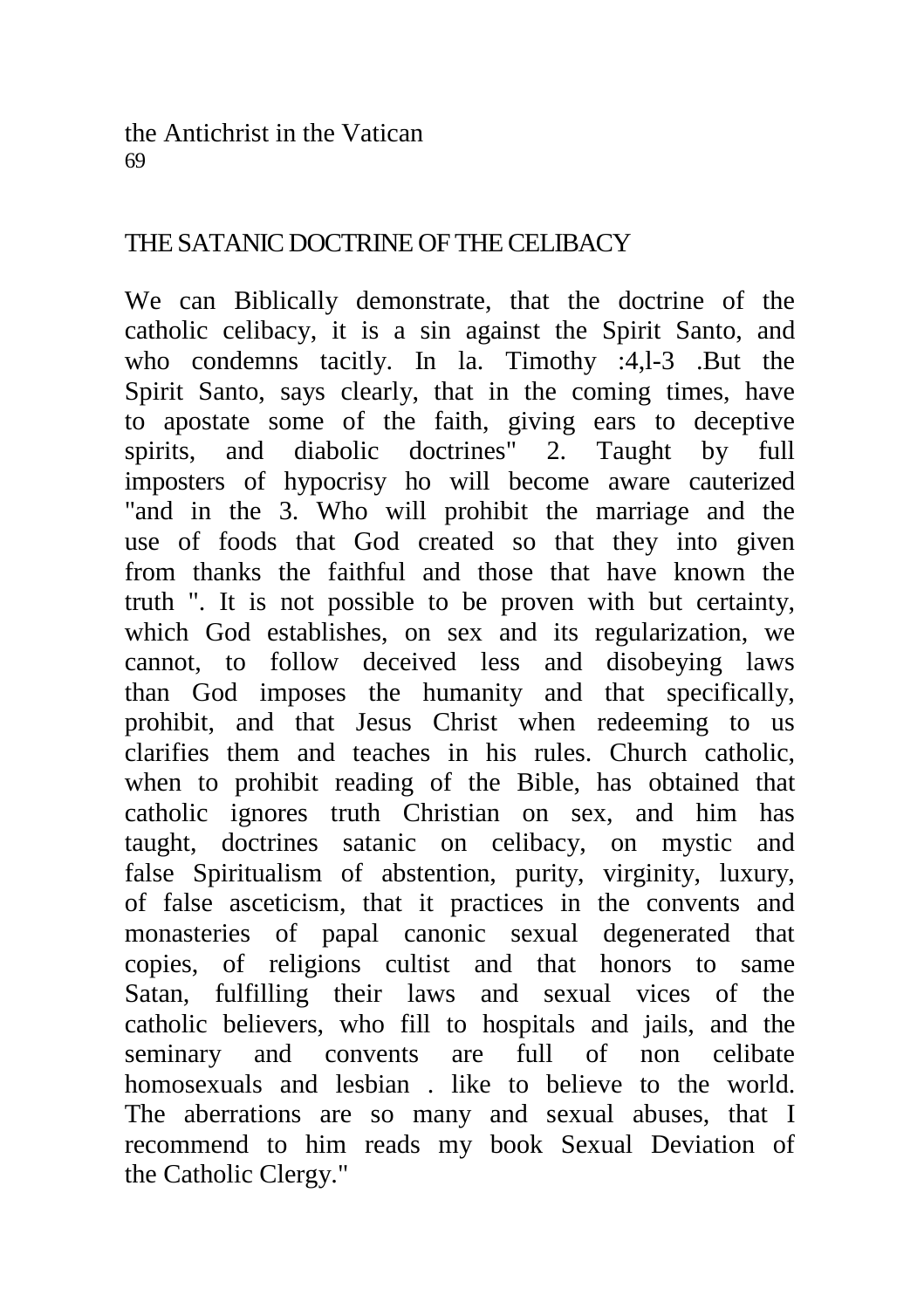the Antichrist in the Vatican 69

## THE SATANIC DOCTRINE OF THE CELIBACY

We can Biblically demonstrate, that the doctrine of the catholic celibacy, it is a sin against the Spirit Santo, and who condemns tacitly. In la. Timothy :4,1-3 .But the Spirit Santo, says clearly, that in the coming times, have to apostate some of the faith, giving ears to deceptive spirits, and diabolic doctrines" 2. Taught by full imposters of hypocrisy ho will become aware cauterized "and in the 3. Who will prohibit the marriage and the use of foods that God created so that they into given from thanks the faithful and those that have known the truth ". It is not possible to be proven with but certainty, which God establishes, on sex and its regularization, we cannot, to follow deceived less and disobeying laws than God imposes the humanity and that specifically, prohibit, and that Jesus Christ when redeeming to us clarifies them and teaches in his rules. Church catholic, when to prohibit reading of the Bible, has obtained that catholic ignores truth Christian on sex, and him has taught, doctrines satanic on celibacy, on mystic and false Spiritualism of abstention, purity, virginity, luxury, of false asceticism, that it practices in the convents and monasteries of papal canonic sexual degenerated that copies, of religions cultist and that honors to same Satan, fulfilling their laws and sexual vices of the catholic believers, who fill to hospitals and jails, and the seminary and convents are full of non celibate homosexuals and lesbian . like to believe to the world. The aberrations are so many and sexual abuses, that I recommend to him reads my book Sexual Deviation of the Catholic Clergy."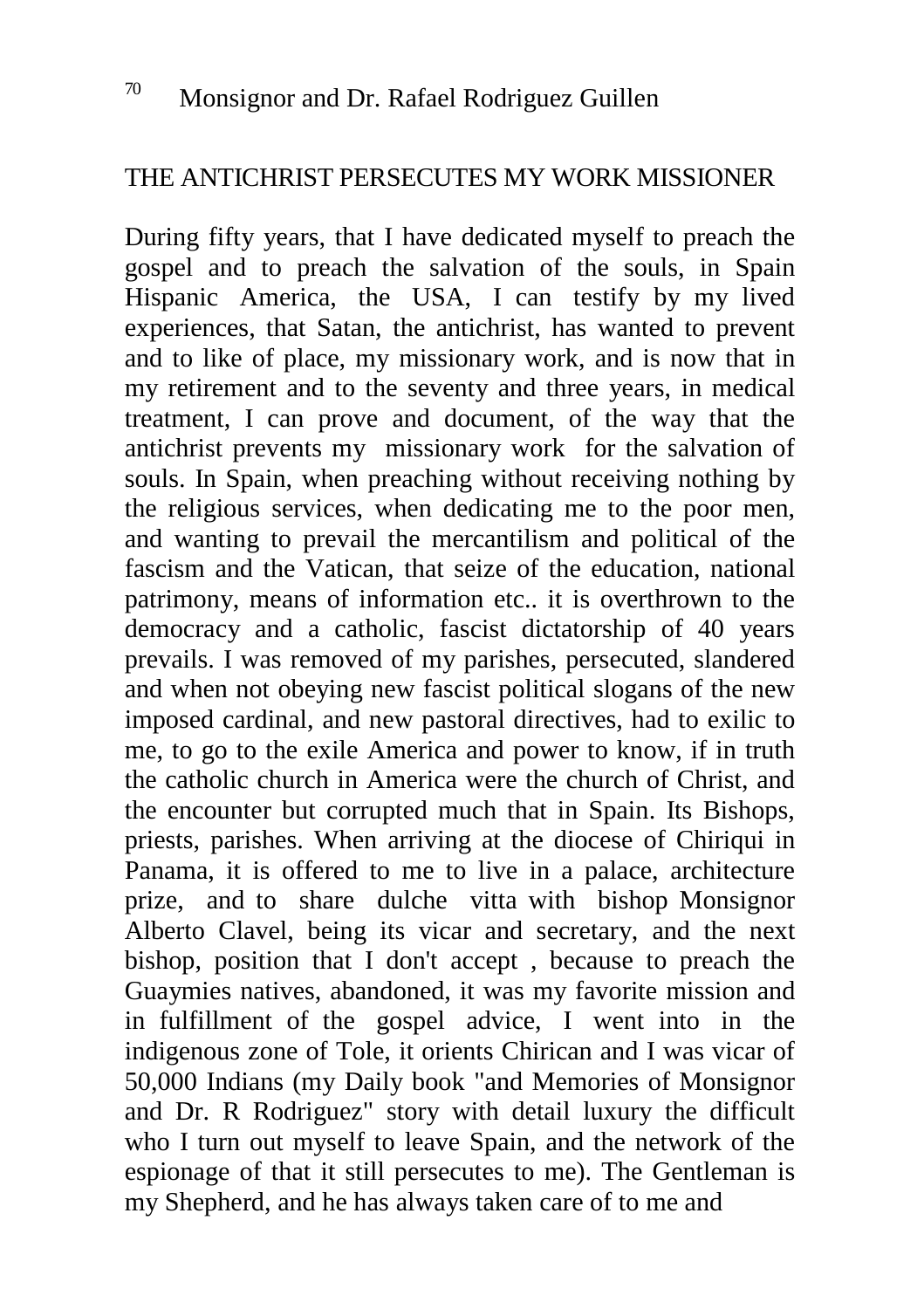# THE ANTICHRIST PERSECUTES MY WORK MISSIONER

During fifty years, that I have dedicated myself to preach the gospel and to preach the salvation of the souls, in Spain Hispanic America, the USA, I can testify by my lived experiences, that Satan, the antichrist, has wanted to prevent and to like of place, my missionary work, and is now that in my retirement and to the seventy and three years, in medical treatment, I can prove and document, of the way that the antichrist prevents my missionary work for the salvation of souls. In Spain, when preaching without receiving nothing by the religious services, when dedicating me to the poor men, and wanting to prevail the mercantilism and political of the fascism and the Vatican, that seize of the education, national patrimony, means of information etc.. it is overthrown to the democracy and a catholic, fascist dictatorship of 40 years prevails. I was removed of my parishes, persecuted, slandered and when not obeying new fascist political slogans of the new imposed cardinal, and new pastoral directives, had to exilic to me, to go to the exile America and power to know, if in truth the catholic church in America were the church of Christ, and the encounter but corrupted much that in Spain. Its Bishops, priests, parishes. When arriving at the diocese of Chiriqui in Panama, it is offered to me to live in a palace, architecture prize, and to share dulche vitta with bishop Monsignor Alberto Clavel, being its vicar and secretary, and the next bishop, position that I don't accept , because to preach the Guaymies natives, abandoned, it was my favorite mission and in fulfillment of the gospel advice, I went into in the indigenous zone of Tole, it orients Chirican and I was vicar of 50,000 Indians (my Daily book "and Memories of Monsignor and Dr. R Rodriguez" story with detail luxury the difficult who I turn out myself to leave Spain, and the network of the espionage of that it still persecutes to me). The Gentleman is my Shepherd, and he has always taken care of to me and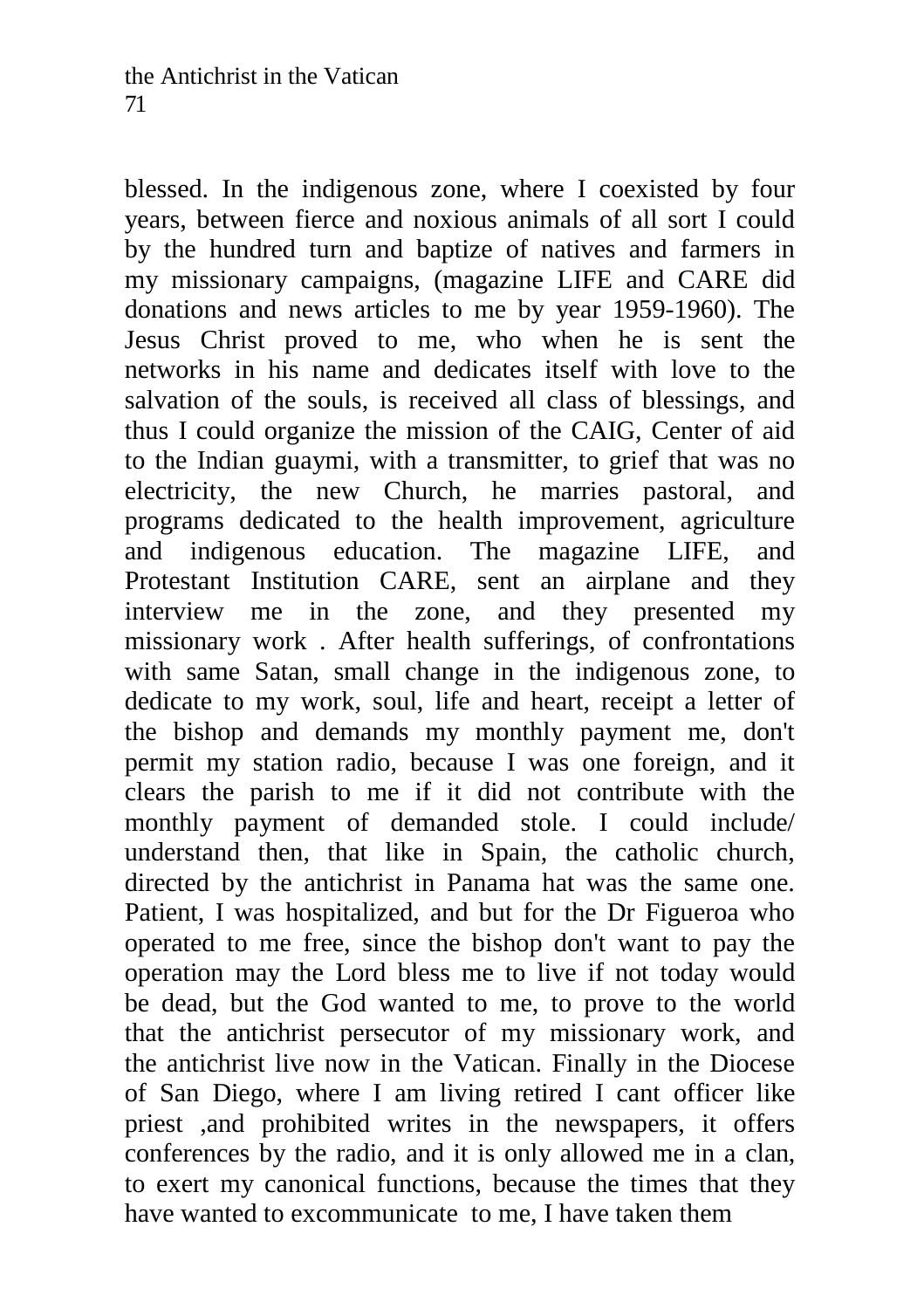blessed. In the indigenous zone, where I coexisted by four years, between fierce and noxious animals of all sort I could by the hundred turn and baptize of natives and farmers in my missionary campaigns, (magazine LIFE and CARE did donations and news articles to me by year 1959-1960). The Jesus Christ proved to me, who when he is sent the networks in his name and dedicates itself with love to the salvation of the souls, is received all class of blessings, and thus I could organize the mission of the CAIG, Center of aid to the Indian guaymi, with a transmitter, to grief that was no electricity, the new Church, he marries pastoral, and programs dedicated to the health improvement, agriculture and indigenous education. The magazine LIFE, and Protestant Institution CARE, sent an airplane and they interview me in the zone, and they presented my missionary work . After health sufferings, of confrontations with same Satan, small change in the indigenous zone, to dedicate to my work, soul, life and heart, receipt a letter of the bishop and demands my monthly payment me, don't permit my station radio, because I was one foreign, and it clears the parish to me if it did not contribute with the monthly payment of demanded stole. I could include/ understand then, that like in Spain, the catholic church, directed by the antichrist in Panama hat was the same one. Patient, I was hospitalized, and but for the Dr Figueroa who operated to me free, since the bishop don't want to pay the operation may the Lord bless me to live if not today would be dead, but the God wanted to me, to prove to the world that the antichrist persecutor of my missionary work, and the antichrist live now in the Vatican. Finally in the Diocese of San Diego, where I am living retired I cant officer like priest ,and prohibited writes in the newspapers, it offers conferences by the radio, and it is only allowed me in a clan, to exert my canonical functions, because the times that they have wanted to excommunicate to me, I have taken them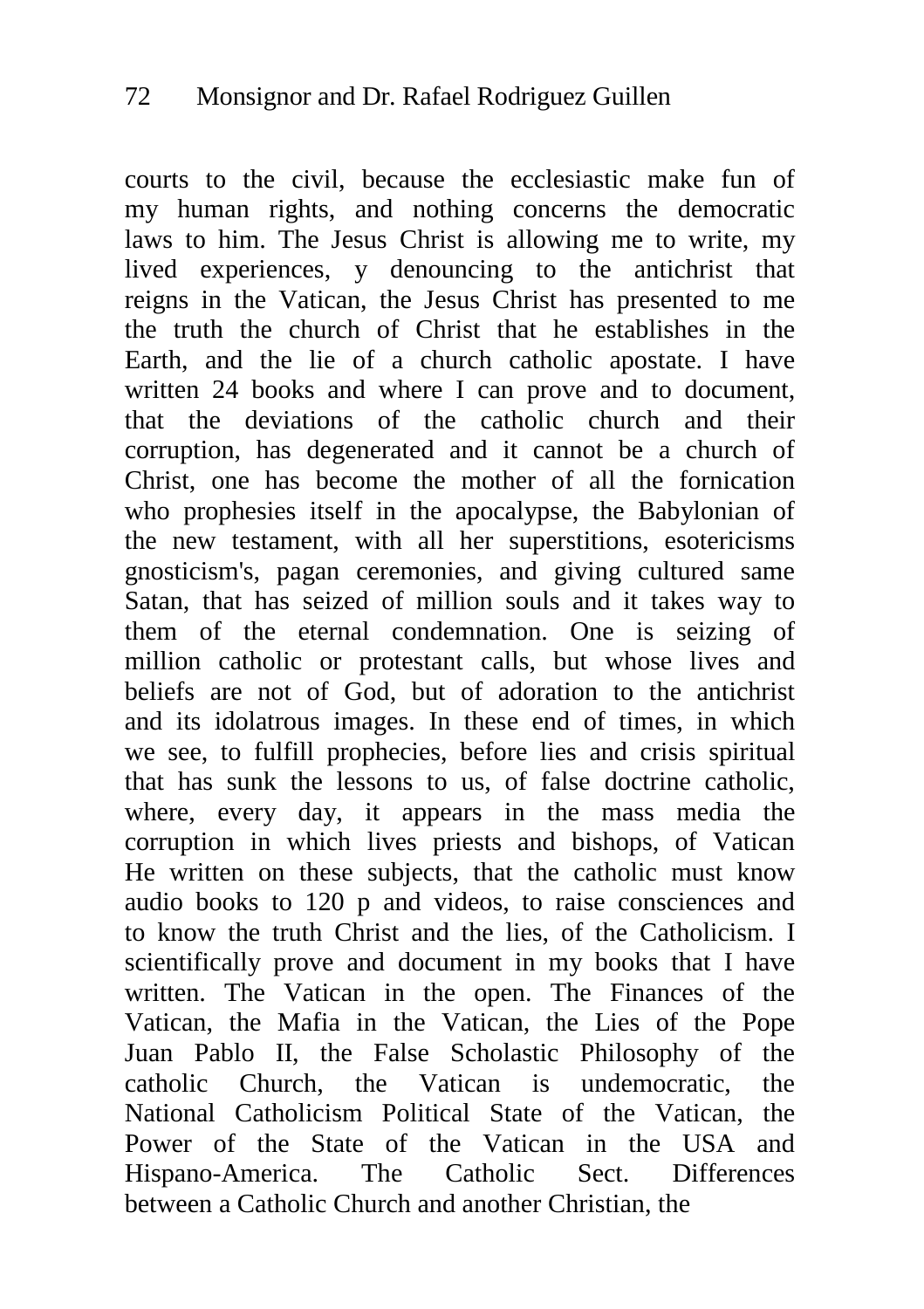courts to the civil, because the ecclesiastic make fun of my human rights, and nothing concerns the democratic laws to him. The Jesus Christ is allowing me to write, my lived experiences, y denouncing to the antichrist that reigns in the Vatican, the Jesus Christ has presented to me the truth the church of Christ that he establishes in the Earth, and the lie of a church catholic apostate. I have written 24 books and where I can prove and to document, that the deviations of the catholic church and their corruption, has degenerated and it cannot be a church of Christ, one has become the mother of all the fornication who prophesies itself in the apocalypse, the Babylonian of the new testament, with all her superstitions, esotericisms gnosticism's, pagan ceremonies, and giving cultured same Satan, that has seized of million souls and it takes way to them of the eternal condemnation. One is seizing of million catholic or protestant calls, but whose lives and beliefs are not of God, but of adoration to the antichrist and its idolatrous images. In these end of times, in which we see, to fulfill prophecies, before lies and crisis spiritual that has sunk the lessons to us, of false doctrine catholic, where, every day, it appears in the mass media the corruption in which lives priests and bishops, of Vatican He written on these subjects, that the catholic must know audio books to 120 p and videos, to raise consciences and to know the truth Christ and the lies, of the Catholicism. I scientifically prove and document in my books that I have written. The Vatican in the open. The Finances of the Vatican, the Mafia in the Vatican, the Lies of the Pope Juan Pablo II, the False Scholastic Philosophy of the catholic Church, the Vatican is undemocratic, the National Catholicism Political State of the Vatican, the Power of the State of the Vatican in the USA and Hispano-America. The Catholic Sect. Differences between a Catholic Church and another Christian, the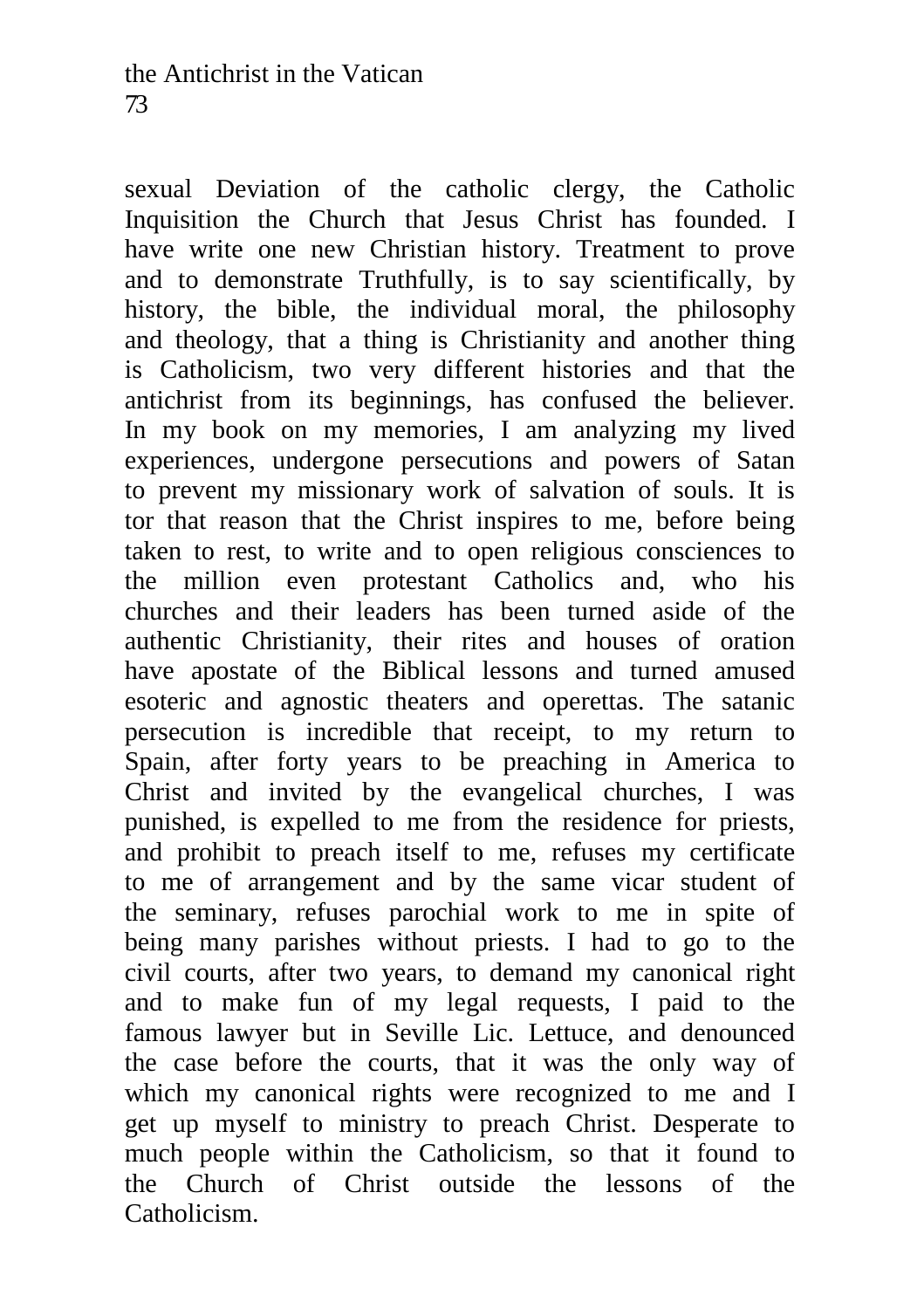sexual Deviation of the catholic clergy, the Catholic Inquisition the Church that Jesus Christ has founded. I have write one new Christian history. Treatment to prove and to demonstrate Truthfully, is to say scientifically, by history, the bible, the individual moral, the philosophy and theology, that a thing is Christianity and another thing is Catholicism, two very different histories and that the antichrist from its beginnings, has confused the believer. In my book on my memories, I am analyzing my lived experiences, undergone persecutions and powers of Satan to prevent my missionary work of salvation of souls. It is tor that reason that the Christ inspires to me, before being taken to rest, to write and to open religious consciences to the million even protestant Catholics and, who his churches and their leaders has been turned aside of the authentic Christianity, their rites and houses of oration have apostate of the Biblical lessons and turned amused esoteric and agnostic theaters and operettas. The satanic persecution is incredible that receipt, to my return to Spain, after forty years to be preaching in America to Christ and invited by the evangelical churches, I was punished, is expelled to me from the residence for priests, and prohibit to preach itself to me, refuses my certificate to me of arrangement and by the same vicar student of the seminary, refuses parochial work to me in spite of being many parishes without priests. I had to go to the civil courts, after two years, to demand my canonical right and to make fun of my legal requests, I paid to the famous lawyer but in Seville Lic. Lettuce, and denounced the case before the courts, that it was the only way of which my canonical rights were recognized to me and I get up myself to ministry to preach Christ. Desperate to much people within the Catholicism, so that it found to the Church of Christ outside the lessons of the Catholicism.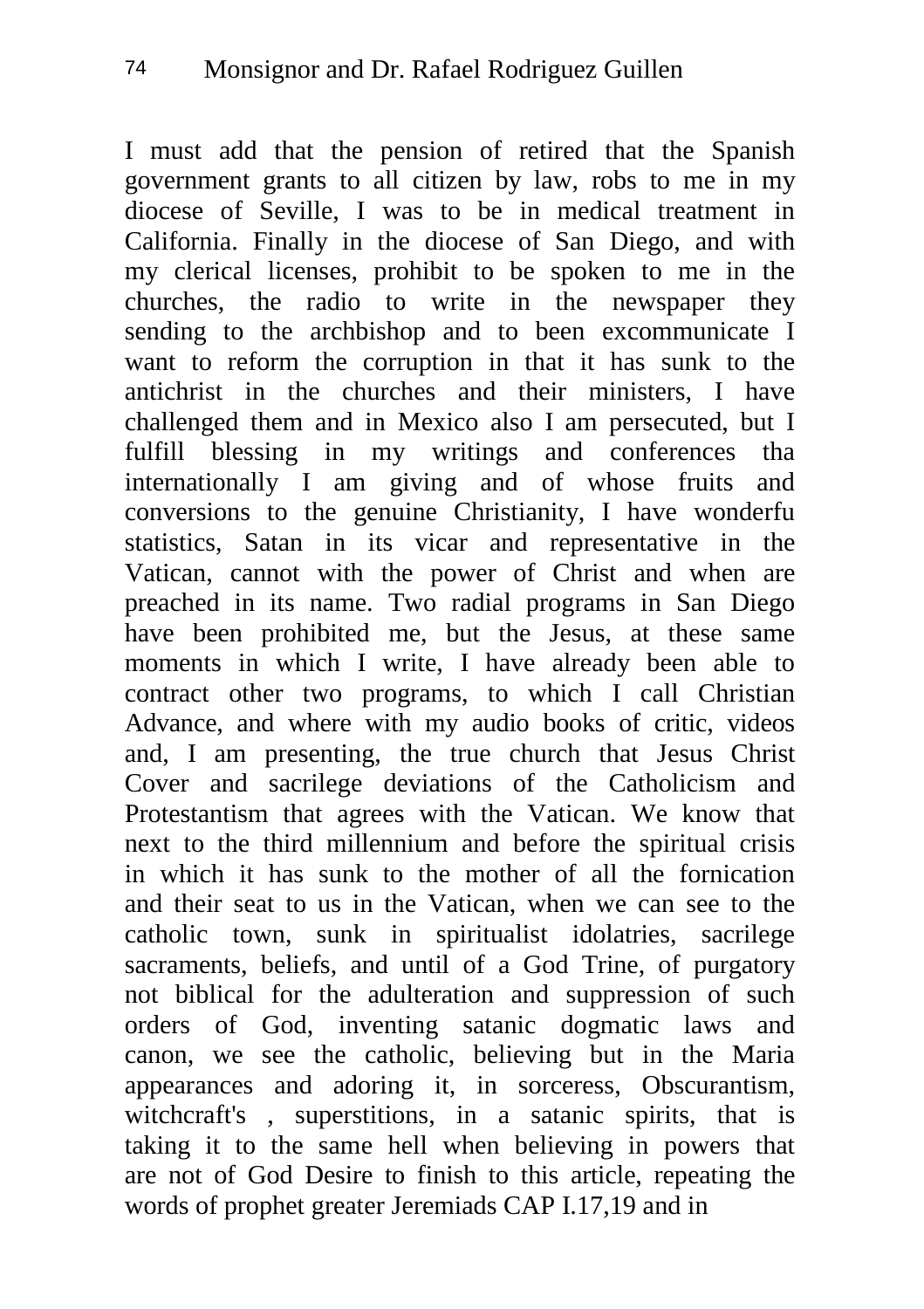I must add that the pension of retired that the Spanish government grants to all citizen by law, robs to me in my diocese of Seville, I was to be in medical treatment in California. Finally in the diocese of San Diego, and with my clerical licenses, prohibit to be spoken to me in the churches, the radio to write in the newspaper they sending to the archbishop and to been excommunicate I want to reform the corruption in that it has sunk to the antichrist in the churches and their ministers, I have challenged them and in Mexico also I am persecuted, but I fulfill blessing in my writings and conferences tha internationally I am giving and of whose fruits and conversions to the genuine Christianity, I have wonderfu statistics, Satan in its vicar and representative in the Vatican, cannot with the power of Christ and when are preached in its name. Two radial programs in San Diego have been prohibited me, but the Jesus, at these same moments in which I write, I have already been able to contract other two programs, to which I call Christian Advance, and where with my audio books of critic, videos and, I am presenting, the true church that Jesus Christ Cover and sacrilege deviations of the Catholicism and Protestantism that agrees with the Vatican. We know that next to the third millennium and before the spiritual crisis in which it has sunk to the mother of all the fornication and their seat to us in the Vatican, when we can see to the catholic town, sunk in spiritualist idolatries, sacrilege sacraments, beliefs, and until of a God Trine, of purgatory not biblical for the adulteration and suppression of such orders of God, inventing satanic dogmatic laws and canon, we see the catholic, believing but in the Maria appearances and adoring it, in sorceress, Obscurantism, witchcraft's , superstitions, in a satanic spirits, that is taking it to the same hell when believing in powers that are not of God Desire to finish to this article, repeating the words of prophet greater Jeremiads CAP I.17,19 and in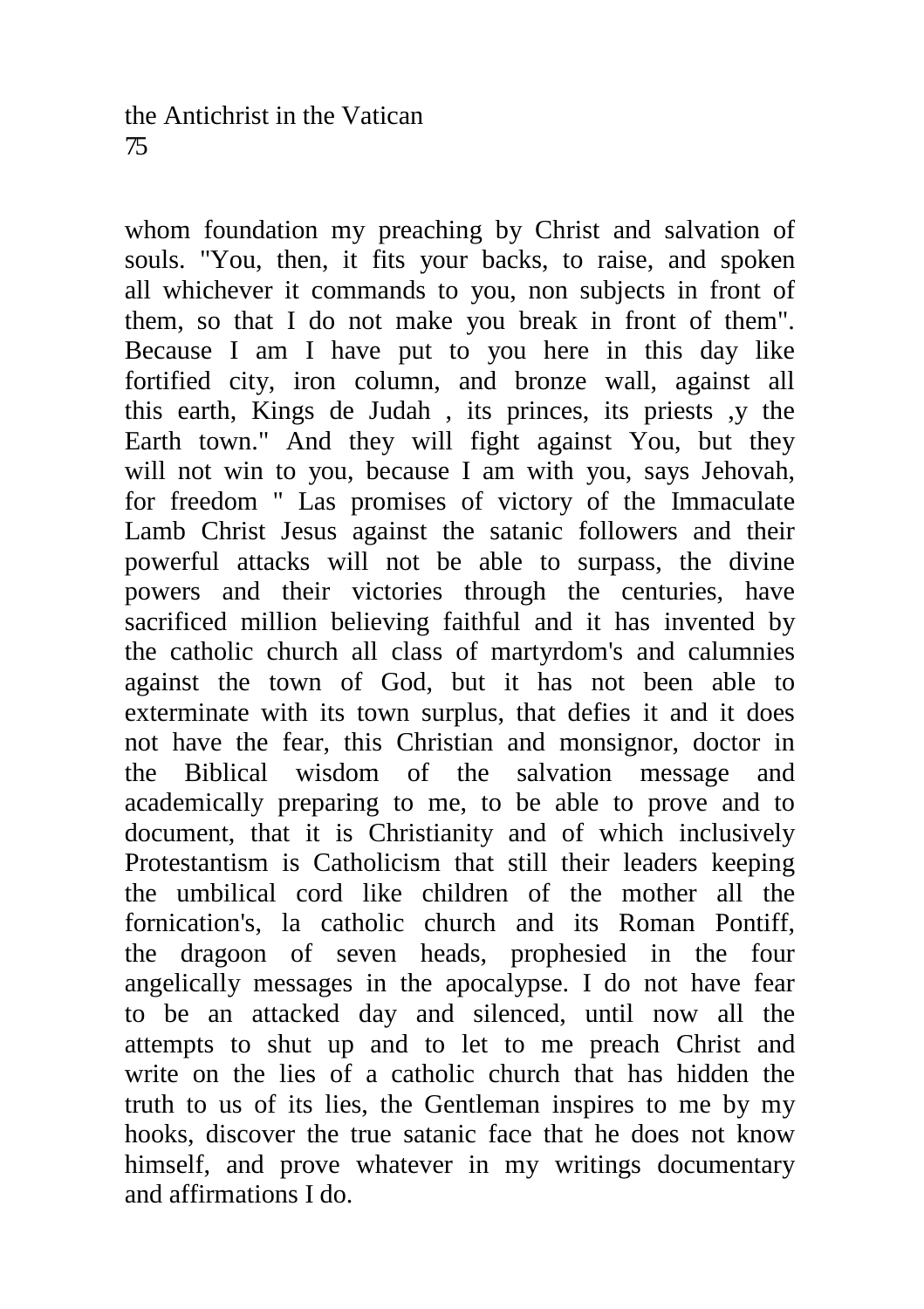whom foundation my preaching by Christ and salvation of souls. "You, then, it fits your backs, to raise, and spoken all whichever it commands to you, non subjects in front of them, so that I do not make you break in front of them". Because I am I have put to you here in this day like fortified city, iron column, and bronze wall, against all this earth, Kings de Judah , its princes, its priests ,y the Earth town." And they will fight against You, but they will not win to you, because I am with you, says Jehovah, for freedom " Las promises of victory of the Immaculate Lamb Christ Jesus against the satanic followers and their powerful attacks will not be able to surpass, the divine powers and their victories through the centuries, have sacrificed million believing faithful and it has invented by the catholic church all class of martyrdom's and calumnies against the town of God, but it has not been able to exterminate with its town surplus, that defies it and it does not have the fear, this Christian and monsignor, doctor in the Biblical wisdom of the salvation message and academically preparing to me, to be able to prove and to document, that it is Christianity and of which inclusively Protestantism is Catholicism that still their leaders keeping the umbilical cord like children of the mother all the fornication's, la catholic church and its Roman Pontiff, the dragoon of seven heads, prophesied in the four angelically messages in the apocalypse. I do not have fear to be an attacked day and silenced, until now all the attempts to shut up and to let to me preach Christ and write on the lies of a catholic church that has hidden the truth to us of its lies, the Gentleman inspires to me by my hooks, discover the true satanic face that he does not know himself, and prove whatever in my writings documentary and affirmations I do.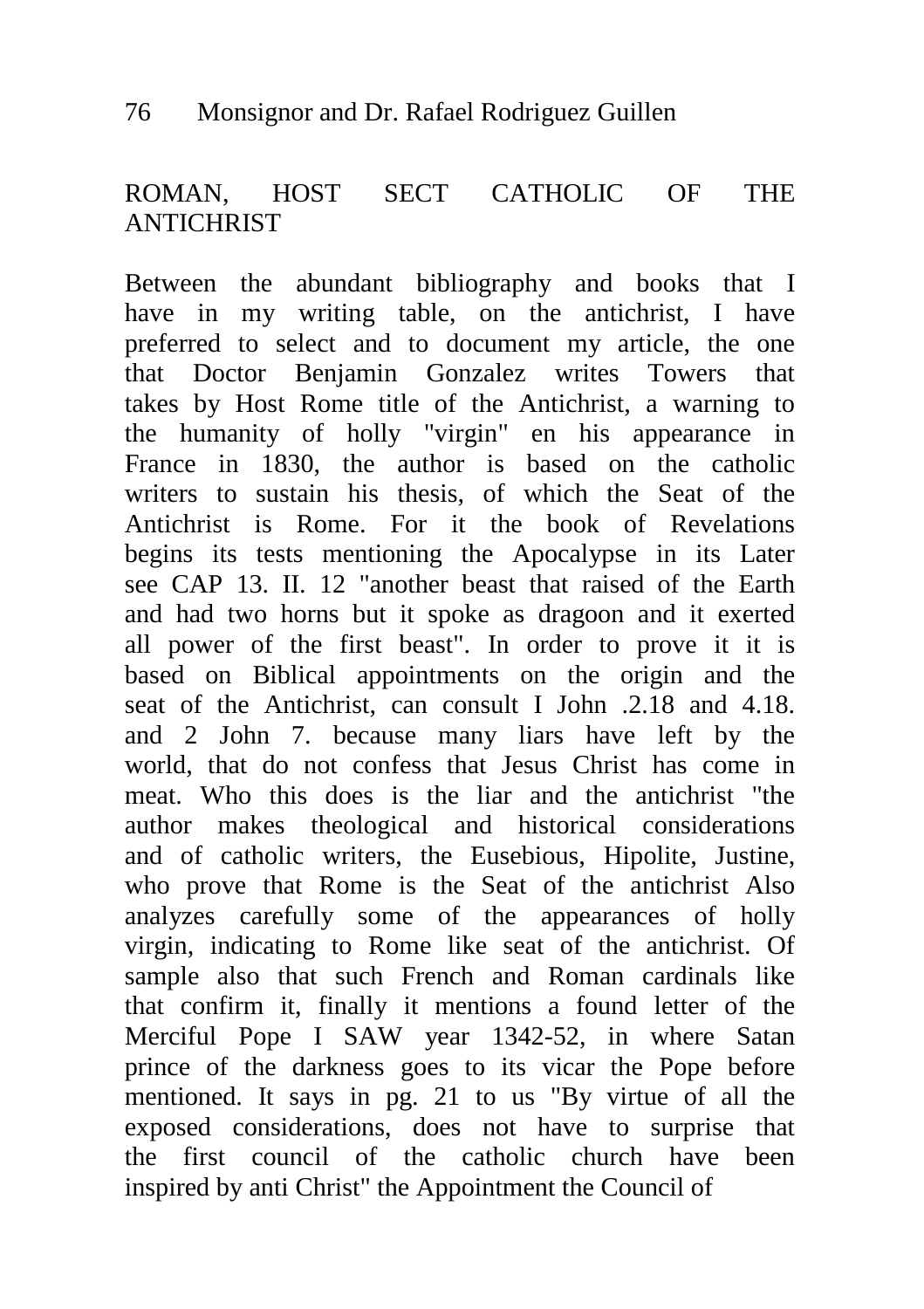# ROMAN, HOST SECT CATHOLIC OF THE **ANTICHRIST**

Between the abundant bibliography and books that I have in my writing table, on the antichrist, I have preferred to select and to document my article, the one that Doctor Benjamin Gonzalez writes Towers that takes by Host Rome title of the Antichrist, a warning to the humanity of holly "virgin" en his appearance in France in 1830, the author is based on the catholic writers to sustain his thesis, of which the Seat of the Antichrist is Rome. For it the book of Revelations begins its tests mentioning the Apocalypse in its Later see CAP 13. II. 12 "another beast that raised of the Earth and had two horns but it spoke as dragoon and it exerted all power of the first beast". In order to prove it it is based on Biblical appointments on the origin and the seat of the Antichrist, can consult I John .2.18 and 4.18. and 2 John 7. because many liars have left by the world, that do not confess that Jesus Christ has come in meat. Who this does is the liar and the antichrist "the author makes theological and historical considerations and of catholic writers, the Eusebious, Hipolite, Justine, who prove that Rome is the Seat of the antichrist Also analyzes carefully some of the appearances of holly virgin, indicating to Rome like seat of the antichrist. Of sample also that such French and Roman cardinals like that confirm it, finally it mentions a found letter of the Merciful Pope I SAW year 1342-52, in where Satan prince of the darkness goes to its vicar the Pope before mentioned. It says in pg. 21 to us "By virtue of all the exposed considerations, does not have to surprise that the first council of the catholic church have been inspired by anti Christ" the Appointment the Council of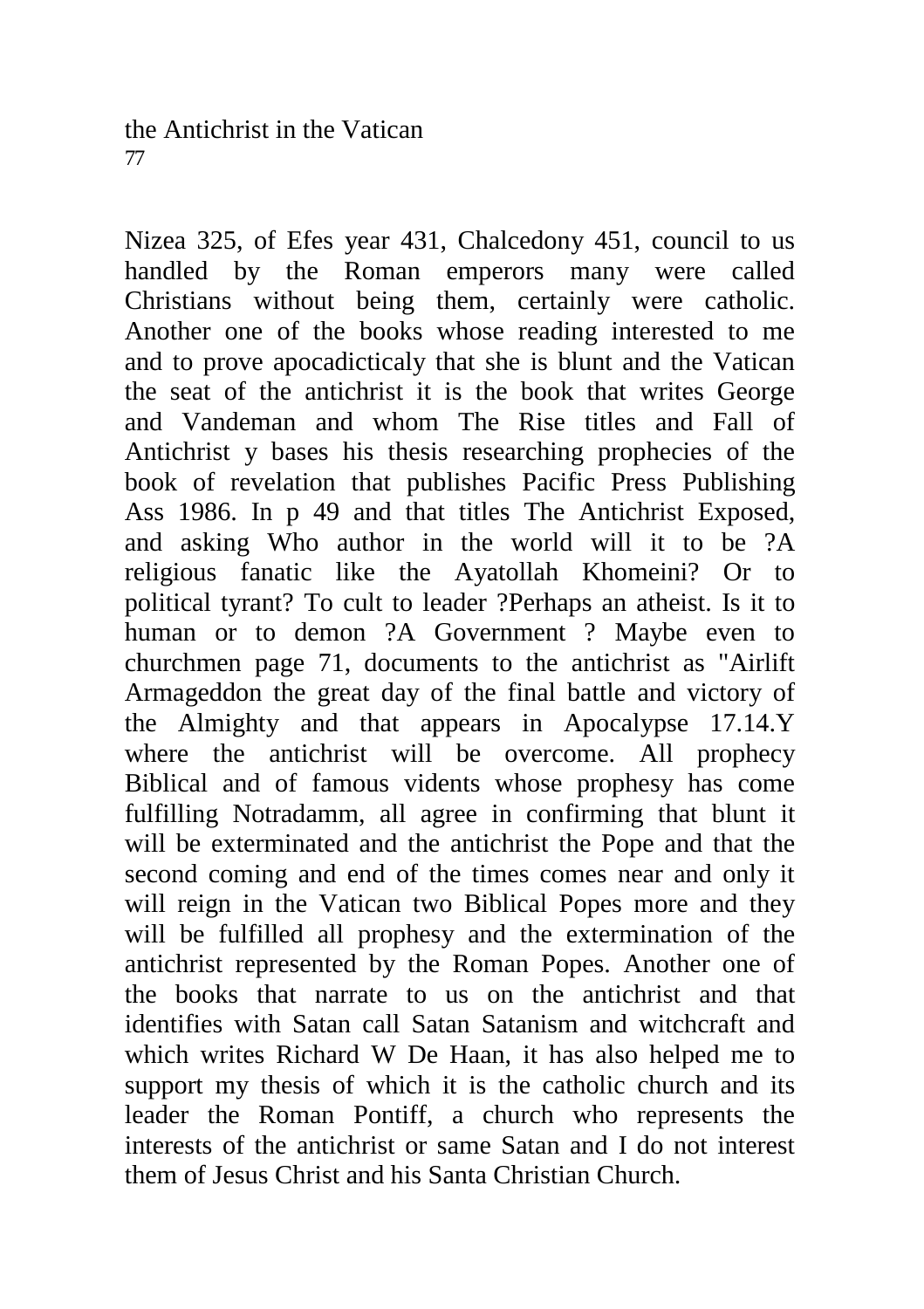Nizea 325, of Efes year 431, Chalcedony 451, council to us handled by the Roman emperors many were called Christians without being them, certainly were catholic. Another one of the books whose reading interested to me and to prove apocadicticaly that she is blunt and the Vatican the seat of the antichrist it is the book that writes George and Vandeman and whom The Rise titles and Fall of Antichrist y bases his thesis researching prophecies of the book of revelation that publishes Pacific Press Publishing Ass 1986. In p 49 and that titles The Antichrist Exposed, and asking Who author in the world will it to be ?A religious fanatic like the Ayatollah Khomeini? Or to political tyrant? To cult to leader ?Perhaps an atheist. Is it to human or to demon ?A Government ? Maybe even to churchmen page 71, documents to the antichrist as "Airlift Armageddon the great day of the final battle and victory of the Almighty and that appears in Apocalypse 17.14.Y where the antichrist will be overcome. All prophecy Biblical and of famous vidents whose prophesy has come fulfilling Notradamm, all agree in confirming that blunt it will be exterminated and the antichrist the Pope and that the second coming and end of the times comes near and only it will reign in the Vatican two Biblical Popes more and they will be fulfilled all prophesy and the extermination of the antichrist represented by the Roman Popes. Another one of the books that narrate to us on the antichrist and that identifies with Satan call Satan Satanism and witchcraft and which writes Richard W De Haan, it has also helped me to support my thesis of which it is the catholic church and its leader the Roman Pontiff, a church who represents the interests of the antichrist or same Satan and I do not interest them of Jesus Christ and his Santa Christian Church.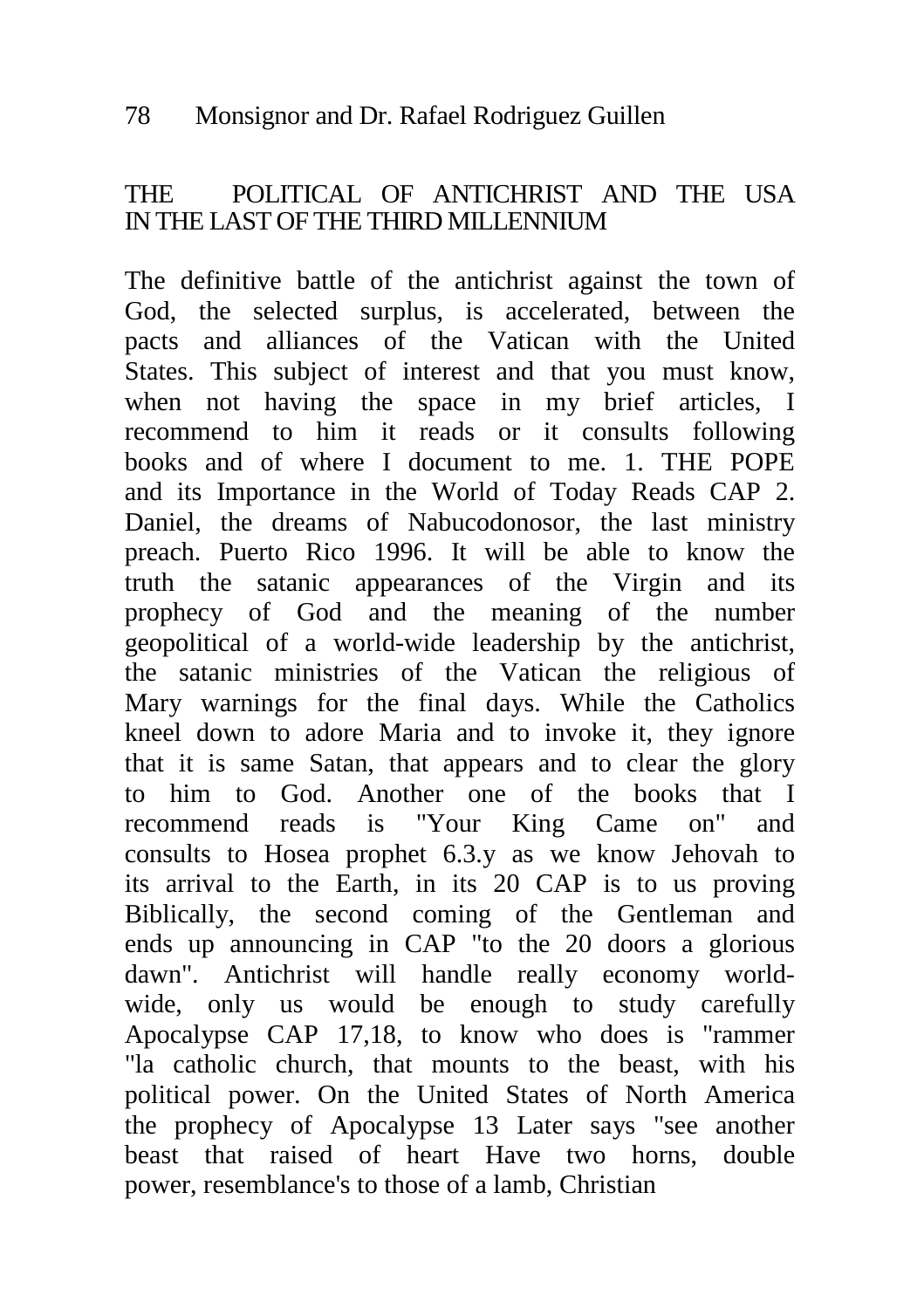# THE POLITICAL OF ANTICHRIST AND THE USA IN THE LAST OF THE THIRD MILLENNIUM

The definitive battle of the antichrist against the town of God, the selected surplus, is accelerated, between the pacts and alliances of the Vatican with the United States. This subject of interest and that you must know, when not having the space in my brief articles, I recommend to him it reads or it consults following books and of where I document to me. 1. THE POPE and its Importance in the World of Today Reads CAP 2. Daniel, the dreams of Nabucodonosor, the last ministry preach. Puerto Rico 1996. It will be able to know the truth the satanic appearances of the Virgin and its prophecy of God and the meaning of the number geopolitical of a world-wide leadership by the antichrist, the satanic ministries of the Vatican the religious of Mary warnings for the final days. While the Catholics kneel down to adore Maria and to invoke it, they ignore that it is same Satan, that appears and to clear the glory to him to God. Another one of the books that I recommend reads is "Your King Came on" and consults to Hosea prophet 6.3.y as we know Jehovah to its arrival to the Earth, in its 20 CAP is to us proving Biblically, the second coming of the Gentleman and ends up announcing in CAP "to the 20 doors a glorious dawn". Antichrist will handle really economy worldwide, only us would be enough to study carefully Apocalypse CAP 17,18, to know who does is "rammer "la catholic church, that mounts to the beast, with his political power. On the United States of North America the prophecy of Apocalypse 13 Later says "see another beast that raised of heart Have two horns, double power, resemblance's to those of a lamb, Christian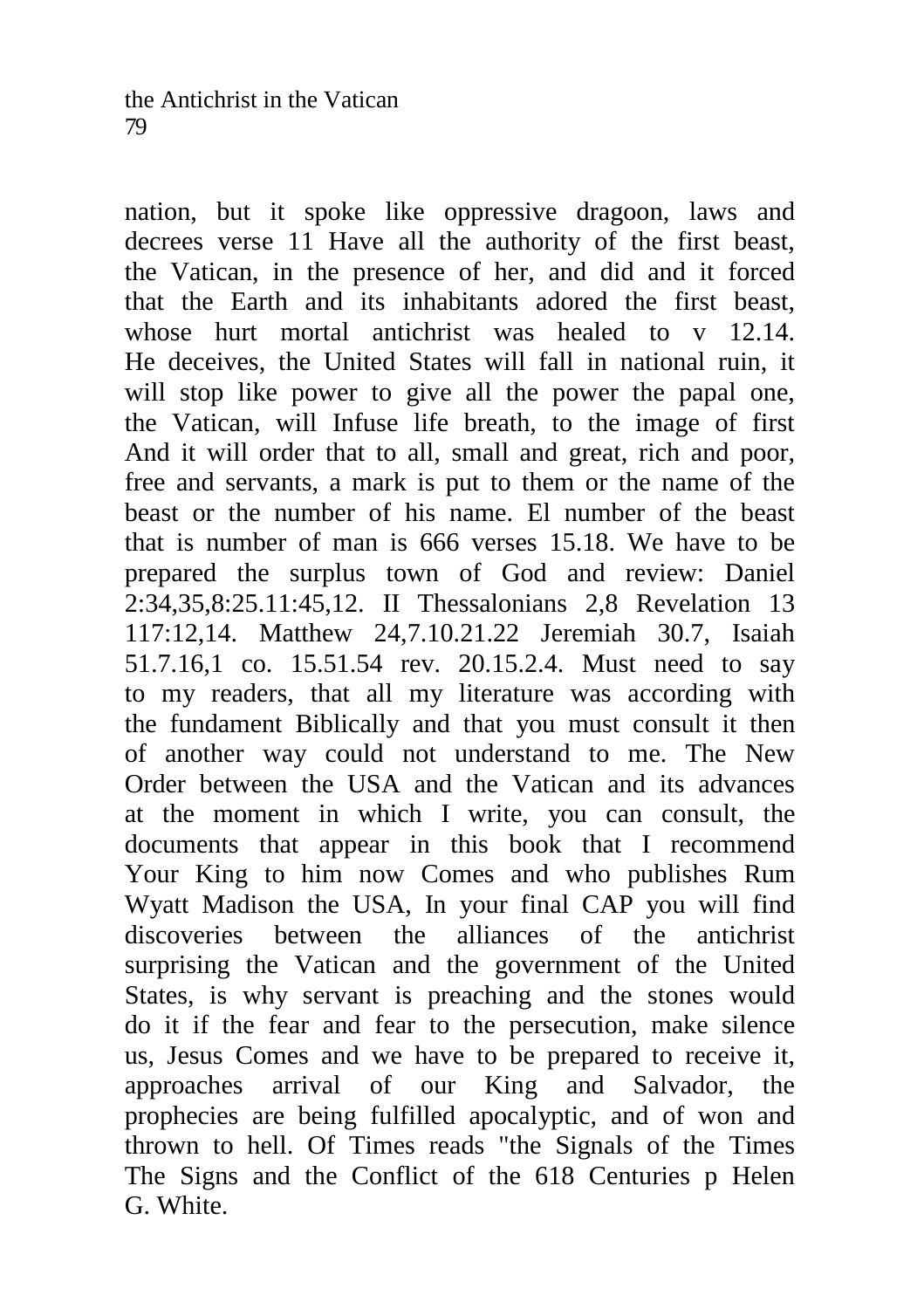nation, but it spoke like oppressive dragoon, laws and decrees verse 11 Have all the authority of the first beast, the Vatican, in the presence of her, and did and it forced that the Earth and its inhabitants adored the first beast, whose hurt mortal antichrist was healed to v 12.14. He deceives, the United States will fall in national ruin, it will stop like power to give all the power the papal one, the Vatican, will Infuse life breath, to the image of first And it will order that to all, small and great, rich and poor, free and servants, a mark is put to them or the name of the beast or the number of his name. El number of the beast that is number of man is 666 verses 15.18. We have to be prepared the surplus town of God and review: Daniel 2:34,35,8:25.11:45,12. II Thessalonians 2,8 Revelation 13 117:12,14. Matthew 24,7.10.21.22 Jeremiah 30.7, Isaiah 51.7.16,1 co. 15.51.54 rev. 20.15.2.4. Must need to say to my readers, that all my literature was according with the fundament Biblically and that you must consult it then of another way could not understand to me. The New Order between the USA and the Vatican and its advances at the moment in which I write, you can consult, the documents that appear in this book that I recommend Your King to him now Comes and who publishes Rum Wyatt Madison the USA, In your final CAP you will find discoveries between the alliances of the antichrist surprising the Vatican and the government of the United States, is why servant is preaching and the stones would do it if the fear and fear to the persecution, make silence us, Jesus Comes and we have to be prepared to receive it, approaches arrival of our King and Salvador, the prophecies are being fulfilled apocalyptic, and of won and thrown to hell. Of Times reads "the Signals of the Times The Signs and the Conflict of the 618 Centuries p Helen G. White.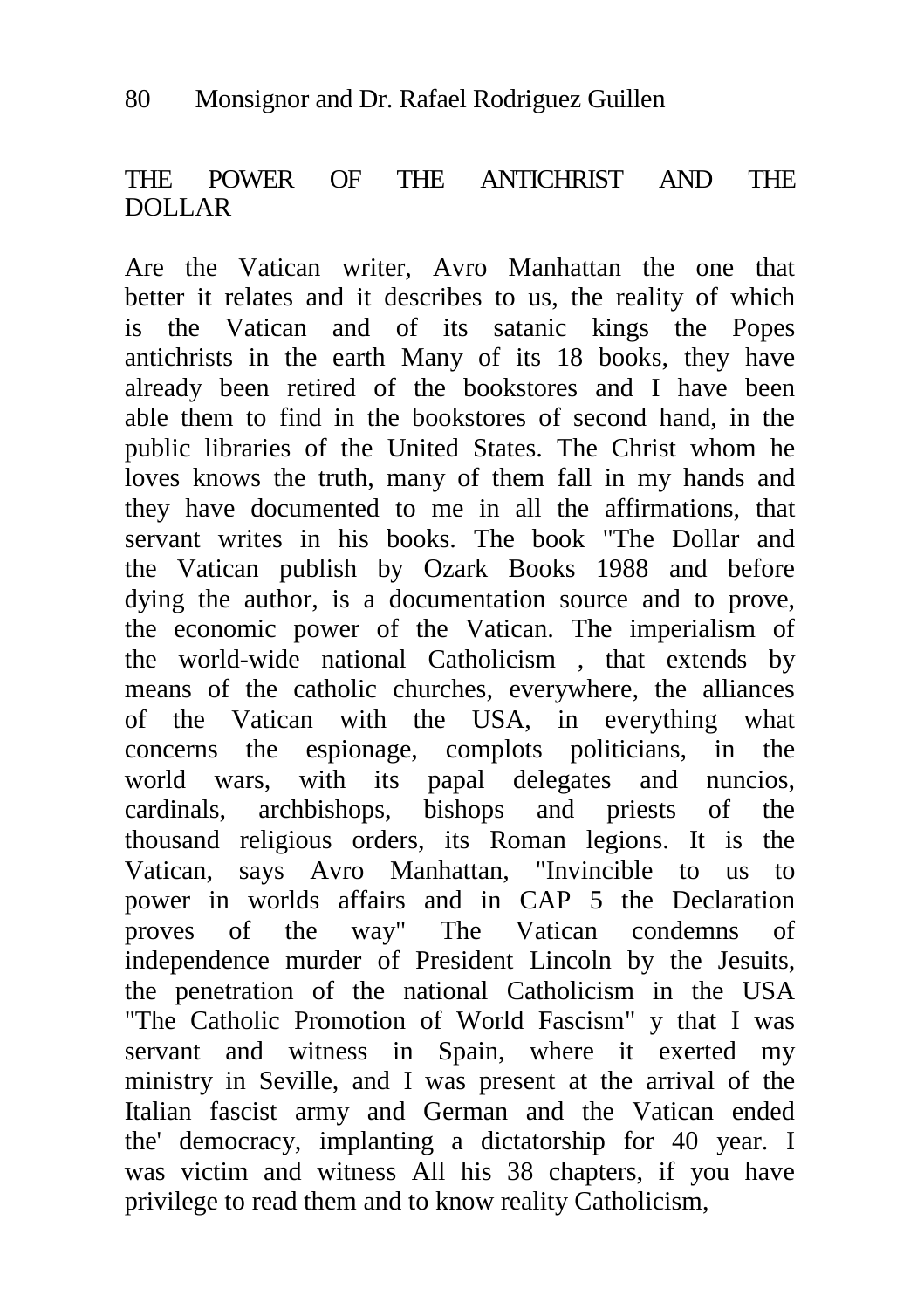# THE POWER OF THE ANTICHRIST AND THE DOLLAR

Are the Vatican writer, Avro Manhattan the one that better it relates and it describes to us, the reality of which is the Vatican and of its satanic kings the Popes antichrists in the earth Many of its 18 books, they have already been retired of the bookstores and I have been able them to find in the bookstores of second hand, in the public libraries of the United States. The Christ whom he loves knows the truth, many of them fall in my hands and they have documented to me in all the affirmations, that servant writes in his books. The book "The Dollar and the Vatican publish by Ozark Books 1988 and before dying the author, is a documentation source and to prove, the economic power of the Vatican. The imperialism of the world-wide national Catholicism , that extends by means of the catholic churches, everywhere, the alliances of the Vatican with the USA, in everything what concerns the espionage, complots politicians, in the world wars, with its papal delegates and nuncios, cardinals, archbishops, bishops and priests of the thousand religious orders, its Roman legions. It is the Vatican, says Avro Manhattan, "Invincible to us to power in worlds affairs and in CAP 5 the Declaration proves of the way" The Vatican condemns of independence murder of President Lincoln by the Jesuits, the penetration of the national Catholicism in the USA "The Catholic Promotion of World Fascism" y that I was servant and witness in Spain, where it exerted my ministry in Seville, and I was present at the arrival of the Italian fascist army and German and the Vatican ended the' democracy, implanting a dictatorship for 40 year. I was victim and witness All his 38 chapters, if you have privilege to read them and to know reality Catholicism,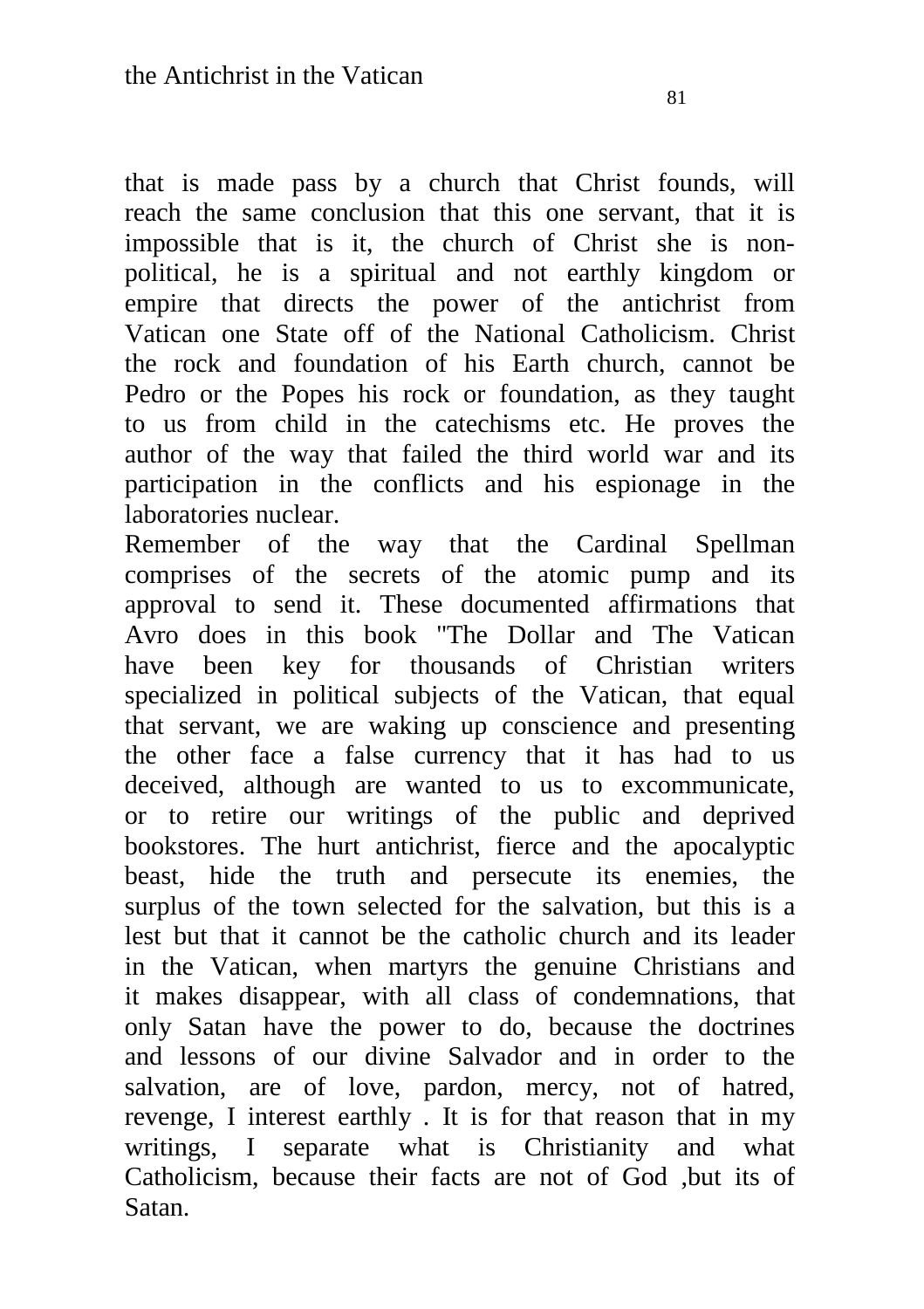that is made pass by a church that Christ founds, will reach the same conclusion that this one servant, that it is impossible that is it, the church of Christ she is nonpolitical, he is a spiritual and not earthly kingdom or empire that directs the power of the antichrist from Vatican one State off of the National Catholicism. Christ the rock and foundation of his Earth church, cannot be Pedro or the Popes his rock or foundation, as they taught to us from child in the catechisms etc. He proves the author of the way that failed the third world war and its participation in the conflicts and his espionage in the laboratories nuclear.

Remember of the way that the Cardinal Spellman comprises of the secrets of the atomic pump and its approval to send it. These documented affirmations that Avro does in this book "The Dollar and The Vatican have been key for thousands of Christian writers specialized in political subjects of the Vatican, that equal that servant, we are waking up conscience and presenting the other face a false currency that it has had to us deceived, although are wanted to us to excommunicate, or to retire our writings of the public and deprived bookstores. The hurt antichrist, fierce and the apocalyptic beast, hide the truth and persecute its enemies, the surplus of the town selected for the salvation, but this is a lest but that it cannot be the catholic church and its leader in the Vatican, when martyrs the genuine Christians and it makes disappear, with all class of condemnations, that only Satan have the power to do, because the doctrines and lessons of our divine Salvador and in order to the salvation, are of love, pardon, mercy, not of hatred, revenge, I interest earthly . It is for that reason that in my writings, I separate what is Christianity and what Catholicism, because their facts are not of God ,but its of Satan.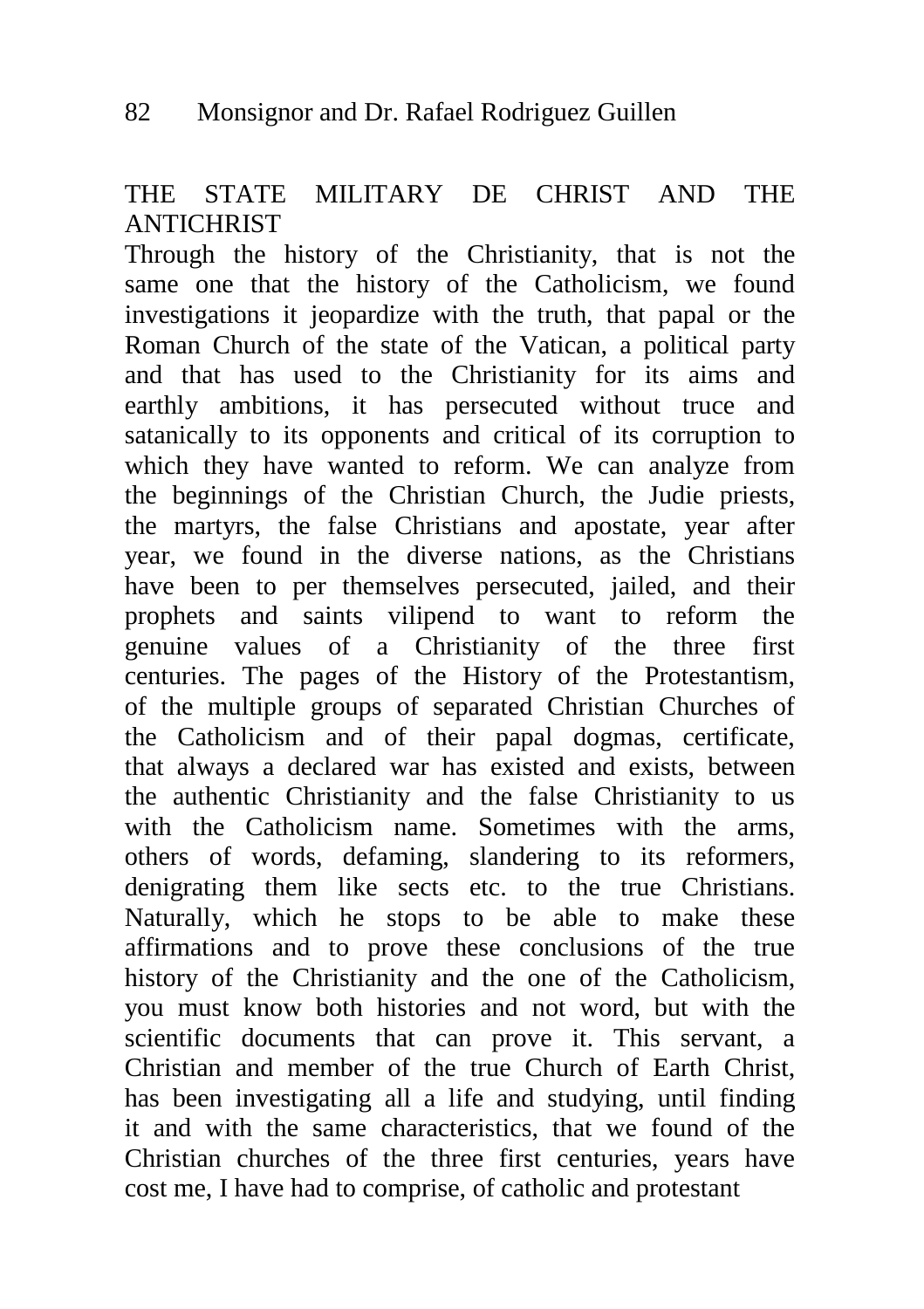# THE STATE MILITARY DE CHRIST AND THE **ANTICHRIST**

Through the history of the Christianity, that is not the same one that the history of the Catholicism, we found investigations it jeopardize with the truth, that papal or the Roman Church of the state of the Vatican, a political party and that has used to the Christianity for its aims and earthly ambitions, it has persecuted without truce and satanically to its opponents and critical of its corruption to which they have wanted to reform. We can analyze from the beginnings of the Christian Church, the Judie priests, the martyrs, the false Christians and apostate, year after year, we found in the diverse nations, as the Christians have been to per themselves persecuted, jailed, and their prophets and saints vilipend to want to reform the genuine values of a Christianity of the three first centuries. The pages of the History of the Protestantism, of the multiple groups of separated Christian Churches of the Catholicism and of their papal dogmas, certificate, that always a declared war has existed and exists, between the authentic Christianity and the false Christianity to us with the Catholicism name. Sometimes with the arms, others of words, defaming, slandering to its reformers, denigrating them like sects etc. to the true Christians. Naturally, which he stops to be able to make these affirmations and to prove these conclusions of the true history of the Christianity and the one of the Catholicism, you must know both histories and not word, but with the scientific documents that can prove it. This servant, a Christian and member of the true Church of Earth Christ, has been investigating all a life and studying, until finding it and with the same characteristics, that we found of the Christian churches of the three first centuries, years have cost me, I have had to comprise, of catholic and protestant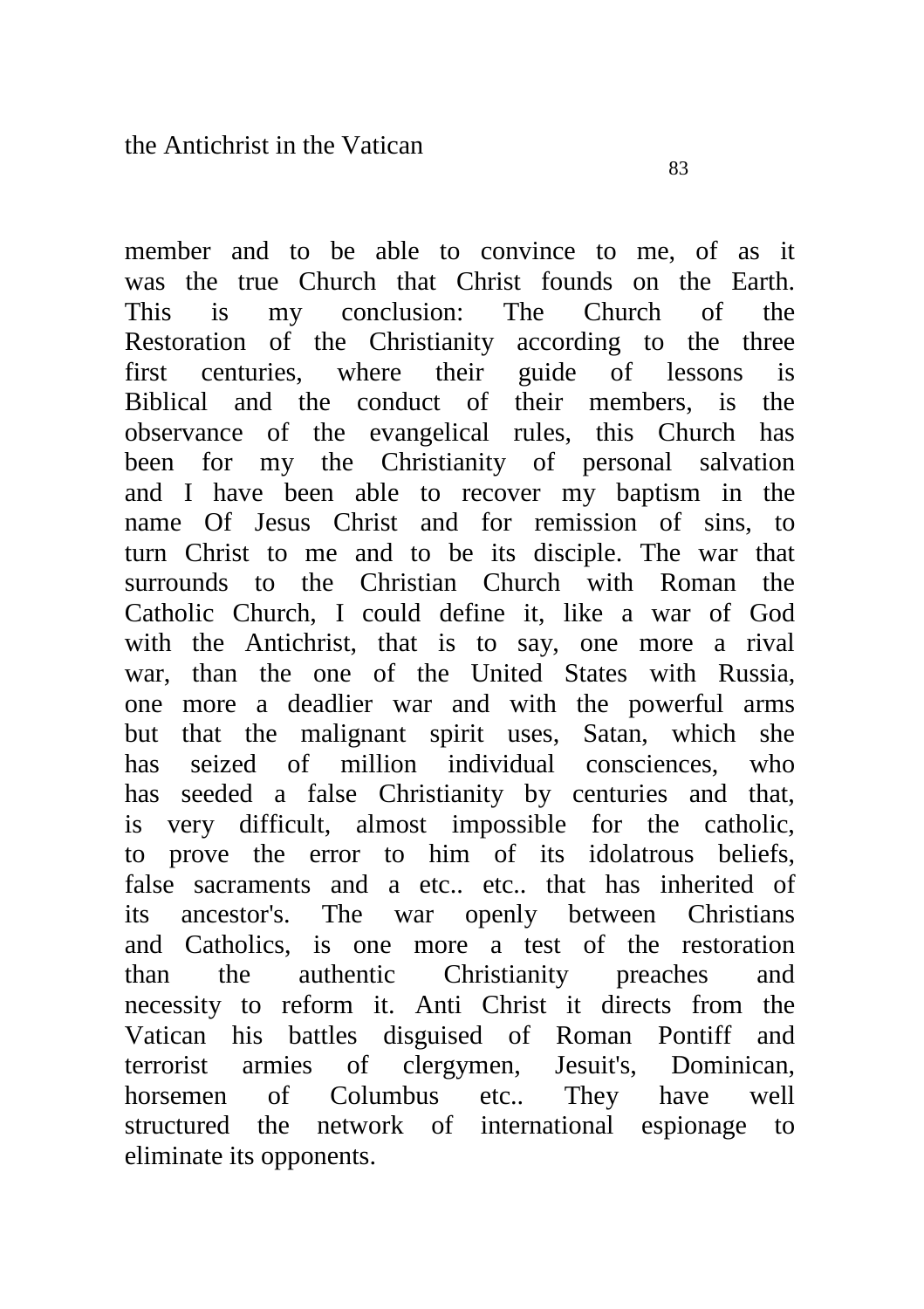member and to be able to convince to me, of as it was the true Church that Christ founds on the Earth. This is my conclusion: The Church of the Restoration of the Christianity according to the three first centuries, where their guide of lessons is Biblical and the conduct of their members, is the observance of the evangelical rules, this Church has been for my the Christianity of personal salvation and I have been able to recover my baptism in the name Of Jesus Christ and for remission of sins, to turn Christ to me and to be its disciple. The war that surrounds to the Christian Church with Roman the Catholic Church, I could define it, like a war of God with the Antichrist, that is to say, one more a rival war, than the one of the United States with Russia, one more a deadlier war and with the powerful arms but that the malignant spirit uses, Satan, which she has seized of million individual consciences, who has seeded a false Christianity by centuries and that, is very difficult, almost impossible for the catholic, to prove the error to him of its idolatrous beliefs, false sacraments and a etc.. etc.. that has inherited of its ancestor's. The war openly between Christians and Catholics, is one more a test of the restoration than the authentic Christianity preaches and necessity to reform it. Anti Christ it directs from the Vatican his battles disguised of Roman Pontiff and terrorist armies of clergymen, Jesuit's, Dominican, horsemen of Columbus etc.. They have well

structured the network of international espionage to eliminate its opponents.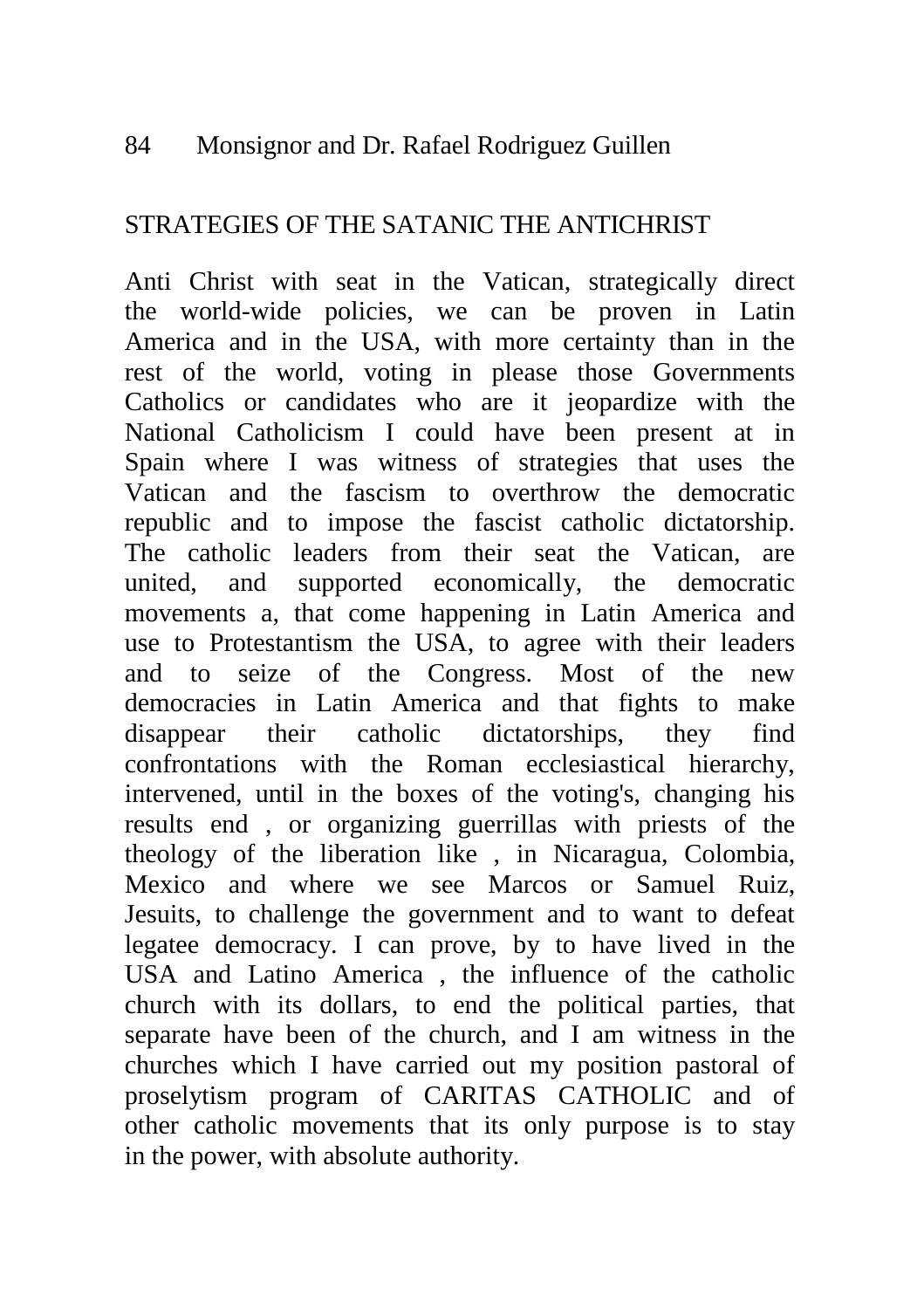#### 84 Monsignor and Dr. Rafael Rodriguez Guillen

#### STRATEGIES OF THE SATANIC THE ANTICHRIST

Anti Christ with seat in the Vatican, strategically direct the world-wide policies, we can be proven in Latin America and in the USA, with more certainty than in the rest of the world, voting in please those Governments Catholics or candidates who are it jeopardize with the National Catholicism I could have been present at in Spain where I was witness of strategies that uses the Vatican and the fascism to overthrow the democratic republic and to impose the fascist catholic dictatorship. The catholic leaders from their seat the Vatican, are united, and supported economically, the democratic movements a, that come happening in Latin America and use to Protestantism the USA, to agree with their leaders and to seize of the Congress. Most of the new democracies in Latin America and that fights to make disappear their catholic dictatorships, they find confrontations with the Roman ecclesiastical hierarchy, intervened, until in the boxes of the voting's, changing his results end , or organizing guerrillas with priests of the theology of the liberation like , in Nicaragua, Colombia, Mexico and where we see Marcos or Samuel Ruiz, Jesuits, to challenge the government and to want to defeat legatee democracy. I can prove, by to have lived in the USA and Latino America , the influence of the catholic church with its dollars, to end the political parties, that separate have been of the church, and I am witness in the churches which I have carried out my position pastoral of proselytism program of CARITAS CATHOLIC and of other catholic movements that its only purpose is to stay in the power, with absolute authority.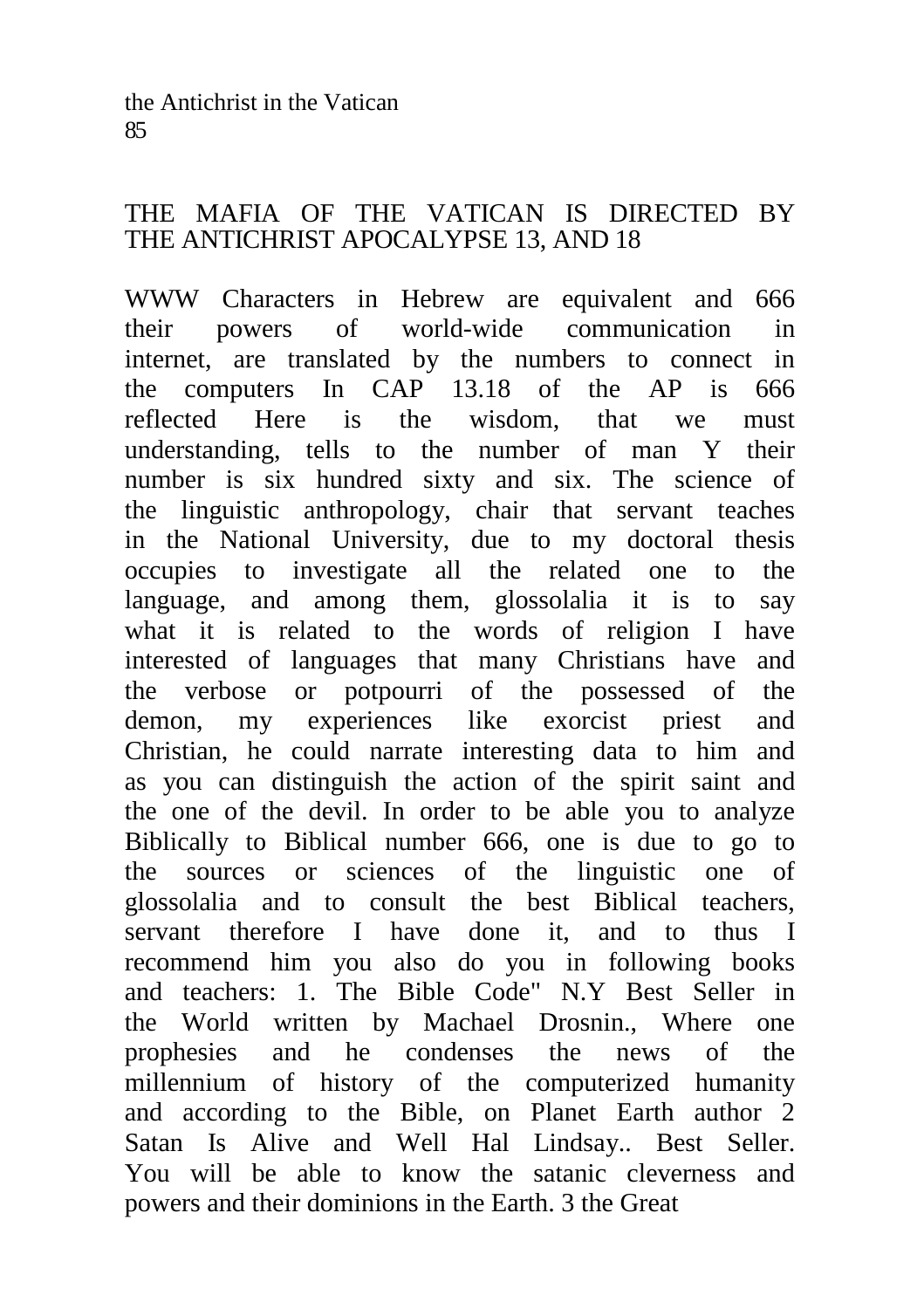#### THE MAFIA OF THE VATICAN IS DIRECTED BY THE ANTICHRIST APOCALYPSE 13, AND 18

WWW Characters in Hebrew are equivalent and 666 their powers of world-wide communication in internet, are translated by the numbers to connect in the computers In CAP 13.18 of the AP is 666 reflected Here is the wisdom, that we must understanding, tells to the number of man Y their number is six hundred sixty and six. The science of the linguistic anthropology, chair that servant teaches in the National University, due to my doctoral thesis occupies to investigate all the related one to the language, and among them, glossolalia it is to say what it is related to the words of religion I have interested of languages that many Christians have and the verbose or potpourri of the possessed of the demon, my experiences like exorcist priest and Christian, he could narrate interesting data to him and as you can distinguish the action of the spirit saint and the one of the devil. In order to be able you to analyze Biblically to Biblical number 666, one is due to go to the sources or sciences of the linguistic one of glossolalia and to consult the best Biblical teachers, servant therefore I have done it, and to thus I recommend him you also do you in following books and teachers: 1. The Bible Code" N.Y Best Seller in the World written by Machael Drosnin., Where one prophesies and he condenses the news of the millennium of history of the computerized humanity and according to the Bible, on Planet Earth author 2 Satan Is Alive and Well Hal Lindsay.. Best Seller. You will be able to know the satanic cleverness and powers and their dominions in the Earth. 3 the Great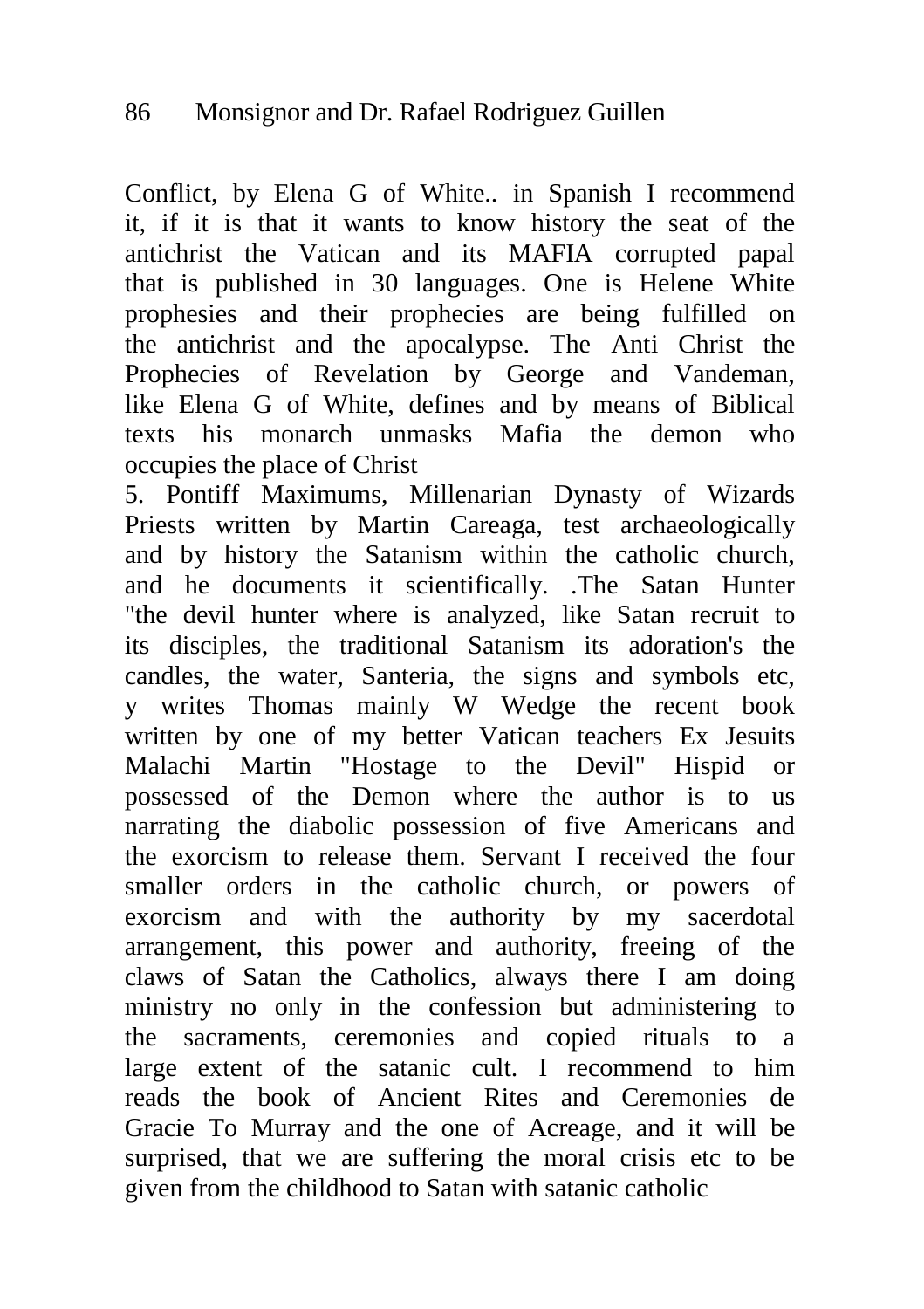Conflict, by Elena G of White.. in Spanish I recommend it, if it is that it wants to know history the seat of the antichrist the Vatican and its MAFIA corrupted papal that is published in 30 languages. One is Helene White prophesies and their prophecies are being fulfilled on the antichrist and the apocalypse. The Anti Christ the Prophecies of Revelation by George and Vandeman, like Elena G of White, defines and by means of Biblical texts his monarch unmasks Mafia the demon who occupies the place of Christ

5. Pontiff Maximums, Millenarian Dynasty of Wizards Priests written by Martin Careaga, test archaeologically and by history the Satanism within the catholic church, and he documents it scientifically. .The Satan Hunter "the devil hunter where is analyzed, like Satan recruit to its disciples, the traditional Satanism its adoration's the candles, the water, Santeria, the signs and symbols etc, y writes Thomas mainly W Wedge the recent book written by one of my better Vatican teachers Ex Jesuits Malachi Martin "Hostage to the Devil" Hispid or possessed of the Demon where the author is to us narrating the diabolic possession of five Americans and the exorcism to release them. Servant I received the four smaller orders in the catholic church, or powers of exorcism and with the authority by my sacerdotal arrangement, this power and authority, freeing of the claws of Satan the Catholics, always there I am doing ministry no only in the confession but administering to the sacraments, ceremonies and copied rituals to a large extent of the satanic cult. I recommend to him reads the book of Ancient Rites and Ceremonies de Gracie To Murray and the one of Acreage, and it will be surprised, that we are suffering the moral crisis etc to be given from the childhood to Satan with satanic catholic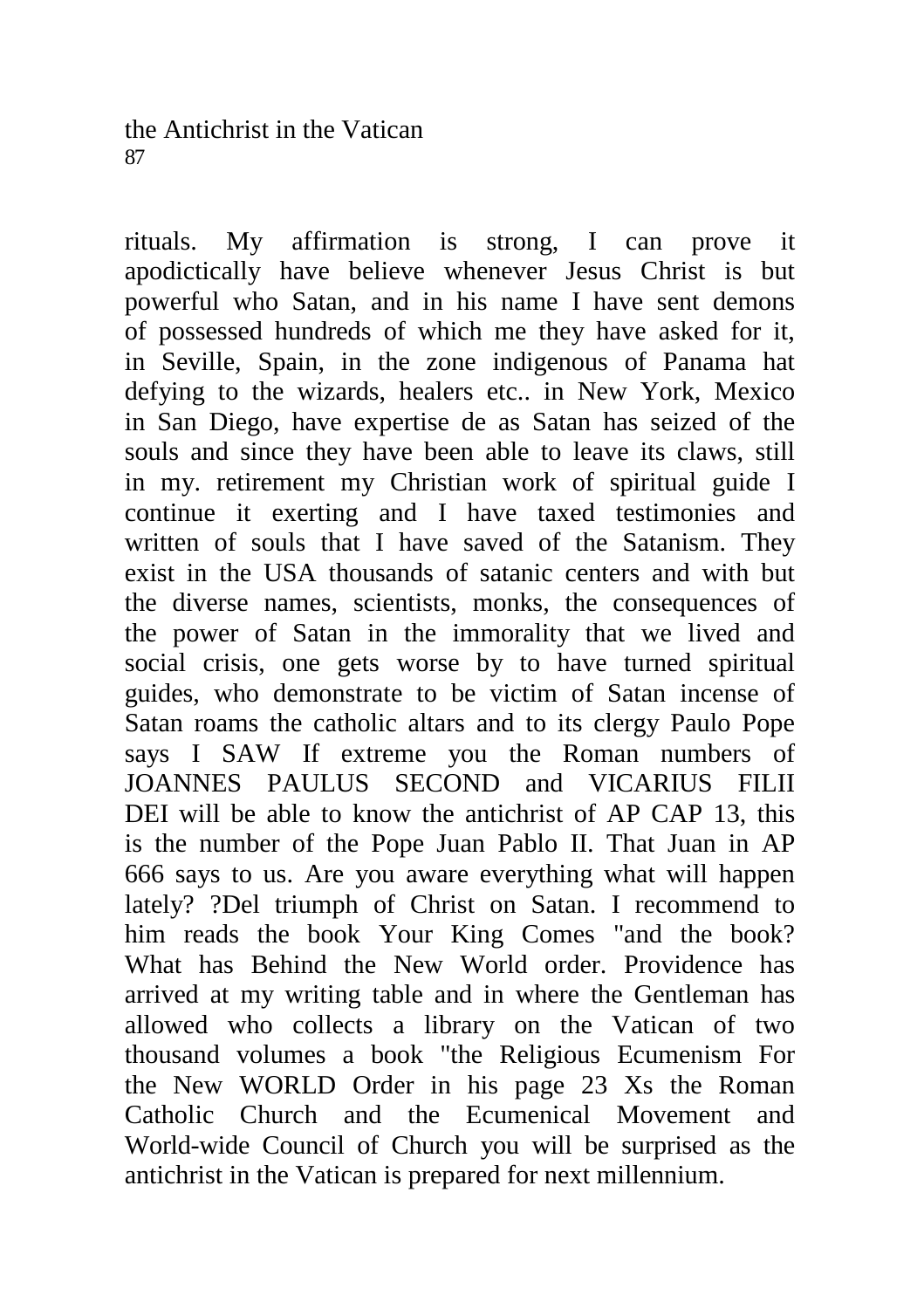rituals. My affirmation is strong, I can prove it apodictically have believe whenever Jesus Christ is but powerful who Satan, and in his name I have sent demons of possessed hundreds of which me they have asked for it, in Seville, Spain, in the zone indigenous of Panama hat defying to the wizards, healers etc.. in New York, Mexico in San Diego, have expertise de as Satan has seized of the souls and since they have been able to leave its claws, still in my. retirement my Christian work of spiritual guide I continue it exerting and I have taxed testimonies and written of souls that I have saved of the Satanism. They exist in the USA thousands of satanic centers and with but the diverse names, scientists, monks, the consequences of the power of Satan in the immorality that we lived and social crisis, one gets worse by to have turned spiritual guides, who demonstrate to be victim of Satan incense of Satan roams the catholic altars and to its clergy Paulo Pope says I SAW If extreme you the Roman numbers of JOANNES PAULUS SECOND and VICARIUS FILII DEI will be able to know the antichrist of AP CAP 13, this is the number of the Pope Juan Pablo II. That Juan in AP 666 says to us. Are you aware everything what will happen lately? ?Del triumph of Christ on Satan. I recommend to him reads the book Your King Comes "and the book? What has Behind the New World order. Providence has arrived at my writing table and in where the Gentleman has allowed who collects a library on the Vatican of two thousand volumes a book "the Religious Ecumenism For the New WORLD Order in his page 23 Xs the Roman Catholic Church and the Ecumenical Movement and World-wide Council of Church you will be surprised as the antichrist in the Vatican is prepared for next millennium.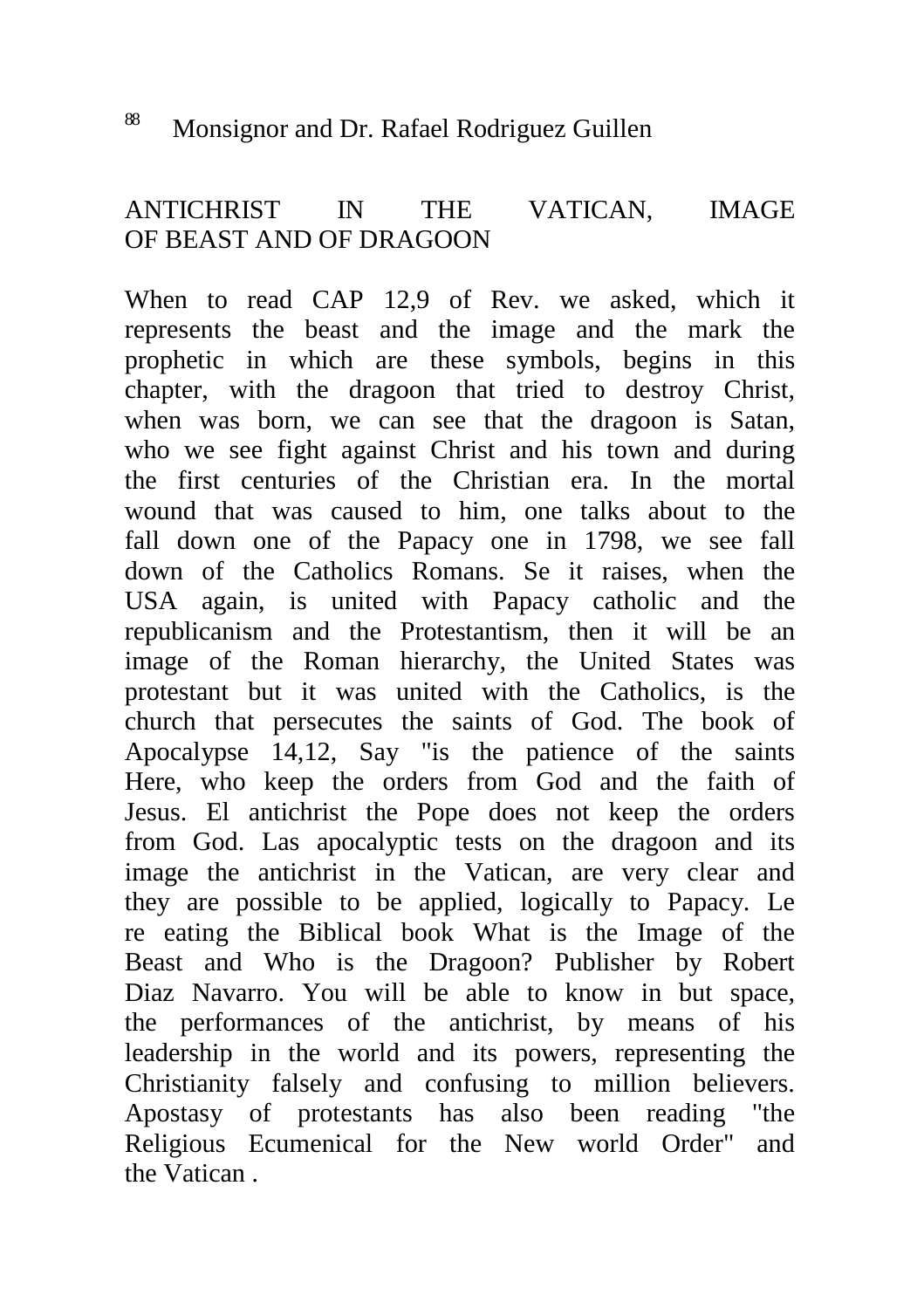# <sup>88</sup> Monsignor and Dr. Rafael Rodriguez Guillen

### ANTICHRIST IN THE VATICAN, IMAGE OF BEAST AND OF DRAGOON

When to read CAP 12,9 of Rev. we asked, which it represents the beast and the image and the mark the prophetic in which are these symbols, begins in this chapter, with the dragoon that tried to destroy Christ, when was born, we can see that the dragoon is Satan, who we see fight against Christ and his town and during the first centuries of the Christian era. In the mortal wound that was caused to him, one talks about to the fall down one of the Papacy one in 1798, we see fall down of the Catholics Romans. Se it raises, when the USA again, is united with Papacy catholic and the republicanism and the Protestantism, then it will be an image of the Roman hierarchy, the United States was protestant but it was united with the Catholics, is the church that persecutes the saints of God. The book of Apocalypse 14,12, Say "is the patience of the saints Here, who keep the orders from God and the faith of Jesus. El antichrist the Pope does not keep the orders from God. Las apocalyptic tests on the dragoon and its image the antichrist in the Vatican, are very clear and they are possible to be applied, logically to Papacy. Le re eating the Biblical book What is the Image of the Beast and Who is the Dragoon? Publisher by Robert Diaz Navarro. You will be able to know in but space, the performances of the antichrist, by means of his leadership in the world and its powers, representing the Christianity falsely and confusing to million believers. Apostasy of protestants has also been reading "the Religious Ecumenical for the New world Order" and the Vatican .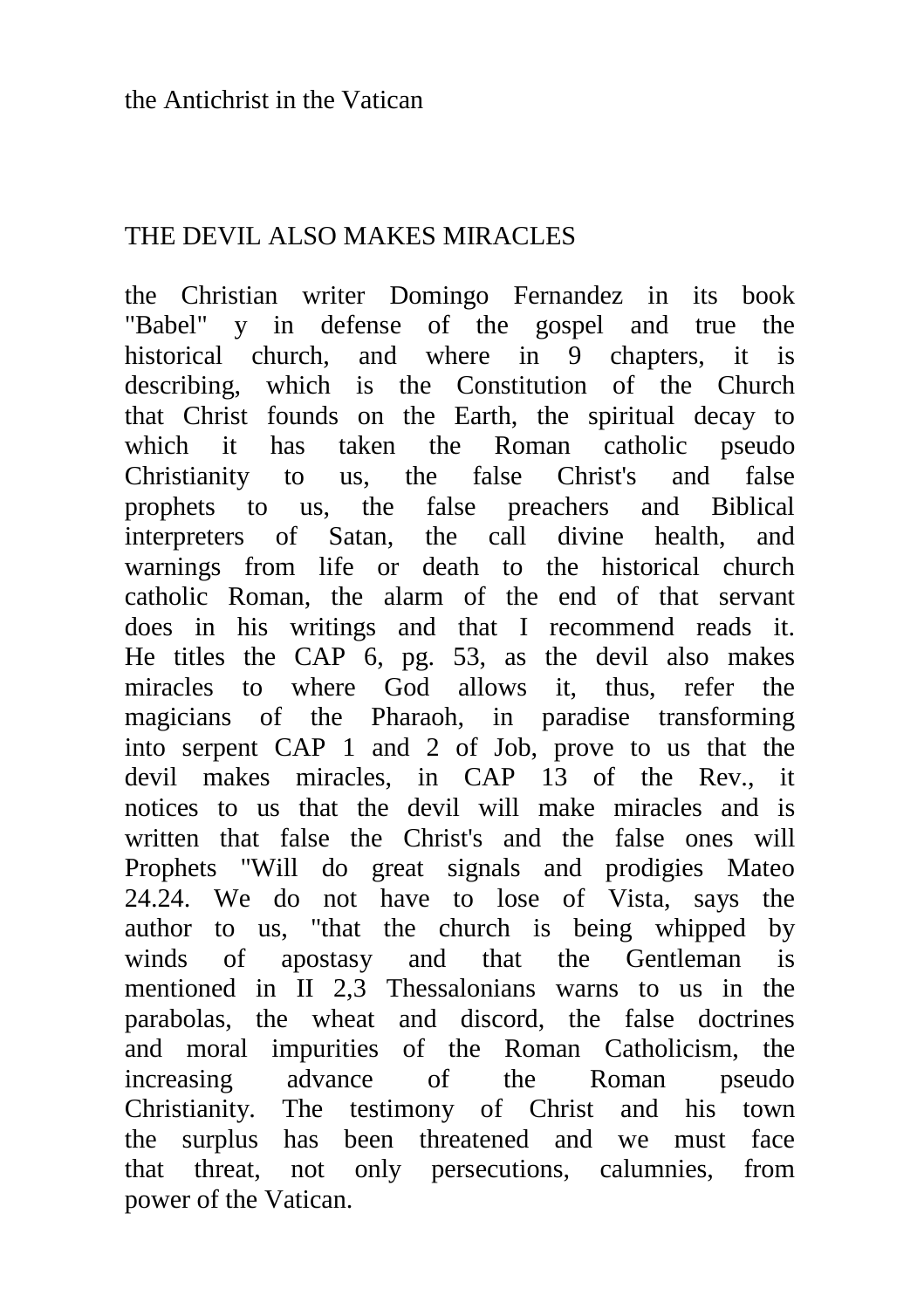# THE DEVIL ALSO MAKES MIRACLES

the Christian writer Domingo Fernandez in its book "Babel" y in defense of the gospel and true the historical church, and where in 9 chapters, it is describing, which is the Constitution of the Church that Christ founds on the Earth, the spiritual decay to which it has taken the Roman catholic pseudo Christianity to us, the false Christ's and false prophets to us, the false preachers and Biblical interpreters of Satan, the call divine health, and warnings from life or death to the historical church catholic Roman, the alarm of the end of that servant does in his writings and that I recommend reads it. He titles the CAP 6, pg. 53, as the devil also makes miracles to where God allows it, thus, refer the magicians of the Pharaoh, in paradise transforming into serpent CAP 1 and 2 of Job, prove to us that the devil makes miracles, in CAP 13 of the Rev., it notices to us that the devil will make miracles and is written that false the Christ's and the false ones will Prophets "Will do great signals and prodigies Mateo 24.24. We do not have to lose of Vista, says the author to us, "that the church is being whipped by winds of apostasy and that the Gentleman is mentioned in II 2,3 Thessalonians warns to us in the parabolas, the wheat and discord, the false doctrines and moral impurities of the Roman Catholicism, the increasing advance of the Roman pseudo Christianity. The testimony of Christ and his town the surplus has been threatened and we must face that threat, not only persecutions, calumnies, from power of the Vatican.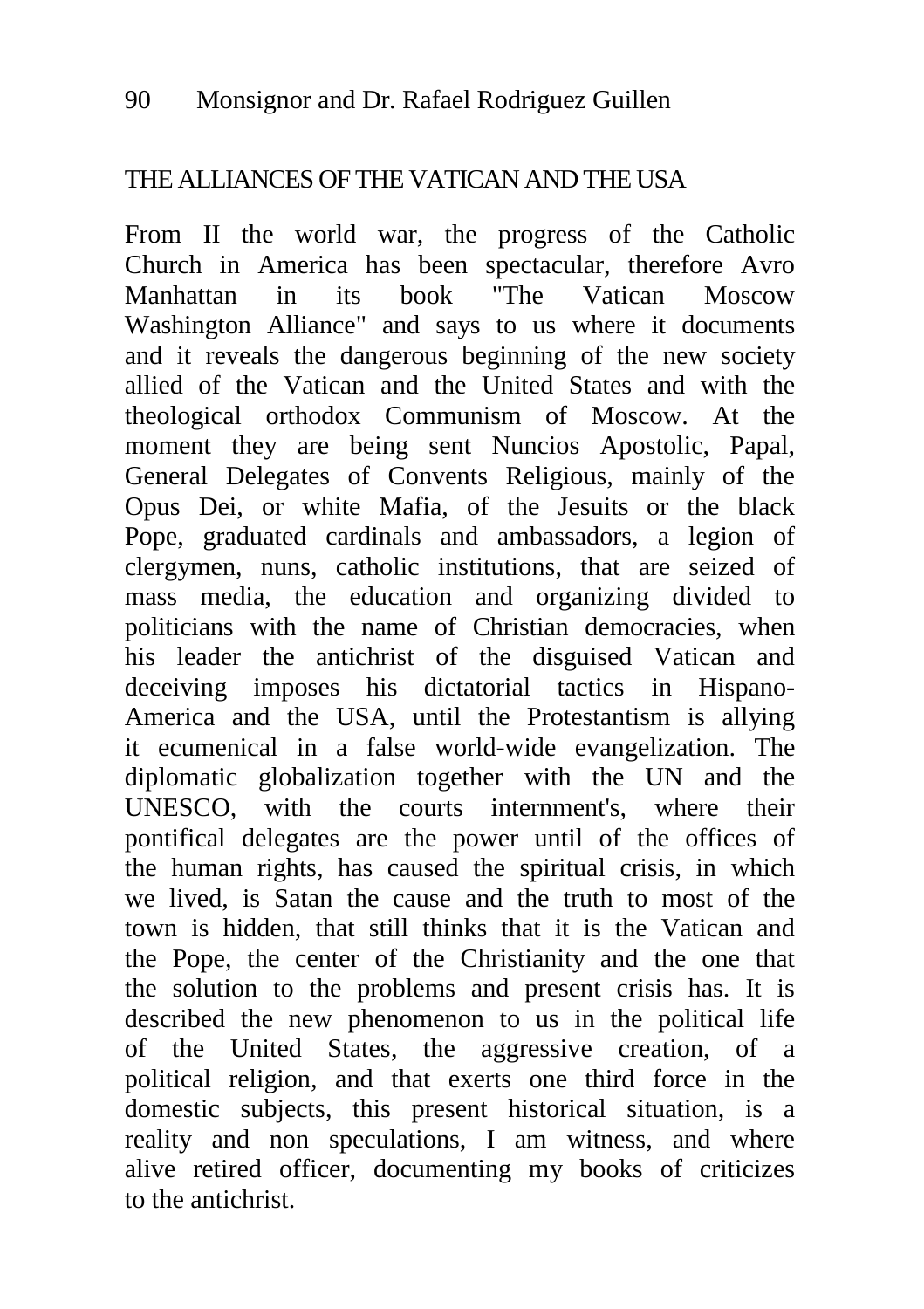# THE ALLIANCES OF THE VATICAN AND THE USA

From II the world war, the progress of the Catholic Church in America has been spectacular, therefore Avro Manhattan in its book "The Vatican Moscow Washington Alliance" and says to us where it documents and it reveals the dangerous beginning of the new society allied of the Vatican and the United States and with the theological orthodox Communism of Moscow. At the moment they are being sent Nuncios Apostolic, Papal, General Delegates of Convents Religious, mainly of the Opus Dei, or white Mafia, of the Jesuits or the black Pope, graduated cardinals and ambassadors, a legion of clergymen, nuns, catholic institutions, that are seized of mass media, the education and organizing divided to politicians with the name of Christian democracies, when his leader the antichrist of the disguised Vatican and deceiving imposes his dictatorial tactics in Hispano-America and the USA, until the Protestantism is allying it ecumenical in a false world-wide evangelization. The diplomatic globalization together with the UN and the UNESCO, with the courts internment's, where their pontifical delegates are the power until of the offices of the human rights, has caused the spiritual crisis, in which we lived, is Satan the cause and the truth to most of the town is hidden, that still thinks that it is the Vatican and the Pope, the center of the Christianity and the one that the solution to the problems and present crisis has. It is described the new phenomenon to us in the political life of the United States, the aggressive creation, of a political religion, and that exerts one third force in the domestic subjects, this present historical situation, is a reality and non speculations, I am witness, and where alive retired officer, documenting my books of criticizes to the antichrist.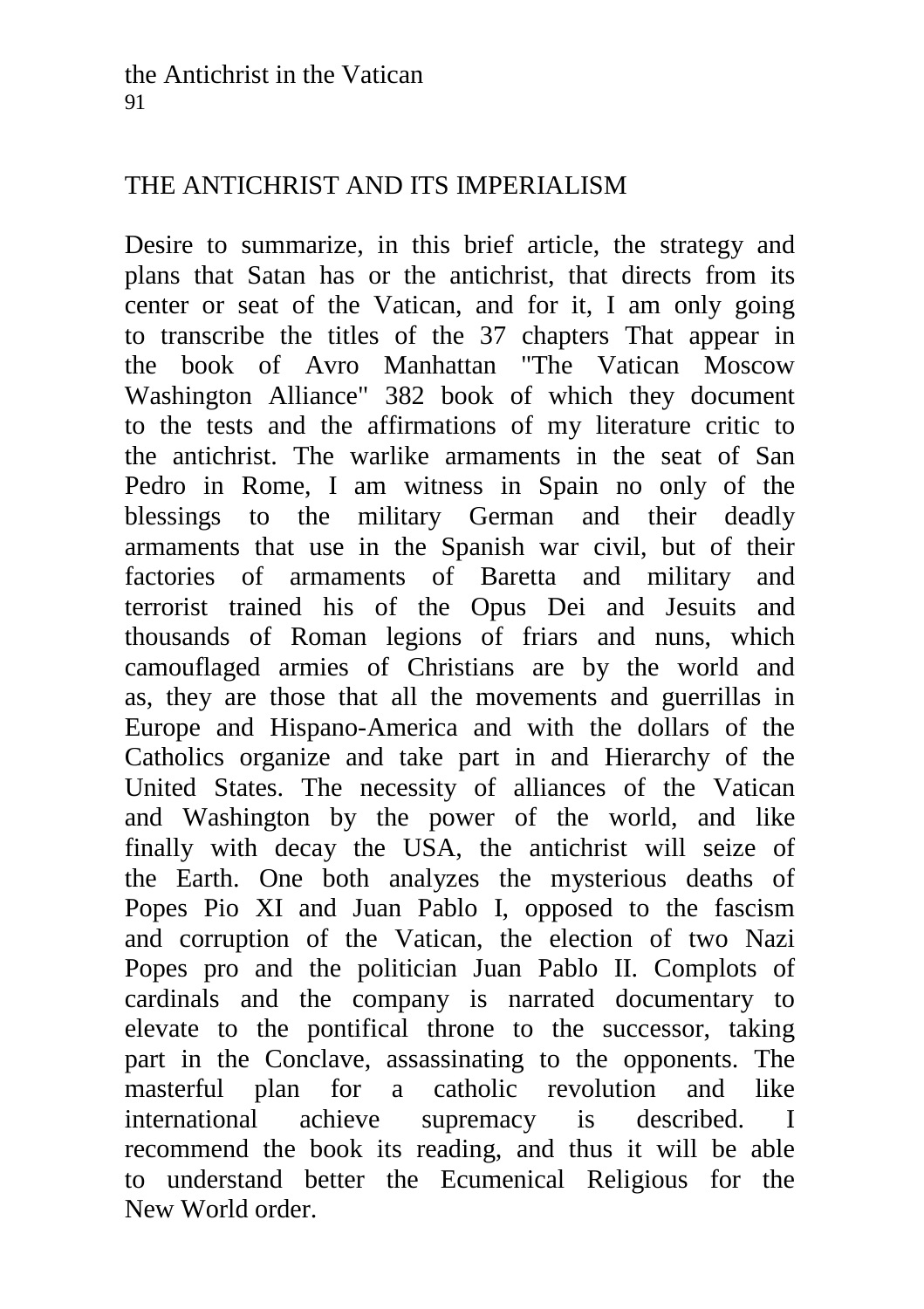# THE ANTICHRIST AND ITS IMPERIALISM

Desire to summarize, in this brief article, the strategy and plans that Satan has or the antichrist, that directs from its center or seat of the Vatican, and for it, I am only going to transcribe the titles of the 37 chapters That appear in the book of Avro Manhattan "The Vatican Moscow Washington Alliance" 382 book of which they document to the tests and the affirmations of my literature critic to the antichrist. The warlike armaments in the seat of San Pedro in Rome, I am witness in Spain no only of the blessings to the military German and their deadly armaments that use in the Spanish war civil, but of their factories of armaments of Baretta and military and terrorist trained his of the Opus Dei and Jesuits and thousands of Roman legions of friars and nuns, which camouflaged armies of Christians are by the world and as, they are those that all the movements and guerrillas in Europe and Hispano-America and with the dollars of the Catholics organize and take part in and Hierarchy of the United States. The necessity of alliances of the Vatican and Washington by the power of the world, and like finally with decay the USA, the antichrist will seize of the Earth. One both analyzes the mysterious deaths of Popes Pio XI and Juan Pablo I, opposed to the fascism and corruption of the Vatican, the election of two Nazi Popes pro and the politician Juan Pablo II. Complots of cardinals and the company is narrated documentary to elevate to the pontifical throne to the successor, taking part in the Conclave, assassinating to the opponents. The masterful plan for a catholic revolution and like international achieve supremacy is described. I recommend the book its reading, and thus it will be able to understand better the Ecumenical Religious for the New World order.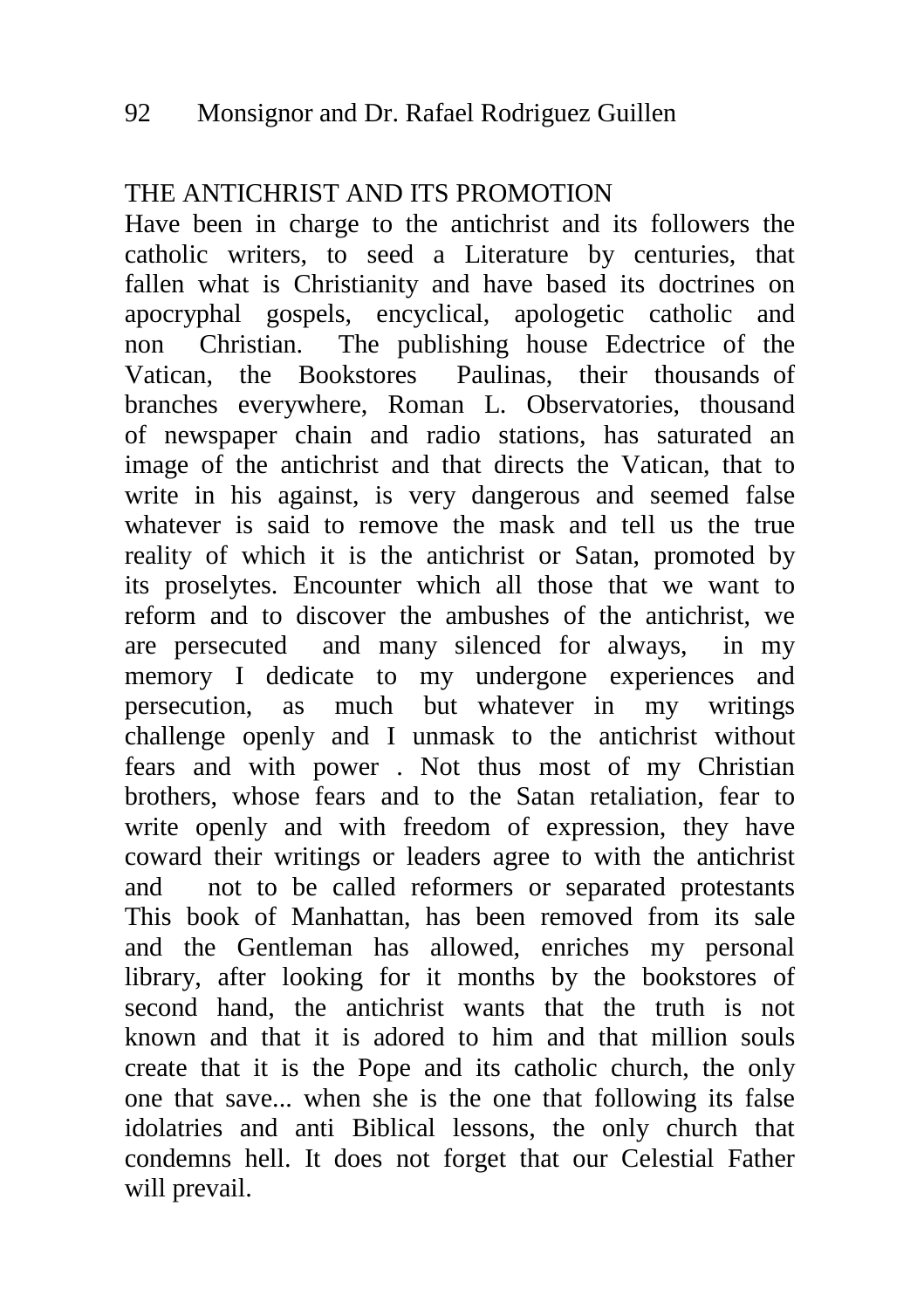### THE ANTICHRIST AND ITS PROMOTION

Have been in charge to the antichrist and its followers the catholic writers, to seed a Literature by centuries, that fallen what is Christianity and have based its doctrines on apocryphal gospels, encyclical, apologetic catholic and non Christian. The publishing house Edectrice of the Vatican, the Bookstores Paulinas, their thousands of branches everywhere, Roman L. Observatories, thousand of newspaper chain and radio stations, has saturated an image of the antichrist and that directs the Vatican, that to write in his against, is very dangerous and seemed false whatever is said to remove the mask and tell us the true reality of which it is the antichrist or Satan, promoted by its proselytes. Encounter which all those that we want to reform and to discover the ambushes of the antichrist, we are persecuted and many silenced for always, in my memory I dedicate to my undergone experiences and persecution, as much but whatever in my writings challenge openly and I unmask to the antichrist without fears and with power . Not thus most of my Christian brothers, whose fears and to the Satan retaliation, fear to write openly and with freedom of expression, they have coward their writings or leaders agree to with the antichrist and not to be called reformers or separated protestants This book of Manhattan, has been removed from its sale and the Gentleman has allowed, enriches my personal library, after looking for it months by the bookstores of second hand, the antichrist wants that the truth is not known and that it is adored to him and that million souls create that it is the Pope and its catholic church, the only one that save... when she is the one that following its false idolatries and anti Biblical lessons, the only church that condemns hell. It does not forget that our Celestial Father will prevail.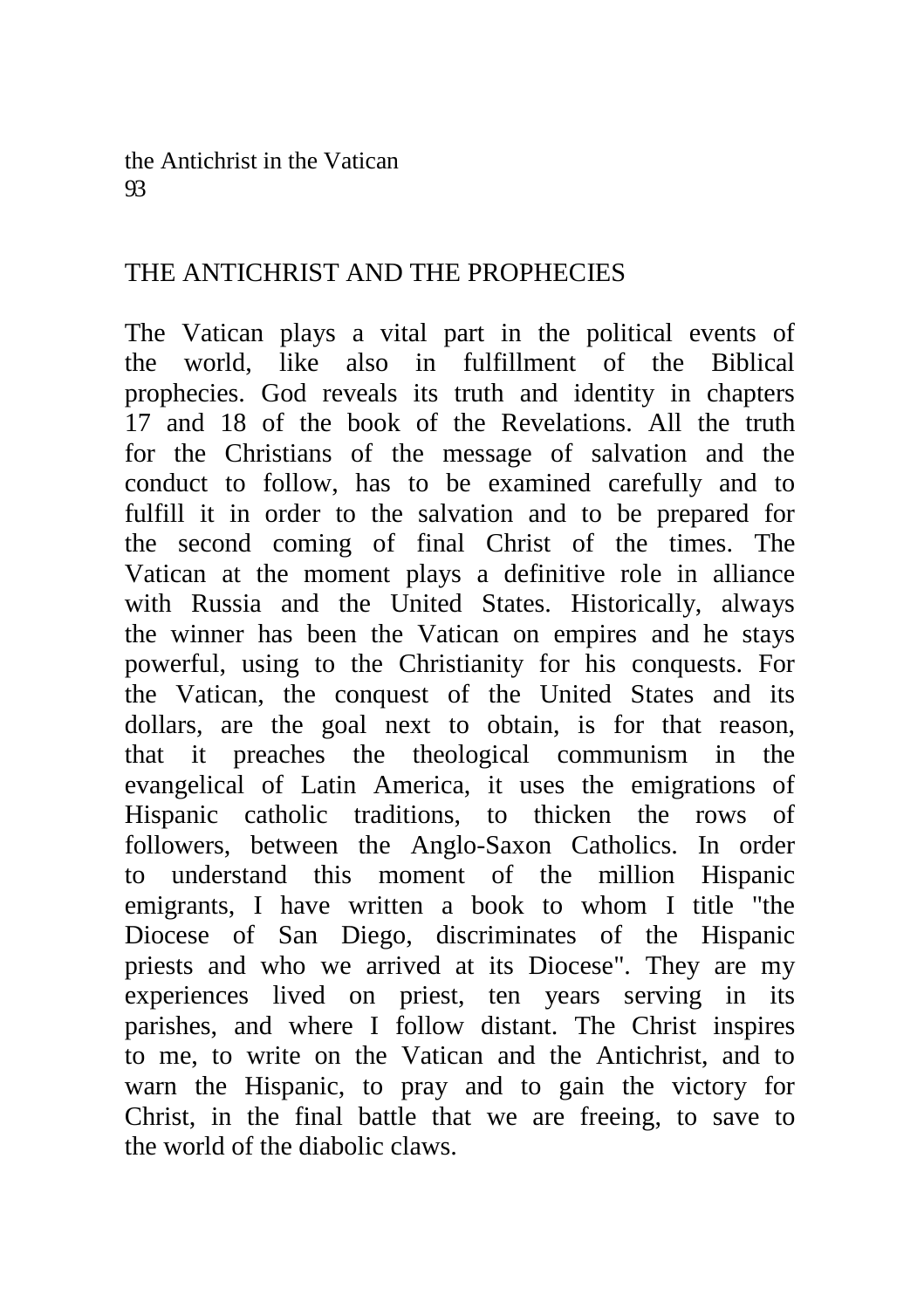the Antichrist in the Vatican 93

### THE ANTICHRIST AND THE PROPHECIES

The Vatican plays a vital part in the political events of the world, like also in fulfillment of the Biblical prophecies. God reveals its truth and identity in chapters 17 and 18 of the book of the Revelations. All the truth for the Christians of the message of salvation and the conduct to follow, has to be examined carefully and to fulfill it in order to the salvation and to be prepared for the second coming of final Christ of the times. The Vatican at the moment plays a definitive role in alliance with Russia and the United States. Historically, always the winner has been the Vatican on empires and he stays powerful, using to the Christianity for his conquests. For the Vatican, the conquest of the United States and its dollars, are the goal next to obtain, is for that reason, that it preaches the theological communism in the evangelical of Latin America, it uses the emigrations of Hispanic catholic traditions, to thicken the rows of followers, between the Anglo-Saxon Catholics. In order to understand this moment of the million Hispanic emigrants, I have written a book to whom I title "the Diocese of San Diego, discriminates of the Hispanic priests and who we arrived at its Diocese". They are my experiences lived on priest, ten years serving in its parishes, and where I follow distant. The Christ inspires to me, to write on the Vatican and the Antichrist, and to warn the Hispanic, to pray and to gain the victory for Christ, in the final battle that we are freeing, to save to the world of the diabolic claws.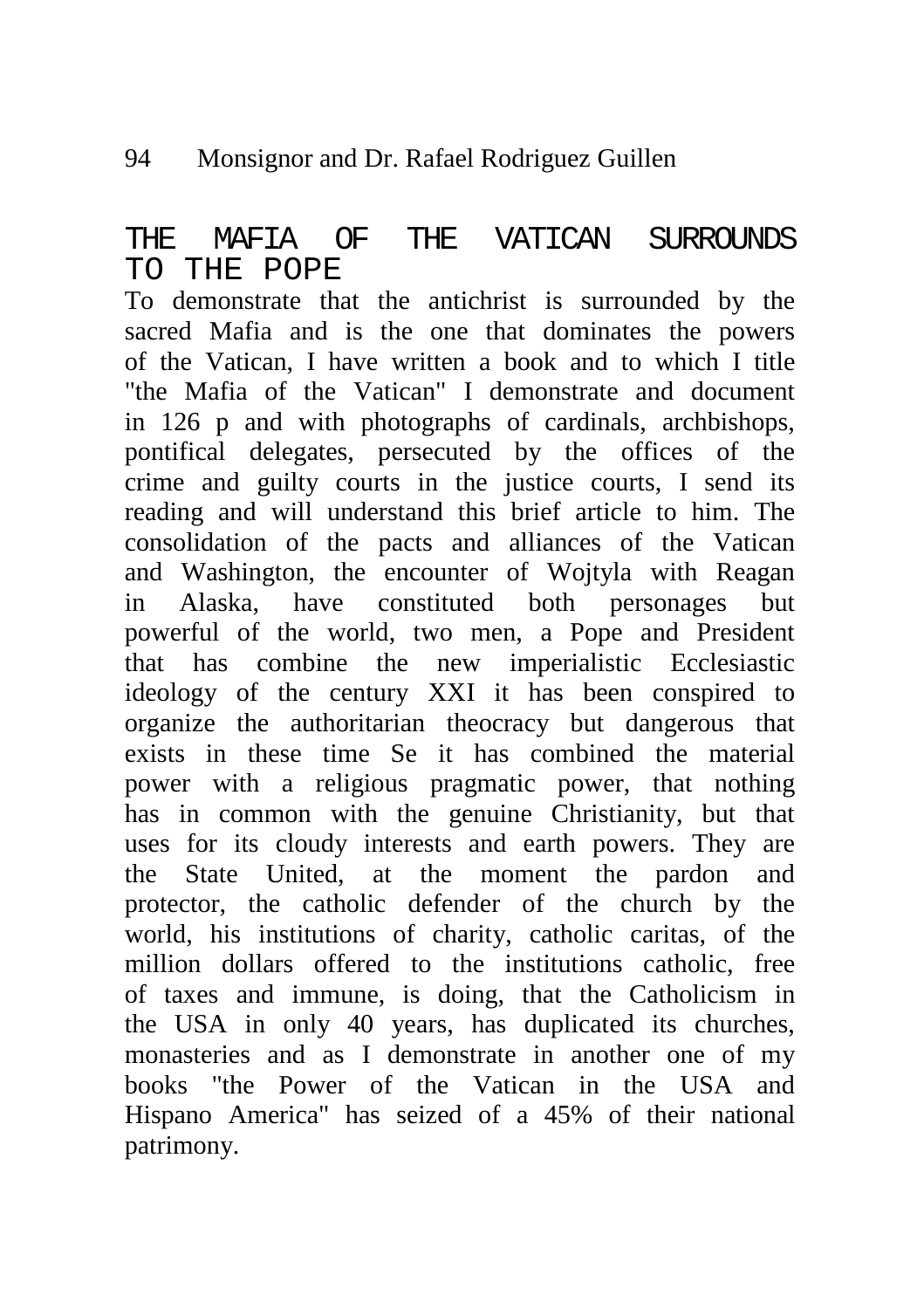#### 94 Monsignor and Dr. Rafael Rodriguez Guillen

# THE MAFIA OF THE VATICAN SURROUNDS TO THE POPE

To demonstrate that the antichrist is surrounded by the sacred Mafia and is the one that dominates the powers of the Vatican, I have written a book and to which I title "the Mafia of the Vatican" I demonstrate and document in 126 p and with photographs of cardinals, archbishops, pontifical delegates, persecuted by the offices of the crime and guilty courts in the justice courts, I send its reading and will understand this brief article to him. The consolidation of the pacts and alliances of the Vatican and Washington, the encounter of Wojtyla with Reagan in Alaska, have constituted both personages but powerful of the world, two men, a Pope and President that has combine the new imperialistic Ecclesiastic ideology of the century XXI it has been conspired to organize the authoritarian theocracy but dangerous that exists in these time Se it has combined the material power with a religious pragmatic power, that nothing has in common with the genuine Christianity, but that uses for its cloudy interests and earth powers. They are the State United, at the moment the pardon and protector, the catholic defender of the church by the world, his institutions of charity, catholic caritas, of the million dollars offered to the institutions catholic, free of taxes and immune, is doing, that the Catholicism in the USA in only 40 years, has duplicated its churches, monasteries and as I demonstrate in another one of my books "the Power of the Vatican in the USA and Hispano America" has seized of a 45% of their national patrimony.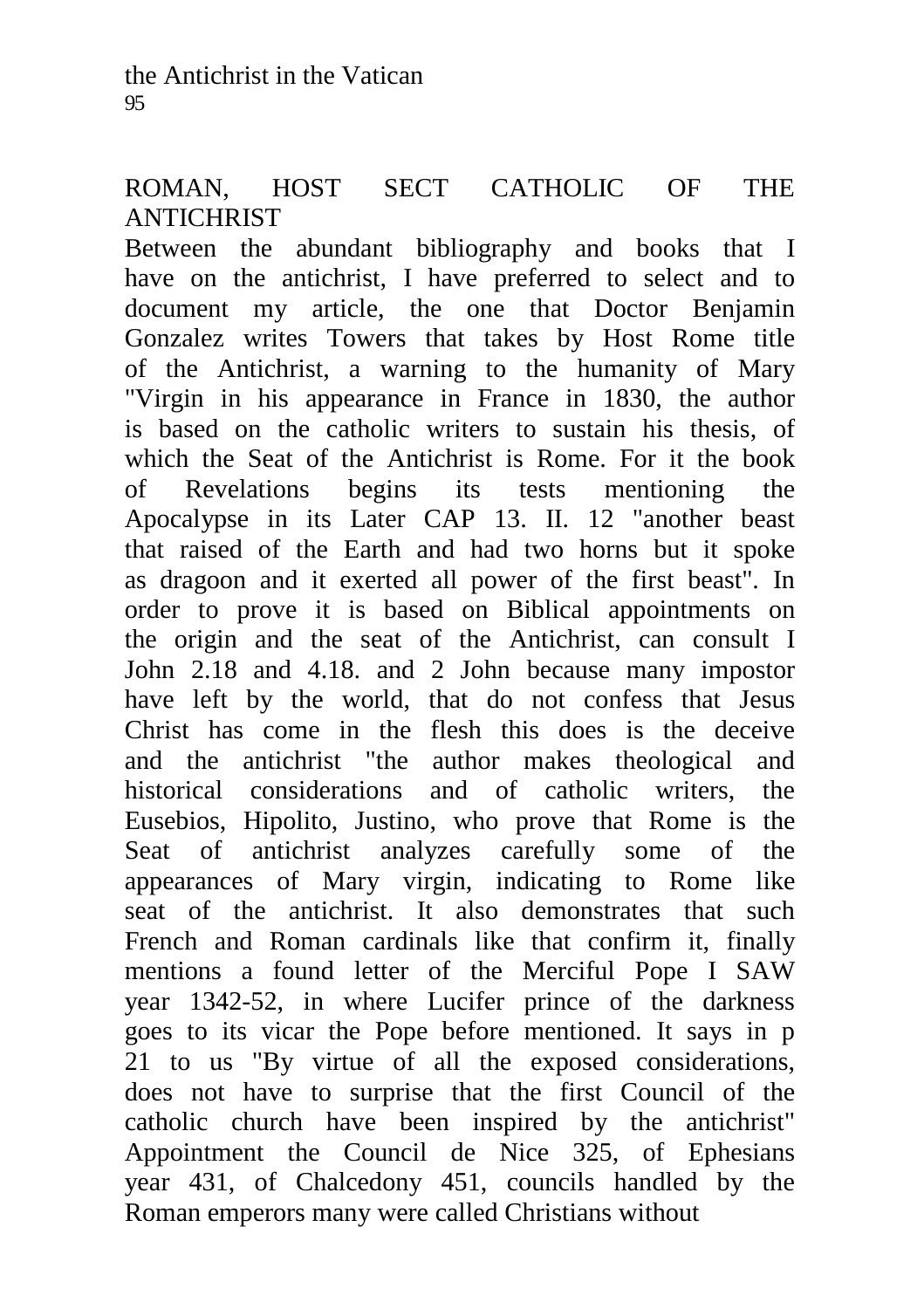# ROMAN, HOST SECT CATHOLIC OF THE **ANTICHRIST**

Between the abundant bibliography and books that I have on the antichrist, I have preferred to select and to document my article, the one that Doctor Benjamin Gonzalez writes Towers that takes by Host Rome title of the Antichrist, a warning to the humanity of Mary "Virgin in his appearance in France in 1830, the author is based on the catholic writers to sustain his thesis, of which the Seat of the Antichrist is Rome. For it the book of Revelations begins its tests mentioning the Apocalypse in its Later CAP 13. II. 12 "another beast that raised of the Earth and had two horns but it spoke as dragoon and it exerted all power of the first beast". In order to prove it is based on Biblical appointments on the origin and the seat of the Antichrist, can consult I John 2.18 and 4.18. and 2 John because many impostor have left by the world, that do not confess that Jesus Christ has come in the flesh this does is the deceive and the antichrist "the author makes theological and historical considerations and of catholic writers, the Eusebios, Hipolito, Justino, who prove that Rome is the Seat of antichrist analyzes carefully some of the appearances of Mary virgin, indicating to Rome like seat of the antichrist. It also demonstrates that such French and Roman cardinals like that confirm it, finally mentions a found letter of the Merciful Pope I SAW year 1342-52, in where Lucifer prince of the darkness goes to its vicar the Pope before mentioned. It says in p 21 to us "By virtue of all the exposed considerations, does not have to surprise that the first Council of the catholic church have been inspired by the antichrist" Appointment the Council de Nice 325, of Ephesians year 431, of Chalcedony 451, councils handled by the Roman emperors many were called Christians without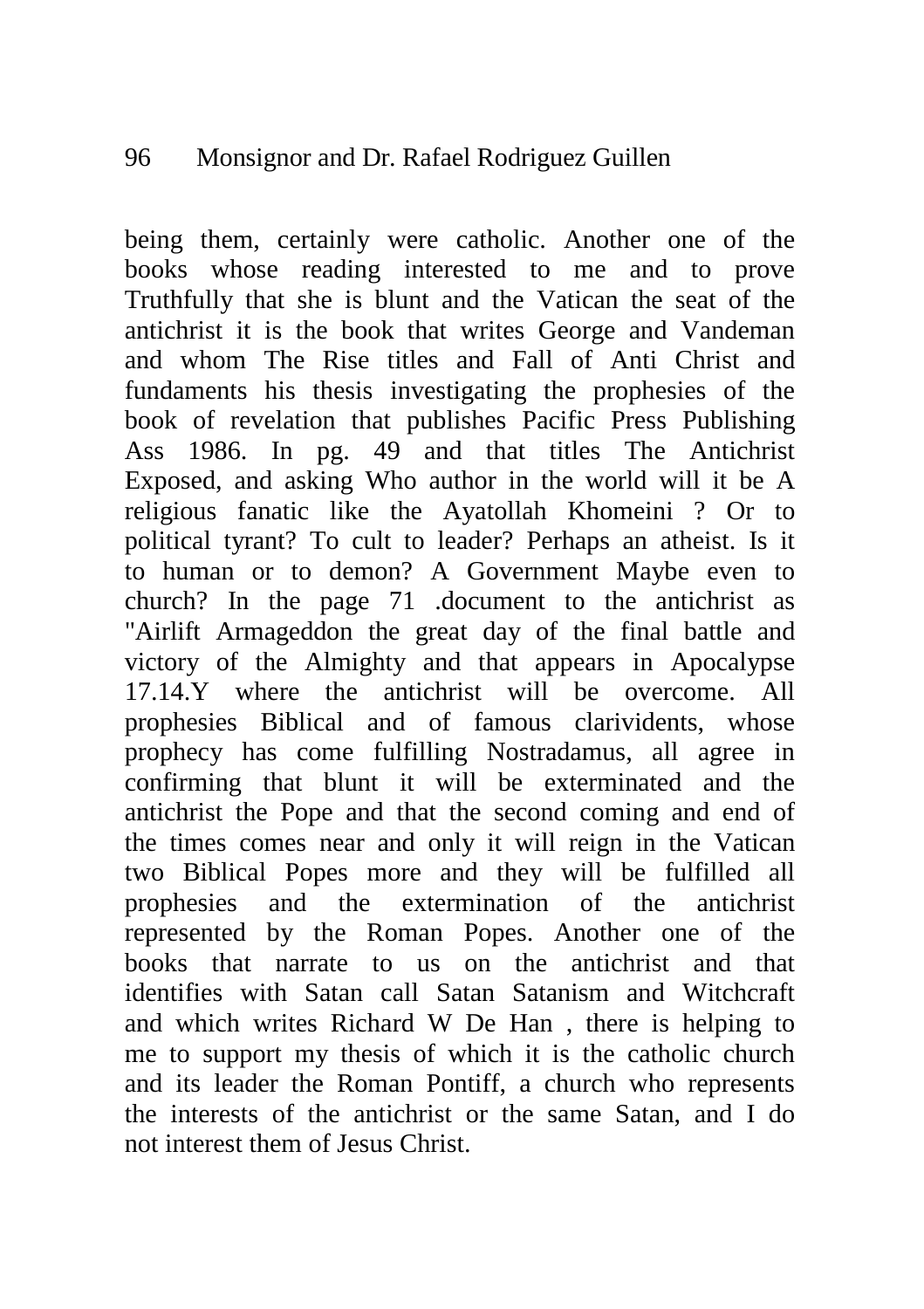#### 96 Monsignor and Dr. Rafael Rodriguez Guillen

being them, certainly were catholic. Another one of the books whose reading interested to me and to prove Truthfully that she is blunt and the Vatican the seat of the antichrist it is the book that writes George and Vandeman and whom The Rise titles and Fall of Anti Christ and fundaments his thesis investigating the prophesies of the book of revelation that publishes Pacific Press Publishing Ass 1986. In pg. 49 and that titles The Antichrist Exposed, and asking Who author in the world will it be A religious fanatic like the Ayatollah Khomeini ? Or to political tyrant? To cult to leader? Perhaps an atheist. Is it to human or to demon? A Government Maybe even to church? In the page 71 .document to the antichrist as "Airlift Armageddon the great day of the final battle and victory of the Almighty and that appears in Apocalypse 17.14.Y where the antichrist will be overcome. All prophesies Biblical and of famous clarividents, whose prophecy has come fulfilling Nostradamus, all agree in confirming that blunt it will be exterminated and the antichrist the Pope and that the second coming and end of the times comes near and only it will reign in the Vatican two Biblical Popes more and they will be fulfilled all prophesies and the extermination of the antichrist represented by the Roman Popes. Another one of the books that narrate to us on the antichrist and that identifies with Satan call Satan Satanism and Witchcraft and which writes Richard W De Han , there is helping to me to support my thesis of which it is the catholic church and its leader the Roman Pontiff, a church who represents the interests of the antichrist or the same Satan, and I do not interest them of Jesus Christ.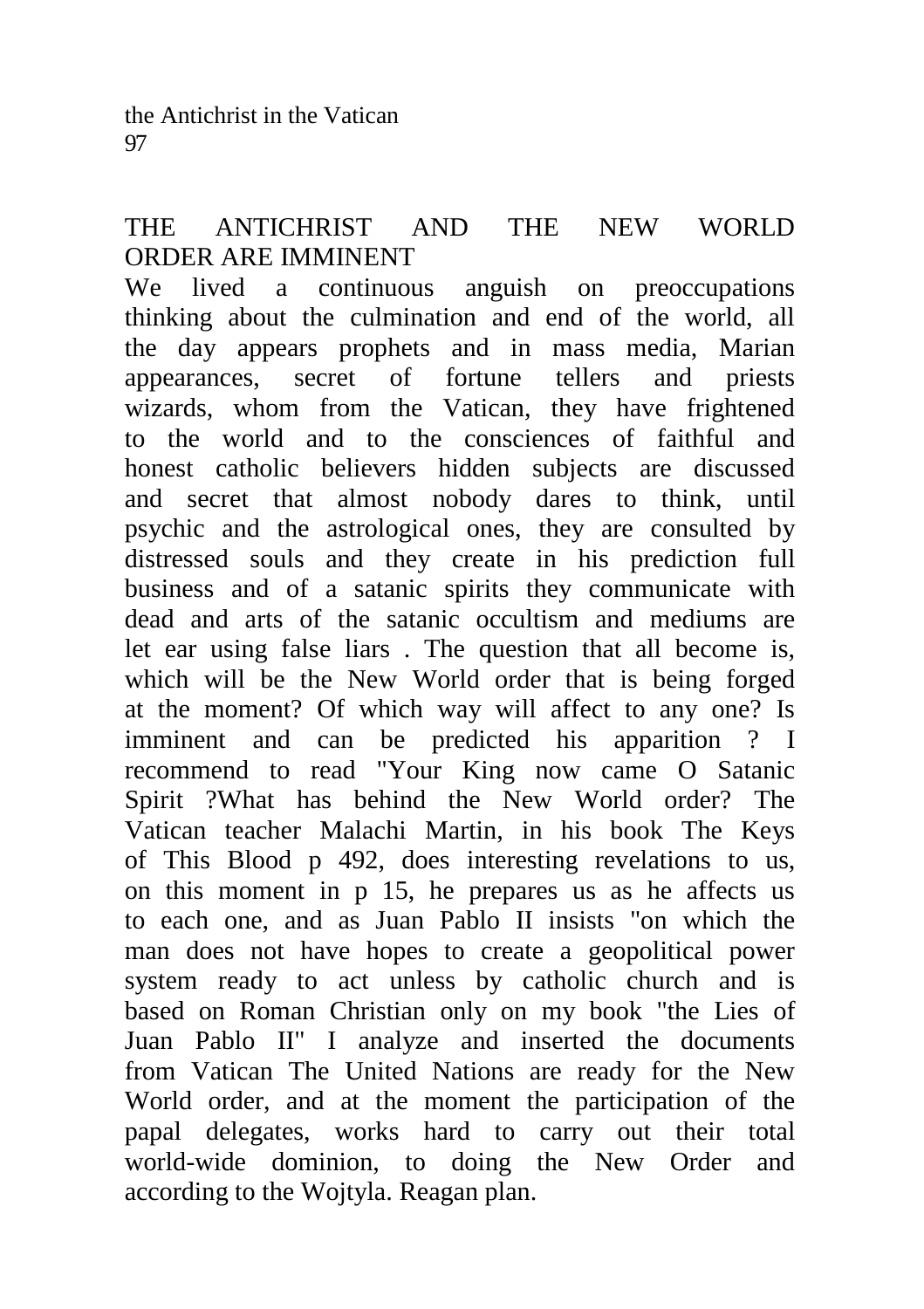# THE ANTICHRIST AND THE NEW WORLD ORDER ARE IMMINENT

We lived a continuous anguish on preoccupations thinking about the culmination and end of the world, all the day appears prophets and in mass media, Marian appearances, secret of fortune tellers and priests wizards, whom from the Vatican, they have frightened to the world and to the consciences of faithful and honest catholic believers hidden subjects are discussed and secret that almost nobody dares to think, until psychic and the astrological ones, they are consulted by distressed souls and they create in his prediction full business and of a satanic spirits they communicate with dead and arts of the satanic occultism and mediums are let ear using false liars . The question that all become is, which will be the New World order that is being forged at the moment? Of which way will affect to any one? Is imminent and can be predicted his apparition ? I recommend to read "Your King now came O Satanic Spirit ?What has behind the New World order? The Vatican teacher Malachi Martin, in his book The Keys of This Blood p 492, does interesting revelations to us, on this moment in p 15, he prepares us as he affects us to each one, and as Juan Pablo II insists "on which the man does not have hopes to create a geopolitical power system ready to act unless by catholic church and is based on Roman Christian only on my book "the Lies of Juan Pablo II" I analyze and inserted the documents from Vatican The United Nations are ready for the New World order, and at the moment the participation of the papal delegates, works hard to carry out their total world-wide dominion, to doing the New Order and according to the Wojtyla. Reagan plan.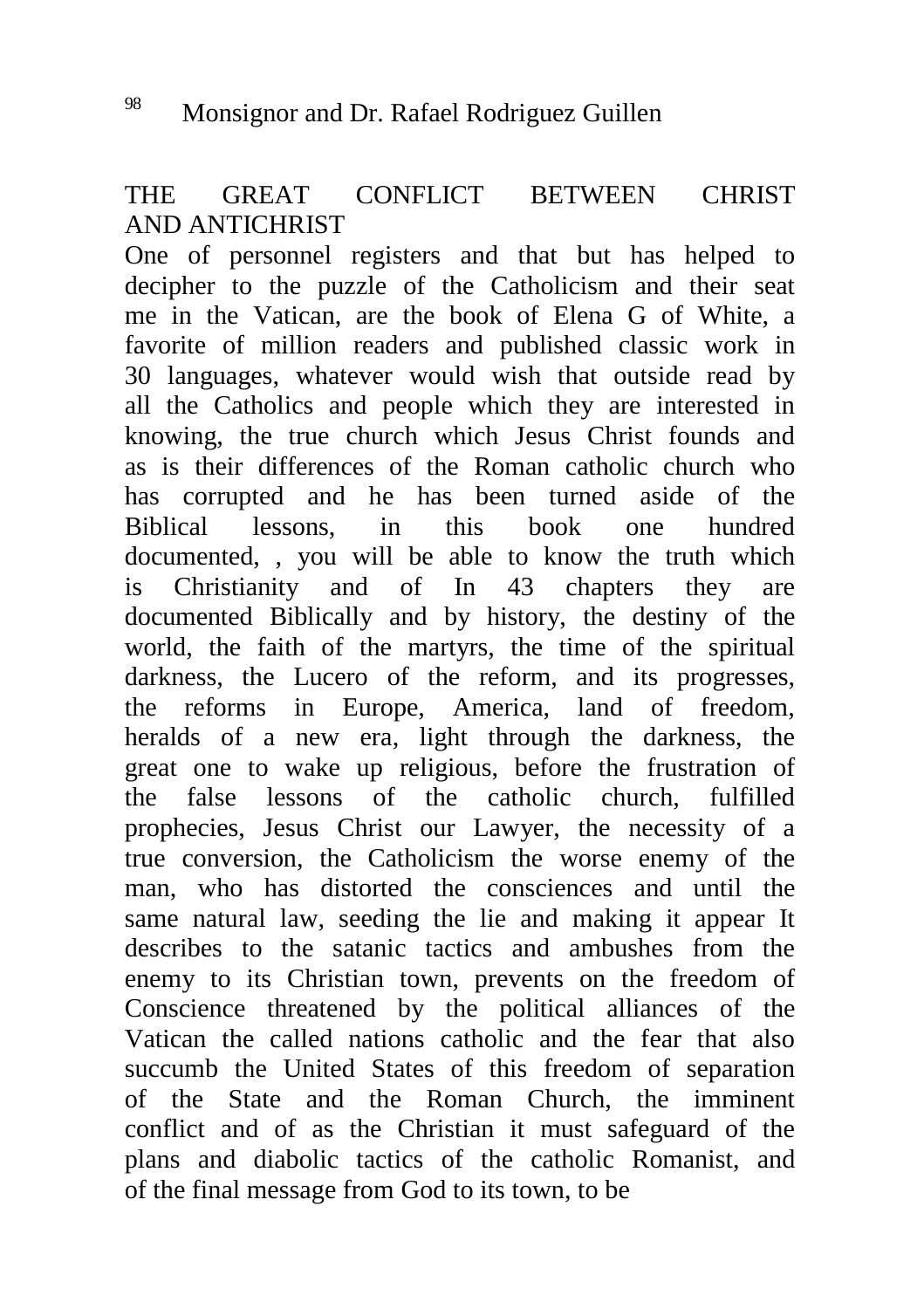THE GREAT CONFLICT BETWEEN CHRIST AND ANTICHRIST

One of personnel registers and that but has helped to decipher to the puzzle of the Catholicism and their seat me in the Vatican, are the book of Elena G of White, a favorite of million readers and published classic work in 30 languages, whatever would wish that outside read by all the Catholics and people which they are interested in knowing, the true church which Jesus Christ founds and as is their differences of the Roman catholic church who has corrupted and he has been turned aside of the Biblical lessons, in this book one hundred documented, , you will be able to know the truth which is Christianity and of In 43 chapters they are documented Biblically and by history, the destiny of the world, the faith of the martyrs, the time of the spiritual darkness, the Lucero of the reform, and its progresses, the reforms in Europe, America, land of freedom, heralds of a new era, light through the darkness, the great one to wake up religious, before the frustration of the false lessons of the catholic church, fulfilled prophecies, Jesus Christ our Lawyer, the necessity of a true conversion, the Catholicism the worse enemy of the man, who has distorted the consciences and until the same natural law, seeding the lie and making it appear It describes to the satanic tactics and ambushes from the enemy to its Christian town, prevents on the freedom of Conscience threatened by the political alliances of the Vatican the called nations catholic and the fear that also succumb the United States of this freedom of separation of the State and the Roman Church, the imminent conflict and of as the Christian it must safeguard of the plans and diabolic tactics of the catholic Romanist, and of the final message from God to its town, to be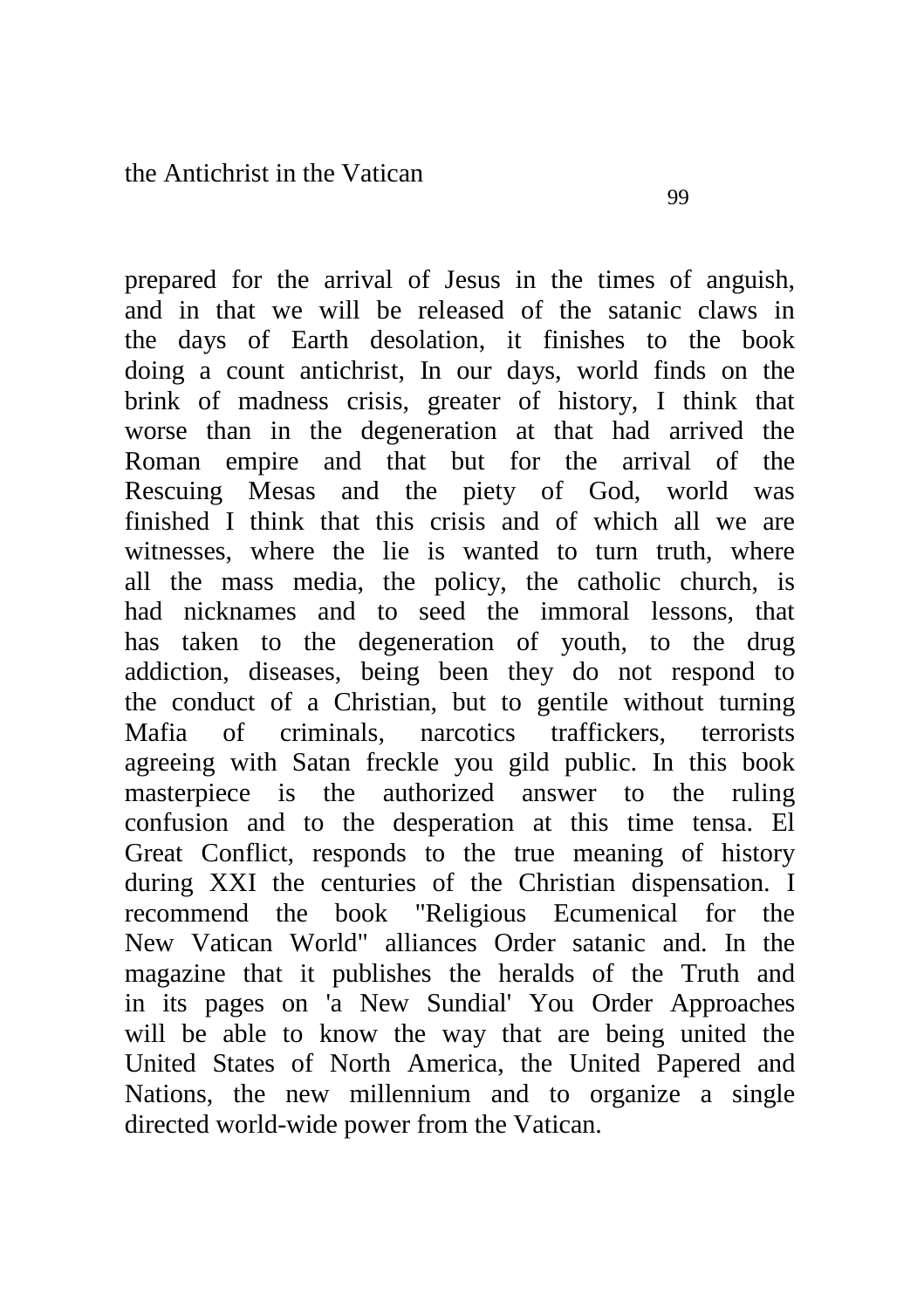prepared for the arrival of Jesus in the times of anguish, and in that we will be released of the satanic claws in the days of Earth desolation, it finishes to the book doing a count antichrist, In our days, world finds on the brink of madness crisis, greater of history, I think that worse than in the degeneration at that had arrived the Roman empire and that but for the arrival of the Rescuing Mesas and the piety of God, world was finished I think that this crisis and of which all we are witnesses, where the lie is wanted to turn truth, where all the mass media, the policy, the catholic church, is had nicknames and to seed the immoral lessons, that has taken to the degeneration of youth, to the drug addiction, diseases, being been they do not respond to the conduct of a Christian, but to gentile without turning Mafia of criminals, narcotics traffickers, terrorists agreeing with Satan freckle you gild public. In this book masterpiece is the authorized answer to the ruling confusion and to the desperation at this time tensa. El Great Conflict, responds to the true meaning of history during XXI the centuries of the Christian dispensation. I recommend the book "Religious Ecumenical for the New Vatican World" alliances Order satanic and. In the magazine that it publishes the heralds of the Truth and in its pages on 'a New Sundial' You Order Approaches will be able to know the way that are being united the United States of North America, the United Papered and Nations, the new millennium and to organize a single directed world-wide power from the Vatican.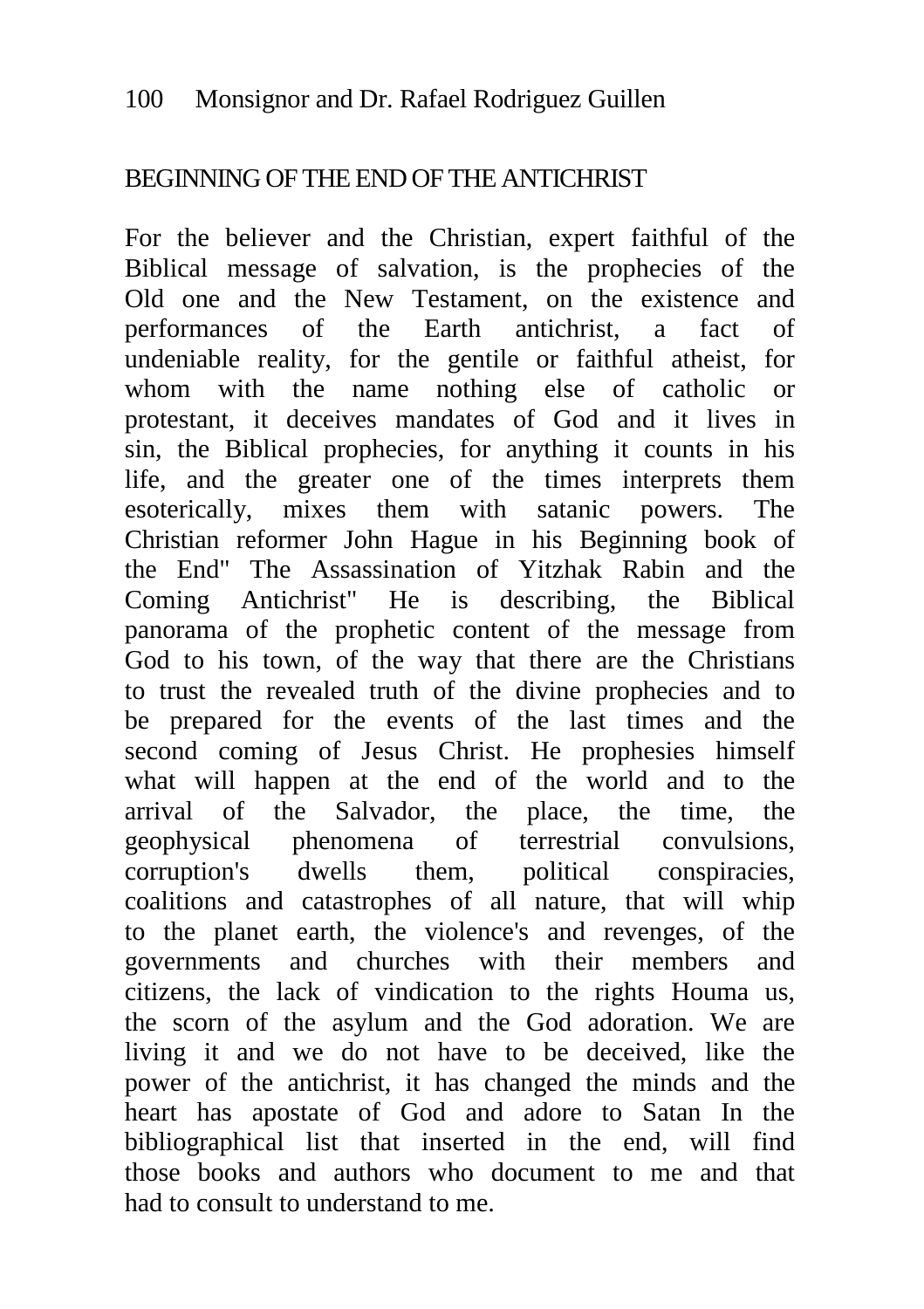#### BEGINNING OF THE END OF THE ANTICHRIST

For the believer and the Christian, expert faithful of the Biblical message of salvation, is the prophecies of the Old one and the New Testament, on the existence and performances of the Earth antichrist, a fact of undeniable reality, for the gentile or faithful atheist, for whom with the name nothing else of catholic or protestant, it deceives mandates of God and it lives in sin, the Biblical prophecies, for anything it counts in his life, and the greater one of the times interprets them esoterically, mixes them with satanic powers. The Christian reformer John Hague in his Beginning book of the End" The Assassination of Yitzhak Rabin and the Coming Antichrist" He is describing, the Biblical panorama of the prophetic content of the message from God to his town, of the way that there are the Christians to trust the revealed truth of the divine prophecies and to be prepared for the events of the last times and the second coming of Jesus Christ. He prophesies himself what will happen at the end of the world and to the arrival of the Salvador, the place, the time, the geophysical phenomena of terrestrial convulsions, corruption's dwells them, political conspiracies, coalitions and catastrophes of all nature, that will whip to the planet earth, the violence's and revenges, of the governments and churches with their members and citizens, the lack of vindication to the rights Houma us, the scorn of the asylum and the God adoration. We are living it and we do not have to be deceived, like the power of the antichrist, it has changed the minds and the heart has apostate of God and adore to Satan In the bibliographical list that inserted in the end, will find those books and authors who document to me and that had to consult to understand to me.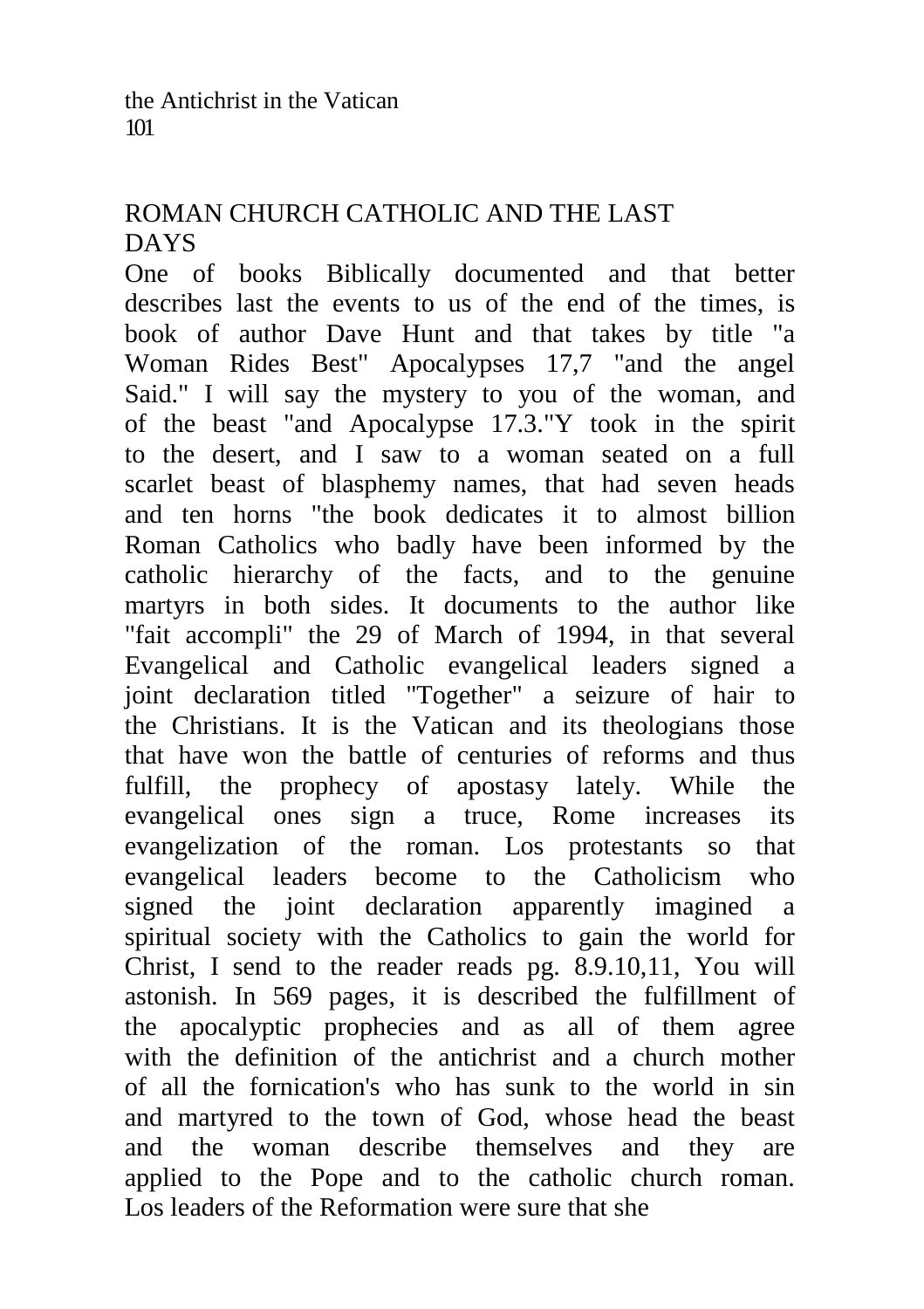# ROMAN CHURCH CATHOLIC AND THE LAST DAYS

One of books Biblically documented and that better describes last the events to us of the end of the times, is book of author Dave Hunt and that takes by title "a Woman Rides Best" Apocalypses 17,7 "and the angel Said." I will say the mystery to you of the woman, and of the beast "and Apocalypse 17.3."Y took in the spirit to the desert, and I saw to a woman seated on a full scarlet beast of blasphemy names, that had seven heads and ten horns "the book dedicates it to almost billion Roman Catholics who badly have been informed by the catholic hierarchy of the facts, and to the genuine martyrs in both sides. It documents to the author like "fait accompli" the 29 of March of 1994, in that several Evangelical and Catholic evangelical leaders signed a joint declaration titled "Together" a seizure of hair to the Christians. It is the Vatican and its theologians those that have won the battle of centuries of reforms and thus fulfill, the prophecy of apostasy lately. While the evangelical ones sign a truce, Rome increases its evangelization of the roman. Los protestants so that evangelical leaders become to the Catholicism who signed the joint declaration apparently imagined a spiritual society with the Catholics to gain the world for Christ, I send to the reader reads pg. 8.9.10,11, You will astonish. In 569 pages, it is described the fulfillment of the apocalyptic prophecies and as all of them agree with the definition of the antichrist and a church mother of all the fornication's who has sunk to the world in sin and martyred to the town of God, whose head the beast and the woman describe themselves and they are applied to the Pope and to the catholic church roman. Los leaders of the Reformation were sure that she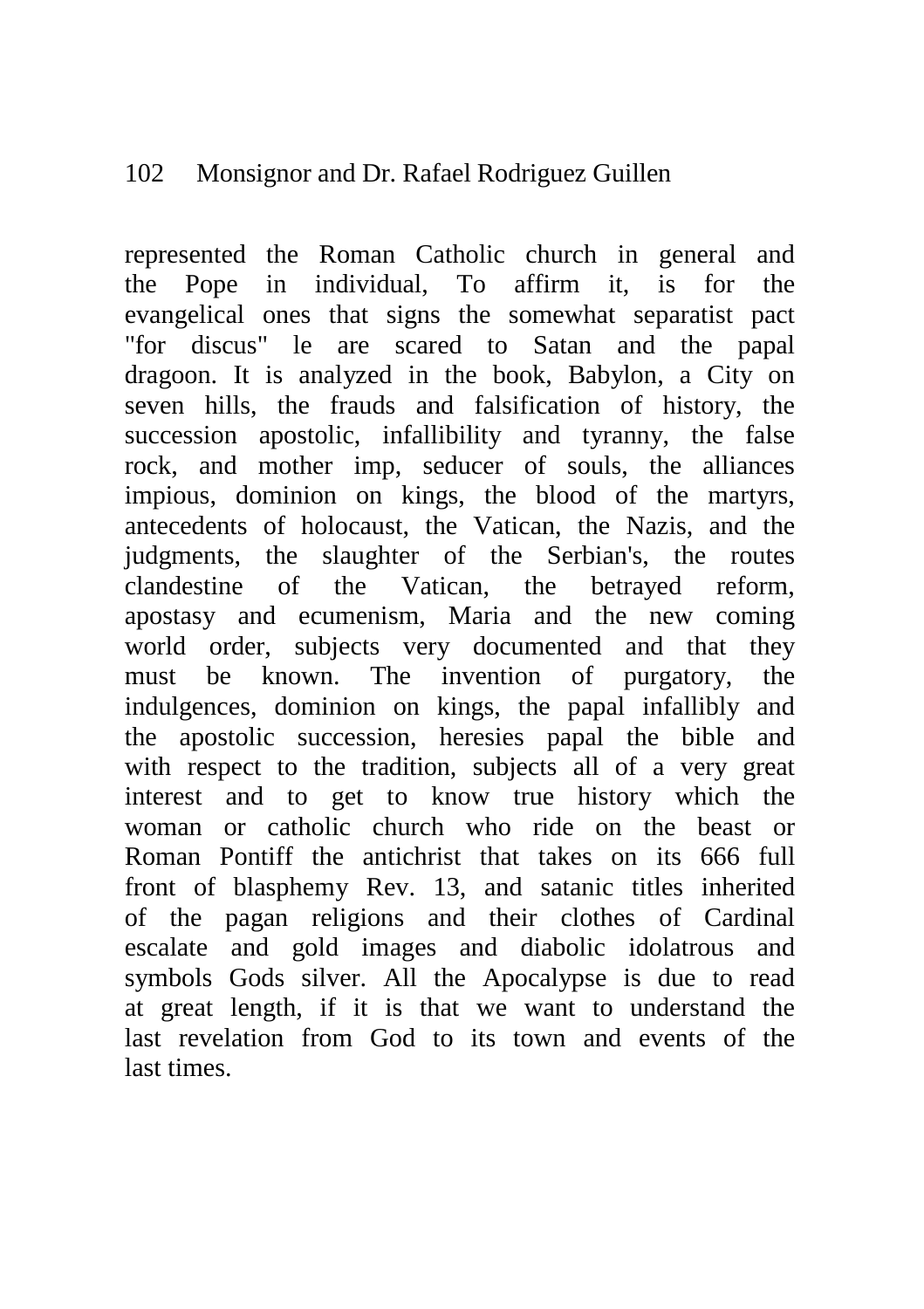#### 102 Monsignor and Dr. Rafael Rodriguez Guillen

represented the Roman Catholic church in general and the Pope in individual, To affirm it, is for the evangelical ones that signs the somewhat separatist pact "for discus" le are scared to Satan and the papal dragoon. It is analyzed in the book, Babylon, a City on seven hills, the frauds and falsification of history, the succession apostolic, infallibility and tyranny, the false rock, and mother imp, seducer of souls, the alliances impious, dominion on kings, the blood of the martyrs, antecedents of holocaust, the Vatican, the Nazis, and the judgments, the slaughter of the Serbian's, the routes clandestine of the Vatican, the betrayed reform, apostasy and ecumenism, Maria and the new coming world order, subjects very documented and that they must be known. The invention of purgatory, the indulgences, dominion on kings, the papal infallibly and the apostolic succession, heresies papal the bible and with respect to the tradition, subjects all of a very great interest and to get to know true history which the woman or catholic church who ride on the beast or Roman Pontiff the antichrist that takes on its 666 full front of blasphemy Rev. 13, and satanic titles inherited of the pagan religions and their clothes of Cardinal escalate and gold images and diabolic idolatrous and symbols Gods silver. All the Apocalypse is due to read at great length, if it is that we want to understand the last revelation from God to its town and events of the last times.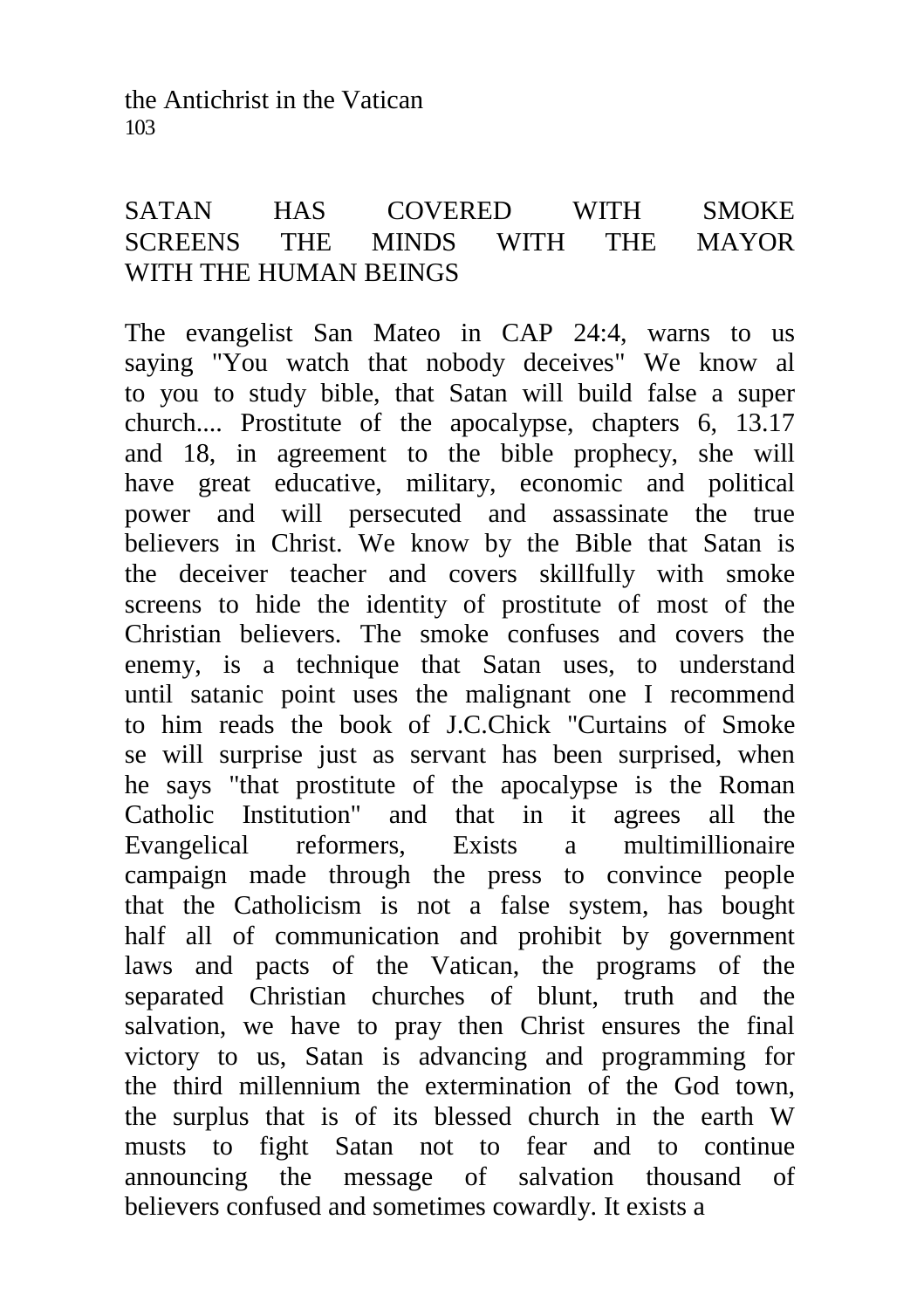the Antichrist in the Vatican 103

# SATAN HAS COVERED WITH SMOKE SCREENS THE MINDS WITH THE MAYOR WITH THE HUMAN BEINGS

The evangelist San Mateo in CAP 24:4, warns to us saying "You watch that nobody deceives" We know al to you to study bible, that Satan will build false a super church.... Prostitute of the apocalypse, chapters 6, 13.17 and 18, in agreement to the bible prophecy, she will have great educative, military, economic and political power and will persecuted and assassinate the true believers in Christ. We know by the Bible that Satan is the deceiver teacher and covers skillfully with smoke screens to hide the identity of prostitute of most of the Christian believers. The smoke confuses and covers the enemy, is a technique that Satan uses, to understand until satanic point uses the malignant one I recommend to him reads the book of J.C.Chick "Curtains of Smoke se will surprise just as servant has been surprised, when he says "that prostitute of the apocalypse is the Roman Catholic Institution" and that in it agrees all the Evangelical reformers, Exists a multimillionaire campaign made through the press to convince people that the Catholicism is not a false system, has bought half all of communication and prohibit by government laws and pacts of the Vatican, the programs of the separated Christian churches of blunt, truth and the salvation, we have to pray then Christ ensures the final victory to us, Satan is advancing and programming for the third millennium the extermination of the God town, the surplus that is of its blessed church in the earth W musts to fight Satan not to fear and to continue announcing the message of salvation thousand of believers confused and sometimes cowardly. It exists a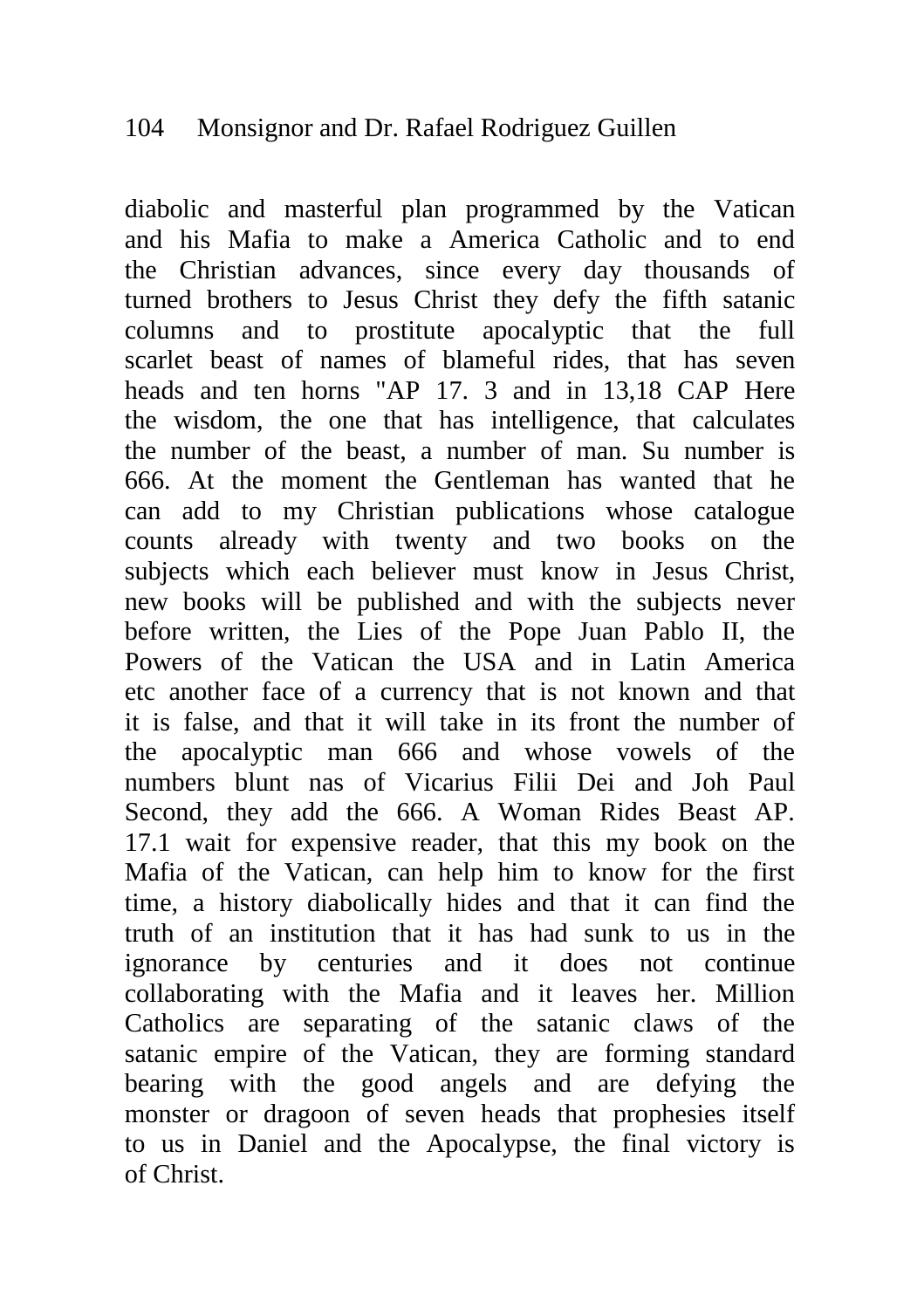### 104 Monsignor and Dr. Rafael Rodriguez Guillen

diabolic and masterful plan programmed by the Vatican and his Mafia to make a America Catholic and to end the Christian advances, since every day thousands of turned brothers to Jesus Christ they defy the fifth satanic columns and to prostitute apocalyptic that the full scarlet beast of names of blameful rides, that has seven heads and ten horns "AP 17. 3 and in 13,18 CAP Here the wisdom, the one that has intelligence, that calculates the number of the beast, a number of man. Su number is 666. At the moment the Gentleman has wanted that he can add to my Christian publications whose catalogue counts already with twenty and two books on the subjects which each believer must know in Jesus Christ, new books will be published and with the subjects never before written, the Lies of the Pope Juan Pablo II, the Powers of the Vatican the USA and in Latin America etc another face of a currency that is not known and that it is false, and that it will take in its front the number of the apocalyptic man 666 and whose vowels of the numbers blunt nas of Vicarius Filii Dei and Joh Paul Second, they add the 666. A Woman Rides Beast AP. 17.1 wait for expensive reader, that this my book on the Mafia of the Vatican, can help him to know for the first time, a history diabolically hides and that it can find the truth of an institution that it has had sunk to us in the ignorance by centuries and it does not continue collaborating with the Mafia and it leaves her. Million Catholics are separating of the satanic claws of the satanic empire of the Vatican, they are forming standard bearing with the good angels and are defying the monster or dragoon of seven heads that prophesies itself to us in Daniel and the Apocalypse, the final victory is of Christ.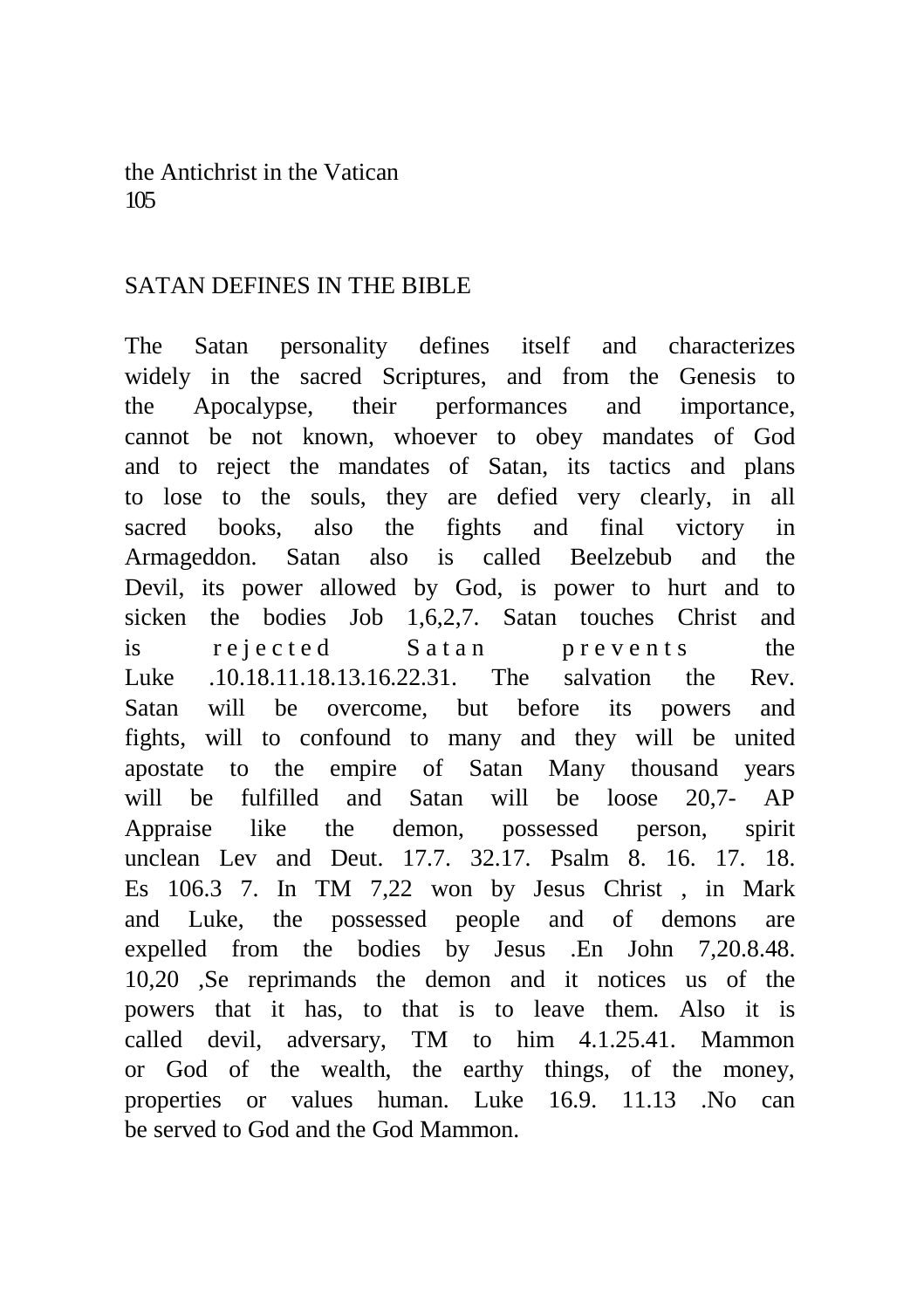the Antichrist in the Vatican 105

#### SATAN DEFINES IN THE BIBLE

The Satan personality defines itself and characterizes widely in the sacred Scriptures, and from the Genesis to the Apocalypse, their performances and importance, cannot be not known, whoever to obey mandates of God and to reject the mandates of Satan, its tactics and plans to lose to the souls, they are defied very clearly, in all sacred books, also the fights and final victory in Armageddon. Satan also is called Beelzebub and the Devil, its power allowed by God, is power to hurt and to sicken the bodies Job 1,6,2,7. Satan touches Christ and is rejected Satan prevents the Luke .10.18.11.18.13.16.22.31. The salvation the Rev. Satan will be overcome, but before its powers and fights, will to confound to many and they will be united apostate to the empire of Satan Many thousand years will be fulfilled and Satan will be loose 20,7- AP Appraise like the demon, possessed person, spirit unclean Lev and Deut. 17.7. 32.17. Psalm 8. 16. 17. 18. Es 106.3 7. In TM 7,22 won by Jesus Christ , in Mark and Luke, the possessed people and of demons are expelled from the bodies by Jesus .En John 7,20.8.48. 10,20 ,Se reprimands the demon and it notices us of the powers that it has, to that is to leave them. Also it is called devil, adversary, TM to him 4.1.25.41. Mammon or God of the wealth, the earthy things, of the money, properties or values human. Luke 16.9. 11.13 .No can be served to God and the God Mammon.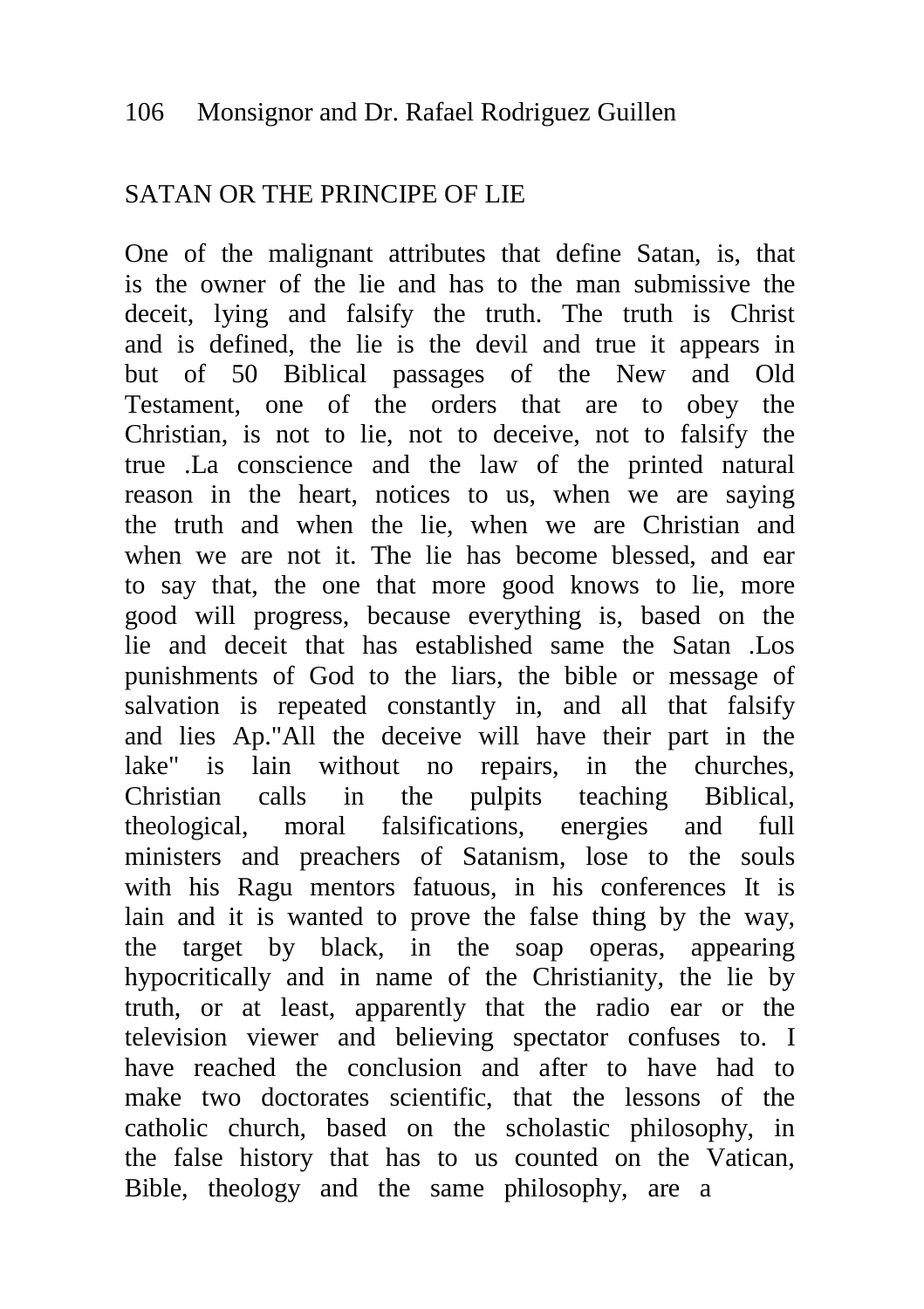# SATAN OR THE PRINCIPE OF LIE

One of the malignant attributes that define Satan, is, that is the owner of the lie and has to the man submissive the deceit, lying and falsify the truth. The truth is Christ and is defined, the lie is the devil and true it appears in but of 50 Biblical passages of the New and Old Testament, one of the orders that are to obey the Christian, is not to lie, not to deceive, not to falsify the true .La conscience and the law of the printed natural reason in the heart, notices to us, when we are saying the truth and when the lie, when we are Christian and when we are not it. The lie has become blessed, and ear to say that, the one that more good knows to lie, more good will progress, because everything is, based on the lie and deceit that has established same the Satan .Los punishments of God to the liars, the bible or message of salvation is repeated constantly in, and all that falsify and lies Ap."All the deceive will have their part in the lake" is lain without no repairs, in the churches, Christian calls in the pulpits teaching Biblical, theological, moral falsifications, energies and full ministers and preachers of Satanism, lose to the souls with his Ragu mentors fatuous, in his conferences It is lain and it is wanted to prove the false thing by the way, the target by black, in the soap operas, appearing hypocritically and in name of the Christianity, the lie by truth, or at least, apparently that the radio ear or the television viewer and believing spectator confuses to. I have reached the conclusion and after to have had to make two doctorates scientific, that the lessons of the catholic church, based on the scholastic philosophy, in the false history that has to us counted on the Vatican, Bible, theology and the same philosophy, are a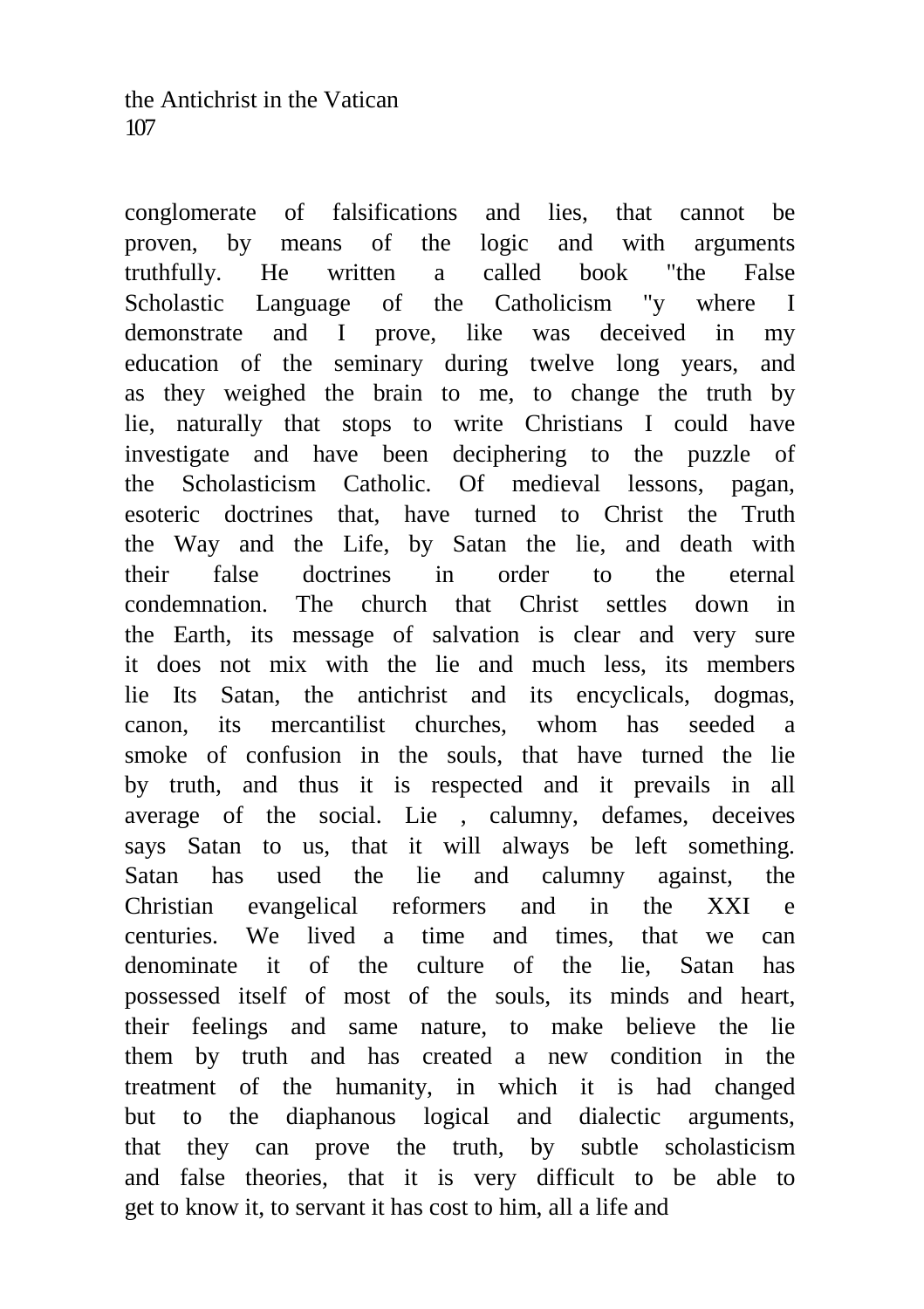conglomerate of falsifications and lies, that cannot be proven, by means of the logic and with arguments truthfully. He written a called book "the False Scholastic Language of the Catholicism "y where I demonstrate and I prove, like was deceived in my education of the seminary during twelve long years, and as they weighed the brain to me, to change the truth by lie, naturally that stops to write Christians I could have investigate and have been deciphering to the puzzle of the Scholasticism Catholic. Of medieval lessons, pagan, esoteric doctrines that, have turned to Christ the Truth the Way and the Life, by Satan the lie, and death with their false doctrines in order to the eternal condemnation. The church that Christ settles down in the Earth, its message of salvation is clear and very sure it does not mix with the lie and much less, its members lie Its Satan, the antichrist and its encyclicals, dogmas, canon, its mercantilist churches, whom has seeded a smoke of confusion in the souls, that have turned the lie by truth, and thus it is respected and it prevails in all average of the social. Lie , calumny, defames, deceives says Satan to us, that it will always be left something. Satan has used the lie and calumny against, the Christian evangelical reformers and in the XXI e centuries. We lived a time and times, that we can denominate it of the culture of the lie, Satan has possessed itself of most of the souls, its minds and heart, their feelings and same nature, to make believe the lie them by truth and has created a new condition in the treatment of the humanity, in which it is had changed but to the diaphanous logical and dialectic arguments, that they can prove the truth, by subtle scholasticism and false theories, that it is very difficult to be able to get to know it, to servant it has cost to him, all a life and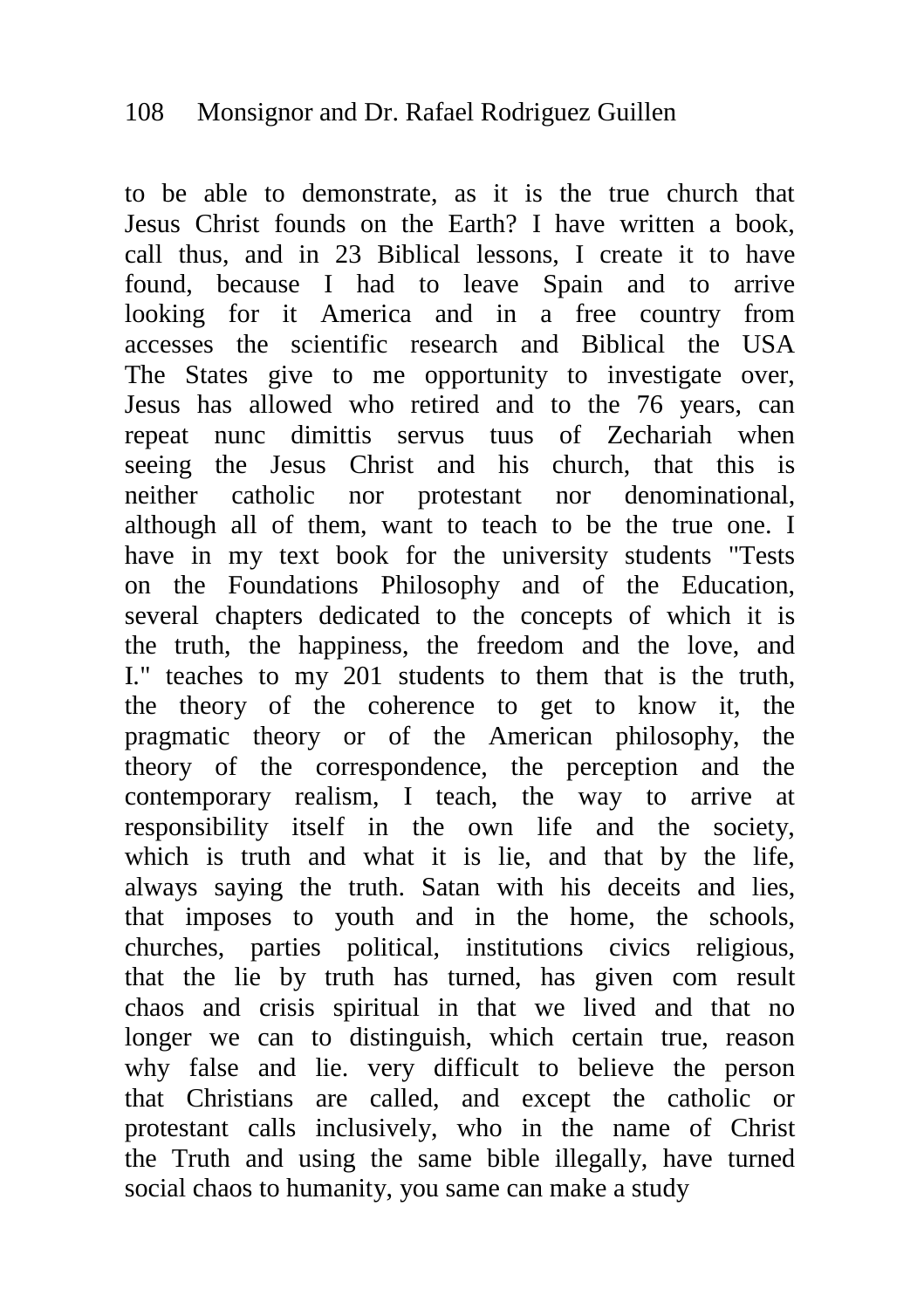to be able to demonstrate, as it is the true church that Jesus Christ founds on the Earth? I have written a book, call thus, and in 23 Biblical lessons, I create it to have found, because I had to leave Spain and to arrive looking for it America and in a free country from accesses the scientific research and Biblical the USA The States give to me opportunity to investigate over, Jesus has allowed who retired and to the 76 years, can repeat nunc dimittis servus tuus of Zechariah when seeing the Jesus Christ and his church, that this is neither catholic nor protestant nor denominational, although all of them, want to teach to be the true one. I have in my text book for the university students "Tests on the Foundations Philosophy and of the Education, several chapters dedicated to the concepts of which it is the truth, the happiness, the freedom and the love, and I." teaches to my 201 students to them that is the truth, the theory of the coherence to get to know it, the pragmatic theory or of the American philosophy, the theory of the correspondence, the perception and the contemporary realism, I teach, the way to arrive at responsibility itself in the own life and the society, which is truth and what it is lie, and that by the life, always saying the truth. Satan with his deceits and lies, that imposes to youth and in the home, the schools, churches, parties political, institutions civics religious, that the lie by truth has turned, has given com result chaos and crisis spiritual in that we lived and that no longer we can to distinguish, which certain true, reason why false and lie. very difficult to believe the person that Christians are called, and except the catholic or protestant calls inclusively, who in the name of Christ the Truth and using the same bible illegally, have turned social chaos to humanity, you same can make a study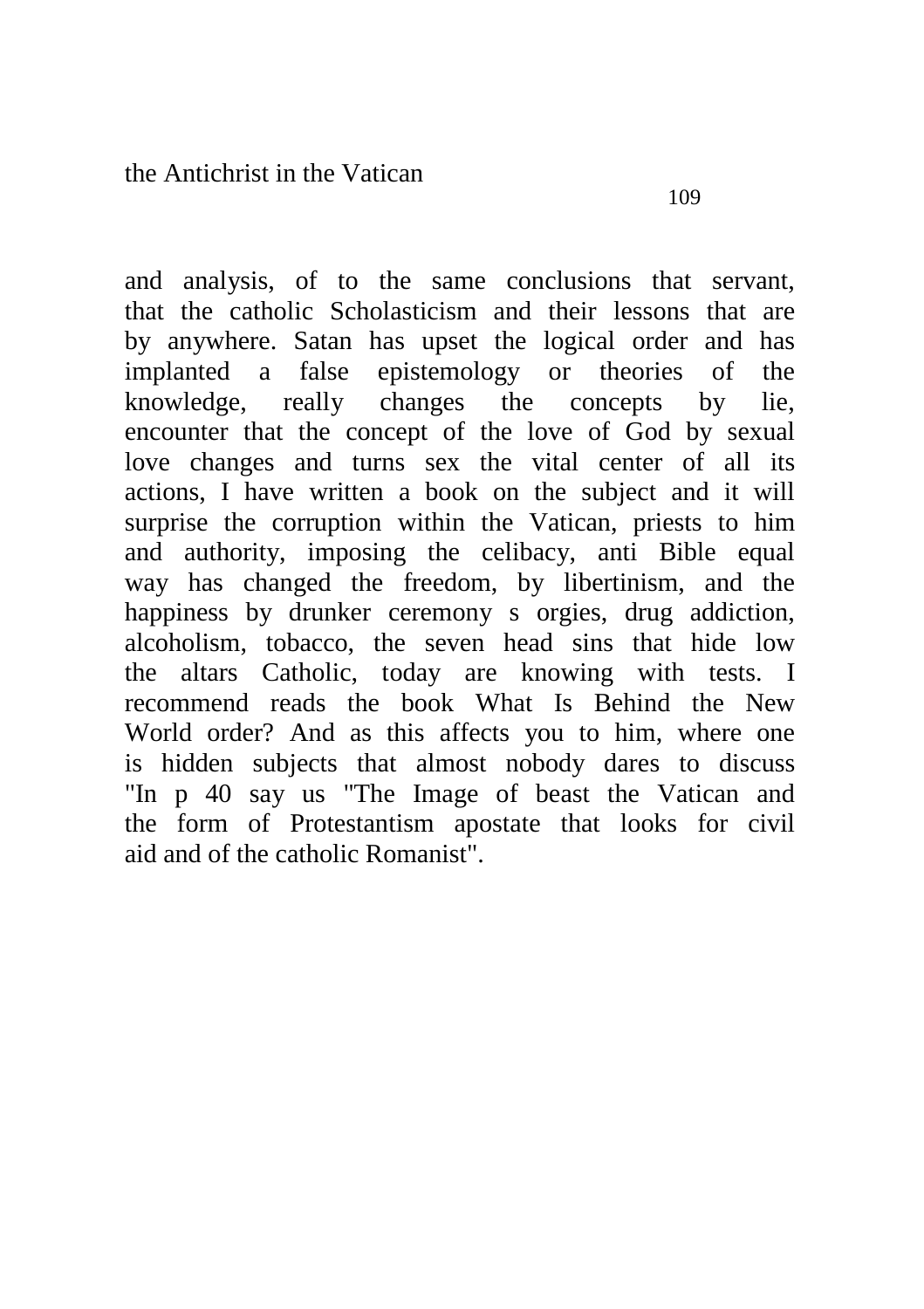and analysis, of to the same conclusions that servant, that the catholic Scholasticism and their lessons that are by anywhere. Satan has upset the logical order and has implanted a false epistemology or theories of the knowledge, really changes the concepts by lie, encounter that the concept of the love of God by sexual love changes and turns sex the vital center of all its actions, I have written a book on the subject and it will surprise the corruption within the Vatican, priests to him and authority, imposing the celibacy, anti Bible equal way has changed the freedom, by libertinism, and the happiness by drunker ceremony s orgies, drug addiction, alcoholism, tobacco, the seven head sins that hide low the altars Catholic, today are knowing with tests. I recommend reads the book What Is Behind the New World order? And as this affects you to him, where one is hidden subjects that almost nobody dares to discuss "In p 40 say us "The Image of beast the Vatican and the form of Protestantism apostate that looks for civil aid and of the catholic Romanist".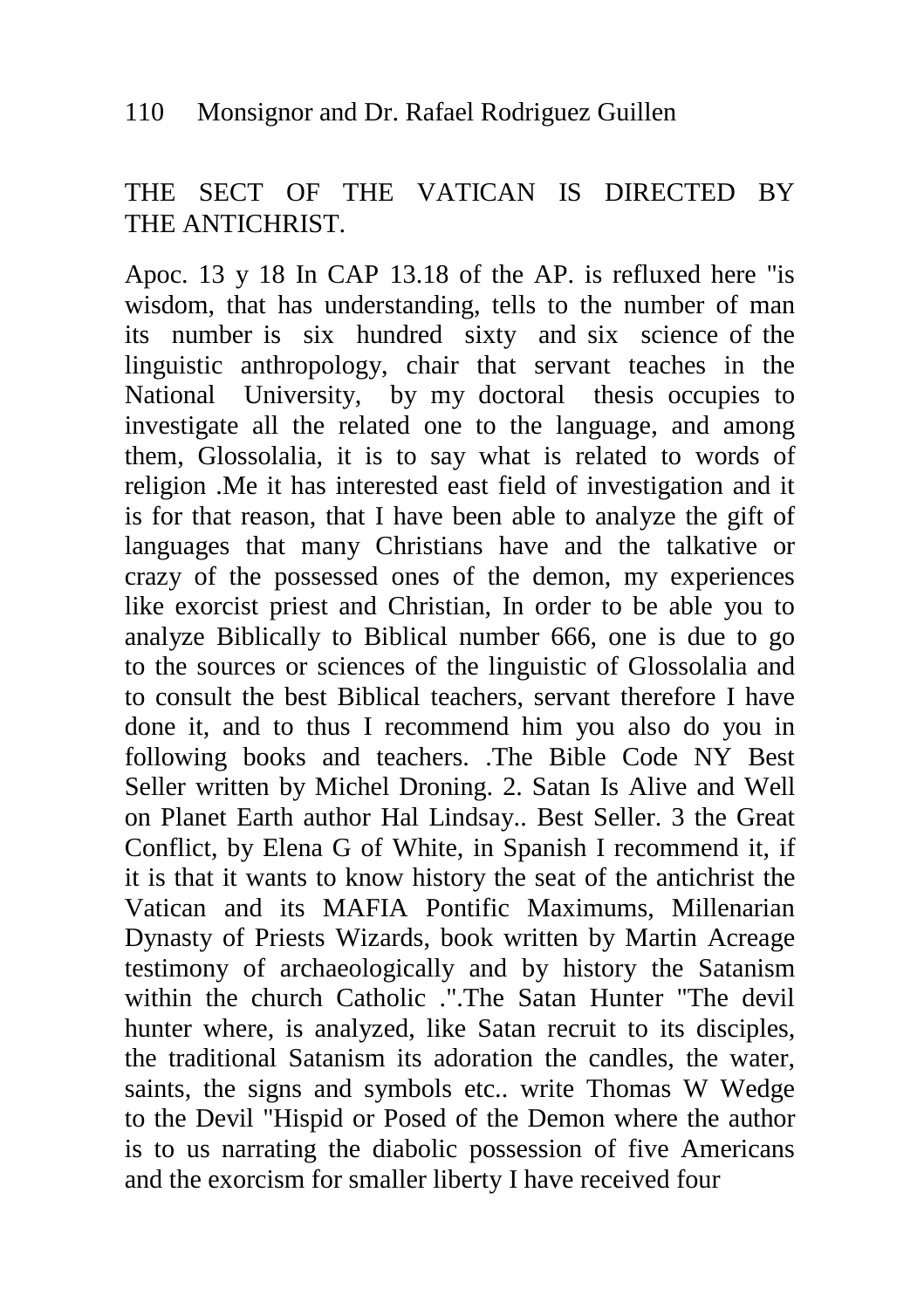# THE SECT OF THE VATICAN IS DIRECTED BY THE ANTICHRIST.

Apoc. 13 y 18 In CAP 13.18 of the AP. is refluxed here "is wisdom, that has understanding, tells to the number of man its number is six hundred sixty and six science of the linguistic anthropology, chair that servant teaches in the National University, by my doctoral thesis occupies to investigate all the related one to the language, and among them, Glossolalia, it is to say what is related to words of religion .Me it has interested east field of investigation and it is for that reason, that I have been able to analyze the gift of languages that many Christians have and the talkative or crazy of the possessed ones of the demon, my experiences like exorcist priest and Christian, In order to be able you to analyze Biblically to Biblical number 666, one is due to go to the sources or sciences of the linguistic of Glossolalia and to consult the best Biblical teachers, servant therefore I have done it, and to thus I recommend him you also do you in following books and teachers. .The Bible Code NY Best Seller written by Michel Droning. 2. Satan Is Alive and Well on Planet Earth author Hal Lindsay.. Best Seller. 3 the Great Conflict, by Elena G of White, in Spanish I recommend it, if it is that it wants to know history the seat of the antichrist the Vatican and its MAFIA Pontific Maximums, Millenarian Dynasty of Priests Wizards, book written by Martin Acreage testimony of archaeologically and by history the Satanism within the church Catholic .".The Satan Hunter "The devil hunter where, is analyzed, like Satan recruit to its disciples, the traditional Satanism its adoration the candles, the water, saints, the signs and symbols etc.. write Thomas W Wedge to the Devil "Hispid or Posed of the Demon where the author is to us narrating the diabolic possession of five Americans and the exorcism for smaller liberty I have received four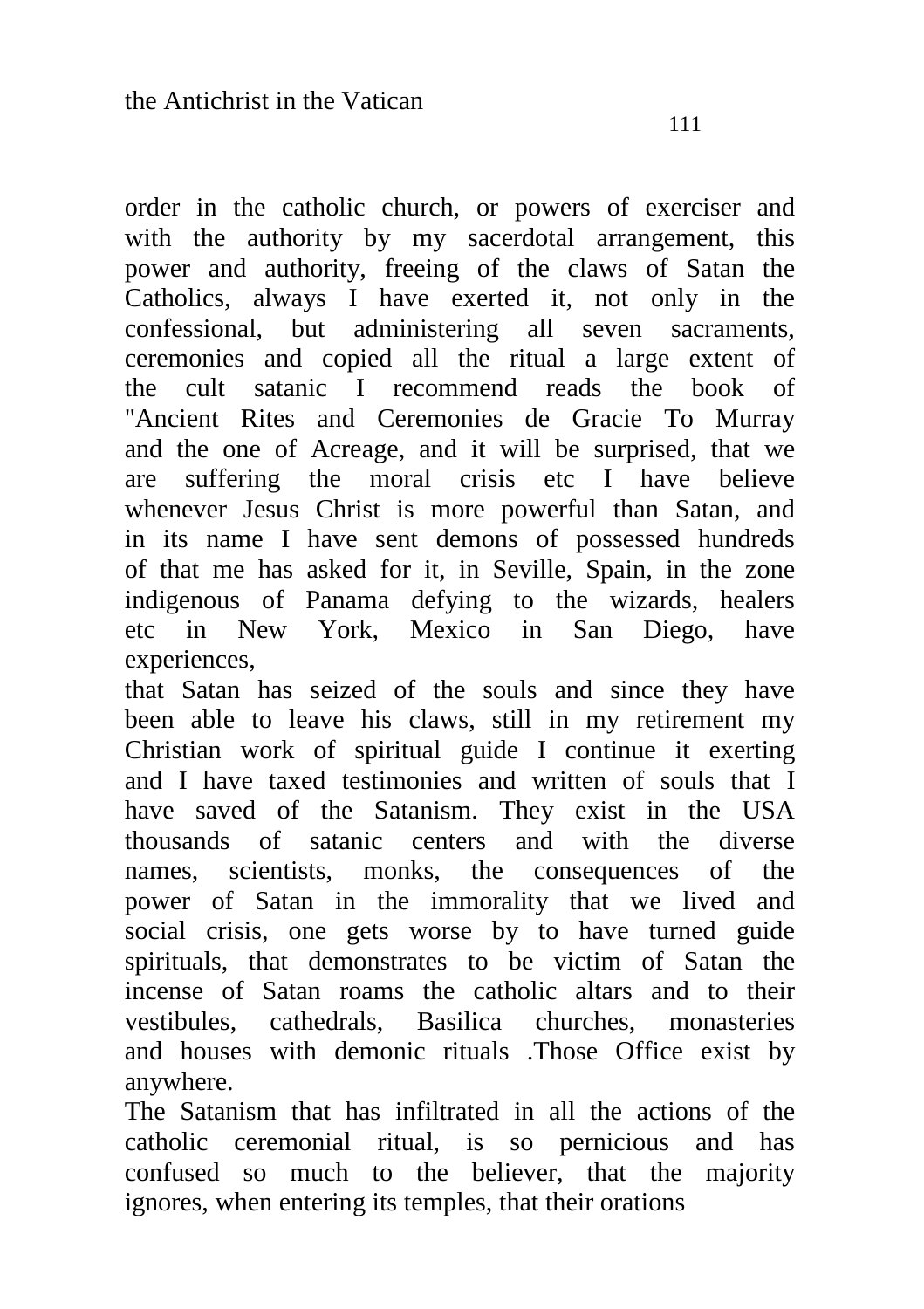order in the catholic church, or powers of exerciser and with the authority by my sacerdotal arrangement, this power and authority, freeing of the claws of Satan the Catholics, always I have exerted it, not only in the confessional, but administering all seven sacraments, ceremonies and copied all the ritual a large extent of the cult satanic I recommend reads the book of "Ancient Rites and Ceremonies de Gracie To Murray and the one of Acreage, and it will be surprised, that we are suffering the moral crisis etc I have believe whenever Jesus Christ is more powerful than Satan, and in its name I have sent demons of possessed hundreds of that me has asked for it, in Seville, Spain, in the zone indigenous of Panama defying to the wizards, healers etc in New York, Mexico in San Diego, have experiences,

that Satan has seized of the souls and since they have been able to leave his claws, still in my retirement my Christian work of spiritual guide I continue it exerting and I have taxed testimonies and written of souls that I have saved of the Satanism. They exist in the USA thousands of satanic centers and with the diverse names, scientists, monks, the consequences of the power of Satan in the immorality that we lived and social crisis, one gets worse by to have turned guide spirituals, that demonstrates to be victim of Satan the incense of Satan roams the catholic altars and to their vestibules, cathedrals, Basilica churches, monasteries and houses with demonic rituals .Those Office exist by anywhere.

The Satanism that has infiltrated in all the actions of the catholic ceremonial ritual, is so pernicious and has confused so much to the believer, that the majority ignores, when entering its temples, that their orations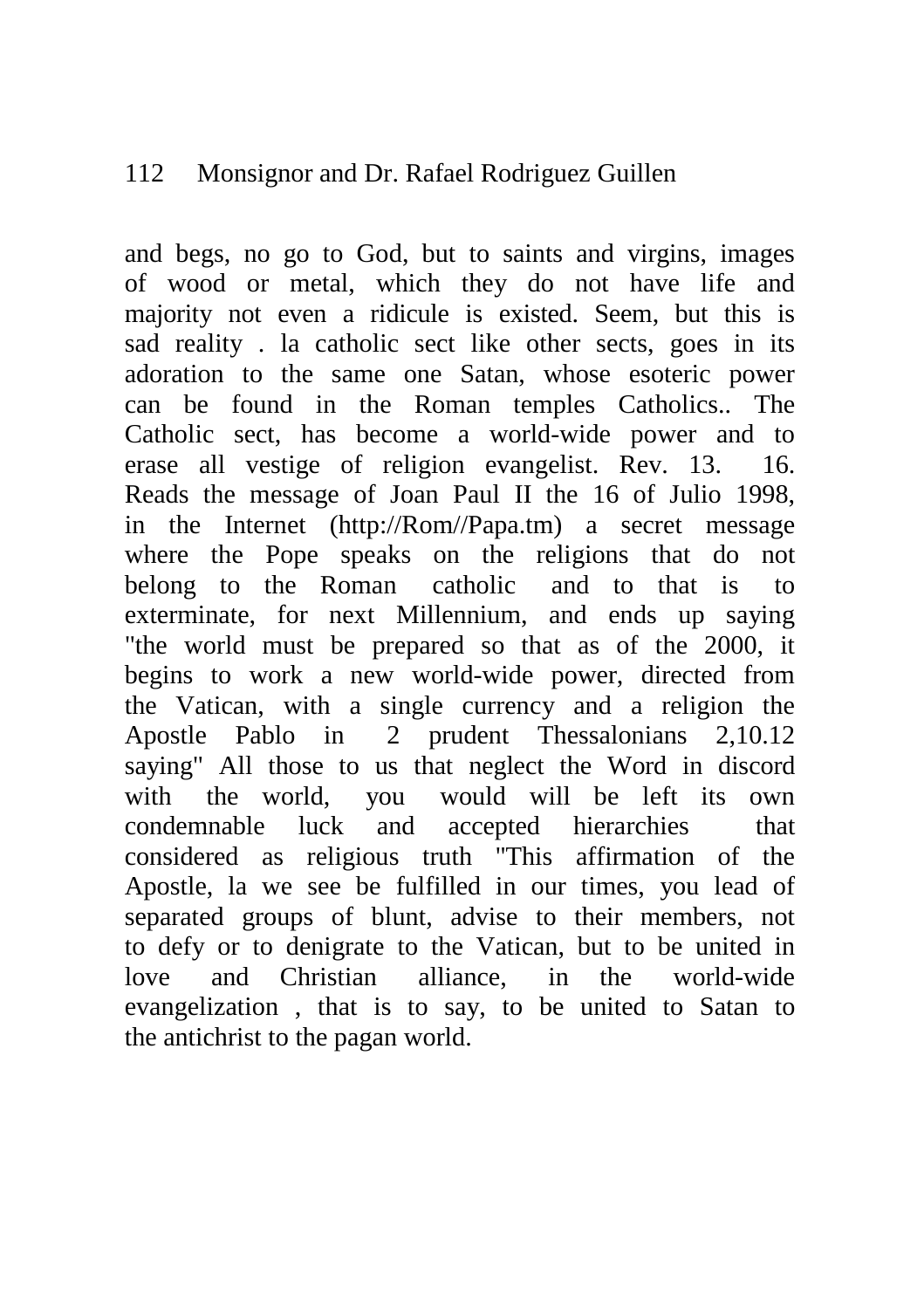### 112 Monsignor and Dr. Rafael Rodriguez Guillen

and begs, no go to God, but to saints and virgins, images of wood or metal, which they do not have life and majority not even a ridicule is existed. Seem, but this is sad reality . la catholic sect like other sects, goes in its adoration to the same one Satan, whose esoteric power can be found in the Roman temples Catholics.. The Catholic sect, has become a world-wide power and to erase all vestige of religion evangelist. Rev. 13. 16. Reads the message of Joan Paul II the 16 of Julio 1998, in the Internet (http://Rom//Papa.tm) a secret message where the Pope speaks on the religions that do not belong to the Roman catholic and to that is to exterminate, for next Millennium, and ends up saying "the world must be prepared so that as of the 2000, it begins to work a new world-wide power, directed from the Vatican, with a single currency and a religion the Apostle Pablo in 2 prudent Thessalonians 2,10.12 saying" All those to us that neglect the Word in discord with the world, you would will be left its own condemnable luck and accepted hierarchies that considered as religious truth "This affirmation of the Apostle, la we see be fulfilled in our times, you lead of separated groups of blunt, advise to their members, not to defy or to denigrate to the Vatican, but to be united in love and Christian alliance, in the world-wide evangelization , that is to say, to be united to Satan to the antichrist to the pagan world.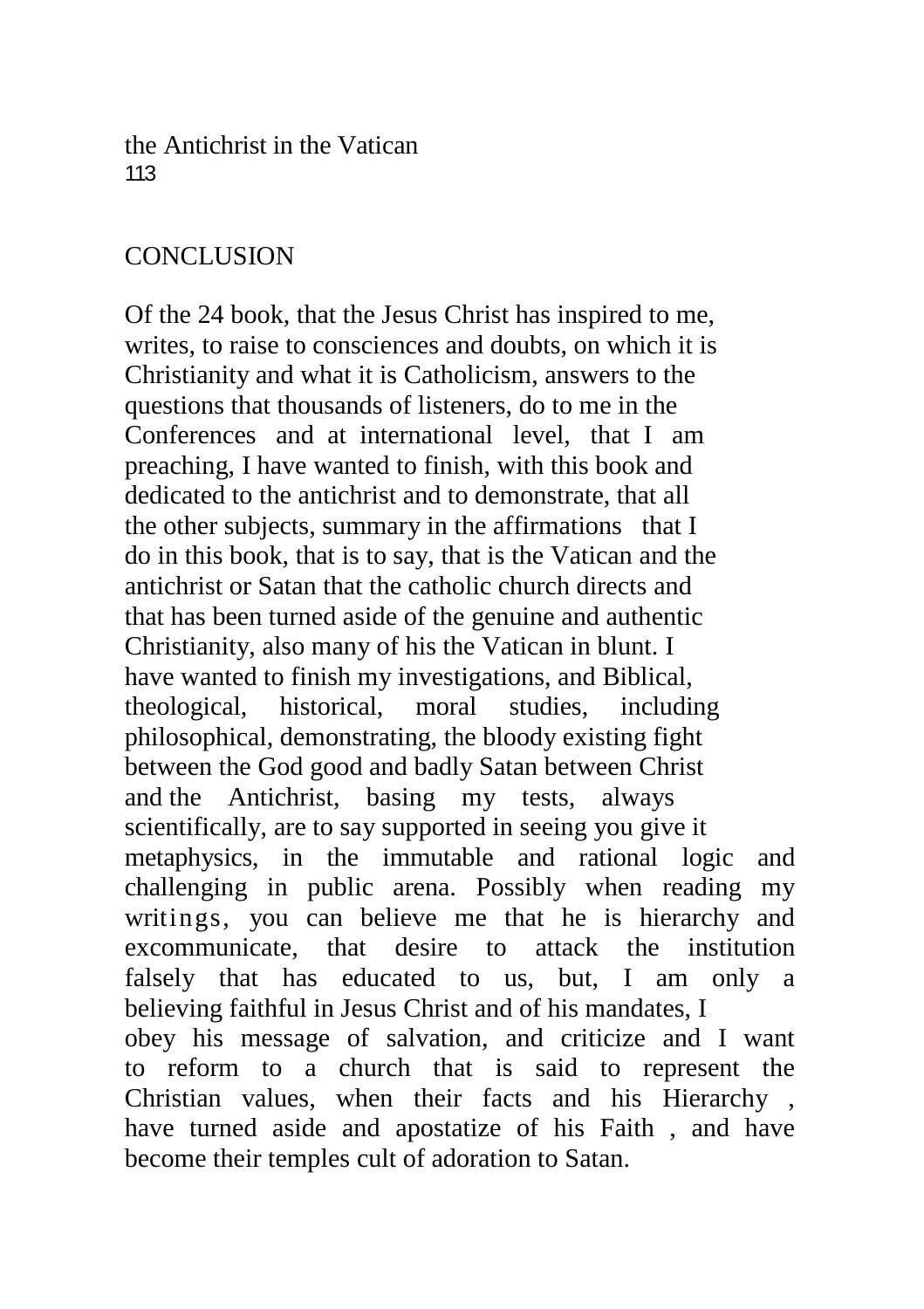the Antichrist in the Vatican 113

## **CONCLUSION**

Of the 24 book, that the Jesus Christ has inspired to me, writes, to raise to consciences and doubts, on which it is Christianity and what it is Catholicism, answers to the questions that thousands of listeners, do to me in the Conferences and at international level, that I am preaching, I have wanted to finish, with this book and dedicated to the antichrist and to demonstrate, that all the other subjects, summary in the affirmations that I do in this book, that is to say, that is the Vatican and the antichrist or Satan that the catholic church directs and that has been turned aside of the genuine and authentic Christianity, also many of his the Vatican in blunt. I have wanted to finish my investigations, and Biblical, theological, historical, moral studies, including philosophical, demonstrating, the bloody existing fight between the God good and badly Satan between Christ and the Antichrist, basing my tests, always scientifically, are to say supported in seeing you give it metaphysics, in the immutable and rational logic and challenging in public arena. Possibly when reading my writings, you can believe me that he is hierarchy and excommunicate, that desire to attack the institution falsely that has educated to us, but, I am only a believing faithful in Jesus Christ and of his mandates, I obey his message of salvation, and criticize and I want to reform to a church that is said to represent the Christian values, when their facts and his Hierarchy , have turned aside and apostatize of his Faith , and have become their temples cult of adoration to Satan.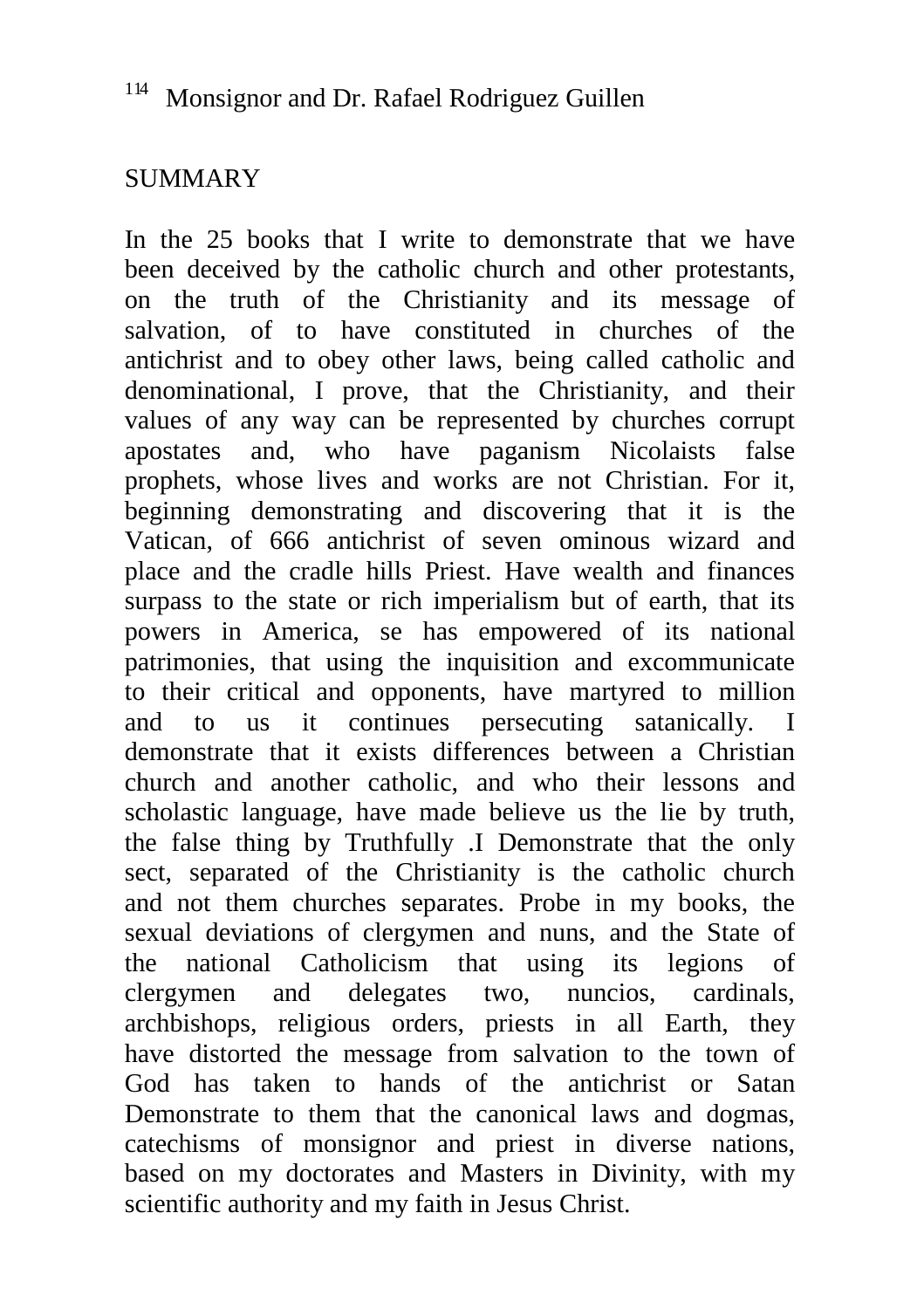## SUMMARY

In the 25 books that I write to demonstrate that we have been deceived by the catholic church and other protestants, on the truth of the Christianity and its message of salvation, of to have constituted in churches of the antichrist and to obey other laws, being called catholic and denominational, I prove, that the Christianity, and their values of any way can be represented by churches corrupt apostates and, who have paganism Nicolaists false prophets, whose lives and works are not Christian. For it, beginning demonstrating and discovering that it is the Vatican, of 666 antichrist of seven ominous wizard and place and the cradle hills Priest. Have wealth and finances surpass to the state or rich imperialism but of earth, that its powers in America, se has empowered of its national patrimonies, that using the inquisition and excommunicate to their critical and opponents, have martyred to million and to us it continues persecuting satanically. I demonstrate that it exists differences between a Christian church and another catholic, and who their lessons and scholastic language, have made believe us the lie by truth, the false thing by Truthfully .I Demonstrate that the only sect, separated of the Christianity is the catholic church and not them churches separates. Probe in my books, the sexual deviations of clergymen and nuns, and the State of the national Catholicism that using its legions of clergymen and delegates two, nuncios, cardinals, archbishops, religious orders, priests in all Earth, they have distorted the message from salvation to the town of God has taken to hands of the antichrist or Satan Demonstrate to them that the canonical laws and dogmas, catechisms of monsignor and priest in diverse nations, based on my doctorates and Masters in Divinity, with my scientific authority and my faith in Jesus Christ.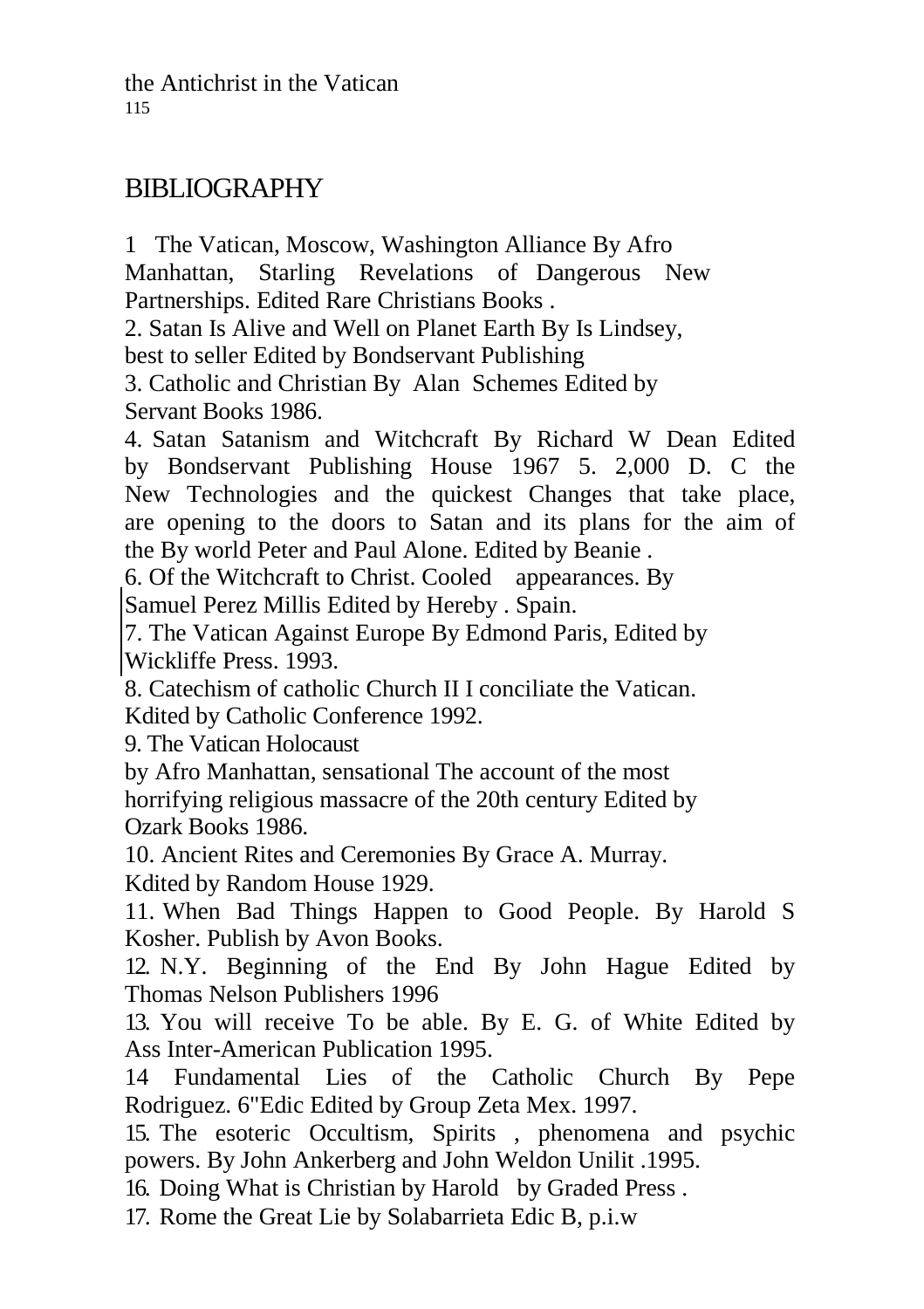# BIBLIOGRAPHY

1 The Vatican, Moscow, Washington Alliance By Afro Manhattan, Starling Revelations of Dangerous New Partnerships. Edited Rare Christians Books .

2. Satan Is Alive and Well on Planet Earth By Is Lindsey,

best to seller Edited by Bondservant Publishing

3. Catholic and Christian By Alan Schemes Edited by Servant Books 1986.

4. Satan Satanism and Witchcraft By Richard W Dean Edited by Bondservant Publishing House 1967 5. 2,000 D. C the New Technologies and the quickest Changes that take place, are opening to the doors to Satan and its plans for the aim of the By world Peter and Paul Alone. Edited by Beanie .

6. Of the Witchcraft to Christ. Cooled appearances. By

Samuel Perez Millis Edited by Hereby . Spain.

7. The Vatican Against Europe By Edmond Paris, Edited by Wickliffe Press. 1993.

8. Catechism of catholic Church II I conciliate the Vatican. Kdited by Catholic Conference 1992.

9. The Vatican Holocaust

by Afro Manhattan, sensational The account of the most horrifying religious massacre of the 20th century Edited by Ozark Books 1986.

10. Ancient Rites and Ceremonies By Grace A. Murray. Kdited by Random House 1929.

11. When Bad Things Happen to Good People. By Harold S Kosher. Publish by Avon Books.

12. N.Y. Beginning of the End By John Hague Edited by Thomas Nelson Publishers 1996

13. You will receive To be able. By E. G. of White Edited by Ass Inter-American Publication 1995.

14 Fundamental Lies of the Catholic Church By Pepe Rodriguez. 6"Edic Edited by Group Zeta Mex. 1997.

15. The esoteric Occultism, Spirits , phenomena and psychic powers. By John Ankerberg and John Weldon Unilit .1995.

16. Doing What is Christian by Harold by Graded Press .

17. Rome the Great Lie by Solabarrieta Edic B, p.i.w